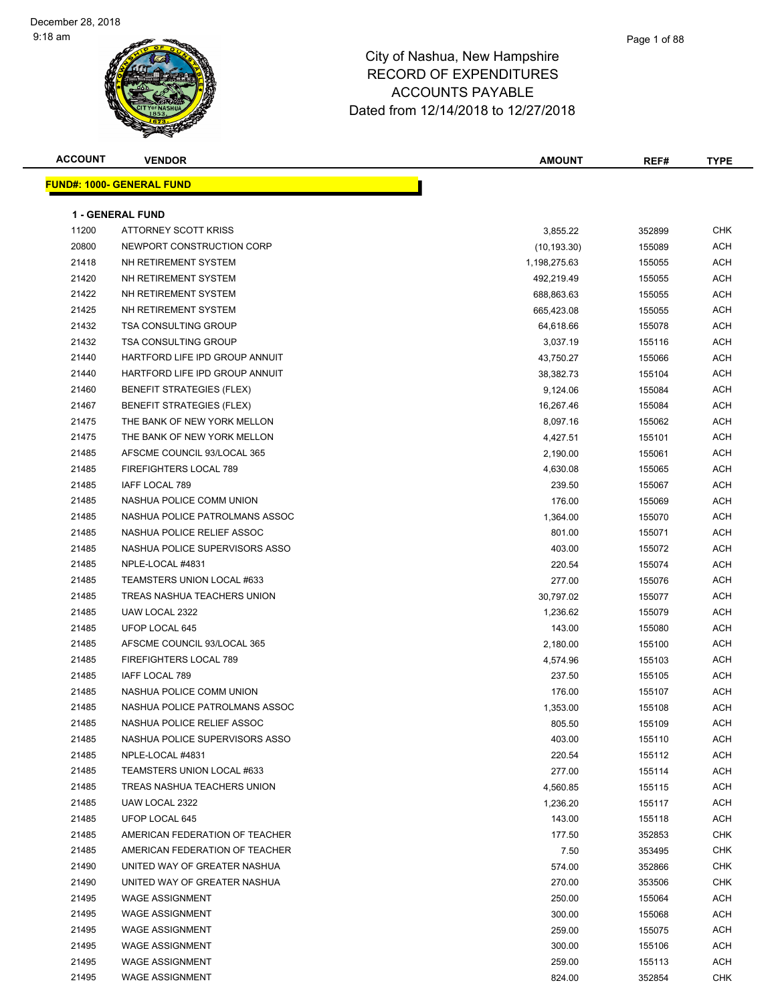| <b>ACCOUNT</b> | <b>VENDOR</b>                    | <b>AMOUNT</b> | REF#   | <b>TYPE</b> |
|----------------|----------------------------------|---------------|--------|-------------|
|                | <b>FUND#: 1000- GENERAL FUND</b> |               |        |             |
|                |                                  |               |        |             |
|                | <b>1 - GENERAL FUND</b>          |               |        |             |
| 11200          | <b>ATTORNEY SCOTT KRISS</b>      | 3,855.22      | 352899 | <b>CHK</b>  |
| 20800          | NEWPORT CONSTRUCTION CORP        | (10, 193.30)  | 155089 | ACH         |
| 21418          | NH RETIREMENT SYSTEM             | 1,198,275.63  | 155055 | ACH         |
| 21420          | NH RETIREMENT SYSTEM             | 492,219.49    | 155055 | ACH         |
| 21422          | NH RETIREMENT SYSTEM             | 688,863.63    | 155055 | <b>ACH</b>  |
| 21425          | NH RETIREMENT SYSTEM             | 665,423.08    | 155055 | <b>ACH</b>  |
| 21432          | TSA CONSULTING GROUP             | 64,618.66     | 155078 | ACH         |
| 21432          | <b>TSA CONSULTING GROUP</b>      | 3,037.19      | 155116 | ACH         |
| 21440          | HARTFORD LIFE IPD GROUP ANNUIT   | 43,750.27     | 155066 | ACH         |
| 21440          | HARTFORD LIFE IPD GROUP ANNUIT   | 38,382.73     | 155104 | ACH         |
| 21460          | <b>BENEFIT STRATEGIES (FLEX)</b> | 9,124.06      | 155084 | <b>ACH</b>  |
| 21467          | <b>BENEFIT STRATEGIES (FLEX)</b> | 16,267.46     | 155084 | ACH         |
| 21475          | THE BANK OF NEW YORK MELLON      | 8,097.16      | 155062 | ACH         |
| 21475          | THE BANK OF NEW YORK MELLON      | 4,427.51      | 155101 | ACH         |
| 21485          | AFSCME COUNCIL 93/LOCAL 365      | 2,190.00      | 155061 | ACH         |
| 21485          | FIREFIGHTERS LOCAL 789           | 4,630.08      | 155065 | ACH         |
| 21485          | IAFF LOCAL 789                   | 239.50        | 155067 | ACH         |
| 21485          | NASHUA POLICE COMM UNION         | 176.00        | 155069 | ACH         |
| 21485          | NASHUA POLICE PATROLMANS ASSOC   | 1,364.00      | 155070 | ACH         |
| 21485          | NASHUA POLICE RELIEF ASSOC       | 801.00        | 155071 | ACH         |
| 21485          | NASHUA POLICE SUPERVISORS ASSO   | 403.00        | 155072 | ACH         |
| 21485          | NPLE-LOCAL #4831                 | 220.54        | 155074 | ACH         |
| 21485          | TEAMSTERS UNION LOCAL #633       | 277.00        | 155076 | ACH         |
| 21485          | TREAS NASHUA TEACHERS UNION      | 30,797.02     | 155077 | ACH         |
| 21485          | UAW LOCAL 2322                   | 1,236.62      | 155079 | ACH         |
| 21485          | UFOP LOCAL 645                   | 143.00        | 155080 | ACH         |
| 21485          | AFSCME COUNCIL 93/LOCAL 365      | 2,180.00      | 155100 | <b>ACH</b>  |
| 21485          | FIREFIGHTERS LOCAL 789           | 4,574.96      | 155103 | ACH         |
| 21485          | <b>IAFF LOCAL 789</b>            | 237.50        | 155105 | ACH         |
| 21485          | NASHUA POLICE COMM UNION         | 176.00        | 155107 | ACH         |
| 21485          | NASHUA POLICE PATROLMANS ASSOC   | 1,353.00      | 155108 | ACH         |
| 21485          | NASHUA POLICE RELIEF ASSOC       | 805.50        | 155109 | ACH         |
| 21485          | NASHUA POLICE SUPERVISORS ASSO   | 403.00        | 155110 | ACH         |
| 21485          | NPLE-LOCAL #4831                 | 220.54        | 155112 | ACH         |
| 21485          | TEAMSTERS UNION LOCAL #633       | 277.00        | 155114 | ACH         |
| 21485          | TREAS NASHUA TEACHERS UNION      | 4,560.85      | 155115 | ACH         |
| 21485          | UAW LOCAL 2322                   | 1,236.20      | 155117 | ACH         |
| 21485          | UFOP LOCAL 645                   | 143.00        | 155118 | <b>ACH</b>  |
| 21485          | AMERICAN FEDERATION OF TEACHER   | 177.50        | 352853 | <b>CHK</b>  |
| 21485          | AMERICAN FEDERATION OF TEACHER   | 7.50          | 353495 | <b>CHK</b>  |
| 21490          | UNITED WAY OF GREATER NASHUA     | 574.00        | 352866 | <b>CHK</b>  |
| 21490          | UNITED WAY OF GREATER NASHUA     | 270.00        | 353506 | <b>CHK</b>  |
| 21495          | <b>WAGE ASSIGNMENT</b>           | 250.00        | 155064 | ACH         |
| 21495          | <b>WAGE ASSIGNMENT</b>           | 300.00        | 155068 | ACH         |
| 21495          | <b>WAGE ASSIGNMENT</b>           | 259.00        | 155075 | ACH         |
| 21495          | <b>WAGE ASSIGNMENT</b>           | 300.00        | 155106 | ACH         |
| 21495          | <b>WAGE ASSIGNMENT</b>           | 259.00        | 155113 | ACH         |
| 21495          | <b>WAGE ASSIGNMENT</b>           | 824.00        | 352854 | <b>CHK</b>  |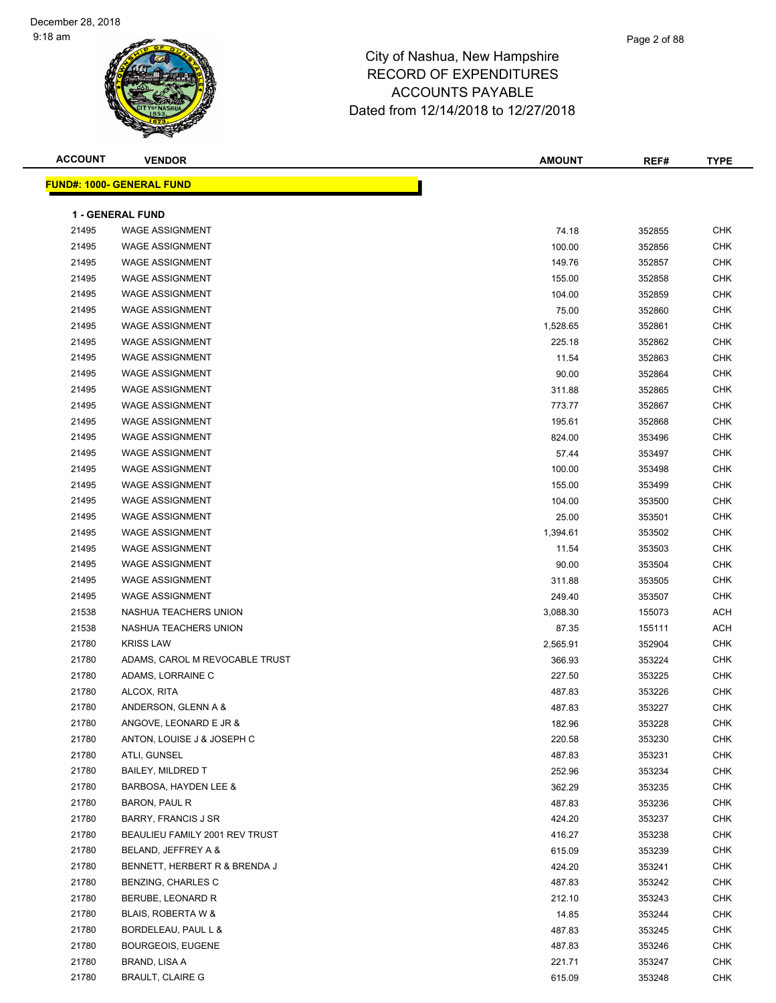| <b>ACCOUNT</b> | <b>VENDOR</b>                    | <b>AMOUNT</b> | REF#   | <b>TYPE</b> |
|----------------|----------------------------------|---------------|--------|-------------|
|                | <b>FUND#: 1000- GENERAL FUND</b> |               |        |             |
|                |                                  |               |        |             |
|                | <b>1 - GENERAL FUND</b>          |               |        |             |
| 21495          | <b>WAGE ASSIGNMENT</b>           | 74.18         | 352855 | <b>CHK</b>  |
| 21495          | <b>WAGE ASSIGNMENT</b>           | 100.00        | 352856 | <b>CHK</b>  |
| 21495          | <b>WAGE ASSIGNMENT</b>           | 149.76        | 352857 | <b>CHK</b>  |
| 21495          | <b>WAGE ASSIGNMENT</b>           | 155.00        | 352858 | <b>CHK</b>  |
| 21495          | <b>WAGE ASSIGNMENT</b>           | 104.00        | 352859 | <b>CHK</b>  |
| 21495          | <b>WAGE ASSIGNMENT</b>           | 75.00         | 352860 | <b>CHK</b>  |
| 21495          | <b>WAGE ASSIGNMENT</b>           | 1,528.65      | 352861 | <b>CHK</b>  |
| 21495          | <b>WAGE ASSIGNMENT</b>           | 225.18        | 352862 | <b>CHK</b>  |
| 21495          | <b>WAGE ASSIGNMENT</b>           | 11.54         | 352863 | <b>CHK</b>  |
| 21495          | <b>WAGE ASSIGNMENT</b>           | 90.00         | 352864 | <b>CHK</b>  |
| 21495          | <b>WAGE ASSIGNMENT</b>           | 311.88        | 352865 | <b>CHK</b>  |
| 21495          | <b>WAGE ASSIGNMENT</b>           | 773.77        | 352867 | <b>CHK</b>  |
| 21495          | <b>WAGE ASSIGNMENT</b>           | 195.61        | 352868 | <b>CHK</b>  |
| 21495          | <b>WAGE ASSIGNMENT</b>           | 824.00        | 353496 | <b>CHK</b>  |
| 21495          | <b>WAGE ASSIGNMENT</b>           | 57.44         | 353497 | <b>CHK</b>  |
| 21495          | <b>WAGE ASSIGNMENT</b>           | 100.00        | 353498 | <b>CHK</b>  |
| 21495          | <b>WAGE ASSIGNMENT</b>           | 155.00        | 353499 | <b>CHK</b>  |
| 21495          | <b>WAGE ASSIGNMENT</b>           | 104.00        | 353500 | CHK         |
| 21495          | <b>WAGE ASSIGNMENT</b>           | 25.00         | 353501 | <b>CHK</b>  |
| 21495          | <b>WAGE ASSIGNMENT</b>           | 1,394.61      | 353502 | <b>CHK</b>  |
| 21495          | <b>WAGE ASSIGNMENT</b>           | 11.54         | 353503 | <b>CHK</b>  |
| 21495          | <b>WAGE ASSIGNMENT</b>           | 90.00         | 353504 | <b>CHK</b>  |
| 21495          | <b>WAGE ASSIGNMENT</b>           | 311.88        | 353505 | <b>CHK</b>  |
| 21495          | <b>WAGE ASSIGNMENT</b>           | 249.40        | 353507 | <b>CHK</b>  |
| 21538          | NASHUA TEACHERS UNION            | 3,088.30      | 155073 | ACH         |
| 21538          | NASHUA TEACHERS UNION            | 87.35         | 155111 | <b>ACH</b>  |
| 21780          | <b>KRISS LAW</b>                 | 2,565.91      | 352904 | <b>CHK</b>  |
| 21780          | ADAMS, CAROL M REVOCABLE TRUST   | 366.93        | 353224 | <b>CHK</b>  |
| 21780          | ADAMS, LORRAINE C                | 227.50        | 353225 | CHK         |
| 21780          | ALCOX, RITA                      | 487.83        | 353226 | <b>CHK</b>  |
| 21780          | ANDERSON, GLENN A &              | 487.83        | 353227 | <b>CHK</b>  |
| 21780          | ANGOVE, LEONARD E JR &           | 182.96        | 353228 | CHK         |
| 21780          | ANTON, LOUISE J & JOSEPH C       | 220.58        | 353230 | CHK         |
| 21780          | ATLI, GUNSEL                     | 487.83        | 353231 | <b>CHK</b>  |
| 21780          | <b>BAILEY, MILDRED T</b>         | 252.96        | 353234 | CHK         |
| 21780          | BARBOSA, HAYDEN LEE &            | 362.29        | 353235 | <b>CHK</b>  |
| 21780          | BARON, PAUL R                    | 487.83        | 353236 | <b>CHK</b>  |
| 21780          | BARRY, FRANCIS J SR              | 424.20        | 353237 | <b>CHK</b>  |
| 21780          | BEAULIEU FAMILY 2001 REV TRUST   | 416.27        | 353238 | <b>CHK</b>  |
| 21780          | BELAND, JEFFREY A &              | 615.09        | 353239 | CHK         |
| 21780          | BENNETT, HERBERT R & BRENDA J    | 424.20        | 353241 | CHK         |
| 21780          | <b>BENZING, CHARLES C</b>        | 487.83        | 353242 | CHK         |
| 21780          | BERUBE, LEONARD R                | 212.10        | 353243 | CHK         |
| 21780          | BLAIS, ROBERTA W &               | 14.85         | 353244 | <b>CHK</b>  |
| 21780          | BORDELEAU, PAUL L &              | 487.83        | 353245 | <b>CHK</b>  |
| 21780          | <b>BOURGEOIS, EUGENE</b>         | 487.83        | 353246 | CHK         |
| 21780          | BRAND, LISA A                    | 221.71        | 353247 | CHK         |
| 21780          | <b>BRAULT, CLAIRE G</b>          | 615.09        | 353248 | <b>CHK</b>  |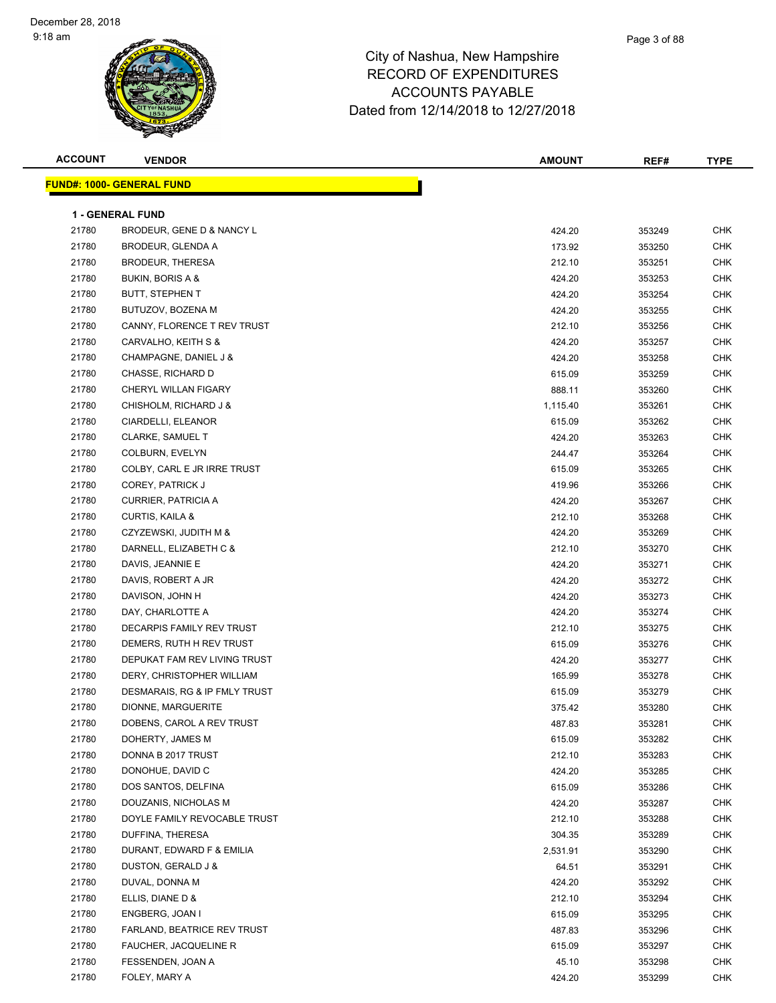| <b>ACCOUNT</b> | <b>VENDOR</b>                                 | <b>AMOUNT</b> | REF#   | <b>TYPE</b> |
|----------------|-----------------------------------------------|---------------|--------|-------------|
|                | <b>FUND#: 1000- GENERAL FUND</b>              |               |        |             |
|                |                                               |               |        |             |
|                | <b>1 - GENERAL FUND</b>                       |               |        |             |
| 21780          | BRODEUR, GENE D & NANCY L                     | 424.20        | 353249 | <b>CHK</b>  |
| 21780          | BRODEUR, GLENDA A                             | 173.92        | 353250 | <b>CHK</b>  |
| 21780          | <b>BRODEUR, THERESA</b>                       | 212.10        | 353251 | CHK         |
| 21780          | BUKIN, BORIS A &                              | 424.20        | 353253 | <b>CHK</b>  |
| 21780          | <b>BUTT, STEPHEN T</b>                        | 424.20        | 353254 | CHK         |
| 21780          | BUTUZOV, BOZENA M                             | 424.20        | 353255 | CHK         |
| 21780          | CANNY, FLORENCE T REV TRUST                   | 212.10        | 353256 | <b>CHK</b>  |
| 21780          | CARVALHO, KEITH S &                           | 424.20        | 353257 | <b>CHK</b>  |
| 21780          | CHAMPAGNE, DANIEL J &                         | 424.20        | 353258 | <b>CHK</b>  |
| 21780          | CHASSE, RICHARD D                             | 615.09        | 353259 | <b>CHK</b>  |
| 21780          | CHERYL WILLAN FIGARY                          | 888.11        | 353260 | CHK         |
| 21780          | CHISHOLM, RICHARD J &                         | 1,115.40      | 353261 | <b>CHK</b>  |
| 21780          | CIARDELLI, ELEANOR                            | 615.09        | 353262 | <b>CHK</b>  |
| 21780          | CLARKE, SAMUEL T                              | 424.20        | 353263 | CHK         |
| 21780          | COLBURN, EVELYN                               | 244.47        | 353264 | <b>CHK</b>  |
| 21780          | COLBY, CARL E JR IRRE TRUST                   | 615.09        | 353265 | CHK         |
| 21780          | COREY, PATRICK J                              | 419.96        | 353266 | CHK         |
| 21780          | <b>CURRIER, PATRICIA A</b>                    | 424.20        | 353267 | <b>CHK</b>  |
| 21780          | CURTIS, KAILA &                               | 212.10        | 353268 | CHK         |
| 21780          | CZYZEWSKI, JUDITH M &                         | 424.20        | 353269 | CHK         |
| 21780          | DARNELL, ELIZABETH C &                        | 212.10        | 353270 | <b>CHK</b>  |
| 21780          | DAVIS, JEANNIE E                              | 424.20        | 353271 | CHK         |
| 21780          | DAVIS, ROBERT A JR                            | 424.20        | 353272 | CHK         |
| 21780          | DAVISON, JOHN H                               | 424.20        | 353273 | <b>CHK</b>  |
| 21780          | DAY, CHARLOTTE A                              | 424.20        | 353274 | CHK         |
| 21780          | DECARPIS FAMILY REV TRUST                     | 212.10        | 353275 | <b>CHK</b>  |
| 21780          | DEMERS, RUTH H REV TRUST                      | 615.09        | 353276 | CHK         |
| 21780          | DEPUKAT FAM REV LIVING TRUST                  | 424.20        | 353277 | CHK         |
| 21780          | DERY, CHRISTOPHER WILLIAM                     | 165.99        | 353278 | <b>CHK</b>  |
| 21780          | DESMARAIS, RG & IP FMLY TRUST                 | 615.09        | 353279 | <b>CHK</b>  |
| 21780          | DIONNE, MARGUERITE                            | 375.42        | 353280 | <b>CHK</b>  |
| 21780          |                                               |               |        | <b>CHK</b>  |
|                | DOBENS, CAROL A REV TRUST<br>DOHERTY, JAMES M | 487.83        | 353281 |             |
| 21780          |                                               | 615.09        | 353282 | CHK         |
| 21780          | DONNA B 2017 TRUST                            | 212.10        | 353283 | CHK         |
| 21780          | DONOHUE, DAVID C                              | 424.20        | 353285 | CHK         |
| 21780          | DOS SANTOS, DELFINA                           | 615.09        | 353286 | CHK         |
| 21780          | DOUZANIS, NICHOLAS M                          | 424.20        | 353287 | CHK         |
| 21780          | DOYLE FAMILY REVOCABLE TRUST                  | 212.10        | 353288 | CHK         |
| 21780          | DUFFINA, THERESA                              | 304.35        | 353289 | <b>CHK</b>  |
| 21780          | DURANT, EDWARD F & EMILIA                     | 2,531.91      | 353290 | <b>CHK</b>  |
| 21780          | DUSTON, GERALD J &                            | 64.51         | 353291 | CHK         |
| 21780          | DUVAL, DONNA M                                | 424.20        | 353292 | CHK         |
| 21780          | ELLIS, DIANE D &                              | 212.10        | 353294 | CHK         |
| 21780          | ENGBERG, JOAN I                               | 615.09        | 353295 | CHK         |
| 21780          | FARLAND, BEATRICE REV TRUST                   | 487.83        | 353296 | CHK         |
| 21780          | FAUCHER, JACQUELINE R                         | 615.09        | 353297 | CHK         |
| 21780          | FESSENDEN, JOAN A                             | 45.10         | 353298 | CHK         |
| 21780          | FOLEY, MARY A                                 | 424.20        | 353299 | <b>CHK</b>  |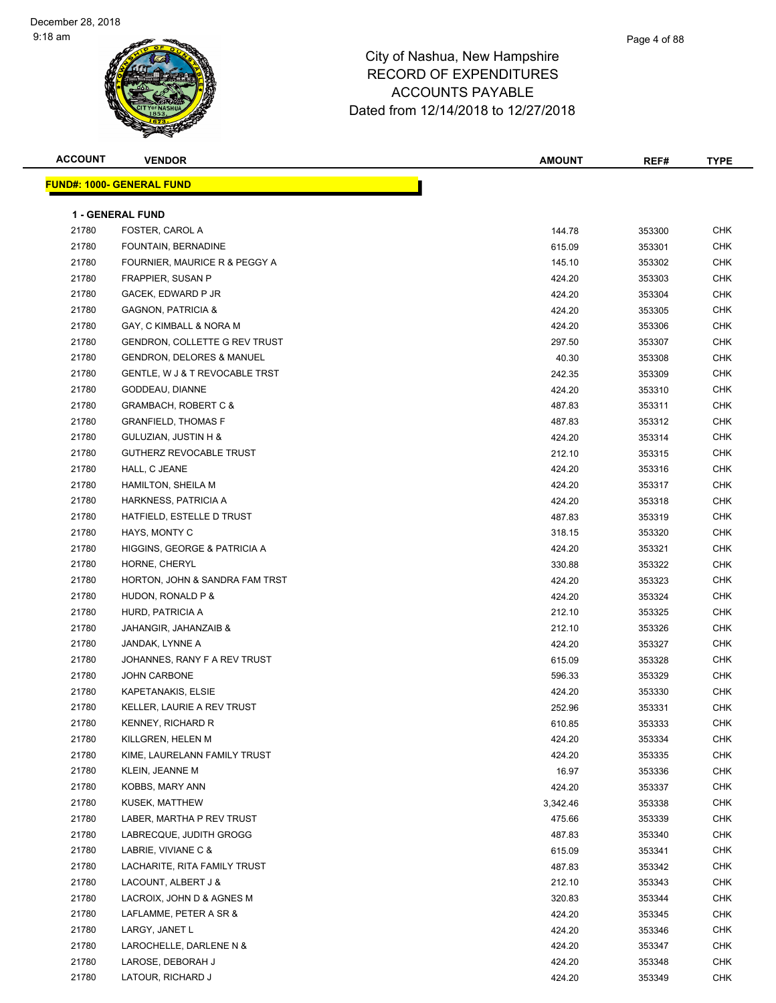| <b>ACCOUNT</b> | <b>VENDOR</b>                        | <b>AMOUNT</b> | REF#   | <b>TYPE</b> |
|----------------|--------------------------------------|---------------|--------|-------------|
|                | <b>FUND#: 1000- GENERAL FUND</b>     |               |        |             |
|                |                                      |               |        |             |
|                | <b>1 - GENERAL FUND</b>              |               |        |             |
| 21780          | FOSTER, CAROL A                      | 144.78        | 353300 | <b>CHK</b>  |
| 21780          | FOUNTAIN, BERNADINE                  | 615.09        | 353301 | CHK         |
| 21780          | FOURNIER, MAURICE R & PEGGY A        | 145.10        | 353302 | CHK         |
| 21780          | <b>FRAPPIER, SUSAN P</b>             | 424.20        | 353303 | CHK         |
| 21780          | GACEK, EDWARD P JR                   | 424.20        | 353304 | CHK         |
| 21780          | <b>GAGNON, PATRICIA &amp;</b>        | 424.20        | 353305 | <b>CHK</b>  |
| 21780          | GAY, C KIMBALL & NORA M              | 424.20        | 353306 | CHK         |
| 21780          | GENDRON, COLLETTE G REV TRUST        | 297.50        | 353307 | CHK         |
| 21780          | <b>GENDRON, DELORES &amp; MANUEL</b> | 40.30         | 353308 | CHK         |
| 21780          | GENTLE, W J & T REVOCABLE TRST       | 242.35        | 353309 | CHK         |
| 21780          | GODDEAU, DIANNE                      | 424.20        | 353310 | CHK         |
| 21780          | <b>GRAMBACH, ROBERT C &amp;</b>      | 487.83        | 353311 | CHK         |
| 21780          | <b>GRANFIELD, THOMAS F</b>           | 487.83        | 353312 | CHK         |
| 21780          | GULUZIAN, JUSTIN H &                 | 424.20        | 353314 | CHK         |
| 21780          | <b>GUTHERZ REVOCABLE TRUST</b>       | 212.10        | 353315 | CHK         |
| 21780          | HALL, C JEANE                        | 424.20        | 353316 | CHK         |
| 21780          | HAMILTON, SHEILA M                   | 424.20        | 353317 | CHK         |
| 21780          | HARKNESS, PATRICIA A                 | 424.20        | 353318 | CHK         |
| 21780          | HATFIELD, ESTELLE D TRUST            | 487.83        | 353319 | CHK         |
| 21780          | HAYS, MONTY C                        | 318.15        | 353320 | <b>CHK</b>  |
| 21780          | HIGGINS, GEORGE & PATRICIA A         | 424.20        | 353321 | CHK         |
| 21780          | HORNE, CHERYL                        | 330.88        | 353322 | <b>CHK</b>  |
| 21780          | HORTON, JOHN & SANDRA FAM TRST       | 424.20        | 353323 | CHK         |
| 21780          | HUDON, RONALD P &                    | 424.20        | 353324 | CHK         |
| 21780          | HURD, PATRICIA A                     | 212.10        | 353325 | CHK         |
| 21780          | JAHANGIR, JAHANZAIB &                | 212.10        | 353326 | CHK         |
| 21780          | JANDAK, LYNNE A                      | 424.20        | 353327 | CHK         |
| 21780          | JOHANNES, RANY F A REV TRUST         | 615.09        | 353328 | CHK         |
| 21780          | <b>JOHN CARBONE</b>                  | 596.33        | 353329 | <b>CHK</b>  |
| 21780          | KAPETANAKIS, ELSIE                   | 424.20        | 353330 | CHK         |
| 21780          | KELLER, LAURIE A REV TRUST           | 252.96        | 353331 | <b>CHK</b>  |
| 21780          | KENNEY, RICHARD R                    | 610.85        | 353333 | <b>CHK</b>  |
| 21780          | KILLGREN, HELEN M                    | 424.20        | 353334 | <b>CHK</b>  |
| 21780          | KIME, LAURELANN FAMILY TRUST         | 424.20        | 353335 | CHK         |
| 21780          | KLEIN, JEANNE M                      | 16.97         | 353336 | CHK         |
| 21780          | KOBBS, MARY ANN                      | 424.20        | 353337 | CHK         |
| 21780          | KUSEK, MATTHEW                       | 3,342.46      | 353338 | CHK         |
| 21780          | LABER, MARTHA P REV TRUST            | 475.66        | 353339 | CHK         |
| 21780          | LABRECQUE, JUDITH GROGG              | 487.83        | 353340 | CHK         |
| 21780          | LABRIE, VIVIANE C &                  | 615.09        | 353341 | CHK         |
| 21780          | LACHARITE, RITA FAMILY TRUST         | 487.83        | 353342 | CHK         |
| 21780          | LACOUNT, ALBERT J &                  | 212.10        | 353343 | CHK         |
| 21780          | LACROIX, JOHN D & AGNES M            | 320.83        | 353344 | CHK         |
| 21780          | LAFLAMME, PETER A SR &               | 424.20        | 353345 | CHK         |
| 21780          | LARGY, JANET L                       | 424.20        | 353346 | CHK         |
| 21780          | LAROCHELLE, DARLENE N &              | 424.20        | 353347 | CHK         |
| 21780          | LAROSE, DEBORAH J                    | 424.20        | 353348 | CHK         |
| 21780          | LATOUR, RICHARD J                    | 424.20        | 353349 | CHK         |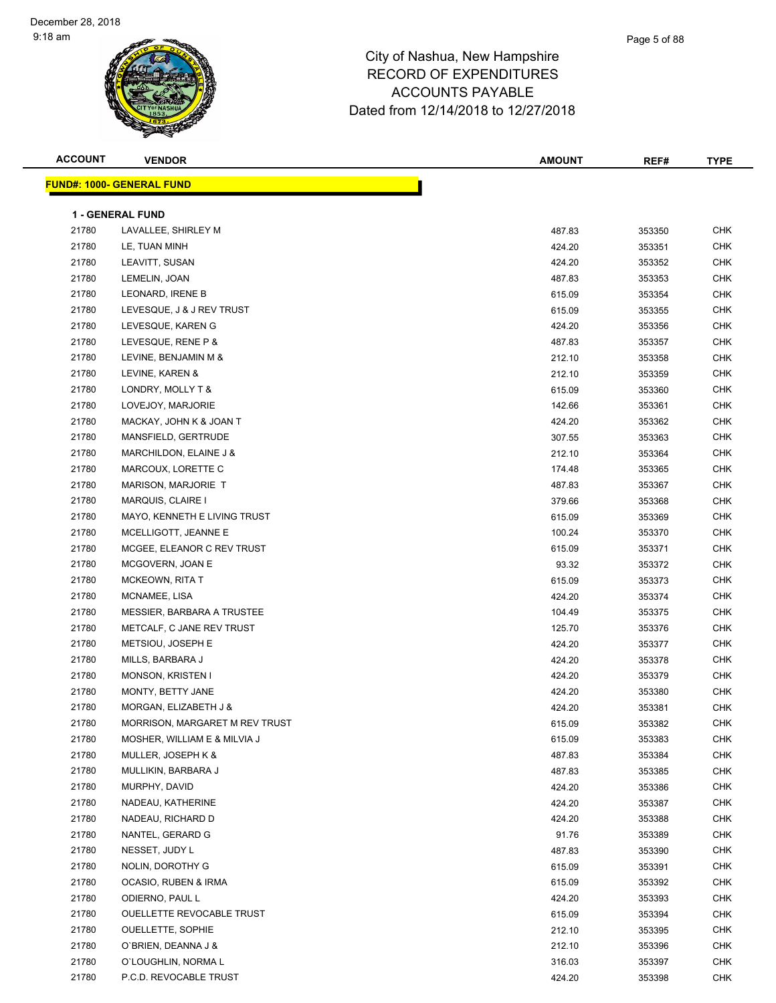| <b>ACCOUNT</b> | <b>VENDOR</b>                                 | <b>AMOUNT</b>    | REF#             | <b>TYPE</b>       |
|----------------|-----------------------------------------------|------------------|------------------|-------------------|
|                | <b>FUND#: 1000- GENERAL FUND</b>              |                  |                  |                   |
|                |                                               |                  |                  |                   |
|                | <b>1 - GENERAL FUND</b>                       |                  |                  |                   |
| 21780          | LAVALLEE, SHIRLEY M                           | 487.83           | 353350           | <b>CHK</b>        |
| 21780          | LE, TUAN MINH                                 | 424.20           | 353351           | <b>CHK</b>        |
| 21780          | LEAVITT, SUSAN                                | 424.20           | 353352           | CHK               |
| 21780          | LEMELIN, JOAN                                 | 487.83           | 353353           | <b>CHK</b>        |
| 21780          | LEONARD, IRENE B                              | 615.09           | 353354           | <b>CHK</b>        |
| 21780          | LEVESQUE, J & J REV TRUST                     | 615.09           | 353355           | <b>CHK</b>        |
| 21780          | LEVESQUE, KAREN G                             | 424.20           | 353356           | <b>CHK</b>        |
| 21780          | LEVESQUE, RENE P &                            | 487.83           | 353357           | CHK               |
| 21780          | LEVINE, BENJAMIN M &                          | 212.10           | 353358           | <b>CHK</b>        |
| 21780          | LEVINE, KAREN &                               | 212.10           | 353359           | <b>CHK</b>        |
| 21780          | LONDRY, MOLLY T &                             | 615.09           | 353360           | <b>CHK</b>        |
| 21780          | LOVEJOY, MARJORIE                             | 142.66           | 353361           | <b>CHK</b>        |
| 21780          | MACKAY, JOHN K & JOAN T                       | 424.20           | 353362           | <b>CHK</b>        |
| 21780          | MANSFIELD, GERTRUDE                           | 307.55           | 353363           | CHK               |
| 21780          | MARCHILDON, ELAINE J &                        | 212.10           | 353364           | CHK               |
| 21780          | MARCOUX, LORETTE C                            | 174.48           | 353365           | CHK               |
| 21780          | MARISON, MARJORIE T                           | 487.83           | 353367           | CHK               |
| 21780          | MARQUIS, CLAIRE I                             | 379.66           | 353368           | <b>CHK</b>        |
| 21780          | MAYO, KENNETH E LIVING TRUST                  | 615.09           | 353369           | CHK               |
| 21780          | MCELLIGOTT, JEANNE E                          | 100.24           | 353370           | <b>CHK</b>        |
| 21780          | MCGEE, ELEANOR C REV TRUST                    | 615.09           | 353371           | <b>CHK</b>        |
| 21780          | MCGOVERN, JOAN E                              | 93.32            | 353372           | <b>CHK</b>        |
| 21780          | <b>MCKEOWN, RITA T</b>                        | 615.09           | 353373           | <b>CHK</b>        |
| 21780          | MCNAMEE, LISA                                 | 424.20           | 353374           | CHK               |
| 21780          | MESSIER, BARBARA A TRUSTEE                    | 104.49           | 353375           | CHK               |
| 21780          | METCALF, C JANE REV TRUST                     | 125.70           | 353376           | CHK               |
| 21780          | METSIOU, JOSEPH E                             | 424.20           | 353377           | CHK               |
| 21780          | MILLS, BARBARA J                              | 424.20           | 353378           | CHK               |
| 21780          | MONSON, KRISTEN I                             | 424.20           | 353379           | <b>CHK</b>        |
| 21780          | MONTY, BETTY JANE                             | 424.20           | 353380           | CHK               |
| 21780          | MORGAN, ELIZABETH J &                         | 424.20           | 353381           | CHK               |
| 21780          | MORRISON, MARGARET M REV TRUST                |                  | 353382           | CHK               |
| 21780          | MOSHER, WILLIAM E & MILVIA J                  | 615.09<br>615.09 | 353383           | CHK               |
| 21780          | MULLER, JOSEPH K &                            | 487.83           | 353384           | <b>CHK</b>        |
| 21780          | MULLIKIN, BARBARA J                           | 487.83           | 353385           | CHK               |
| 21780          | MURPHY, DAVID                                 | 424.20           | 353386           | CHK               |
| 21780          | NADEAU, KATHERINE                             | 424.20           | 353387           | <b>CHK</b>        |
| 21780          | NADEAU, RICHARD D                             | 424.20           | 353388           | <b>CHK</b>        |
| 21780          | NANTEL, GERARD G                              | 91.76            | 353389           | <b>CHK</b>        |
|                | NESSET, JUDY L                                |                  |                  |                   |
| 21780          |                                               | 487.83           | 353390           | CHK               |
| 21780<br>21780 | NOLIN, DOROTHY G                              | 615.09<br>615.09 | 353391           | CHK               |
| 21780          | OCASIO, RUBEN & IRMA                          |                  | 353392           | CHK               |
|                | ODIERNO, PAUL L                               | 424.20           | 353393           | CHK               |
| 21780          | OUELLETTE REVOCABLE TRUST                     | 615.09           | 353394           | CHK               |
| 21780          | <b>OUELLETTE, SOPHIE</b>                      | 212.10           | 353395           | CHK               |
| 21780<br>21780 | O'BRIEN, DEANNA J &                           | 212.10           | 353396           | CHK               |
| 21780          | O'LOUGHLIN, NORMA L<br>P.C.D. REVOCABLE TRUST | 316.03<br>424.20 | 353397<br>353398 | CHK<br><b>CHK</b> |
|                |                                               |                  |                  |                   |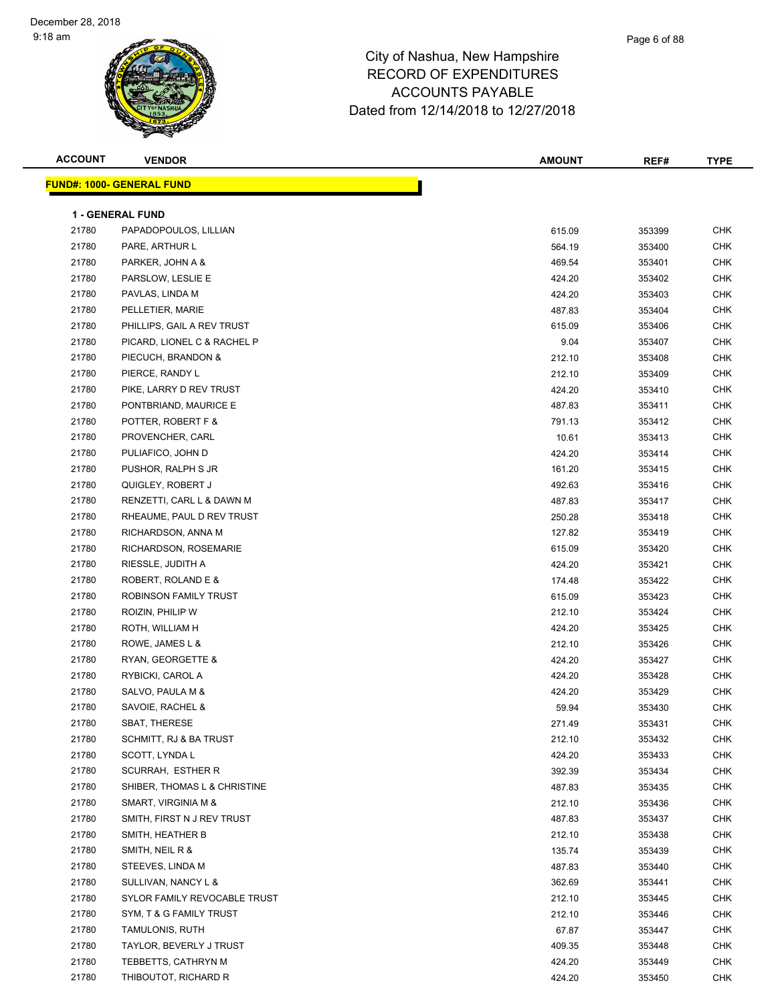#### Page 6 of 88

| <b>ACCOUNT</b> | <b>VENDOR</b>                    | <b>AMOUNT</b> | REF#   | <b>TYPE</b> |
|----------------|----------------------------------|---------------|--------|-------------|
|                | <b>FUND#: 1000- GENERAL FUND</b> |               |        |             |
|                |                                  |               |        |             |
|                | <b>1 - GENERAL FUND</b>          |               |        |             |
| 21780          | PAPADOPOULOS, LILLIAN            | 615.09        | 353399 | <b>CHK</b>  |
| 21780          | PARE, ARTHUR L                   | 564.19        | 353400 | <b>CHK</b>  |
| 21780          | PARKER, JOHN A &                 | 469.54        | 353401 | <b>CHK</b>  |
| 21780          | PARSLOW, LESLIE E                | 424.20        | 353402 | <b>CHK</b>  |
| 21780          | PAVLAS, LINDA M                  | 424.20        | 353403 | <b>CHK</b>  |
| 21780          | PELLETIER, MARIE                 | 487.83        | 353404 | <b>CHK</b>  |
| 21780          | PHILLIPS, GAIL A REV TRUST       | 615.09        | 353406 | CHK         |
| 21780          | PICARD, LIONEL C & RACHEL P      | 9.04          | 353407 | CHK         |
| 21780          | PIECUCH, BRANDON &               | 212.10        | 353408 | CHK         |
| 21780          | PIERCE, RANDY L                  | 212.10        | 353409 | CHK         |
| 21780          | PIKE, LARRY D REV TRUST          | 424.20        | 353410 | CHK         |
| 21780          | PONTBRIAND, MAURICE E            | 487.83        | 353411 | <b>CHK</b>  |
| 21780          | POTTER, ROBERT F &               | 791.13        | 353412 | CHK         |
| 21780          | PROVENCHER, CARL                 | 10.61         | 353413 | <b>CHK</b>  |
| 21780          | PULIAFICO, JOHN D                | 424.20        | 353414 | CHK         |
| 21780          | PUSHOR, RALPH S JR               | 161.20        | 353415 | CHK         |
| 21780          | QUIGLEY, ROBERT J                | 492.63        | 353416 | CHK         |
| 21780          | RENZETTI, CARL L & DAWN M        | 487.83        | 353417 | CHK         |
| 21780          | RHEAUME, PAUL D REV TRUST        | 250.28        | 353418 | CHK         |
| 21780          | RICHARDSON, ANNA M               | 127.82        | 353419 | CHK         |
| 21780          | RICHARDSON, ROSEMARIE            | 615.09        | 353420 | <b>CHK</b>  |
| 21780          | RIESSLE, JUDITH A                | 424.20        | 353421 | <b>CHK</b>  |
| 21780          | ROBERT, ROLAND E &               | 174.48        | 353422 | <b>CHK</b>  |
| 21780          | ROBINSON FAMILY TRUST            | 615.09        | 353423 | <b>CHK</b>  |
| 21780          | ROIZIN, PHILIP W                 | 212.10        | 353424 | <b>CHK</b>  |
| 21780          | ROTH, WILLIAM H                  | 424.20        | 353425 | <b>CHK</b>  |
| 21780          | ROWE, JAMES L &                  | 212.10        | 353426 | <b>CHK</b>  |
| 21780          | RYAN, GEORGETTE &                | 424.20        | 353427 | <b>CHK</b>  |
| 21780          | RYBICKI, CAROL A                 | 424.20        | 353428 | <b>CHK</b>  |
| 21780          | SALVO, PAULA M &                 | 424.20        | 353429 | <b>CHK</b>  |
| 21780          | SAVOIE, RACHEL &                 | 59.94         | 353430 | <b>CHK</b>  |
| 21780          | SBAT, THERESE                    | 271.49        | 353431 | ${\sf CHK}$ |
| 21780          | SCHMITT, RJ & BA TRUST           | 212.10        | 353432 | CHK         |
| 21780          | SCOTT, LYNDA L                   | 424.20        | 353433 | <b>CHK</b>  |
| 21780          | SCURRAH, ESTHER R                | 392.39        | 353434 | CHK         |
| 21780          | SHIBER, THOMAS L & CHRISTINE     | 487.83        | 353435 | <b>CHK</b>  |
| 21780          | SMART, VIRGINIA M &              | 212.10        | 353436 | <b>CHK</b>  |
| 21780          | SMITH, FIRST N J REV TRUST       | 487.83        | 353437 | <b>CHK</b>  |
| 21780          | SMITH, HEATHER B                 | 212.10        | 353438 | <b>CHK</b>  |
| 21780          | SMITH, NEIL R &                  | 135.74        | 353439 | <b>CHK</b>  |
| 21780          | STEEVES, LINDA M                 | 487.83        | 353440 | <b>CHK</b>  |
| 21780          | SULLIVAN, NANCY L &              | 362.69        | 353441 | CHK         |
| 21780          | SYLOR FAMILY REVOCABLE TRUST     | 212.10        | 353445 | CHK         |
| 21780          | SYM, T & G FAMILY TRUST          | 212.10        | 353446 | <b>CHK</b>  |
| 21780          | TAMULONIS, RUTH                  | 67.87         | 353447 | <b>CHK</b>  |
| 21780          | TAYLOR, BEVERLY J TRUST          | 409.35        | 353448 | CHK         |
| 21780          | TEBBETTS, CATHRYN M              | 424.20        | 353449 | <b>CHK</b>  |
| 21780          | THIBOUTOT, RICHARD R             | 424.20        | 353450 | CHK         |
|                |                                  |               |        |             |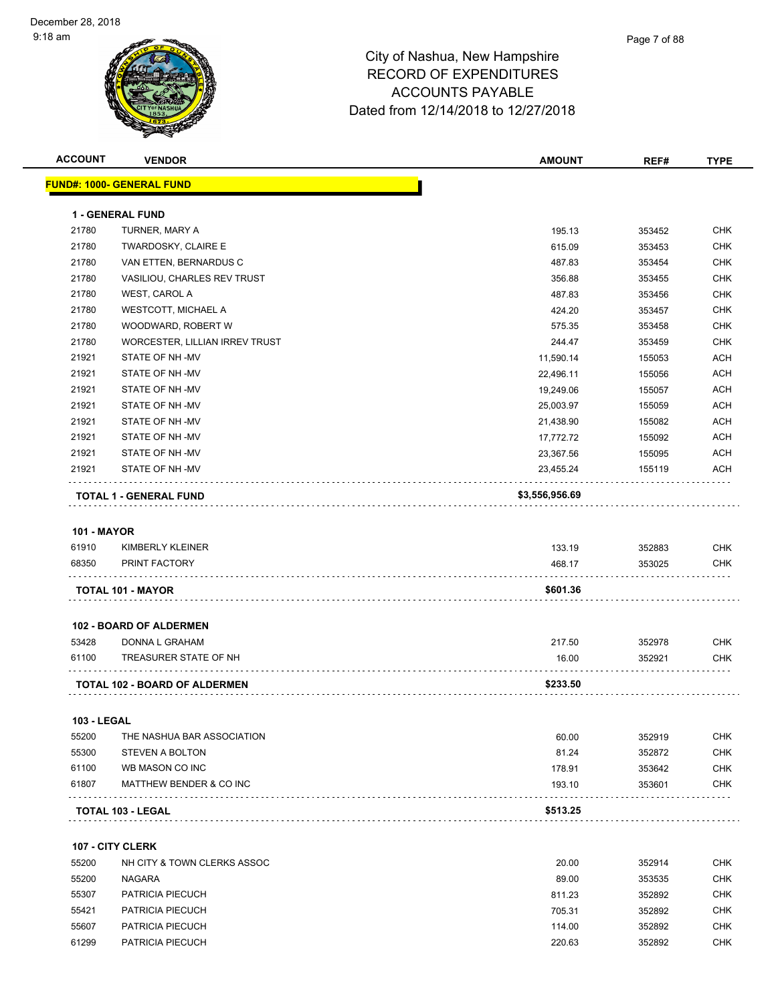| <b>ACCOUNT</b>     | <b>VENDOR</b>                        | <b>AMOUNT</b>  | REF#   | <b>TYPE</b> |
|--------------------|--------------------------------------|----------------|--------|-------------|
|                    | <u> FUND#: 1000- GENERAL FUND</u>    |                |        |             |
|                    |                                      |                |        |             |
|                    | <b>1 - GENERAL FUND</b>              |                |        |             |
| 21780              | TURNER, MARY A                       | 195.13         | 353452 | <b>CHK</b>  |
| 21780              | TWARDOSKY, CLAIRE E                  | 615.09         | 353453 | <b>CHK</b>  |
| 21780              | VAN ETTEN, BERNARDUS C               | 487.83         | 353454 | <b>CHK</b>  |
| 21780              | VASILIOU, CHARLES REV TRUST          | 356.88         | 353455 | <b>CHK</b>  |
| 21780              | WEST, CAROL A                        | 487.83         | 353456 | <b>CHK</b>  |
| 21780              | <b>WESTCOTT, MICHAEL A</b>           | 424.20         | 353457 | <b>CHK</b>  |
| 21780              | WOODWARD, ROBERT W                   | 575.35         | 353458 | <b>CHK</b>  |
| 21780              | WORCESTER, LILLIAN IRREV TRUST       | 244.47         | 353459 | <b>CHK</b>  |
| 21921              | STATE OF NH-MV                       | 11,590.14      | 155053 | <b>ACH</b>  |
| 21921              | STATE OF NH-MV                       | 22,496.11      | 155056 | <b>ACH</b>  |
| 21921              | STATE OF NH-MV                       | 19,249.06      | 155057 | ACH         |
| 21921              | STATE OF NH-MV                       | 25,003.97      | 155059 | <b>ACH</b>  |
| 21921              | STATE OF NH-MV                       | 21,438.90      | 155082 | <b>ACH</b>  |
| 21921              | STATE OF NH-MV                       | 17,772.72      | 155092 | ACH         |
| 21921              | STATE OF NH-MV                       | 23,367.56      | 155095 | ACH         |
| 21921              | STATE OF NH-MV                       | 23,455.24      | 155119 | ACH         |
|                    | <b>TOTAL 1 - GENERAL FUND</b>        | \$3,556,956.69 |        |             |
|                    |                                      |                |        |             |
| <b>101 - MAYOR</b> |                                      |                |        |             |
| 61910              | KIMBERLY KLEINER                     | 133.19         | 352883 | <b>CHK</b>  |
| 68350              | PRINT FACTORY                        | 468.17         | 353025 | CHK         |
|                    | <b>TOTAL 101 - MAYOR</b>             | \$601.36       |        |             |
|                    |                                      |                |        |             |
|                    | 102 - BOARD OF ALDERMEN              |                |        |             |
| 53428              | DONNA L GRAHAM                       | 217.50         | 352978 | CHK         |
| 61100              | TREASURER STATE OF NH                | 16.00          | 352921 | CHK         |
|                    | <b>TOTAL 102 - BOARD OF ALDERMEN</b> | \$233.50       |        |             |
|                    |                                      |                |        |             |
| 103 - LEGAL        |                                      |                |        |             |
| 55200              | THE NASHUA BAR ASSOCIATION           | 60.00          | 352919 | CHK         |
| 55300              | <b>STEVEN A BOLTON</b>               | 81.24          | 352872 | <b>CHK</b>  |
| 61100              | WB MASON CO INC                      | 178.91         | 353642 | <b>CHK</b>  |
| 61807              | MATTHEW BENDER & CO INC              | 193.10         | 353601 | CHK         |
|                    |                                      |                |        |             |
|                    | <b>TOTAL 103 - LEGAL</b>             | \$513.25       |        |             |
|                    | 107 - CITY CLERK                     |                |        |             |
| 55200              | NH CITY & TOWN CLERKS ASSOC          | 20.00          | 352914 | CHK         |
| 55200              | <b>NAGARA</b>                        | 89.00          | 353535 | CHK         |
| 55307              | PATRICIA PIECUCH                     | 811.23         | 352892 | <b>CHK</b>  |
| 55421              | PATRICIA PIECUCH                     | 705.31         | 352892 | <b>CHK</b>  |
| 55607              | PATRICIA PIECUCH                     | 114.00         | 352892 | <b>CHK</b>  |

PATRICIA PIECUCH 220.63 352892 CHK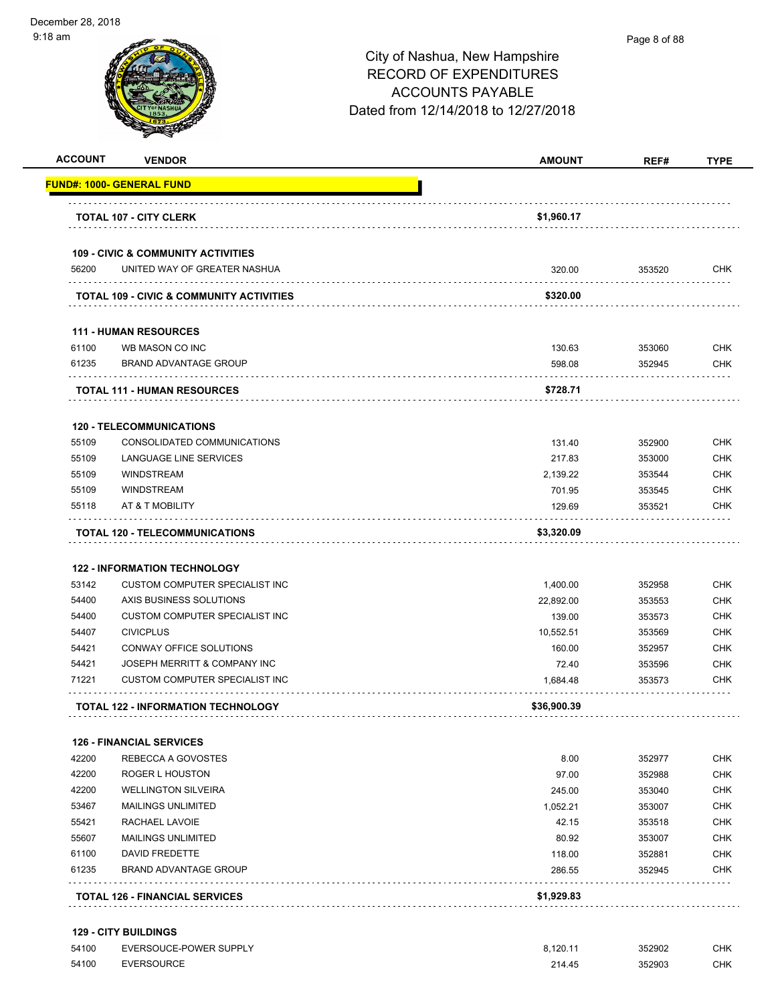| <b>ACCOUNT</b>                                                       | <b>VENDOR</b>                                                                 | <b>AMOUNT</b> | REF#   | <b>TYPE</b>                     |
|----------------------------------------------------------------------|-------------------------------------------------------------------------------|---------------|--------|---------------------------------|
|                                                                      | FUND#: 1000- GENERAL FUND                                                     |               |        |                                 |
|                                                                      | <b>TOTAL 107 - CITY CLERK</b>                                                 | \$1,960.17    |        |                                 |
|                                                                      |                                                                               |               |        |                                 |
| 56200                                                                | <b>109 - CIVIC &amp; COMMUNITY ACTIVITIES</b><br>UNITED WAY OF GREATER NASHUA | 320.00        | 353520 | <b>CHK</b>                      |
|                                                                      |                                                                               |               |        |                                 |
|                                                                      | <b>TOTAL 109 - CIVIC &amp; COMMUNITY ACTIVITIES</b>                           | \$320.00      |        |                                 |
|                                                                      | <b>111 - HUMAN RESOURCES</b>                                                  |               |        |                                 |
| 61100                                                                | WB MASON CO INC                                                               | 130.63        | 353060 | <b>CHK</b>                      |
| 61235                                                                | <b>BRAND ADVANTAGE GROUP</b>                                                  | 598.08        | 352945 | <b>CHK</b>                      |
|                                                                      | <b>TOTAL 111 - HUMAN RESOURCES</b>                                            | \$728.71      |        |                                 |
|                                                                      | <b>120 - TELECOMMUNICATIONS</b>                                               |               |        |                                 |
| 55109                                                                | CONSOLIDATED COMMUNICATIONS                                                   | 131.40        | 352900 | <b>CHK</b>                      |
| 55109                                                                | LANGUAGE LINE SERVICES                                                        | 217.83        | 353000 | CHK                             |
| 55109                                                                | <b>WINDSTREAM</b>                                                             | 2,139.22      | 353544 | <b>CHK</b>                      |
| 55109                                                                | <b>WINDSTREAM</b>                                                             | 701.95        | 353545 | <b>CHK</b>                      |
| 55118                                                                | AT & T MOBILITY                                                               | 129.69        | 353521 | <b>CHK</b>                      |
|                                                                      | <b>TOTAL 120 - TELECOMMUNICATIONS</b>                                         | \$3,320.09    |        |                                 |
|                                                                      |                                                                               |               |        |                                 |
|                                                                      | <b>122 - INFORMATION TECHNOLOGY</b>                                           |               |        |                                 |
| 53142                                                                | <b>CUSTOM COMPUTER SPECIALIST INC</b>                                         | 1,400.00      | 352958 | <b>CHK</b>                      |
| 54400                                                                | AXIS BUSINESS SOLUTIONS                                                       | 22,892.00     | 353553 | <b>CHK</b>                      |
| 54400                                                                | <b>CUSTOM COMPUTER SPECIALIST INC</b>                                         | 139.00        | 353573 | <b>CHK</b>                      |
| 54407                                                                | <b>CIVICPLUS</b>                                                              | 10,552.51     | 353569 | <b>CHK</b>                      |
| 54421                                                                | CONWAY OFFICE SOLUTIONS                                                       | 160.00        | 352957 | <b>CHK</b>                      |
| 54421                                                                | JOSEPH MERRITT & COMPANY INC                                                  | 72.40         | 353596 | <b>CHK</b>                      |
| 71221                                                                | <b>CUSTOM COMPUTER SPECIALIST INC</b>                                         | 1,684.48      | 353573 | <b>CHK</b>                      |
|                                                                      | <b>TOTAL 122 - INFORMATION TECHNOLOGY</b>                                     | \$36,900.39   |        |                                 |
|                                                                      | <b>126 - FINANCIAL SERVICES</b>                                               |               |        |                                 |
|                                                                      | REBECCA A GOVOSTES                                                            | 8.00          | 352977 | <b>CHK</b>                      |
|                                                                      |                                                                               | 97.00         | 352988 | <b>CHK</b>                      |
|                                                                      | ROGER L HOUSTON                                                               |               | 353040 | <b>CHK</b>                      |
|                                                                      | <b>WELLINGTON SILVEIRA</b>                                                    | 245.00        |        |                                 |
|                                                                      | <b>MAILINGS UNLIMITED</b>                                                     | 1,052.21      | 353007 |                                 |
|                                                                      | RACHAEL LAVOIE                                                                | 42.15         | 353518 |                                 |
|                                                                      | <b>MAILINGS UNLIMITED</b>                                                     | 80.92         | 353007 |                                 |
|                                                                      | DAVID FREDETTE                                                                | 118.00        | 352881 |                                 |
| 42200<br>42200<br>42200<br>53467<br>55421<br>55607<br>61100<br>61235 | <b>BRAND ADVANTAGE GROUP</b>                                                  | 286.55        | 352945 | CHK<br>CHK<br>CHK<br>CHK<br>CHK |

| 54100 | EVERSOUCE-POWER SUPPLY | 8.120.1 | 352902 | СНК |
|-------|------------------------|---------|--------|-----|
| 54100 | EVERSOURCE             | 214.45  | 352903 | СНК |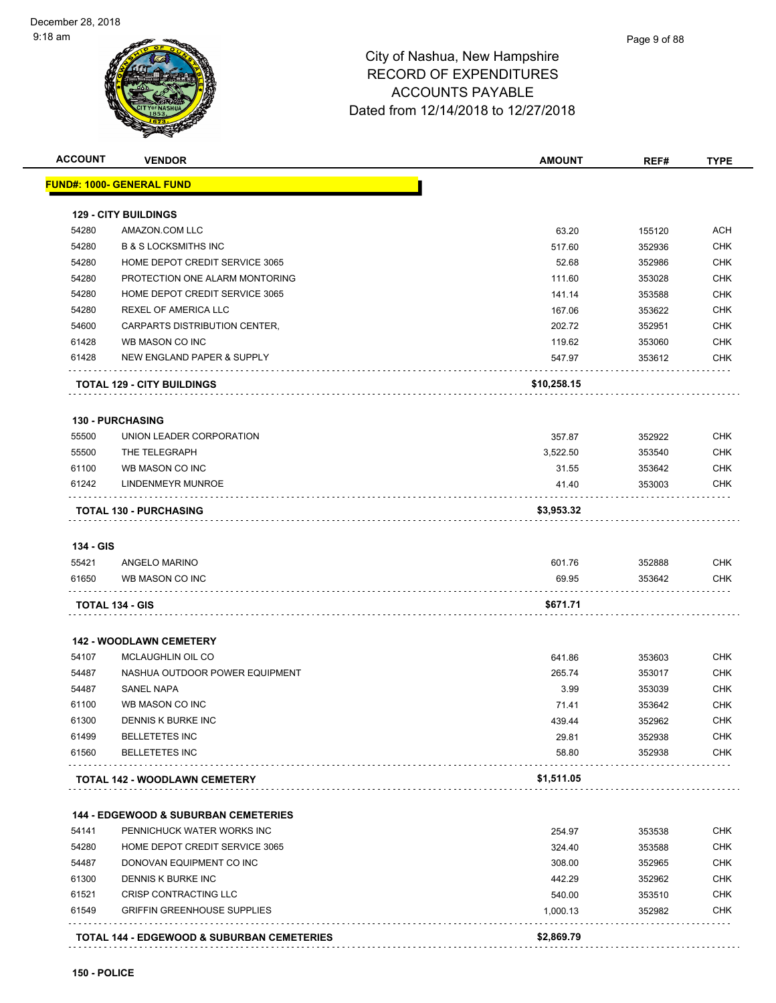

| <b>ACCOUNT</b> | <b>VENDOR</b>                                   | <b>AMOUNT</b> | REF#   | <b>TYPE</b>              |
|----------------|-------------------------------------------------|---------------|--------|--------------------------|
|                | <b>FUND#: 1000- GENERAL FUND</b>                |               |        |                          |
|                |                                                 |               |        |                          |
| 54280          | <b>129 - CITY BUILDINGS</b><br>AMAZON.COM LLC   | 63.20         | 155120 | ACH                      |
| 54280          | <b>B &amp; S LOCKSMITHS INC</b>                 | 517.60        | 352936 | <b>CHK</b>               |
| 54280          | HOME DEPOT CREDIT SERVICE 3065                  | 52.68         | 352986 | <b>CHK</b>               |
| 54280          | PROTECTION ONE ALARM MONTORING                  |               |        | <b>CHK</b>               |
| 54280          | HOME DEPOT CREDIT SERVICE 3065                  | 111.60        | 353028 | <b>CHK</b>               |
| 54280          |                                                 | 141.14        | 353588 | <b>CHK</b>               |
| 54600          | REXEL OF AMERICA LLC                            | 167.06        | 353622 |                          |
|                | CARPARTS DISTRIBUTION CENTER,                   | 202.72        | 352951 | <b>CHK</b><br><b>CHK</b> |
| 61428<br>61428 | WB MASON CO INC                                 | 119.62        | 353060 |                          |
|                | NEW ENGLAND PAPER & SUPPLY                      | 547.97        | 353612 | CHK                      |
|                | <b>TOTAL 129 - CITY BUILDINGS</b>               | \$10,258.15   |        |                          |
|                | <b>130 - PURCHASING</b>                         |               |        |                          |
| 55500          | UNION LEADER CORPORATION                        | 357.87        | 352922 | <b>CHK</b>               |
| 55500          | THE TELEGRAPH                                   | 3.522.50      | 353540 | <b>CHK</b>               |
| 61100          | WB MASON CO INC                                 | 31.55         | 353642 | <b>CHK</b>               |
| 61242          | LINDENMEYR MUNROE                               | 41.40         | 353003 | <b>CHK</b>               |
|                | <b>TOTAL 130 - PURCHASING</b>                   | \$3,953.32    |        |                          |
|                |                                                 |               |        |                          |
| 134 - GIS      |                                                 |               |        |                          |
| 55421          | ANGELO MARINO                                   | 601.76        | 352888 | <b>CHK</b>               |
| 61650          | WB MASON CO INC                                 | 69.95         | 353642 | <b>CHK</b>               |
|                | TOTAL 134 - GIS                                 | \$671.71      |        |                          |
|                | <b>142 - WOODLAWN CEMETERY</b>                  |               |        |                          |
| 54107          | MCLAUGHLIN OIL CO                               | 641.86        | 353603 | <b>CHK</b>               |
| 54487          | NASHUA OUTDOOR POWER EQUIPMENT                  | 265.74        | 353017 | <b>CHK</b>               |
| 54487          | SANEL NAPA                                      | 3.99          | 353039 | <b>CHK</b>               |
| 61100          | WB MASON CO INC                                 | 71.41         | 353642 | <b>CHK</b>               |
| 61300          | DENNIS K BURKE INC                              | 439.44        | 352962 | CHK                      |
| 61499          | <b>BELLETETES INC</b>                           | 29.81         | 352938 | <b>CHK</b>               |
| 61560          | <b>BELLETETES INC</b>                           | 58.80         | 352938 | <b>CHK</b>               |
|                | <b>TOTAL 142 - WOODLAWN CEMETERY</b>            | \$1,511.05    |        |                          |
|                |                                                 |               |        |                          |
|                | <b>144 - EDGEWOOD &amp; SUBURBAN CEMETERIES</b> |               |        |                          |
| 54141          | PENNICHUCK WATER WORKS INC                      | 254.97        | 353538 | CHK                      |
| 54280          | HOME DEPOT CREDIT SERVICE 3065                  | 324.40        | 353588 | <b>CHK</b>               |
| 54487          | DONOVAN EQUIPMENT CO INC                        | 308.00        | 352965 | <b>CHK</b>               |
| 61300          | DENNIS K BURKE INC                              | 442.29        | 352962 | <b>CHK</b>               |
| 61521          | CRISP CONTRACTING LLC                           | 540.00        | 353510 | <b>CHK</b>               |
| 61549          | <b>GRIFFIN GREENHOUSE SUPPLIES</b>              | 1,000.13      | 352982 | <b>CHK</b>               |
|                |                                                 |               |        |                          |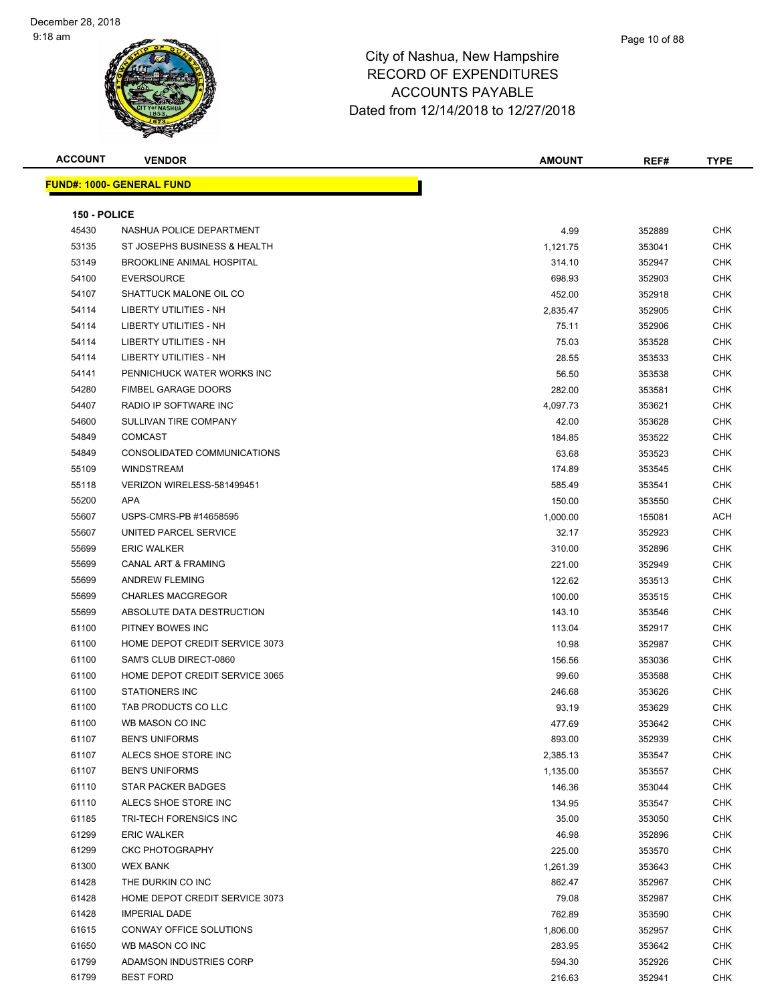| <b>ACCOUNT</b> | <b>VENDOR</b>                    | <b>AMOUNT</b> | REF#   | <b>TYPE</b> |
|----------------|----------------------------------|---------------|--------|-------------|
|                | <b>FUND#: 1000- GENERAL FUND</b> |               |        |             |
|                |                                  |               |        |             |
| 150 - POLICE   |                                  |               |        |             |
| 45430          | NASHUA POLICE DEPARTMENT         | 4.99          | 352889 | <b>CHK</b>  |
| 53135          | ST JOSEPHS BUSINESS & HEALTH     | 1,121.75      | 353041 | <b>CHK</b>  |
| 53149          | <b>BROOKLINE ANIMAL HOSPITAL</b> | 314.10        | 352947 | <b>CHK</b>  |
| 54100          | <b>EVERSOURCE</b>                | 698.93        | 352903 | CHK         |
| 54107          | SHATTUCK MALONE OIL CO           | 452.00        | 352918 | <b>CHK</b>  |
| 54114          | LIBERTY UTILITIES - NH           | 2,835.47      | 352905 | <b>CHK</b>  |
| 54114          | LIBERTY UTILITIES - NH           | 75.11         | 352906 | <b>CHK</b>  |
| 54114          | LIBERTY UTILITIES - NH           | 75.03         | 353528 | <b>CHK</b>  |
| 54114          | <b>LIBERTY UTILITIES - NH</b>    | 28.55         | 353533 | <b>CHK</b>  |
| 54141          | PENNICHUCK WATER WORKS INC       | 56.50         | 353538 | <b>CHK</b>  |
| 54280          | <b>FIMBEL GARAGE DOORS</b>       | 282.00        | 353581 | <b>CHK</b>  |
| 54407          | RADIO IP SOFTWARE INC            | 4,097.73      | 353621 | <b>CHK</b>  |
| 54600          | SULLIVAN TIRE COMPANY            | 42.00         | 353628 | <b>CHK</b>  |
| 54849          | <b>COMCAST</b>                   | 184.85        | 353522 | <b>CHK</b>  |
| 54849          | CONSOLIDATED COMMUNICATIONS      | 63.68         | 353523 | <b>CHK</b>  |
| 55109          | <b>WINDSTREAM</b>                | 174.89        | 353545 | CHK         |
| 55118          | VERIZON WIRELESS-581499451       | 585.49        | 353541 | <b>CHK</b>  |
| 55200          | APA                              | 150.00        | 353550 | <b>CHK</b>  |
| 55607          | USPS-CMRS-PB #14658595           | 1,000.00      | 155081 | <b>ACH</b>  |
| 55607          | UNITED PARCEL SERVICE            | 32.17         | 352923 | <b>CHK</b>  |
| 55699          | <b>ERIC WALKER</b>               | 310.00        | 352896 | <b>CHK</b>  |
| 55699          | <b>CANAL ART &amp; FRAMING</b>   | 221.00        | 352949 | <b>CHK</b>  |
| 55699          | <b>ANDREW FLEMING</b>            | 122.62        | 353513 | <b>CHK</b>  |
| 55699          | <b>CHARLES MACGREGOR</b>         | 100.00        | 353515 | <b>CHK</b>  |
| 55699          | ABSOLUTE DATA DESTRUCTION        | 143.10        | 353546 | <b>CHK</b>  |
| 61100          | PITNEY BOWES INC                 | 113.04        | 352917 | CHK         |
| 61100          | HOME DEPOT CREDIT SERVICE 3073   | 10.98         | 352987 | <b>CHK</b>  |
| 61100          | SAM'S CLUB DIRECT-0860           | 156.56        | 353036 | <b>CHK</b>  |
| 61100          | HOME DEPOT CREDIT SERVICE 3065   | 99.60         | 353588 | <b>CHK</b>  |
| 61100          | <b>STATIONERS INC</b>            | 246.68        | 353626 | <b>CHK</b>  |
| 61100          | TAB PRODUCTS CO LLC              | 93.19         | 353629 | <b>CHK</b>  |
| 61100          | WB MASON CO INC                  | 477.69        | 353642 | CHK         |
| 61107          | <b>BEN'S UNIFORMS</b>            | 893.00        | 352939 | <b>CHK</b>  |
| 61107          | ALECS SHOE STORE INC             | 2,385.13      | 353547 | <b>CHK</b>  |
| 61107          | <b>BEN'S UNIFORMS</b>            | 1,135.00      | 353557 | <b>CHK</b>  |
| 61110          | <b>STAR PACKER BADGES</b>        | 146.36        | 353044 | <b>CHK</b>  |
| 61110          | ALECS SHOE STORE INC             | 134.95        | 353547 | <b>CHK</b>  |
| 61185          | TRI-TECH FORENSICS INC           | 35.00         | 353050 | <b>CHK</b>  |
| 61299          | <b>ERIC WALKER</b>               | 46.98         | 352896 | <b>CHK</b>  |
| 61299          | <b>CKC PHOTOGRAPHY</b>           | 225.00        | 353570 | <b>CHK</b>  |
| 61300          | <b>WEX BANK</b>                  | 1,261.39      | 353643 | <b>CHK</b>  |
| 61428          | THE DURKIN CO INC                | 862.47        | 352967 | <b>CHK</b>  |
| 61428          | HOME DEPOT CREDIT SERVICE 3073   | 79.08         | 352987 | <b>CHK</b>  |
| 61428          | <b>IMPERIAL DADE</b>             | 762.89        | 353590 | <b>CHK</b>  |
| 61615          | CONWAY OFFICE SOLUTIONS          | 1,806.00      | 352957 | <b>CHK</b>  |
| 61650          | WB MASON CO INC                  | 283.95        | 353642 | <b>CHK</b>  |
| 61799          | ADAMSON INDUSTRIES CORP          | 594.30        | 352926 | <b>CHK</b>  |
| 61799          | <b>BEST FORD</b>                 | 216.63        | 352941 | <b>CHK</b>  |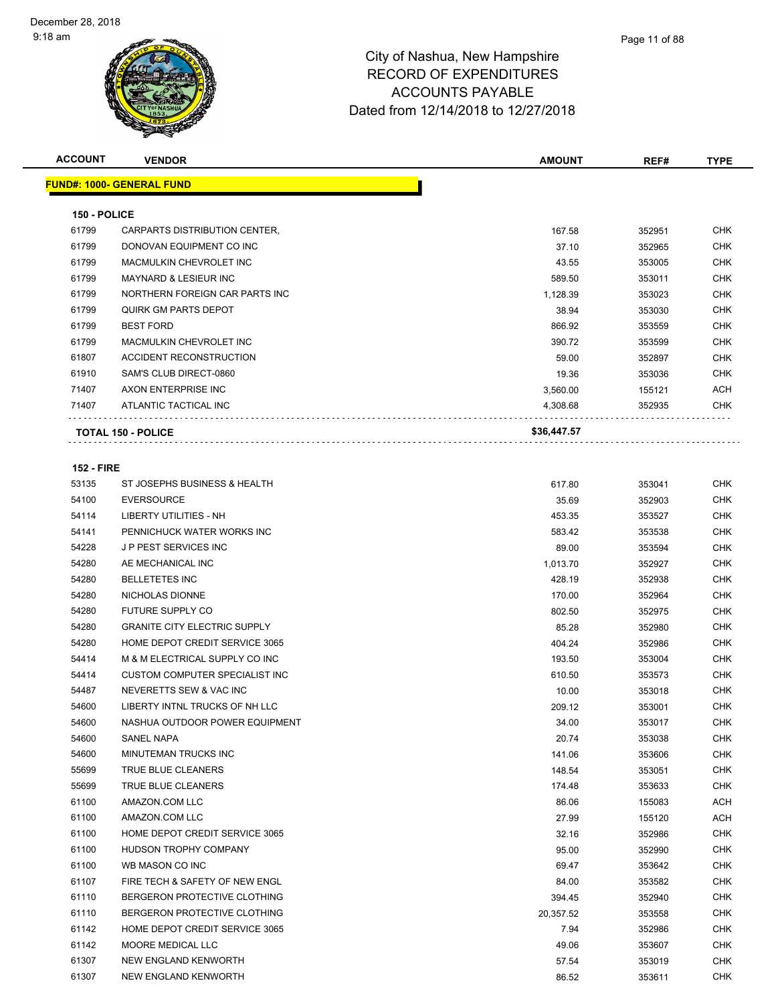| <b>ACCOUNT</b>    | <b>VENDOR</b>                       | <b>AMOUNT</b> | REF#   | <b>TYPE</b> |
|-------------------|-------------------------------------|---------------|--------|-------------|
|                   | FUND#: 1000- GENERAL FUND           |               |        |             |
|                   |                                     |               |        |             |
| 150 - POLICE      |                                     |               |        |             |
| 61799             | CARPARTS DISTRIBUTION CENTER,       | 167.58        | 352951 | <b>CHK</b>  |
| 61799             | DONOVAN EQUIPMENT CO INC            | 37.10         | 352965 | <b>CHK</b>  |
| 61799             | MACMULKIN CHEVROLET INC             | 43.55         | 353005 | <b>CHK</b>  |
| 61799             | <b>MAYNARD &amp; LESIEUR INC</b>    | 589.50        | 353011 | <b>CHK</b>  |
| 61799             | NORTHERN FOREIGN CAR PARTS INC      | 1,128.39      | 353023 | CHK         |
| 61799             | <b>QUIRK GM PARTS DEPOT</b>         | 38.94         | 353030 | <b>CHK</b>  |
| 61799             | <b>BEST FORD</b>                    | 866.92        | 353559 | <b>CHK</b>  |
| 61799             | MACMULKIN CHEVROLET INC             | 390.72        | 353599 | <b>CHK</b>  |
| 61807             | ACCIDENT RECONSTRUCTION             | 59.00         | 352897 | <b>CHK</b>  |
| 61910             | SAM'S CLUB DIRECT-0860              | 19.36         | 353036 | <b>CHK</b>  |
| 71407             | AXON ENTERPRISE INC                 | 3,560.00      | 155121 | ACH         |
| 71407             | ATLANTIC TACTICAL INC               | 4,308.68      | 352935 | <b>CHK</b>  |
|                   | <b>TOTAL 150 - POLICE</b>           | \$36,447.57   |        |             |
|                   |                                     |               |        |             |
| <b>152 - FIRE</b> |                                     |               |        |             |
| 53135             | ST JOSEPHS BUSINESS & HEALTH        | 617.80        | 353041 | <b>CHK</b>  |
| 54100             | <b>EVERSOURCE</b>                   | 35.69         | 352903 | <b>CHK</b>  |
| 54114             | <b>LIBERTY UTILITIES - NH</b>       | 453.35        | 353527 | <b>CHK</b>  |
| 54141             | PENNICHUCK WATER WORKS INC          | 583.42        | 353538 | CHK         |
| 54228             | J P PEST SERVICES INC               | 89.00         | 353594 | <b>CHK</b>  |
| 54280             | AE MECHANICAL INC                   | 1,013.70      | 352927 | <b>CHK</b>  |
| 54280             | <b>BELLETETES INC</b>               | 428.19        | 352938 | CHK         |
| 54280             | NICHOLAS DIONNE                     | 170.00        | 352964 | <b>CHK</b>  |
| 54280             | <b>FUTURE SUPPLY CO</b>             | 802.50        | 352975 | <b>CHK</b>  |
| 54280             | <b>GRANITE CITY ELECTRIC SUPPLY</b> | 85.28         | 352980 | <b>CHK</b>  |
| 54280             | HOME DEPOT CREDIT SERVICE 3065      | 404.24        | 352986 | <b>CHK</b>  |
| 54414             | M & M ELECTRICAL SUPPLY CO INC      | 193.50        | 353004 | <b>CHK</b>  |
| 54414             | CUSTOM COMPUTER SPECIALIST INC      | 610.50        | 353573 | <b>CHK</b>  |
| 54487             | NEVERETTS SEW & VAC INC             | 10.00         | 353018 | CHK         |
| 54600             | LIBERTY INTNL TRUCKS OF NH LLC      | 209.12        | 353001 | <b>CHK</b>  |
| 54600             | NASHUA OUTDOOR POWER EQUIPMENT      | 34.00         | 353017 | <b>CHK</b>  |
| 54600             | SANEL NAPA                          | 20.74         | 353038 | <b>CHK</b>  |
| 54600             | MINUTEMAN TRUCKS INC                | 141.06        | 353606 | CHK         |
| 55699             | <b>TRUE BLUE CLEANERS</b>           | 148.54        | 353051 | <b>CHK</b>  |
| 55699             | TRUE BLUE CLEANERS                  | 174.48        | 353633 | <b>CHK</b>  |
| 61100             | AMAZON.COM LLC                      | 86.06         | 155083 | ACH         |
| 61100             | AMAZON.COM LLC                      | 27.99         | 155120 | ACH         |
| 61100             | HOME DEPOT CREDIT SERVICE 3065      | 32.16         | 352986 | <b>CHK</b>  |
| 61100             | HUDSON TROPHY COMPANY               | 95.00         | 352990 | <b>CHK</b>  |
| 61100             | WB MASON CO INC                     | 69.47         | 353642 | <b>CHK</b>  |
| 61107             | FIRE TECH & SAFETY OF NEW ENGL      | 84.00         | 353582 | <b>CHK</b>  |
| 61110             | BERGERON PROTECTIVE CLOTHING        | 394.45        | 352940 | <b>CHK</b>  |
| 61110             | BERGERON PROTECTIVE CLOTHING        | 20,357.52     | 353558 | <b>CHK</b>  |
| 61142             | HOME DEPOT CREDIT SERVICE 3065      | 7.94          | 352986 | CHK         |
| 61142             | MOORE MEDICAL LLC                   | 49.06         | 353607 | <b>CHK</b>  |
| 61307             | NEW ENGLAND KENWORTH                | 57.54         | 353019 | CHK         |
| 61307             | NEW ENGLAND KENWORTH                | 86.52         | 353611 | <b>CHK</b>  |
|                   |                                     |               |        |             |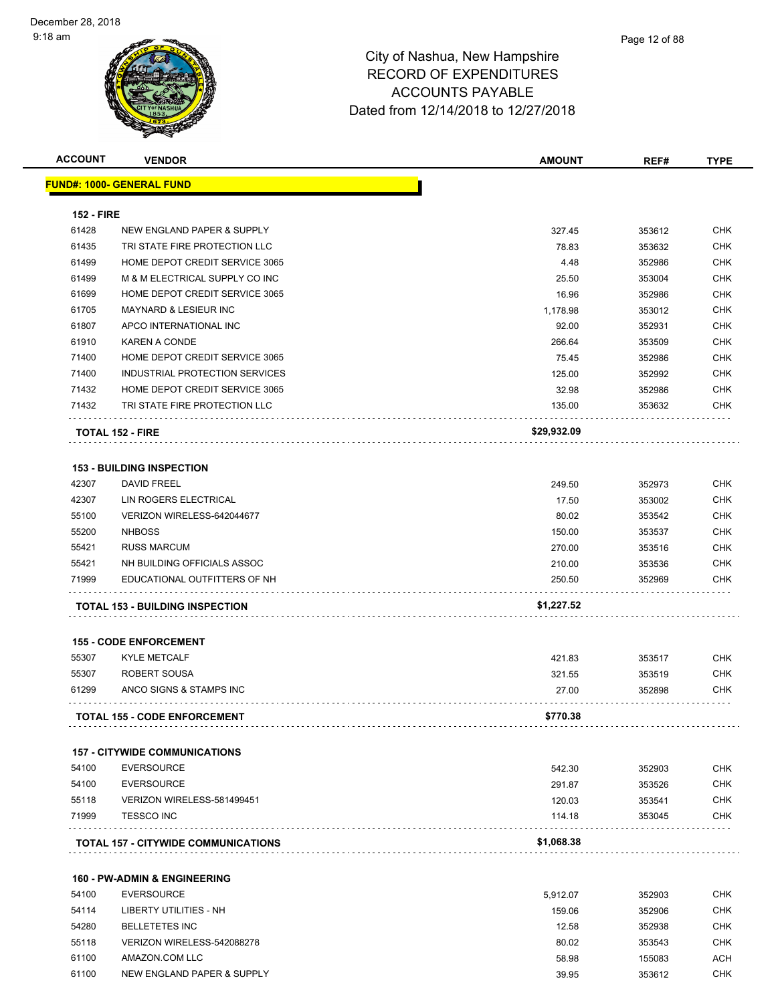| <b>ACCOUNT</b>    | <b>VENDOR</b>                              | <b>AMOUNT</b> | REF#   | <b>TYPE</b> |
|-------------------|--------------------------------------------|---------------|--------|-------------|
|                   | <b>FUND#: 1000- GENERAL FUND</b>           |               |        |             |
|                   |                                            |               |        |             |
| <b>152 - FIRE</b> |                                            |               |        |             |
| 61428             | NEW ENGLAND PAPER & SUPPLY                 | 327.45        | 353612 | <b>CHK</b>  |
| 61435             | TRI STATE FIRE PROTECTION LLC              | 78.83         | 353632 | <b>CHK</b>  |
| 61499             | HOME DEPOT CREDIT SERVICE 3065             | 4.48          | 352986 | <b>CHK</b>  |
| 61499             | M & M ELECTRICAL SUPPLY CO INC             | 25.50         | 353004 | <b>CHK</b>  |
| 61699             | HOME DEPOT CREDIT SERVICE 3065             | 16.96         | 352986 | <b>CHK</b>  |
| 61705             | <b>MAYNARD &amp; LESIEUR INC</b>           | 1,178.98      | 353012 | <b>CHK</b>  |
| 61807             | APCO INTERNATIONAL INC                     | 92.00         | 352931 | <b>CHK</b>  |
| 61910             | KAREN A CONDE                              | 266.64        | 353509 | <b>CHK</b>  |
| 71400             | HOME DEPOT CREDIT SERVICE 3065             | 75.45         | 352986 | <b>CHK</b>  |
| 71400             | INDUSTRIAL PROTECTION SERVICES             | 125.00        | 352992 | <b>CHK</b>  |
| 71432             | HOME DEPOT CREDIT SERVICE 3065             | 32.98         | 352986 | <b>CHK</b>  |
| 71432             | TRI STATE FIRE PROTECTION LLC              | 135.00        | 353632 | <b>CHK</b>  |
|                   | <b>TOTAL 152 - FIRE</b>                    | \$29,932.09   |        |             |
|                   |                                            |               |        |             |
|                   | <b>153 - BUILDING INSPECTION</b>           |               |        |             |
| 42307             | <b>DAVID FREEL</b>                         | 249.50        | 352973 | CHK         |
| 42307             | LIN ROGERS ELECTRICAL                      | 17.50         | 353002 | <b>CHK</b>  |
| 55100             | VERIZON WIRELESS-642044677                 | 80.02         | 353542 | <b>CHK</b>  |
| 55200             | <b>NHBOSS</b>                              | 150.00        | 353537 | <b>CHK</b>  |
| 55421             | <b>RUSS MARCUM</b>                         | 270.00        | 353516 | <b>CHK</b>  |
| 55421             | NH BUILDING OFFICIALS ASSOC                | 210.00        | 353536 | <b>CHK</b>  |
| 71999             | EDUCATIONAL OUTFITTERS OF NH               | 250.50        | 352969 | <b>CHK</b>  |
|                   | <b>TOTAL 153 - BUILDING INSPECTION</b>     | \$1,227.52    |        |             |
|                   | <b>155 - CODE ENFORCEMENT</b>              |               |        |             |
| 55307             | <b>KYLE METCALF</b>                        | 421.83        | 353517 | <b>CHK</b>  |
| 55307             | ROBERT SOUSA                               | 321.55        | 353519 | <b>CHK</b>  |
| 61299             | ANCO SIGNS & STAMPS INC                    | 27.00         | 352898 | CHK         |
|                   |                                            |               |        |             |
|                   | <b>TOTAL 155 - CODE ENFORCEMENT</b>        | \$770.38      |        |             |
|                   | <b>157 - CITYWIDE COMMUNICATIONS</b>       |               |        |             |
| 54100             | <b>EVERSOURCE</b>                          | 542.30        | 352903 | <b>CHK</b>  |
| 54100             | <b>EVERSOURCE</b>                          | 291.87        | 353526 | <b>CHK</b>  |
| 55118             | VERIZON WIRELESS-581499451                 | 120.03        | 353541 | <b>CHK</b>  |
| 71999             | <b>TESSCO INC</b>                          | 114.18        | 353045 | <b>CHK</b>  |
|                   | <b>TOTAL 157 - CITYWIDE COMMUNICATIONS</b> | \$1,068.38    |        |             |
|                   |                                            |               |        |             |
|                   | <b>160 - PW-ADMIN &amp; ENGINEERING</b>    |               |        |             |
| 54100             | <b>EVERSOURCE</b>                          | 5,912.07      | 352903 | <b>CHK</b>  |
| 54114             | LIBERTY UTILITIES - NH                     | 159.06        | 352906 | <b>CHK</b>  |
| 54280             | <b>BELLETETES INC</b>                      | 12.58         | 352938 | <b>CHK</b>  |
| 55118             | VERIZON WIRELESS-542088278                 | 80.02         | 353543 | <b>CHK</b>  |
| 61100             | AMAZON.COM LLC                             | 58.98         | 155083 | <b>ACH</b>  |

NEW ENGLAND PAPER & SUPPLY 39.95 353612 CHK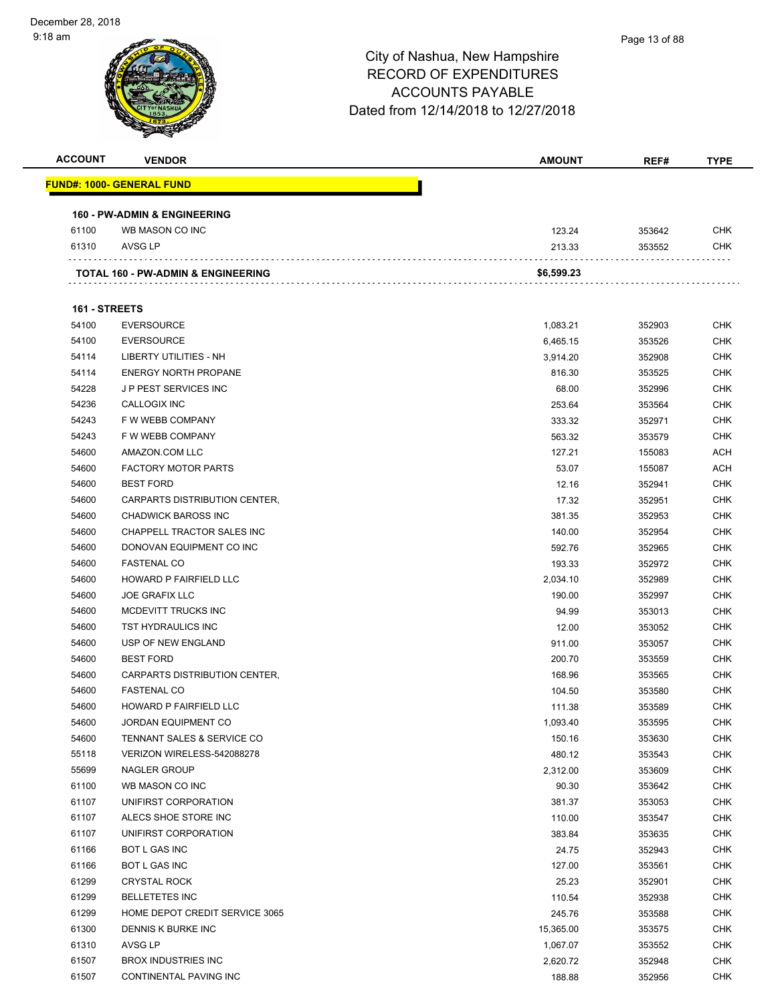| <b>ACCOUNT</b> | <b>VENDOR</b>                                 | <b>AMOUNT</b> | REF#   | <b>TYPE</b> |
|----------------|-----------------------------------------------|---------------|--------|-------------|
|                | <b>FUND#: 1000- GENERAL FUND</b>              |               |        |             |
|                |                                               |               |        |             |
|                | <b>160 - PW-ADMIN &amp; ENGINEERING</b>       |               |        |             |
| 61100          | WB MASON CO INC                               | 123.24        | 353642 | <b>CHK</b>  |
| 61310          | AVSG LP                                       | 213.33        | 353552 | <b>CHK</b>  |
|                |                                               |               |        |             |
|                | <b>TOTAL 160 - PW-ADMIN &amp; ENGINEERING</b> | \$6,599.23    |        |             |
|                |                                               |               |        |             |
|                | 161 - STREETS                                 |               |        |             |
| 54100          | <b>EVERSOURCE</b>                             | 1,083.21      | 352903 | <b>CHK</b>  |
| 54100          | <b>EVERSOURCE</b>                             | 6,465.15      | 353526 | <b>CHK</b>  |
| 54114          | LIBERTY UTILITIES - NH                        | 3,914.20      | 352908 | CHK         |
| 54114          | <b>ENERGY NORTH PROPANE</b>                   | 816.30        | 353525 | CHK         |
| 54228          | <b>JP PEST SERVICES INC</b>                   | 68.00         | 352996 | <b>CHK</b>  |
| 54236          | <b>CALLOGIX INC</b>                           | 253.64        | 353564 | CHK         |
| 54243          | F W WEBB COMPANY                              | 333.32        | 352971 | <b>CHK</b>  |
| 54243          | F W WEBB COMPANY                              | 563.32        | 353579 | <b>CHK</b>  |
| 54600          | AMAZON.COM LLC                                | 127.21        | 155083 | <b>ACH</b>  |
| 54600          | <b>FACTORY MOTOR PARTS</b>                    | 53.07         | 155087 | <b>ACH</b>  |
| 54600          | <b>BEST FORD</b>                              | 12.16         | 352941 | <b>CHK</b>  |
| 54600          | CARPARTS DISTRIBUTION CENTER,                 | 17.32         | 352951 | <b>CHK</b>  |
| 54600          | <b>CHADWICK BAROSS INC</b>                    | 381.35        | 352953 | CHK         |
| 54600          | CHAPPELL TRACTOR SALES INC                    | 140.00        | 352954 | CHK         |
| 54600          | DONOVAN EQUIPMENT CO INC                      | 592.76        | 352965 | CHK         |
| 54600          | <b>FASTENAL CO</b>                            | 193.33        | 352972 | <b>CHK</b>  |
| 54600          | HOWARD P FAIRFIELD LLC                        | 2,034.10      | 352989 | CHK         |
| 54600          | <b>JOE GRAFIX LLC</b>                         | 190.00        | 352997 | <b>CHK</b>  |
| 54600          | MCDEVITT TRUCKS INC                           | 94.99         | 353013 | <b>CHK</b>  |
| 54600          | TST HYDRAULICS INC                            | 12.00         | 353052 | CHK         |
| 54600          | USP OF NEW ENGLAND                            | 911.00        | 353057 | <b>CHK</b>  |
| 54600          | <b>BEST FORD</b>                              | 200.70        | 353559 | CHK         |
| 54600          | CARPARTS DISTRIBUTION CENTER,                 | 168.96        | 353565 | CHK         |
| 54600          | <b>FASTENAL CO</b>                            | 104.50        | 353580 | <b>CHK</b>  |
| 54600          | <b>HOWARD P FAIRFIELD LLC</b>                 | 111.38        | 353589 | CHK         |
| 54600          | JORDAN EQUIPMENT CO                           | 1,093.40      | 353595 | <b>CHK</b>  |
| 54600          | TENNANT SALES & SERVICE CO                    | 150.16        | 353630 | <b>CHK</b>  |
| 55118          | VERIZON WIRELESS-542088278                    | 480.12        | 353543 | <b>CHK</b>  |
| 55699          | NAGLER GROUP                                  | 2,312.00      | 353609 | <b>CHK</b>  |
| 61100          | WB MASON CO INC                               | 90.30         | 353642 | <b>CHK</b>  |
| 61107          | UNIFIRST CORPORATION                          | 381.37        | 353053 | <b>CHK</b>  |
| 61107          | ALECS SHOE STORE INC                          | 110.00        | 353547 | <b>CHK</b>  |
| 61107          | UNIFIRST CORPORATION                          | 383.84        | 353635 | <b>CHK</b>  |
| 61166          | <b>BOT L GAS INC</b>                          | 24.75         | 352943 | <b>CHK</b>  |
| 61166          | BOT L GAS INC                                 | 127.00        | 353561 | <b>CHK</b>  |
| 61299          | <b>CRYSTAL ROCK</b>                           | 25.23         | 352901 | <b>CHK</b>  |
| 61299          | <b>BELLETETES INC</b>                         | 110.54        | 352938 | <b>CHK</b>  |
| 61299          | HOME DEPOT CREDIT SERVICE 3065                | 245.76        | 353588 | <b>CHK</b>  |
| 61300          | DENNIS K BURKE INC                            | 15,365.00     | 353575 | <b>CHK</b>  |
| 61310          | AVSG LP                                       | 1,067.07      | 353552 | <b>CHK</b>  |
| 61507          | <b>BROX INDUSTRIES INC</b>                    | 2,620.72      | 352948 | <b>CHK</b>  |
| 61507          | CONTINENTAL PAVING INC                        | 188.88        | 352956 | <b>CHK</b>  |
|                |                                               |               |        |             |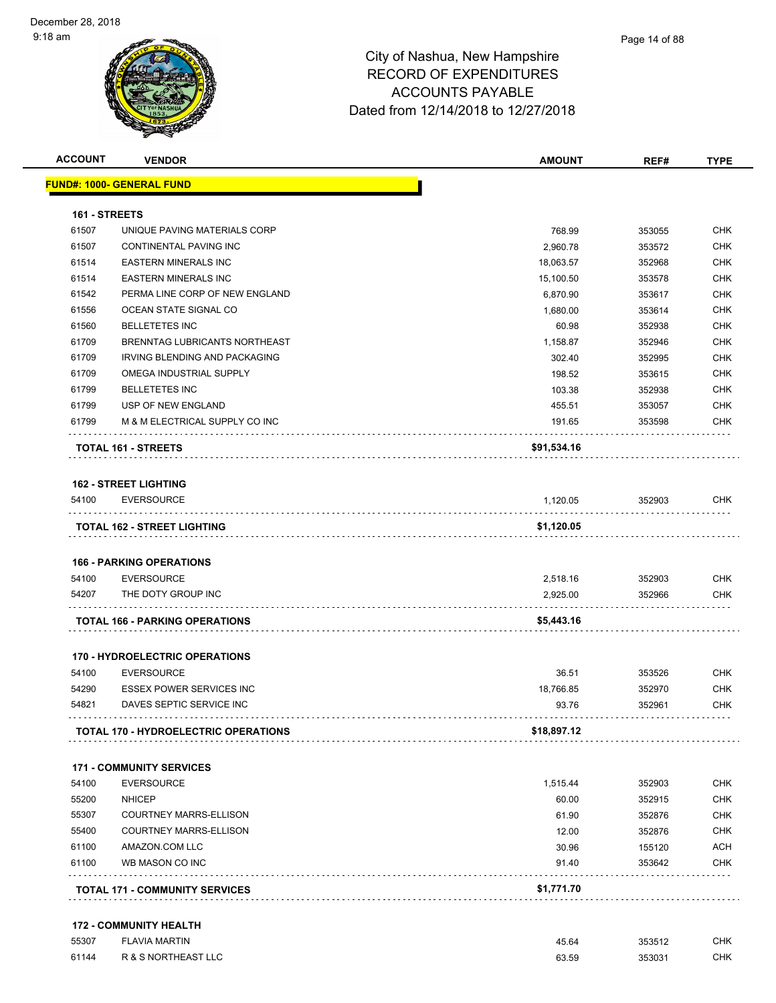|                | <b>VENDOR</b>                                        | <b>AMOUNT</b>        | REF#             | <b>TYPE</b>                                                                                                                       |
|----------------|------------------------------------------------------|----------------------|------------------|-----------------------------------------------------------------------------------------------------------------------------------|
|                | <b>FUND#: 1000- GENERAL FUND</b>                     |                      |                  |                                                                                                                                   |
| 161 - STREETS  |                                                      |                      |                  |                                                                                                                                   |
| 61507          | UNIQUE PAVING MATERIALS CORP                         | 768.99               | 353055           | <b>CHK</b>                                                                                                                        |
| 61507          | CONTINENTAL PAVING INC                               | 2,960.78             | 353572           | <b>CHK</b>                                                                                                                        |
| 61514          | <b>EASTERN MINERALS INC</b>                          | 18,063.57            | 352968           | <b>CHK</b>                                                                                                                        |
| 61514          | <b>EASTERN MINERALS INC</b>                          | 15,100.50            | 353578           | <b>CHK</b>                                                                                                                        |
| 61542          | PERMA LINE CORP OF NEW ENGLAND                       | 6,870.90             | 353617           | <b>CHK</b>                                                                                                                        |
| 61556          | OCEAN STATE SIGNAL CO                                | 1,680.00             | 353614           | <b>CHK</b>                                                                                                                        |
| 61560          | <b>BELLETETES INC</b>                                | 60.98                | 352938           | <b>CHK</b>                                                                                                                        |
| 61709          | BRENNTAG LUBRICANTS NORTHEAST                        | 1,158.87             | 352946           | <b>CHK</b>                                                                                                                        |
| 61709          | IRVING BLENDING AND PACKAGING                        | 302.40               | 352995           | <b>CHK</b>                                                                                                                        |
| 61709          | OMEGA INDUSTRIAL SUPPLY                              | 198.52               | 353615           | <b>CHK</b>                                                                                                                        |
| 61799          | <b>BELLETETES INC</b>                                | 103.38               | 352938           | <b>CHK</b>                                                                                                                        |
| 61799          | USP OF NEW ENGLAND                                   | 455.51               | 353057           | <b>CHK</b>                                                                                                                        |
| 61799          | M & M ELECTRICAL SUPPLY CO INC                       | 191.65               | 353598           | CHK                                                                                                                               |
|                | TOTAL 161 - STREETS                                  | \$91,534.16          |                  |                                                                                                                                   |
|                | <b>162 - STREET LIGHTING</b>                         |                      |                  |                                                                                                                                   |
| 54100          | <b>EVERSOURCE</b>                                    | 1,120.05             | 352903           | <b>CHK</b>                                                                                                                        |
|                |                                                      |                      |                  |                                                                                                                                   |
|                | TOTAL 162 - STREET LIGHTING                          | \$1,120.05           |                  |                                                                                                                                   |
|                |                                                      |                      |                  |                                                                                                                                   |
|                | <b>166 - PARKING OPERATIONS</b>                      |                      |                  |                                                                                                                                   |
| 54100<br>54207 | <b>EVERSOURCE</b><br>THE DOTY GROUP INC              | 2,518.16<br>2,925.00 | 352903<br>352966 |                                                                                                                                   |
|                | <b>TOTAL 166 - PARKING OPERATIONS</b>                | \$5,443.16           |                  |                                                                                                                                   |
|                |                                                      |                      |                  |                                                                                                                                   |
|                | <b>170 - HYDROELECTRIC OPERATIONS</b>                |                      |                  |                                                                                                                                   |
| 54100<br>54290 | <b>EVERSOURCE</b><br><b>ESSEX POWER SERVICES INC</b> | 36.51                | 353526           |                                                                                                                                   |
|                | DAVES SEPTIC SERVICE INC                             | 18,766.85<br>93.76   | 352970<br>352961 |                                                                                                                                   |
| 54821          | <b>TOTAL 170 - HYDROELECTRIC OPERATIONS</b>          | \$18,897.12          |                  |                                                                                                                                   |
|                |                                                      |                      |                  |                                                                                                                                   |
|                | <b>171 - COMMUNITY SERVICES</b>                      |                      |                  |                                                                                                                                   |
| 54100          | <b>EVERSOURCE</b>                                    | 1,515.44             | 352903           |                                                                                                                                   |
| 55200          | <b>NHICEP</b>                                        | 60.00                | 352915           |                                                                                                                                   |
| 55307          | <b>COURTNEY MARRS-ELLISON</b>                        | 61.90                | 352876           |                                                                                                                                   |
| 55400          | <b>COURTNEY MARRS-ELLISON</b>                        | 12.00                | 352876           |                                                                                                                                   |
| 61100          | AMAZON.COM LLC                                       | 30.96                | 155120           |                                                                                                                                   |
| 61100          | WB MASON CO INC                                      | 91.40                | 353642           | <b>CHK</b><br>CHK<br><b>CHK</b><br><b>CHK</b><br>CHK<br><b>CHK</b><br><b>CHK</b><br>CHK<br><b>CHK</b><br><b>ACH</b><br><b>CHK</b> |

#### **172 - COMMUNITY HEALTH**

| 55307 | <b>FLAVIA MARTIN</b> | 45.64 | 353512          | CHK |
|-------|----------------------|-------|-----------------|-----|
|       |                      |       | .               |     |
| 61144 | R & S NORTHEAST LLC  | 63.59 | $35303^{\circ}$ | CHK |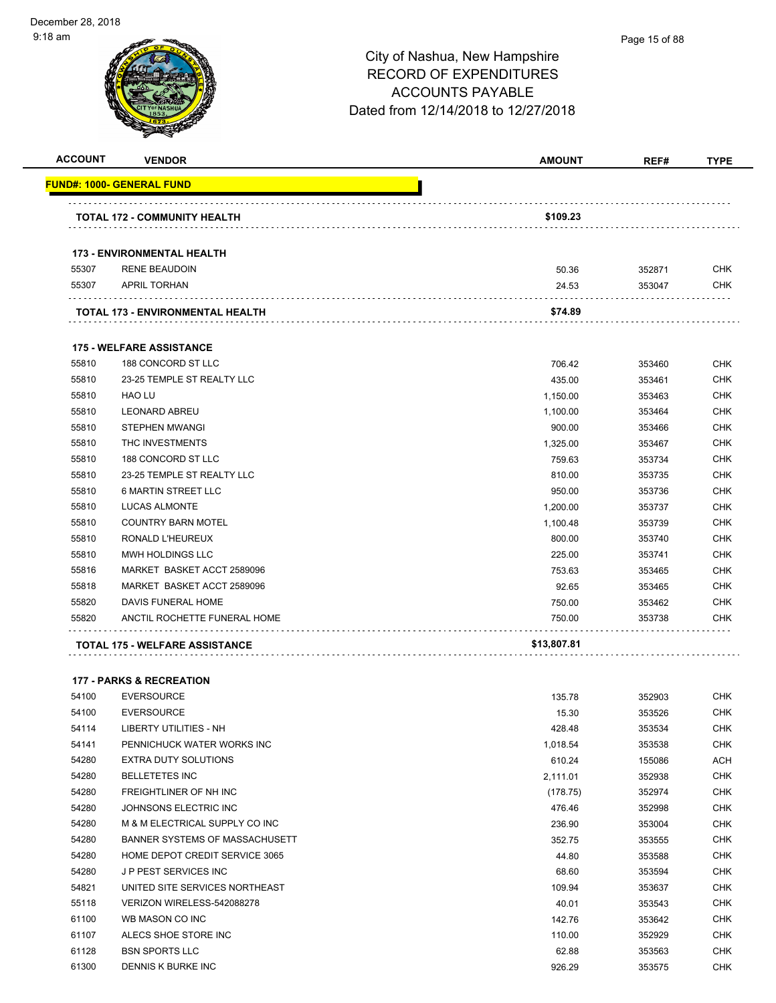| <b>ACCOUNT</b> | <b>VENDOR</b>                                    | <b>AMOUNT</b>        | REF#             | <b>TYPE</b> |
|----------------|--------------------------------------------------|----------------------|------------------|-------------|
|                | <u> FUND#: 1000- GENERAL FUND</u>                |                      |                  |             |
|                |                                                  |                      |                  |             |
|                | <b>TOTAL 172 - COMMUNITY HEALTH</b>              | \$109.23             |                  |             |
|                | <b>173 - ENVIRONMENTAL HEALTH</b>                |                      |                  |             |
| 55307          | <b>RENE BEAUDOIN</b>                             | 50.36                | 352871           | <b>CHK</b>  |
| 55307          | <b>APRIL TORHAN</b>                              | 24.53                | 353047           | CHK         |
|                | TOTAL 173 - ENVIRONMENTAL HEALTH                 | \$74.89              |                  |             |
|                | <b>175 - WELFARE ASSISTANCE</b>                  |                      |                  |             |
|                |                                                  |                      |                  | <b>CHK</b>  |
| 55810<br>55810 | 188 CONCORD ST LLC<br>23-25 TEMPLE ST REALTY LLC | 706.42               | 353460           | <b>CHK</b>  |
| 55810          | <b>HAO LU</b>                                    | 435.00               | 353461           | <b>CHK</b>  |
| 55810          | <b>LEONARD ABREU</b>                             | 1,150.00<br>1,100.00 | 353463<br>353464 | <b>CHK</b>  |
| 55810          | <b>STEPHEN MWANGI</b>                            |                      |                  | <b>CHK</b>  |
| 55810          | THC INVESTMENTS                                  | 900.00<br>1,325.00   | 353466<br>353467 | <b>CHK</b>  |
| 55810          | 188 CONCORD ST LLC                               | 759.63               | 353734           | <b>CHK</b>  |
| 55810          | 23-25 TEMPLE ST REALTY LLC                       | 810.00               | 353735           | <b>CHK</b>  |
| 55810          | <b>6 MARTIN STREET LLC</b>                       | 950.00               | 353736           | <b>CHK</b>  |
| 55810          | <b>LUCAS ALMONTE</b>                             |                      | 353737           | <b>CHK</b>  |
| 55810          | <b>COUNTRY BARN MOTEL</b>                        | 1,200.00             | 353739           | <b>CHK</b>  |
| 55810          | RONALD L'HEUREUX                                 | 1,100.48<br>800.00   | 353740           | <b>CHK</b>  |
| 55810          | MWH HOLDINGS LLC                                 | 225.00               | 353741           | <b>CHK</b>  |
| 55816          | MARKET BASKET ACCT 2589096                       |                      |                  | <b>CHK</b>  |
| 55818          | MARKET BASKET ACCT 2589096                       | 753.63<br>92.65      | 353465           | <b>CHK</b>  |
| 55820          | DAVIS FUNERAL HOME                               |                      | 353465           | <b>CHK</b>  |
| 55820          | ANCTIL ROCHETTE FUNERAL HOME                     | 750.00<br>750.00     | 353462<br>353738 | CHK         |
|                |                                                  |                      |                  |             |
|                | <b>TOTAL 175 - WELFARE ASSISTANCE</b>            | \$13,807.81          |                  |             |
|                | <b>177 - PARKS &amp; RECREATION</b>              |                      |                  |             |
| 54100          | <b>EVERSOURCE</b>                                | 135.78               | 352903           | <b>CHK</b>  |
| 54100          | <b>EVERSOURCE</b>                                | 15.30                | 353526           | <b>CHK</b>  |
| 54114          | LIBERTY UTILITIES - NH                           | 428.48               | 353534           | <b>CHK</b>  |
| 54141          | PENNICHUCK WATER WORKS INC                       | 1,018.54             | 353538           | <b>CHK</b>  |
| 54280          | <b>EXTRA DUTY SOLUTIONS</b>                      | 610.24               | 155086           | ACH         |
| 54280          | <b>BELLETETES INC</b>                            | 2,111.01             | 352938           | CHK         |
| 54280          | FREIGHTLINER OF NH INC                           | (178.75)             | 352974           | <b>CHK</b>  |
| 54280          | JOHNSONS ELECTRIC INC                            | 476.46               | 352998           | <b>CHK</b>  |
| 54280          | M & M ELECTRICAL SUPPLY CO INC                   | 236.90               | 353004           | <b>CHK</b>  |
| 54280          | BANNER SYSTEMS OF MASSACHUSETT                   | 352.75               | 353555           | <b>CHK</b>  |
| 54280          | HOME DEPOT CREDIT SERVICE 3065                   | 44.80                | 353588           | <b>CHK</b>  |
| 54280          | J P PEST SERVICES INC                            | 68.60                | 353594           | <b>CHK</b>  |
| 54821          | UNITED SITE SERVICES NORTHEAST                   | 109.94               | 353637           | <b>CHK</b>  |
| 55118          | VERIZON WIRELESS-542088278                       | 40.01                | 353543           | CHK         |
| 61100          | WB MASON CO INC                                  | 142.76               | 353642           | <b>CHK</b>  |

61107 ALECS SHOE STORE INC 1000 ALECS SHOE STORE INC er 128 BSN SPORTS LLC 62.88 353563 CHK DENNIS K BURKE INC 926.29 353575 CHK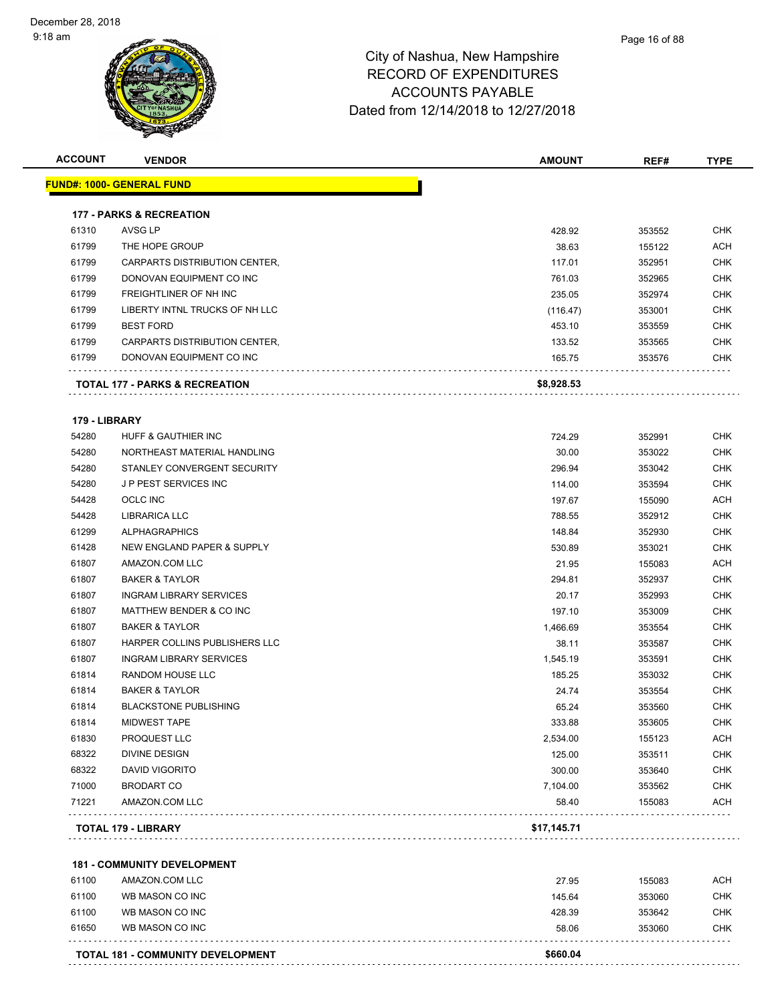| <b>ACCOUNT</b> | <b>VENDOR</b>                       | <b>AMOUNT</b> | REF#   | <b>TYPE</b> |
|----------------|-------------------------------------|---------------|--------|-------------|
|                | <b>FUND#: 1000- GENERAL FUND</b>    |               |        |             |
|                | <b>177 - PARKS &amp; RECREATION</b> |               |        |             |
| 61310          | AVSG LP                             | 428.92        | 353552 | <b>CHK</b>  |
| 61799          | THE HOPE GROUP                      | 38.63         | 155122 | <b>ACH</b>  |
| 61799          | CARPARTS DISTRIBUTION CENTER,       | 117.01        | 352951 | <b>CHK</b>  |
| 61799          | DONOVAN EQUIPMENT CO INC            | 761.03        | 352965 | <b>CHK</b>  |
| 61799          | FREIGHTLINER OF NH INC              | 235.05        | 352974 | <b>CHK</b>  |
| 61799          | LIBERTY INTNL TRUCKS OF NH LLC      | (116.47)      | 353001 | <b>CHK</b>  |
| 61799          | <b>BEST FORD</b>                    | 453.10        | 353559 | <b>CHK</b>  |
| 61799          | CARPARTS DISTRIBUTION CENTER,       | 133.52        | 353565 | CHK         |
| 61799          | DONOVAN EQUIPMENT CO INC            | 165.75        | 353576 | <b>CHK</b>  |
|                | TOTAL 177 - PARKS & RECREATION      | \$8,928.53    |        |             |
| 179 - LIBRARY  |                                     |               |        |             |
| 54280          | HUFF & GAUTHIER INC                 | 724.29        | 352991 | <b>CHK</b>  |
| 54280          | NORTHEAST MATERIAL HANDLING         | 30.00         | 353022 | <b>CHK</b>  |
| 54280          | STANLEY CONVERGENT SECURITY         | 296.94        | 353042 | <b>CHK</b>  |
| 54280          | <b>JP PEST SERVICES INC</b>         | 114.00        | 353594 | <b>CHK</b>  |
| 54428          | <b>OCLC INC</b>                     | 197.67        | 155090 | <b>ACH</b>  |
| 54428          | <b>LIBRARICA LLC</b>                | 788.55        | 352912 | <b>CHK</b>  |
| 61299          | <b>ALPHAGRAPHICS</b>                | 148.84        | 352930 | CHK         |
| 61428          | NEW ENGLAND PAPER & SUPPLY          | 530.89        | 353021 | <b>CHK</b>  |
| 61807          | AMAZON.COM LLC                      | 21.95         | 155083 | <b>ACH</b>  |
| 61807          | <b>BAKER &amp; TAYLOR</b>           | 294.81        | 352937 | <b>CHK</b>  |
| 61807          | <b>INGRAM LIBRARY SERVICES</b>      | 20.17         | 352993 | <b>CHK</b>  |
| 61807          | MATTHEW BENDER & CO INC             | 197.10        | 353009 | <b>CHK</b>  |
| 61807          | <b>BAKER &amp; TAYLOR</b>           | 1,466.69      | 353554 | <b>CHK</b>  |
| 61807          | HARPER COLLINS PUBLISHERS LLC       | 38.11         | 353587 | <b>CHK</b>  |
| 61807          | <b>INGRAM LIBRARY SERVICES</b>      | 1,545.19      | 353591 | <b>CHK</b>  |
| 61814          | <b>RANDOM HOUSE LLC</b>             | 185.25        | 353032 | <b>CHK</b>  |
| 61814          | <b>BAKER &amp; TAYLOR</b>           | 24.74         | 353554 | <b>CHK</b>  |
| 61814          | <b>BLACKSTONE PUBLISHING</b>        | 65.24         | 353560 | <b>CHK</b>  |
| 61814          | <b>MIDWEST TAPE</b>                 | 333.88        | 353605 | <b>CHK</b>  |
| 61830          | PROQUEST LLC                        | 2,534.00      | 155123 | <b>ACH</b>  |
| 68322          | DIVINE DESIGN                       | 125.00        | 353511 | <b>CHK</b>  |
| 68322          | <b>DAVID VIGORITO</b>               | 300.00        | 353640 | <b>CHK</b>  |
| 71000          | <b>BRODART CO</b>                   | 7,104.00      | 353562 | <b>CHK</b>  |
| 71221          | AMAZON.COM LLC                      | 58.40         | 155083 | <b>ACH</b>  |
|                | TOTAL 179 - LIBRARY                 | \$17,145.71   |        |             |
|                | <b>181 - COMMUNITY DEVELOPMENT</b>  |               |        |             |
| 61100          | AMAZON.COM LLC                      | 27.95         | 155083 | <b>ACH</b>  |
| 61100          | WB MASON CO INC                     | 145.64        | 353060 | <b>CHK</b>  |
| 61100          | WB MASON CO INC                     | 428.39        | 353642 | <b>CHK</b>  |
| 61650          | WB MASON CO INC                     | 58.06         | 353060 | <b>CHK</b>  |
|                |                                     |               |        |             |
|                | TOTAL 181 - COMMUNITY DEVELOPMENT   | \$660.04      |        |             |

Page 16 of 88

. . . . . . . . . . . . . . . . . .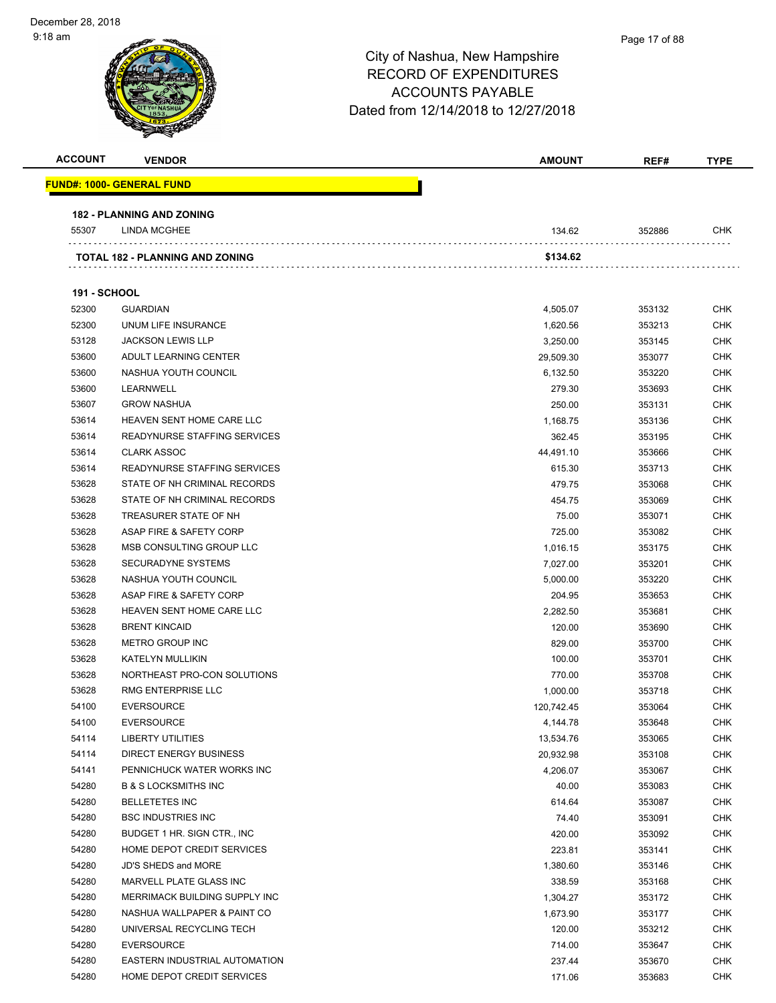# City of Nashua, New Hampshire RECORD OF EXPENDITURES ACCOUNTS PAYABLE Dated from 12/14/2018 to 12/27/2018 **ACCOUNT VENDOR AMOUNT REF# TYPE FUND#: 1000- GENERAL FUND 182 - PLANNING AND ZONING** 55307 LINDA MCGHEE 2008 2012 134.62 352886 CHK **TOTAL 182 - PLANNING AND ZONING \$134.62 191 - SCHOOL** GUARDIAN 4,505.07 353132 CHK UNUM LIFE INSURANCE 1,620.56 353213 CHK JACKSON LEWIS LLP 3,250.00 353145 CHK ADULT LEARNING CENTER 29,509.30 353077 CHK NASHUA YOUTH COUNCIL 6,132.50 353220 CHK LEARNWELL 279.30 353693 CHK GROW NASHUA 250.00 353131 CHK HEAVEN SENT HOME CARE LLC 1,168.75 353136 CHK READYNURSE STAFFING SERVICES 362.45 353195 CHK CLARK ASSOC 44,491.10 353666 CHK READYNURSE STAFFING SERVICES 615.30 353713 CHK 53628 STATE OF NH CRIMINAL RECORDS 479.75 479.75 353068 CHK 53628 STATE OF NH CRIMINAL RECORDS **ASSESSED ASSESSED ASSESSED ASSESSED ASSESSED AT A SS** 353069 CHK 53628 TREASURER STATE OF NH 75.00 353071 CHK ASAP FIRE & SAFETY CORP 725.00 353082 CHK MSB CONSULTING GROUP LLC 1,016.15 353175 CHK 53628 SECURADYNE SYSTEMS 76 AM CHK 7,027.00 353201 CHK NASHUA YOUTH COUNCIL 5,000.00 353220 CHK er and the SAFETY CORP 201.95 S3628 ASAP FIRE & SAFETY CORP 201.95 SS3653 CHK HEAVEN SENT HOME CARE LLC 2,282.50 353681 CHK BRENT KINCAID 120.00 353690 CHK METRO GROUP INC 829.00 353700 CHK KATELYN MULLIKIN 100.00 353701 CHK NORTHEAST PRO-CON SOLUTIONS 770.00 353708 CHK RMG ENTERPRISE LLC 1,000.00 353718 CHK EVERSOURCE 120,742.45 353064 CHK EVERSOURCE 4,144.78 353648 CHK LIBERTY UTILITIES 13,534.76 353065 CHK DIRECT ENERGY BUSINESS 20,932.98 353108 CHK PENNICHUCK WATER WORKS INC 4,206.07 353067 CHK B & S LOCKSMITHS INC 40.00 353083 CHK BELLETETES INC 614.64 353087 CHK BSC INDUSTRIES INC 74.40 353091 CHK BUDGET 1 HR. SIGN CTR., INC 420.00 353092 CHK

 HOME DEPOT CREDIT SERVICES 223.81 353141 CHK JD'S SHEDS and MORE 1,380.60 353146 CHK MARVELL PLATE GLASS INC 338.59 353168 CHK MERRIMACK BUILDING SUPPLY INC 1,304.27 353172 CHK NASHUA WALLPAPER & PAINT CO 1,673.90 353177 CHK UNIVERSAL RECYCLING TECH 120.00 353212 CHK EVERSOURCE 714.00 353647 CHK EASTERN INDUSTRIAL AUTOMATION 237.44 353670 CHK 54280 HOME DEPOT CREDIT SERVICES NAME AND THE SERVICES AND THE SERVICES OF A SERVICE SERVICE SERVICES ON THE SERVICE SERVICE SERVICE SERVICE SERVICE SERVICE SERVICE SERVICE SERVICE SERVICE SERVICE SERVICE SERVICE SERVICE S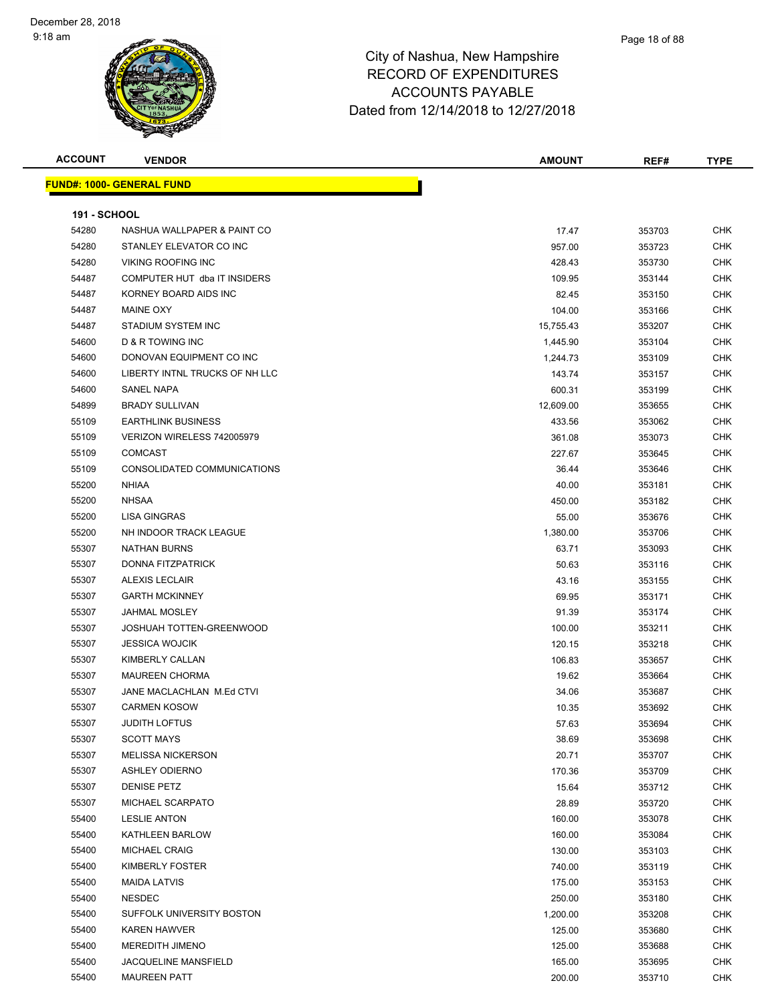| <b>ACCOUNT</b>      | <b>VENDOR</b>                    | <b>AMOUNT</b> | REF#   | <b>TYPE</b> |
|---------------------|----------------------------------|---------------|--------|-------------|
|                     | <b>FUND#: 1000- GENERAL FUND</b> |               |        |             |
|                     |                                  |               |        |             |
| <b>191 - SCHOOL</b> |                                  |               |        |             |
| 54280               | NASHUA WALLPAPER & PAINT CO      | 17.47         | 353703 | <b>CHK</b>  |
| 54280               | STANLEY ELEVATOR CO INC          | 957.00        | 353723 | <b>CHK</b>  |
| 54280               | <b>VIKING ROOFING INC</b>        | 428.43        | 353730 | <b>CHK</b>  |
| 54487               | COMPUTER HUT dba IT INSIDERS     | 109.95        | 353144 | <b>CHK</b>  |
| 54487               | KORNEY BOARD AIDS INC            | 82.45         | 353150 | <b>CHK</b>  |
| 54487               | <b>MAINE OXY</b>                 | 104.00        | 353166 | <b>CHK</b>  |
| 54487               | STADIUM SYSTEM INC               | 15,755.43     | 353207 | <b>CHK</b>  |
| 54600               | D & R TOWING INC                 | 1,445.90      | 353104 | <b>CHK</b>  |
| 54600               | DONOVAN EQUIPMENT CO INC         | 1,244.73      | 353109 | CHK         |
| 54600               | LIBERTY INTNL TRUCKS OF NH LLC   | 143.74        | 353157 | CHK         |
| 54600               | <b>SANEL NAPA</b>                | 600.31        | 353199 | <b>CHK</b>  |
| 54899               | <b>BRADY SULLIVAN</b>            | 12,609.00     | 353655 | <b>CHK</b>  |
| 55109               | <b>EARTHLINK BUSINESS</b>        | 433.56        | 353062 | <b>CHK</b>  |
| 55109               | VERIZON WIRELESS 742005979       | 361.08        | 353073 | <b>CHK</b>  |
| 55109               | <b>COMCAST</b>                   | 227.67        | 353645 | <b>CHK</b>  |
| 55109               | CONSOLIDATED COMMUNICATIONS      | 36.44         | 353646 | <b>CHK</b>  |
| 55200               | <b>NHIAA</b>                     | 40.00         | 353181 | <b>CHK</b>  |
| 55200               | <b>NHSAA</b>                     | 450.00        | 353182 | <b>CHK</b>  |
| 55200               | <b>LISA GINGRAS</b>              | 55.00         | 353676 | <b>CHK</b>  |
| 55200               | NH INDOOR TRACK LEAGUE           | 1,380.00      | 353706 | CHK         |
| 55307               | <b>NATHAN BURNS</b>              | 63.71         | 353093 | CHK         |
| 55307               | DONNA FITZPATRICK                | 50.63         | 353116 | <b>CHK</b>  |
| 55307               | <b>ALEXIS LECLAIR</b>            | 43.16         | 353155 | CHK         |
| 55307               | <b>GARTH MCKINNEY</b>            | 69.95         | 353171 | <b>CHK</b>  |
| 55307               | <b>JAHMAL MOSLEY</b>             | 91.39         | 353174 | <b>CHK</b>  |
| 55307               | JOSHUAH TOTTEN-GREENWOOD         | 100.00        | 353211 | CHK         |
| 55307               | <b>JESSICA WOJCIK</b>            | 120.15        | 353218 | <b>CHK</b>  |
| 55307               | KIMBERLY CALLAN                  | 106.83        | 353657 | <b>CHK</b>  |
| 55307               | <b>MAUREEN CHORMA</b>            | 19.62         | 353664 | <b>CHK</b>  |
| 55307               | JANE MACLACHLAN M.Ed CTVI        | 34.06         | 353687 | CHK         |
| 55307               | <b>CARMEN KOSOW</b>              | 10.35         | 353692 | CHK         |
| 55307               | JUDITH LOFTUS                    | 57.63         | 353694 | <b>CHK</b>  |
| 55307               | <b>SCOTT MAYS</b>                | 38.69         | 353698 | CHK         |
| 55307               | <b>MELISSA NICKERSON</b>         | 20.71         | 353707 | <b>CHK</b>  |
| 55307               | <b>ASHLEY ODIERNO</b>            | 170.36        | 353709 | <b>CHK</b>  |
| 55307               | <b>DENISE PETZ</b>               | 15.64         | 353712 | <b>CHK</b>  |
| 55307               | MICHAEL SCARPATO                 | 28.89         | 353720 | <b>CHK</b>  |
| 55400               | <b>LESLIE ANTON</b>              | 160.00        | 353078 | <b>CHK</b>  |
| 55400               | KATHLEEN BARLOW                  | 160.00        | 353084 | <b>CHK</b>  |
| 55400               | <b>MICHAEL CRAIG</b>             | 130.00        | 353103 | <b>CHK</b>  |
| 55400               | KIMBERLY FOSTER                  | 740.00        | 353119 | <b>CHK</b>  |
| 55400               | <b>MAIDA LATVIS</b>              | 175.00        | 353153 | <b>CHK</b>  |
| 55400               | <b>NESDEC</b>                    | 250.00        | 353180 | CHK         |
| 55400               | SUFFOLK UNIVERSITY BOSTON        | 1,200.00      | 353208 | <b>CHK</b>  |
| 55400               | <b>KAREN HAWVER</b>              | 125.00        | 353680 | <b>CHK</b>  |
| 55400               | MEREDITH JIMENO                  | 125.00        | 353688 | <b>CHK</b>  |
| 55400               | JACQUELINE MANSFIELD             | 165.00        | 353695 | <b>CHK</b>  |
| 55400               | <b>MAUREEN PATT</b>              | 200.00        | 353710 | <b>CHK</b>  |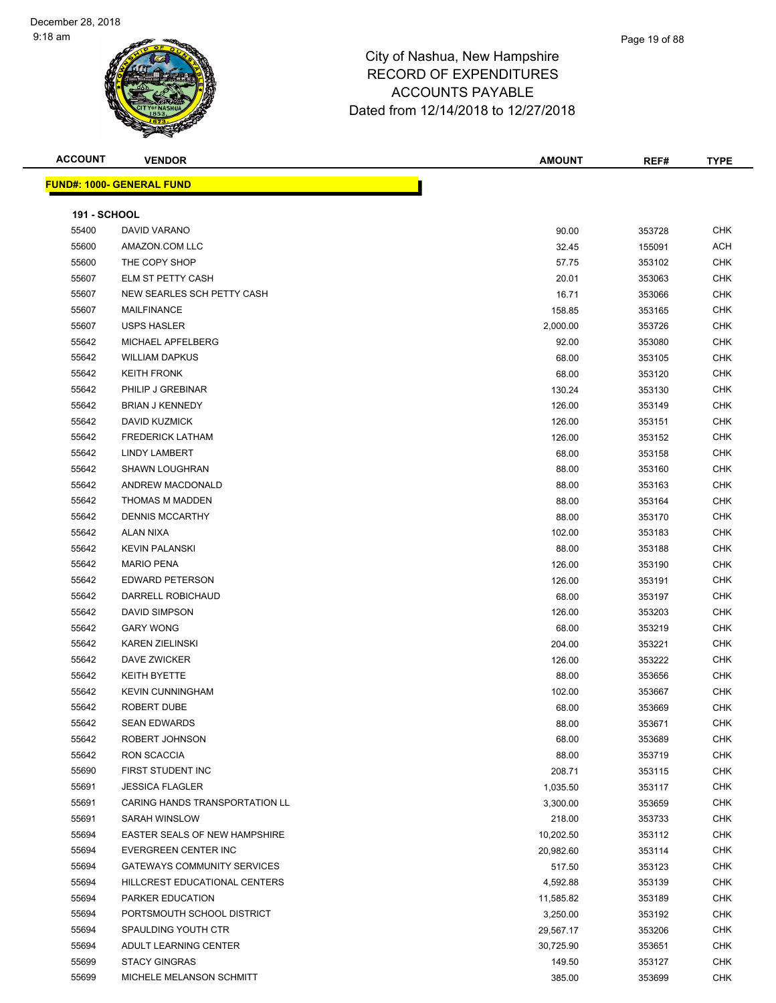| <b>ACCOUNT</b>      | <b>VENDOR</b>                      | <b>AMOUNT</b> | REF#   | <b>TYPE</b> |
|---------------------|------------------------------------|---------------|--------|-------------|
|                     | <b>FUND#: 1000- GENERAL FUND</b>   |               |        |             |
|                     |                                    |               |        |             |
| <b>191 - SCHOOL</b> |                                    |               |        |             |
| 55400               | DAVID VARANO                       | 90.00         | 353728 | <b>CHK</b>  |
| 55600               | AMAZON.COM LLC                     | 32.45         | 155091 | ACH         |
| 55600               | THE COPY SHOP                      | 57.75         | 353102 | CHK         |
| 55607               | ELM ST PETTY CASH                  | 20.01         | 353063 | <b>CHK</b>  |
| 55607               | NEW SEARLES SCH PETTY CASH         | 16.71         | 353066 | <b>CHK</b>  |
| 55607               | <b>MAILFINANCE</b>                 | 158.85        | 353165 | <b>CHK</b>  |
| 55607               | <b>USPS HASLER</b>                 | 2,000.00      | 353726 | <b>CHK</b>  |
| 55642               | MICHAEL APFELBERG                  | 92.00         | 353080 | <b>CHK</b>  |
| 55642               | <b>WILLIAM DAPKUS</b>              | 68.00         | 353105 | <b>CHK</b>  |
| 55642               | <b>KEITH FRONK</b>                 | 68.00         | 353120 | <b>CHK</b>  |
| 55642               | PHILIP J GREBINAR                  | 130.24        | 353130 | <b>CHK</b>  |
| 55642               | <b>BRIAN J KENNEDY</b>             | 126.00        | 353149 | <b>CHK</b>  |
| 55642               | DAVID KUZMICK                      | 126.00        | 353151 | <b>CHK</b>  |
| 55642               | <b>FREDERICK LATHAM</b>            | 126.00        | 353152 | CHK         |
| 55642               | LINDY LAMBERT                      | 68.00         | 353158 | CHK         |
| 55642               | <b>SHAWN LOUGHRAN</b>              | 88.00         | 353160 | <b>CHK</b>  |
| 55642               | ANDREW MACDONALD                   | 88.00         | 353163 | CHK         |
| 55642               | THOMAS M MADDEN                    | 88.00         | 353164 | <b>CHK</b>  |
| 55642               | <b>DENNIS MCCARTHY</b>             | 88.00         | 353170 | <b>CHK</b>  |
| 55642               | <b>ALAN NIXA</b>                   | 102.00        | 353183 | <b>CHK</b>  |
| 55642               | <b>KEVIN PALANSKI</b>              | 88.00         | 353188 | <b>CHK</b>  |
| 55642               | <b>MARIO PENA</b>                  | 126.00        | 353190 | <b>CHK</b>  |
| 55642               | <b>EDWARD PETERSON</b>             | 126.00        | 353191 | <b>CHK</b>  |
| 55642               | DARRELL ROBICHAUD                  | 68.00         | 353197 | <b>CHK</b>  |
| 55642               | DAVID SIMPSON                      | 126.00        | 353203 | CHK         |
| 55642               | <b>GARY WONG</b>                   | 68.00         | 353219 | <b>CHK</b>  |
| 55642               | <b>KAREN ZIELINSKI</b>             | 204.00        | 353221 | <b>CHK</b>  |
| 55642               | DAVE ZWICKER                       | 126.00        | 353222 | <b>CHK</b>  |
| 55642               | KEITH BYETTE                       | 88.00         | 353656 | <b>CHK</b>  |
| 55642               | <b>KEVIN CUNNINGHAM</b>            | 102.00        | 353667 | <b>CHK</b>  |
| 55642               | ROBERT DUBE                        | 68.00         | 353669 | <b>CHK</b>  |
| 55642               | <b>SEAN EDWARDS</b>                | 88.00         | 353671 | <b>CHK</b>  |
| 55642               | ROBERT JOHNSON                     | 68.00         | 353689 | <b>CHK</b>  |
| 55642               | RON SCACCIA                        | 88.00         | 353719 | <b>CHK</b>  |
| 55690               | FIRST STUDENT INC                  | 208.71        | 353115 | <b>CHK</b>  |
| 55691               | <b>JESSICA FLAGLER</b>             | 1,035.50      | 353117 | <b>CHK</b>  |
| 55691               | CARING HANDS TRANSPORTATION LL     | 3,300.00      | 353659 | <b>CHK</b>  |
| 55691               | SARAH WINSLOW                      | 218.00        | 353733 | <b>CHK</b>  |
| 55694               | EASTER SEALS OF NEW HAMPSHIRE      | 10,202.50     | 353112 | <b>CHK</b>  |
| 55694               | EVERGREEN CENTER INC               | 20,982.60     | 353114 | <b>CHK</b>  |
| 55694               | <b>GATEWAYS COMMUNITY SERVICES</b> | 517.50        | 353123 | <b>CHK</b>  |
| 55694               | HILLCREST EDUCATIONAL CENTERS      | 4,592.88      | 353139 | <b>CHK</b>  |
| 55694               | PARKER EDUCATION                   | 11,585.82     | 353189 | <b>CHK</b>  |
| 55694               | PORTSMOUTH SCHOOL DISTRICT         | 3,250.00      | 353192 | <b>CHK</b>  |
| 55694               | SPAULDING YOUTH CTR                | 29,567.17     | 353206 | <b>CHK</b>  |
| 55694               | ADULT LEARNING CENTER              | 30,725.90     | 353651 | <b>CHK</b>  |
| 55699               | <b>STACY GINGRAS</b>               | 149.50        | 353127 | CHK         |
| 55699               | MICHELE MELANSON SCHMITT           | 385.00        | 353699 | <b>CHK</b>  |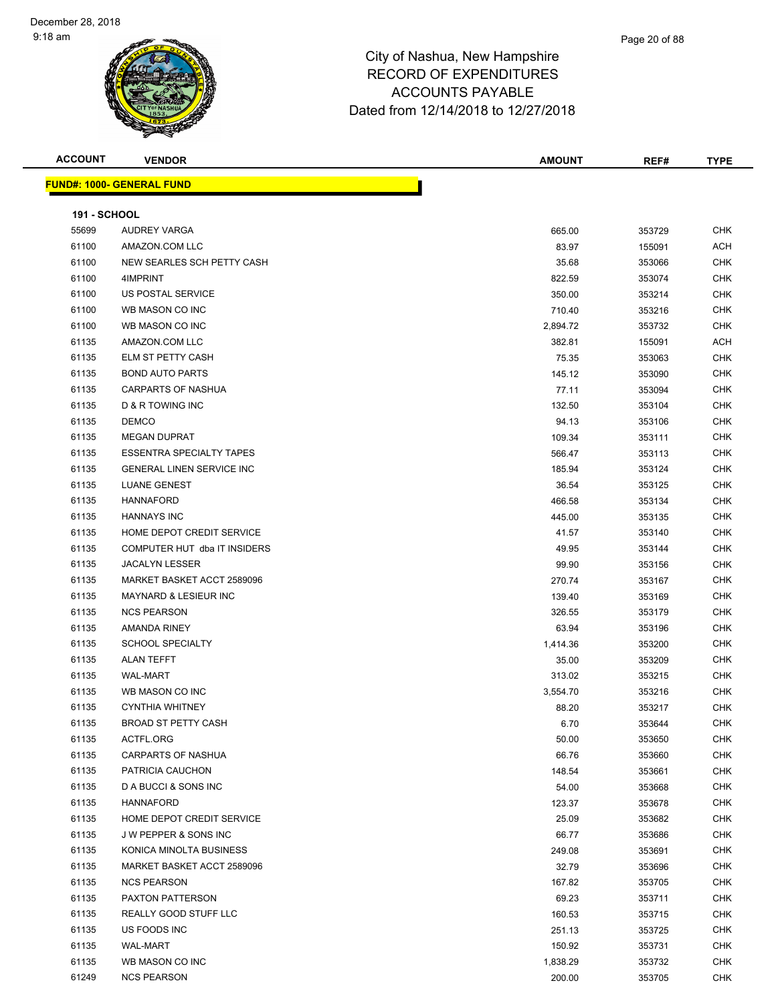| <b>ACCOUNT</b>      | <b>VENDOR</b>                    | <b>AMOUNT</b> | REF#   | <b>TYPE</b> |
|---------------------|----------------------------------|---------------|--------|-------------|
|                     | <b>FUND#: 1000- GENERAL FUND</b> |               |        |             |
|                     |                                  |               |        |             |
| <b>191 - SCHOOL</b> |                                  |               |        |             |
| 55699               | AUDREY VARGA                     | 665.00        | 353729 | <b>CHK</b>  |
| 61100               | AMAZON.COM LLC                   | 83.97         | 155091 | ACH         |
| 61100               | NEW SEARLES SCH PETTY CASH       | 35.68         | 353066 | <b>CHK</b>  |
| 61100               | 4IMPRINT                         | 822.59        | 353074 | <b>CHK</b>  |
| 61100               | US POSTAL SERVICE                | 350.00        | 353214 | <b>CHK</b>  |
| 61100               | WB MASON CO INC                  | 710.40        | 353216 | <b>CHK</b>  |
| 61100               | WB MASON CO INC                  | 2,894.72      | 353732 | <b>CHK</b>  |
| 61135               | AMAZON.COM LLC                   | 382.81        | 155091 | ACH         |
| 61135               | ELM ST PETTY CASH                | 75.35         | 353063 | CHK         |
| 61135               | <b>BOND AUTO PARTS</b>           | 145.12        | 353090 | <b>CHK</b>  |
| 61135               | CARPARTS OF NASHUA               | 77.11         | 353094 | <b>CHK</b>  |
| 61135               | D & R TOWING INC                 | 132.50        | 353104 | CHK         |
| 61135               | <b>DEMCO</b>                     | 94.13         | 353106 | <b>CHK</b>  |
| 61135               | <b>MEGAN DUPRAT</b>              | 109.34        | 353111 | <b>CHK</b>  |
| 61135               | <b>ESSENTRA SPECIALTY TAPES</b>  | 566.47        | 353113 | <b>CHK</b>  |
| 61135               | <b>GENERAL LINEN SERVICE INC</b> | 185.94        | 353124 | <b>CHK</b>  |
| 61135               | <b>LUANE GENEST</b>              | 36.54         | 353125 | <b>CHK</b>  |
| 61135               | <b>HANNAFORD</b>                 | 466.58        | 353134 | <b>CHK</b>  |
| 61135               | <b>HANNAYS INC</b>               | 445.00        | 353135 | <b>CHK</b>  |
| 61135               | HOME DEPOT CREDIT SERVICE        | 41.57         | 353140 | <b>CHK</b>  |
| 61135               | COMPUTER HUT dba IT INSIDERS     | 49.95         | 353144 | <b>CHK</b>  |
| 61135               | <b>JACALYN LESSER</b>            | 99.90         | 353156 | <b>CHK</b>  |
| 61135               | MARKET BASKET ACCT 2589096       | 270.74        | 353167 | <b>CHK</b>  |
| 61135               | <b>MAYNARD &amp; LESIEUR INC</b> | 139.40        | 353169 | <b>CHK</b>  |
| 61135               | <b>NCS PEARSON</b>               | 326.55        | 353179 | <b>CHK</b>  |
| 61135               | AMANDA RINEY                     | 63.94         | 353196 | <b>CHK</b>  |
| 61135               | <b>SCHOOL SPECIALTY</b>          | 1,414.36      | 353200 | <b>CHK</b>  |
| 61135               | ALAN TEFFT                       | 35.00         | 353209 | <b>CHK</b>  |
| 61135               | <b>WAL-MART</b>                  | 313.02        | 353215 | <b>CHK</b>  |
| 61135               | WB MASON CO INC                  | 3,554.70      | 353216 | CHK         |
| 61135               | <b>CYNTHIA WHITNEY</b>           | 88.20         | 353217 | <b>CHK</b>  |
| 61135               | <b>BROAD ST PETTY CASH</b>       | 6.70          | 353644 | <b>CHK</b>  |
| 61135               | ACTFL.ORG                        | 50.00         | 353650 | CHK         |
| 61135               | <b>CARPARTS OF NASHUA</b>        | 66.76         |        | CHK         |
| 61135               | PATRICIA CAUCHON                 |               | 353660 |             |
|                     | D A BUCCI & SONS INC             | 148.54        | 353661 | CHK         |
| 61135               |                                  | 54.00         | 353668 | <b>CHK</b>  |
| 61135               | <b>HANNAFORD</b>                 | 123.37        | 353678 | <b>CHK</b>  |
| 61135               | HOME DEPOT CREDIT SERVICE        | 25.09         | 353682 | <b>CHK</b>  |
| 61135               | J W PEPPER & SONS INC            | 66.77         | 353686 | CHK         |
| 61135               | KONICA MINOLTA BUSINESS          | 249.08        | 353691 | <b>CHK</b>  |
| 61135               | MARKET BASKET ACCT 2589096       | 32.79         | 353696 | CHK         |
| 61135               | <b>NCS PEARSON</b>               | 167.82        | 353705 | <b>CHK</b>  |
| 61135               | <b>PAXTON PATTERSON</b>          | 69.23         | 353711 | <b>CHK</b>  |
| 61135               | REALLY GOOD STUFF LLC            | 160.53        | 353715 | CHK         |
| 61135               | US FOODS INC                     | 251.13        | 353725 | CHK         |
| 61135               | WAL-MART                         | 150.92        | 353731 | CHK         |
| 61135               | WB MASON CO INC                  | 1,838.29      | 353732 | CHK         |
| 61249               | <b>NCS PEARSON</b>               | 200.00        | 353705 | <b>CHK</b>  |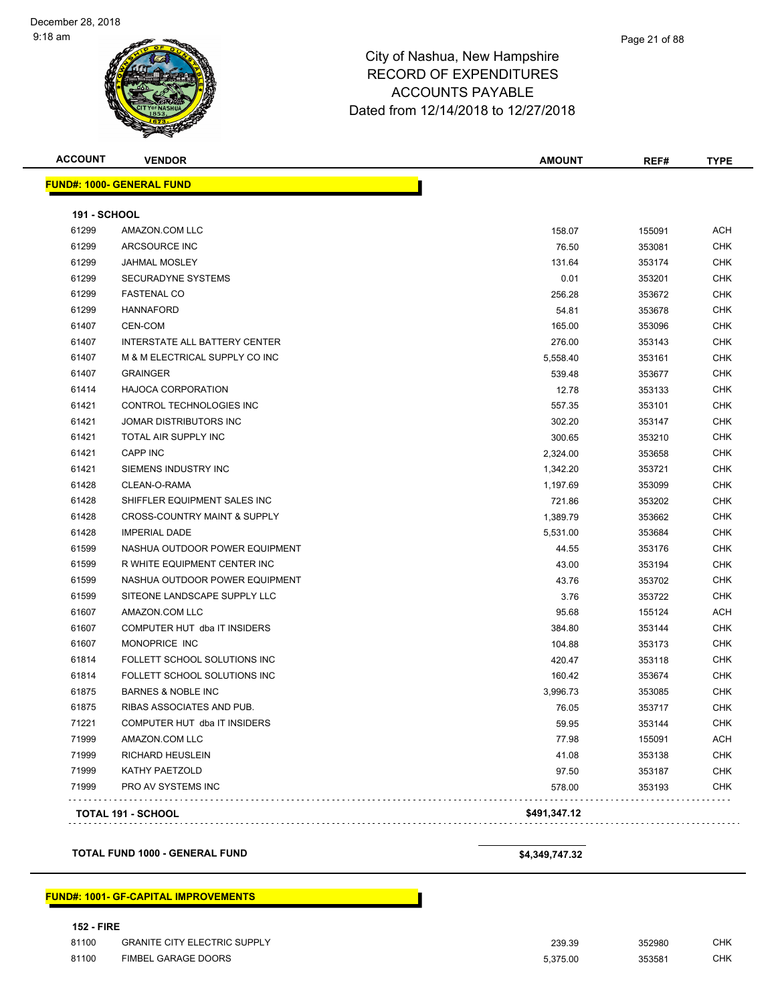**FUND#: 1000- GENERAL FUND**

| <b>ACCOUNT</b>                | <b>VENDOR</b> | <b>AMOUNT</b> | REF# | TYPE |
|-------------------------------|---------------|---------------|------|------|
| <u> JND#: 1000- GENERAL F</u> | <b>FUND</b>   |               |      |      |

|       | <b>TOTAL 191 - SCHOOL</b>               | \$491,347.12 |        |            |
|-------|-----------------------------------------|--------------|--------|------------|
| 71999 | PRO AV SYSTEMS INC                      | 578.00       | 353193 | CHK        |
| 71999 | KATHY PAETZOLD                          | 97.50        | 353187 | <b>CHK</b> |
| 71999 | <b>RICHARD HEUSLEIN</b>                 | 41.08        | 353138 | <b>CHK</b> |
| 71999 | AMAZON.COM LLC                          | 77.98        | 155091 | <b>ACH</b> |
| 71221 | COMPUTER HUT dba IT INSIDERS            | 59.95        | 353144 | <b>CHK</b> |
| 61875 | RIBAS ASSOCIATES AND PUB.               | 76.05        | 353717 | <b>CHK</b> |
| 61875 | <b>BARNES &amp; NOBLE INC</b>           | 3,996.73     | 353085 | <b>CHK</b> |
| 61814 | FOLLETT SCHOOL SOLUTIONS INC            | 160.42       | 353674 | <b>CHK</b> |
| 61814 | FOLLETT SCHOOL SOLUTIONS INC            | 420.47       | 353118 | <b>CHK</b> |
| 61607 | MONOPRICE INC                           | 104.88       | 353173 | <b>CHK</b> |
| 61607 | COMPUTER HUT dba IT INSIDERS            | 384.80       | 353144 | <b>CHK</b> |
| 61607 | AMAZON.COM LLC                          | 95.68        | 155124 | <b>ACH</b> |
| 61599 | SITEONE LANDSCAPE SUPPLY LLC            | 3.76         | 353722 | <b>CHK</b> |
| 61599 | NASHUA OUTDOOR POWER EQUIPMENT          | 43.76        | 353702 | <b>CHK</b> |
| 61599 | R WHITE EQUIPMENT CENTER INC            | 43.00        | 353194 | <b>CHK</b> |
| 61599 | NASHUA OUTDOOR POWER EQUIPMENT          | 44.55        | 353176 | <b>CHK</b> |
| 61428 | <b>IMPERIAL DADE</b>                    | 5,531.00     | 353684 | <b>CHK</b> |
| 61428 | <b>CROSS-COUNTRY MAINT &amp; SUPPLY</b> | 1,389.79     | 353662 | <b>CHK</b> |
| 61428 | SHIFFLER EQUIPMENT SALES INC            | 721.86       | 353202 | <b>CHK</b> |
| 61428 | CLEAN-O-RAMA                            | 1,197.69     | 353099 | <b>CHK</b> |
| 61421 | SIEMENS INDUSTRY INC                    | 1,342.20     | 353721 | <b>CHK</b> |
| 61421 | <b>CAPP INC</b>                         | 2,324.00     | 353658 | <b>CHK</b> |
| 61421 | TOTAL AIR SUPPLY INC                    | 300.65       | 353210 | <b>CHK</b> |
| 61421 | JOMAR DISTRIBUTORS INC                  | 302.20       | 353147 | <b>CHK</b> |
| 61421 | CONTROL TECHNOLOGIES INC                | 557.35       | 353101 | <b>CHK</b> |
| 61414 | <b>HAJOCA CORPORATION</b>               | 12.78        | 353133 | <b>CHK</b> |
| 61407 | <b>GRAINGER</b>                         | 539.48       | 353677 | <b>CHK</b> |
| 61407 | M & M ELECTRICAL SUPPLY CO INC          | 5,558.40     | 353161 | <b>CHK</b> |
| 61407 | INTERSTATE ALL BATTERY CENTER           | 276.00       | 353143 | <b>CHK</b> |
| 61407 | CEN-COM                                 | 165.00       | 353096 | <b>CHK</b> |
| 61299 | <b>HANNAFORD</b>                        | 54.81        | 353678 | <b>CHK</b> |
| 61299 | <b>FASTENAL CO</b>                      | 256.28       | 353672 | <b>CHK</b> |
| 61299 | <b>SECURADYNE SYSTEMS</b>               | 0.01         | 353201 | <b>CHK</b> |
| 61299 | <b>JAHMAL MOSLEY</b>                    | 131.64       | 353174 | <b>CHK</b> |
| 61299 | ARCSOURCE INC                           | 76.50        | 353081 | <b>CHK</b> |
| 61299 | AMAZON.COM LLC                          | 158.07       | 155091 | <b>ACH</b> |

**TOTAL FUND 1000 - GENERAL FUND \$4,349,747.32** 

#### **FUND#: 1001- GF-CAPITAL IMPROVEMENTS**

#### **152 - FIRE**

| 81100 | <b>GRANITE CITY ELECTRIC SUPPLY</b> | 239.39   | 352980 | СНК |
|-------|-------------------------------------|----------|--------|-----|
| 81100 | FIMBEL GARAGE DOORS                 | 5.375.00 | 353581 | CHK |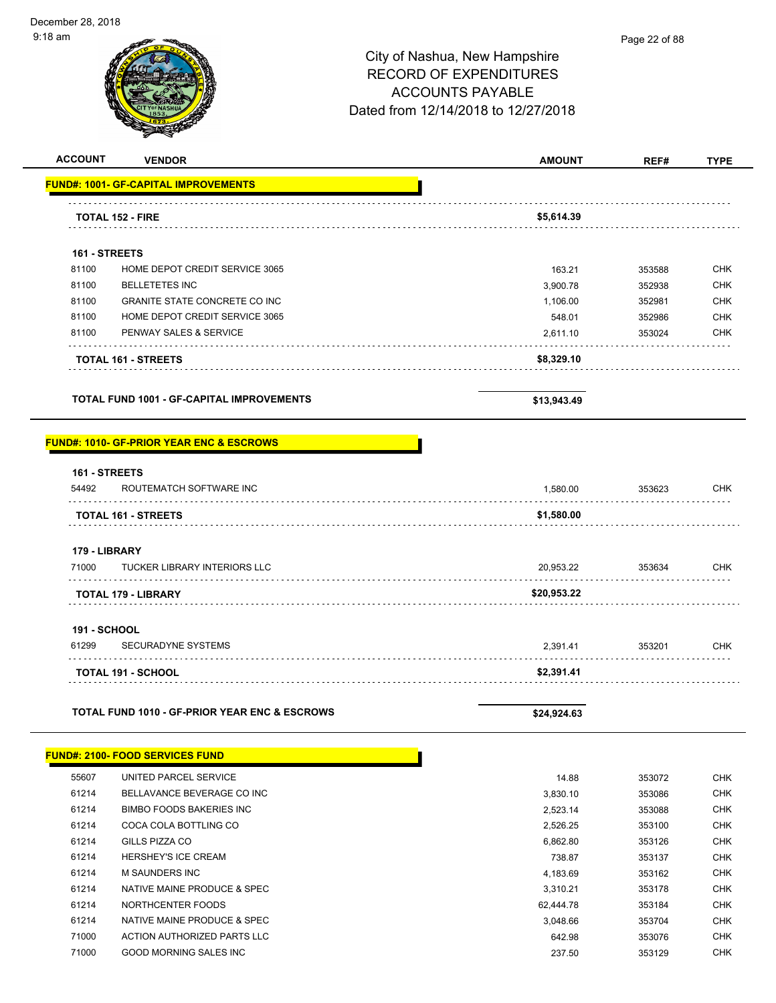#### Page 22 of 88

# City of Nashua, New Hampshire RECORD OF EXPENDITURES ACCOUNTS PAYABLE Dated from 12/14/2018 to 12/27/2018

| <b>ACCOUNT</b><br><b>VENDOR</b>                          | <b>AMOUNT</b>      | REF#   | <b>TYPE</b>              |
|----------------------------------------------------------|--------------------|--------|--------------------------|
| <b>FUND#: 1001- GF-CAPITAL IMPROVEMENTS</b>              |                    |        |                          |
| <b>TOTAL 152 - FIRE</b>                                  | \$5,614.39         |        |                          |
|                                                          |                    |        |                          |
| 161 - STREETS<br>81100<br>HOME DEPOT CREDIT SERVICE 3065 |                    |        | <b>CHK</b>               |
| 81100<br><b>BELLETETES INC</b>                           | 163.21<br>3,900.78 | 353588 | <b>CHK</b>               |
| 81100<br>GRANITE STATE CONCRETE CO INC                   |                    | 352938 |                          |
| 81100<br>HOME DEPOT CREDIT SERVICE 3065                  | 1,106.00           | 352981 | <b>CHK</b><br><b>CHK</b> |
| 81100                                                    | 548.01             | 352986 | <b>CHK</b>               |
| PENWAY SALES & SERVICE                                   | 2,611.10           | 353024 |                          |
| <b>TOTAL 161 - STREETS</b>                               | \$8,329.10         |        |                          |
|                                                          |                    |        |                          |
|                                                          |                    |        |                          |
| <b>TOTAL FUND 1001 - GF-CAPITAL IMPROVEMENTS</b>         | \$13,943.49        |        |                          |
| 161 - STREETS                                            |                    |        |                          |
| 54492<br>ROUTEMATCH SOFTWARE INC                         |                    |        |                          |
|                                                          | 1,580.00           | 353623 |                          |
| <b>TOTAL 161 - STREETS</b>                               | \$1,580.00         |        |                          |
| 179 - LIBRARY                                            |                    |        |                          |
| <b>TUCKER LIBRARY INTERIORS LLC</b>                      | 20,953.22          | 353634 |                          |
| <b>TOTAL 179 - LIBRARY</b>                               | \$20,953.22        |        |                          |
| 71000                                                    |                    |        |                          |
| <b>191 - SCHOOL</b>                                      |                    |        | <b>CHK</b><br><b>CHK</b> |
| SECURADYNE SYSTEMS                                       | 2,391.41           | 353201 |                          |
| 61299<br><b>TOTAL 191 - SCHOOL</b>                       | \$2,391.41         |        | <b>CHK</b>               |
|                                                          |                    |        |                          |
| <b>TOTAL FUND 1010 - GF-PRIOR YEAR ENC &amp; ESCROWS</b> | \$24,924.63        |        |                          |

| <u> FUND#: 2100- FOOD SERVICES FUNDI</u> |
|------------------------------------------|
|------------------------------------------|

| 55607 | UNITED PARCEL SERVICE           | 14.88     | 353072 | <b>CHK</b> |
|-------|---------------------------------|-----------|--------|------------|
| 61214 | BELLAVANCE BEVERAGE CO INC      | 3.830.10  | 353086 | <b>CHK</b> |
| 61214 | <b>BIMBO FOODS BAKERIES INC</b> | 2,523.14  | 353088 | <b>CHK</b> |
| 61214 | COCA COLA BOTTLING CO           | 2.526.25  | 353100 | <b>CHK</b> |
| 61214 | GILLS PIZZA CO                  | 6.862.80  | 353126 | <b>CHK</b> |
| 61214 | <b>HERSHEY'S ICE CREAM</b>      | 738.87    | 353137 | <b>CHK</b> |
| 61214 | <b>M SAUNDERS INC</b>           | 4,183.69  | 353162 | <b>CHK</b> |
| 61214 | NATIVE MAINE PRODUCE & SPEC     | 3.310.21  | 353178 | <b>CHK</b> |
| 61214 | NORTHCENTER FOODS               | 62.444.78 | 353184 | <b>CHK</b> |
| 61214 | NATIVE MAINE PRODUCE & SPEC     | 3.048.66  | 353704 | <b>CHK</b> |
| 71000 | ACTION AUTHORIZED PARTS LLC     | 642.98    | 353076 | <b>CHK</b> |
| 71000 | GOOD MORNING SALES INC          | 237.50    | 353129 | <b>CHK</b> |

Г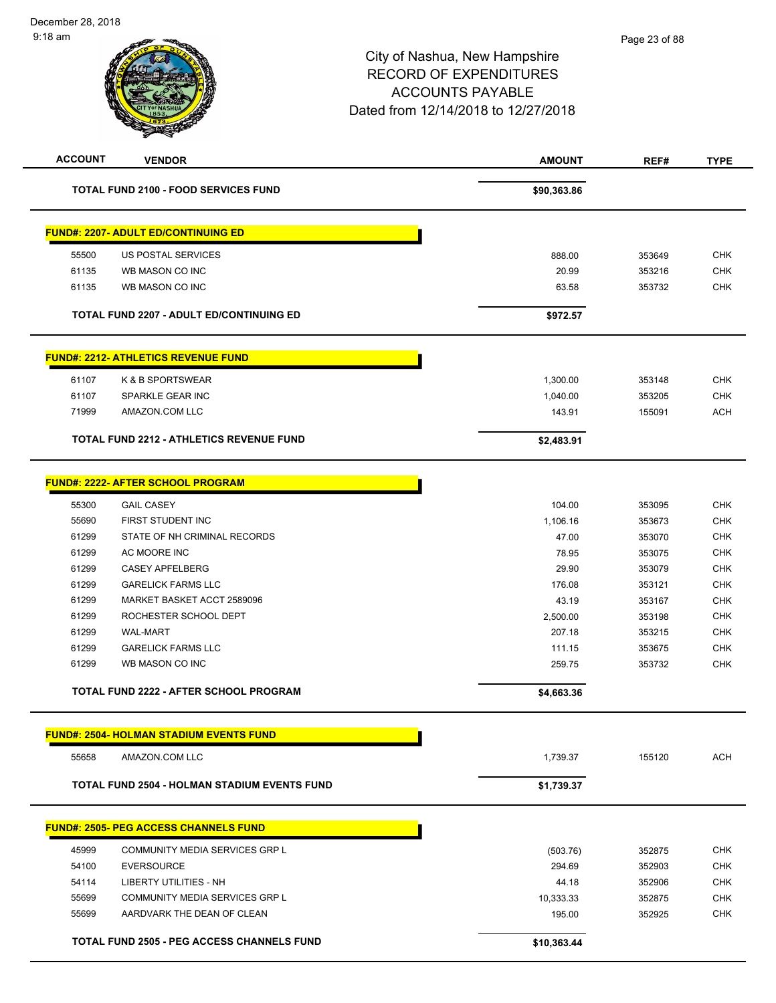| <b>TOTAL FUND 2100 - FOOD SERVICES FUND</b>         | \$90,363.86 |        |            |
|-----------------------------------------------------|-------------|--------|------------|
|                                                     |             |        |            |
| <b>FUND#: 2207- ADULT ED/CONTINUING ED</b>          |             |        |            |
| 55500<br>US POSTAL SERVICES                         | 888.00      | 353649 | <b>CHK</b> |
| 61135<br>WB MASON CO INC                            | 20.99       | 353216 | <b>CHK</b> |
| 61135<br>WB MASON CO INC                            | 63.58       | 353732 | <b>CHK</b> |
| TOTAL FUND 2207 - ADULT ED/CONTINUING ED            | \$972.57    |        |            |
| <b>FUND#: 2212- ATHLETICS REVENUE FUND</b>          |             |        |            |
| K & B SPORTSWEAR<br>61107                           | 1,300.00    | 353148 | <b>CHK</b> |
| 61107<br>SPARKLE GEAR INC                           | 1,040.00    | 353205 | <b>CHK</b> |
| 71999<br>AMAZON.COM LLC                             | 143.91      | 155091 | <b>ACH</b> |
| TOTAL FUND 2212 - ATHLETICS REVENUE FUND            | \$2,483.91  |        |            |
| <b>FUND#: 2222- AFTER SCHOOL PROGRAM</b>            |             |        |            |
| 55300<br><b>GAIL CASEY</b>                          | 104.00      | 353095 | <b>CHK</b> |
| 55690<br>FIRST STUDENT INC                          | 1,106.16    | 353673 | <b>CHK</b> |
| 61299<br>STATE OF NH CRIMINAL RECORDS               | 47.00       | 353070 | <b>CHK</b> |
| 61299<br>AC MOORE INC                               | 78.95       | 353075 | CHK        |
| 61299<br><b>CASEY APFELBERG</b>                     | 29.90       | 353079 | <b>CHK</b> |
| 61299<br><b>GARELICK FARMS LLC</b>                  | 176.08      | 353121 | <b>CHK</b> |
| 61299<br>MARKET BASKET ACCT 2589096                 | 43.19       | 353167 | <b>CHK</b> |
| 61299<br>ROCHESTER SCHOOL DEPT                      | 2,500.00    | 353198 | <b>CHK</b> |
| 61299<br><b>WAL-MART</b>                            | 207.18      | 353215 | <b>CHK</b> |
| 61299<br><b>GARELICK FARMS LLC</b>                  | 111.15      | 353675 | <b>CHK</b> |
| 61299<br>WB MASON CO INC                            | 259.75      | 353732 | <b>CHK</b> |
| <b>TOTAL FUND 2222 - AFTER SCHOOL PROGRAM</b>       | \$4,663.36  |        |            |
| <b>FUND#: 2504- HOLMAN STADIUM EVENTS FUND</b>      |             |        |            |
| 55658<br>AMAZON.COM LLC                             | 1,739.37    | 155120 | <b>ACH</b> |
| <b>TOTAL FUND 2504 - HOLMAN STADIUM EVENTS FUND</b> | \$1,739.37  |        |            |
| <b>FUND#: 2505- PEG ACCESS CHANNELS FUND</b>        |             |        |            |
| 45999<br>COMMUNITY MEDIA SERVICES GRP L             | (503.76)    | 352875 | <b>CHK</b> |
| 54100<br><b>EVERSOURCE</b>                          | 294.69      | 352903 | <b>CHK</b> |
| 54114<br>LIBERTY UTILITIES - NH                     | 44.18       | 352906 | <b>CHK</b> |
| 55699<br>COMMUNITY MEDIA SERVICES GRP L             | 10,333.33   | 352875 | <b>CHK</b> |
| 55699<br>AARDVARK THE DEAN OF CLEAN                 | 195.00      | 352925 | <b>CHK</b> |
| <b>TOTAL FUND 2505 - PEG ACCESS CHANNELS FUND</b>   | \$10,363.44 |        |            |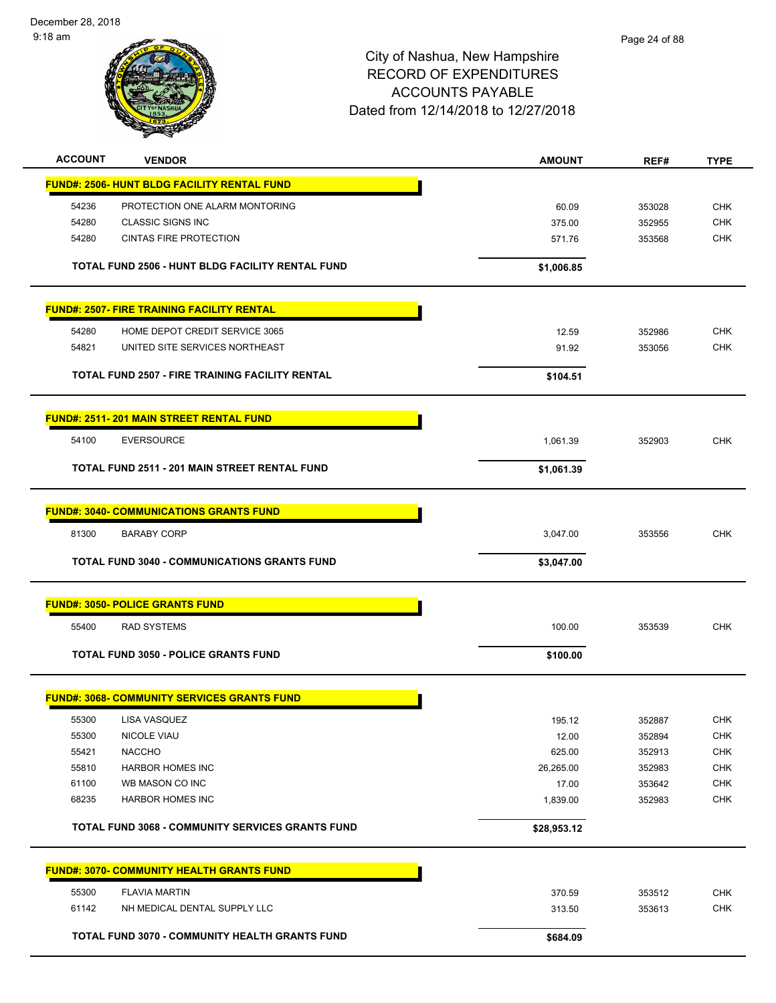December 28, 2018 9:18 am



| <b>ACCOUNT</b> | <b>VENDOR</b>                                           | <b>AMOUNT</b> | REF#   | <b>TYPE</b> |
|----------------|---------------------------------------------------------|---------------|--------|-------------|
|                | FUND#: 2506- HUNT BLDG FACILITY RENTAL FUND             |               |        |             |
| 54236          | PROTECTION ONE ALARM MONTORING                          | 60.09         | 353028 | <b>CHK</b>  |
| 54280          | <b>CLASSIC SIGNS INC</b>                                | 375.00        | 352955 | <b>CHK</b>  |
| 54280          | <b>CINTAS FIRE PROTECTION</b>                           | 571.76        | 353568 | <b>CHK</b>  |
|                | TOTAL FUND 2506 - HUNT BLDG FACILITY RENTAL FUND        | \$1,006.85    |        |             |
|                | <b>FUND#: 2507- FIRE TRAINING FACILITY RENTAL</b>       |               |        |             |
| 54280          | HOME DEPOT CREDIT SERVICE 3065                          | 12.59         | 352986 | <b>CHK</b>  |
| 54821          | UNITED SITE SERVICES NORTHEAST                          | 91.92         | 353056 | <b>CHK</b>  |
|                | TOTAL FUND 2507 - FIRE TRAINING FACILITY RENTAL         | \$104.51      |        |             |
|                | <b>FUND#: 2511-201 MAIN STREET RENTAL FUND</b>          |               |        |             |
| 54100          | <b>EVERSOURCE</b>                                       | 1,061.39      | 352903 | <b>CHK</b>  |
|                | TOTAL FUND 2511 - 201 MAIN STREET RENTAL FUND           | \$1,061.39    |        |             |
|                | <b>FUND#: 3040- COMMUNICATIONS GRANTS FUND</b>          |               |        |             |
|                |                                                         |               |        |             |
| 81300          | <b>BARABY CORP</b>                                      | 3,047.00      | 353556 | <b>CHK</b>  |
|                | <b>TOTAL FUND 3040 - COMMUNICATIONS GRANTS FUND</b>     | \$3,047.00    |        |             |
|                | <b>FUND#: 3050- POLICE GRANTS FUND</b>                  |               |        |             |
| 55400          | <b>RAD SYSTEMS</b>                                      | 100.00        | 353539 | <b>CHK</b>  |
|                | <b>TOTAL FUND 3050 - POLICE GRANTS FUND</b>             | \$100.00      |        |             |
|                | <b>FUND#: 3068- COMMUNITY SERVICES GRANTS FUND</b>      |               |        |             |
|                | 55300 LISA VASQUEZ                                      | 195.12        | 352887 | <b>CHK</b>  |
| 55300          | NICOLE VIAU                                             | 12.00         | 352894 | <b>CHK</b>  |
| 55421          | <b>NACCHO</b>                                           | 625.00        | 352913 | <b>CHK</b>  |
| 55810          | <b>HARBOR HOMES INC</b>                                 | 26,265.00     | 352983 | <b>CHK</b>  |
| 61100          | WB MASON CO INC                                         | 17.00         | 353642 | <b>CHK</b>  |
| 68235          | <b>HARBOR HOMES INC</b>                                 | 1,839.00      | 352983 | CHK         |
|                | <b>TOTAL FUND 3068 - COMMUNITY SERVICES GRANTS FUND</b> | \$28,953.12   |        |             |
|                | <b>FUND#: 3070- COMMUNITY HEALTH GRANTS FUND</b>        |               |        |             |
| 55300          | <b>FLAVIA MARTIN</b>                                    | 370.59        | 353512 | <b>CHK</b>  |
| 61142          | NH MEDICAL DENTAL SUPPLY LLC                            | 313.50        | 353613 | <b>CHK</b>  |
|                | TOTAL FUND 3070 - COMMUNITY HEALTH GRANTS FUND          | \$684.09      |        |             |
|                |                                                         |               |        |             |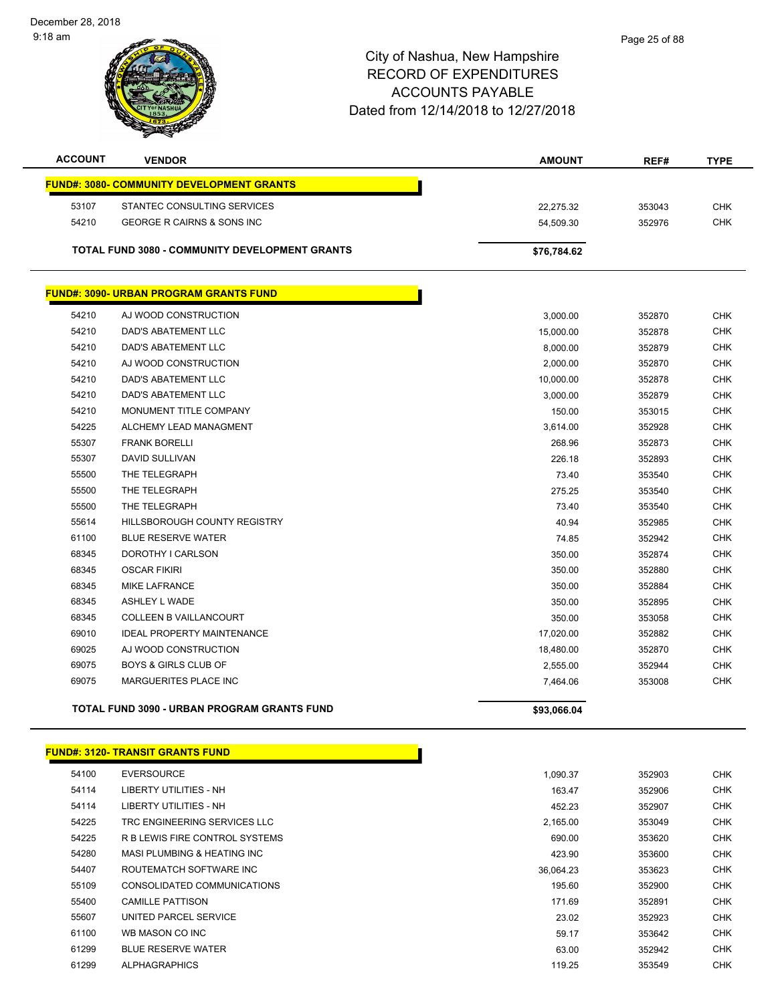December 28, 2018 9:18 am



| <b>ACCOUNT</b> | <b>VENDOR</b>                                    | AMOUNT      | REF#   | <b>TYPE</b> |
|----------------|--------------------------------------------------|-------------|--------|-------------|
|                | <b>FUND#: 3080- COMMUNITY DEVELOPMENT GRANTS</b> |             |        |             |
| 53107          | STANTEC CONSULTING SERVICES                      | 22,275.32   | 353043 | <b>CHK</b>  |
| 54210          | GEORGE R CAIRNS & SONS INC                       | 54,509.30   | 352976 | <b>CHK</b>  |
|                |                                                  |             |        |             |
|                | TOTAL FUND 3080 - COMMUNITY DEVELOPMENT GRANTS   | \$76,784.62 |        |             |
|                | <b>FUND#: 3090- URBAN PROGRAM GRANTS FUND</b>    |             |        |             |
| 54210          | AJ WOOD CONSTRUCTION                             | 3,000.00    | 352870 | <b>CHK</b>  |
| 54210          | <b>DAD'S ABATEMENT LLC</b>                       | 15,000.00   | 352878 | <b>CHK</b>  |
| 54210          | DAD'S ABATEMENT LLC                              | 8,000.00    | 352879 | <b>CHK</b>  |
| 54210          | AJ WOOD CONSTRUCTION                             | 2,000.00    | 352870 | <b>CHK</b>  |
| 54210          | DAD'S ABATEMENT LLC                              | 10,000.00   | 352878 | <b>CHK</b>  |
| 54210          | <b>DAD'S ABATEMENT LLC</b>                       | 3,000.00    | 352879 | <b>CHK</b>  |
| 54210          | MONUMENT TITLE COMPANY                           | 150.00      | 353015 | <b>CHK</b>  |
| 54225          | ALCHEMY LEAD MANAGMENT                           | 3,614.00    | 352928 | <b>CHK</b>  |
| 55307          | <b>FRANK BORELLI</b>                             | 268.96      | 352873 | <b>CHK</b>  |
| 55307          | <b>DAVID SULLIVAN</b>                            | 226.18      | 352893 | <b>CHK</b>  |
| 55500          | THE TELEGRAPH                                    | 73.40       | 353540 | <b>CHK</b>  |
| 55500          | THE TELEGRAPH                                    | 275.25      | 353540 | <b>CHK</b>  |
| 55500          | THE TELEGRAPH                                    | 73.40       | 353540 | <b>CHK</b>  |
| 55614          | <b>HILLSBOROUGH COUNTY REGISTRY</b>              | 40.94       | 352985 | <b>CHK</b>  |
| 61100          | <b>BLUE RESERVE WATER</b>                        | 74.85       | 352942 | <b>CHK</b>  |
| 68345          | DOROTHY I CARLSON                                | 350.00      | 352874 | <b>CHK</b>  |
| 68345          | <b>OSCAR FIKIRI</b>                              | 350.00      | 352880 | <b>CHK</b>  |
| 68345          | <b>MIKE LAFRANCE</b>                             | 350.00      | 352884 | <b>CHK</b>  |
| 68345          | ASHLEY L WADE                                    | 350.00      | 352895 | <b>CHK</b>  |
| 68345          | <b>COLLEEN B VAILLANCOURT</b>                    | 350.00      | 353058 | <b>CHK</b>  |
| 69010          | <b>IDEAL PROPERTY MAINTENANCE</b>                | 17,020.00   | 352882 | <b>CHK</b>  |
| 69025          | AJ WOOD CONSTRUCTION                             | 18,480.00   | 352870 | <b>CHK</b>  |
| 69075          | <b>BOYS &amp; GIRLS CLUB OF</b>                  | 2,555.00    | 352944 | <b>CHK</b>  |
| 69075          | MARGUERITES PLACE INC                            | 7,464.06    | 353008 | <b>CHK</b>  |
|                | TOTAL FUND 3090 - URBAN PROGRAM GRANTS FUND      | \$93,066.04 |        |             |

|       | <b>FUND#: 3120- TRANSIT GRANTS FUND</b> |           |        |            |
|-------|-----------------------------------------|-----------|--------|------------|
| 54100 | <b>EVERSOURCE</b>                       | 1,090.37  | 352903 | <b>CHK</b> |
| 54114 | LIBERTY UTILITIES - NH                  | 163.47    | 352906 | <b>CHK</b> |
| 54114 | LIBERTY UTILITIES - NH                  | 452.23    | 352907 | <b>CHK</b> |
| 54225 | TRC ENGINEERING SERVICES LLC            | 2,165.00  | 353049 | <b>CHK</b> |
| 54225 | R B LEWIS FIRE CONTROL SYSTEMS          | 690.00    | 353620 | CHK        |
| 54280 | MASI PLUMBING & HEATING INC             | 423.90    | 353600 | CHK        |
| 54407 | ROUTEMATCH SOFTWARE INC                 | 36.064.23 | 353623 | CHK        |
| 55109 | CONSOLIDATED COMMUNICATIONS             | 195.60    | 352900 | CHK        |
| 55400 | <b>CAMILLE PATTISON</b>                 | 171.69    | 352891 | CHK        |
| 55607 | UNITED PARCEL SERVICE                   | 23.02     | 352923 | CHK        |
| 61100 | WB MASON CO INC                         | 59.17     | 353642 | CHK        |
| 61299 | <b>BLUE RESERVE WATER</b>               | 63.00     | 352942 | CHK        |
|       |                                         |           |        |            |

| 54100 | <b>EVERSOURCE</b>              | 1.090.37  |
|-------|--------------------------------|-----------|
| 54114 | LIBERTY UTILITIES - NH         | 163.47    |
| 54114 | LIBERTY UTILITIES - NH         | 452.23    |
| 54225 | TRC ENGINEERING SERVICES LLC   | 2,165.00  |
| 54225 | R B LEWIS FIRE CONTROL SYSTEMS | 690.00    |
| 54280 | MASI PLUMBING & HEATING INC    | 423.90    |
| 54407 | ROUTEMATCH SOFTWARE INC        | 36.064.23 |
| 55109 | CONSOLIDATED COMMUNICATIONS    | 195.60    |
| 55400 | <b>CAMILLE PATTISON</b>        | 171.69    |
| 55607 | UNITED PARCEL SERVICE          | 23.02     |
| 61100 | WB MASON CO INC                | 59.17     |
| 61299 | <b>BLUE RESERVE WATER</b>      | 63.00     |
| 61299 | <b>ALPHAGRAPHICS</b>           | 119.25    |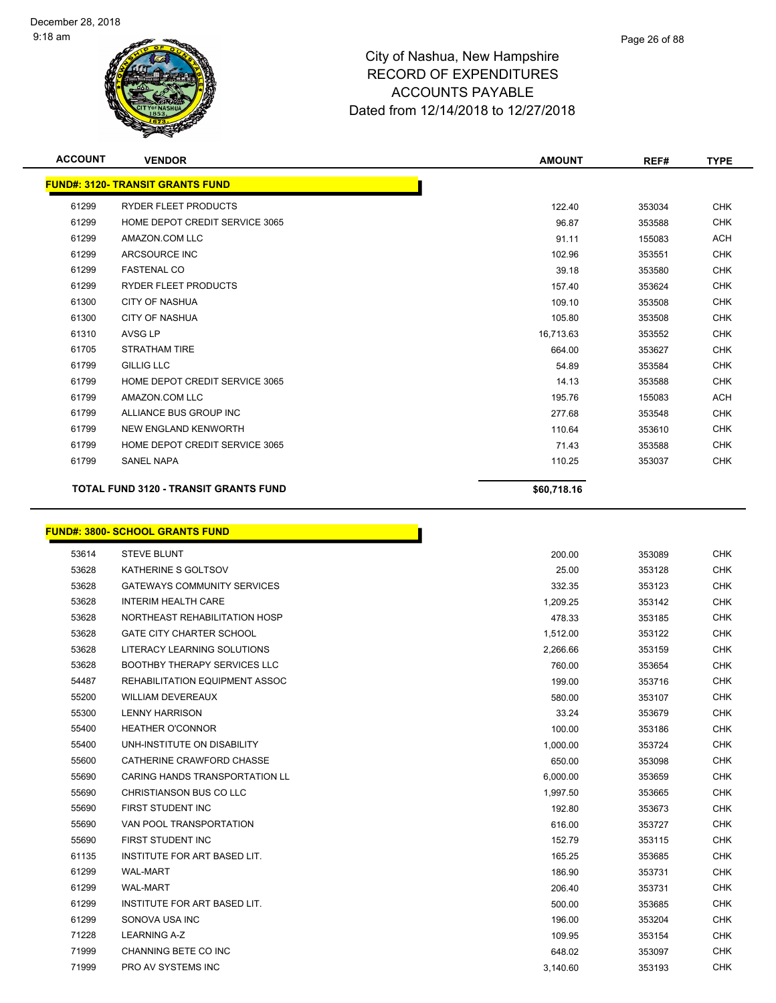

| <b>ACCOUNT</b> | <b>VENDOR</b>                                | <b>AMOUNT</b> | REF#   | <b>TYPE</b> |
|----------------|----------------------------------------------|---------------|--------|-------------|
|                | <b>FUND#: 3120- TRANSIT GRANTS FUND</b>      |               |        |             |
| 61299          | <b>RYDER FLEET PRODUCTS</b>                  | 122.40        | 353034 | <b>CHK</b>  |
| 61299          | HOME DEPOT CREDIT SERVICE 3065               | 96.87         | 353588 | <b>CHK</b>  |
| 61299          | AMAZON.COM LLC                               | 91.11         | 155083 | <b>ACH</b>  |
| 61299          | ARCSOURCE INC                                | 102.96        | 353551 | <b>CHK</b>  |
| 61299          | <b>FASTENAL CO</b>                           | 39.18         | 353580 | <b>CHK</b>  |
| 61299          | <b>RYDER FLEET PRODUCTS</b>                  | 157.40        | 353624 | <b>CHK</b>  |
| 61300          | <b>CITY OF NASHUA</b>                        | 109.10        | 353508 | <b>CHK</b>  |
| 61300          | <b>CITY OF NASHUA</b>                        | 105.80        | 353508 | <b>CHK</b>  |
| 61310          | <b>AVSG LP</b>                               | 16,713.63     | 353552 | <b>CHK</b>  |
| 61705          | <b>STRATHAM TIRE</b>                         | 664.00        | 353627 | <b>CHK</b>  |
| 61799          | <b>GILLIG LLC</b>                            | 54.89         | 353584 | <b>CHK</b>  |
| 61799          | HOME DEPOT CREDIT SERVICE 3065               | 14.13         | 353588 | <b>CHK</b>  |
| 61799          | AMAZON.COM LLC                               | 195.76        | 155083 | <b>ACH</b>  |
| 61799          | ALLIANCE BUS GROUP INC                       | 277.68        | 353548 | <b>CHK</b>  |
| 61799          | NEW ENGLAND KENWORTH                         | 110.64        | 353610 | <b>CHK</b>  |
| 61799          | HOME DEPOT CREDIT SERVICE 3065               | 71.43         | 353588 | <b>CHK</b>  |
| 61799          | <b>SANEL NAPA</b>                            | 110.25        | 353037 | <b>CHK</b>  |
|                | <b>TOTAL FUND 3120 - TRANSIT GRANTS FUND</b> | \$60,718.16   |        |             |

#### **FUND#: 3800- SCHOOL GRANTS FUND**

| 53614 | <b>STEVE BLUNT</b>                    | 200.00   | 353089 | <b>CHK</b> |
|-------|---------------------------------------|----------|--------|------------|
| 53628 | KATHERINE S GOLTSOV                   | 25.00    | 353128 | <b>CHK</b> |
| 53628 | <b>GATEWAYS COMMUNITY SERVICES</b>    | 332.35   | 353123 | <b>CHK</b> |
| 53628 | <b>INTERIM HEALTH CARE</b>            | 1,209.25 | 353142 | <b>CHK</b> |
| 53628 | NORTHEAST REHABILITATION HOSP         | 478.33   | 353185 | <b>CHK</b> |
| 53628 | <b>GATE CITY CHARTER SCHOOL</b>       | 1,512.00 | 353122 | <b>CHK</b> |
| 53628 | LITERACY LEARNING SOLUTIONS           | 2,266.66 | 353159 | <b>CHK</b> |
| 53628 | <b>BOOTHBY THERAPY SERVICES LLC</b>   | 760.00   | 353654 | <b>CHK</b> |
| 54487 | <b>REHABILITATION EQUIPMENT ASSOC</b> | 199.00   | 353716 | <b>CHK</b> |
| 55200 | <b>WILLIAM DEVEREAUX</b>              | 580.00   | 353107 | <b>CHK</b> |
| 55300 | <b>LENNY HARRISON</b>                 | 33.24    | 353679 | <b>CHK</b> |
| 55400 | <b>HEATHER O'CONNOR</b>               | 100.00   | 353186 | <b>CHK</b> |
| 55400 | UNH-INSTITUTE ON DISABILITY           | 1,000.00 | 353724 | <b>CHK</b> |
| 55600 | CATHERINE CRAWFORD CHASSE             | 650.00   | 353098 | <b>CHK</b> |
| 55690 | <b>CARING HANDS TRANSPORTATION LL</b> | 6,000.00 | 353659 | <b>CHK</b> |
| 55690 | CHRISTIANSON BUS CO LLC               | 1,997.50 | 353665 | <b>CHK</b> |
| 55690 | <b>FIRST STUDENT INC</b>              | 192.80   | 353673 | <b>CHK</b> |
| 55690 | VAN POOL TRANSPORTATION               | 616.00   | 353727 | <b>CHK</b> |
| 55690 | <b>FIRST STUDENT INC</b>              | 152.79   | 353115 | <b>CHK</b> |
| 61135 | INSTITUTE FOR ART BASED LIT.          | 165.25   | 353685 | <b>CHK</b> |
| 61299 | <b>WAL-MART</b>                       | 186.90   | 353731 | <b>CHK</b> |
| 61299 | <b>WAL-MART</b>                       | 206.40   | 353731 | <b>CHK</b> |
| 61299 | INSTITUTE FOR ART BASED LIT.          | 500.00   | 353685 | <b>CHK</b> |
| 61299 | SONOVA USA INC                        | 196.00   | 353204 | <b>CHK</b> |
| 71228 | <b>LEARNING A-Z</b>                   | 109.95   | 353154 | <b>CHK</b> |
| 71999 | CHANNING BETE CO INC                  | 648.02   | 353097 | <b>CHK</b> |
| 71999 | <b>PRO AV SYSTEMS INC</b>             | 3.140.60 | 353193 | <b>CHK</b> |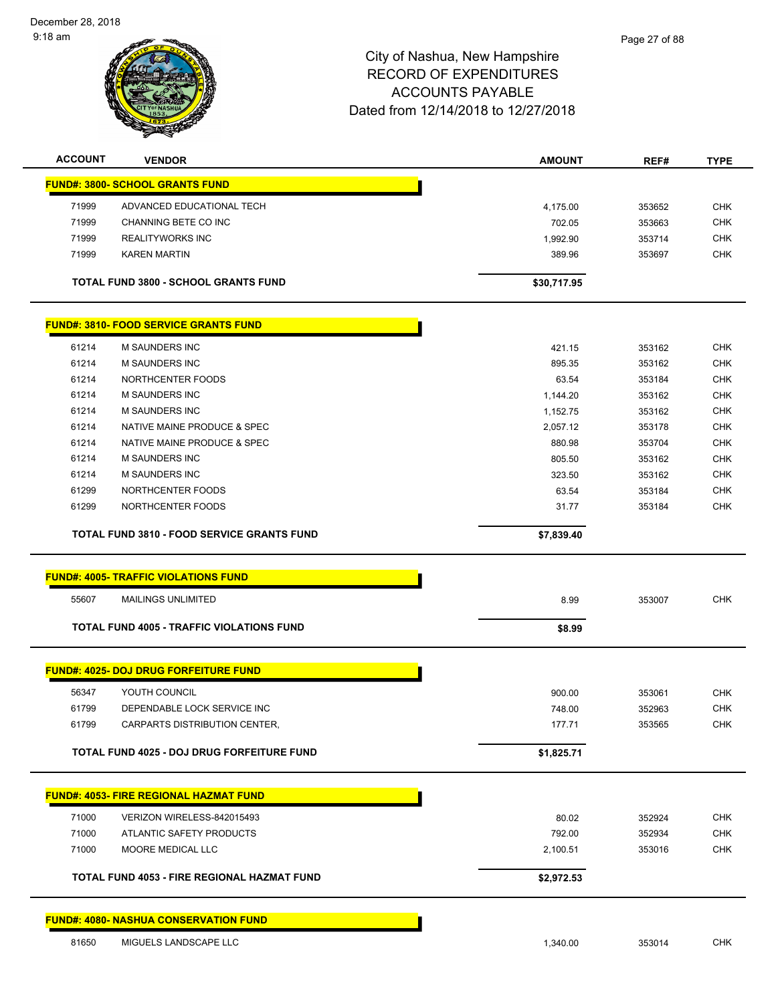

| <b>ACCOUNT</b> | <b>VENDOR</b>                                          | <b>AMOUNT</b> | REF#             | <b>TYPE</b> |
|----------------|--------------------------------------------------------|---------------|------------------|-------------|
|                | <b>FUND#: 3800- SCHOOL GRANTS FUND</b>                 |               |                  |             |
| 71999          | ADVANCED EDUCATIONAL TECH                              | 4,175.00      | 353652           | <b>CHK</b>  |
| 71999          | CHANNING BETE CO INC                                   | 702.05        | 353663           | <b>CHK</b>  |
| 71999          | <b>REALITYWORKS INC</b>                                | 1,992.90      | 353714           | <b>CHK</b>  |
| 71999          | <b>KAREN MARTIN</b>                                    | 389.96        | 353697           | <b>CHK</b>  |
|                |                                                        |               |                  |             |
|                | <b>TOTAL FUND 3800 - SCHOOL GRANTS FUND</b>            | \$30,717.95   |                  |             |
|                | <b>FUND#: 3810- FOOD SERVICE GRANTS FUND</b>           |               |                  |             |
| 61214          | M SAUNDERS INC                                         | 421.15        | 353162           | <b>CHK</b>  |
| 61214          | <b>M SAUNDERS INC</b>                                  | 895.35        | 353162           | <b>CHK</b>  |
| 61214          | NORTHCENTER FOODS                                      | 63.54         | 353184           | <b>CHK</b>  |
| 61214          | <b>M SAUNDERS INC</b>                                  | 1,144.20      | 353162           | <b>CHK</b>  |
| 61214          | M SAUNDERS INC                                         | 1,152.75      | 353162           | <b>CHK</b>  |
| 61214          | NATIVE MAINE PRODUCE & SPEC                            | 2,057.12      | 353178           | <b>CHK</b>  |
| 61214          | NATIVE MAINE PRODUCE & SPEC                            | 880.98        | 353704           | <b>CHK</b>  |
| 61214          | <b>M SAUNDERS INC</b>                                  | 805.50        | 353162           | <b>CHK</b>  |
| 61214          | <b>M SAUNDERS INC</b>                                  | 323.50        | 353162           | <b>CHK</b>  |
| 61299          | NORTHCENTER FOODS                                      | 63.54         | 353184           | <b>CHK</b>  |
| 61299          | NORTHCENTER FOODS                                      | 31.77         | 353184           | <b>CHK</b>  |
|                | <b>TOTAL FUND 3810 - FOOD SERVICE GRANTS FUND</b>      |               |                  |             |
|                |                                                        | \$7,839.40    |                  |             |
|                | <b>FUND#: 4005- TRAFFIC VIOLATIONS FUND</b>            |               |                  |             |
| 55607          | <b>MAILINGS UNLIMITED</b>                              | 8.99          | 353007           | <b>CHK</b>  |
|                | <b>TOTAL FUND 4005 - TRAFFIC VIOLATIONS FUND</b>       | \$8.99        |                  |             |
|                | <b>FUND#: 4025- DOJ DRUG FORFEITURE FUND</b>           |               |                  |             |
|                |                                                        |               |                  |             |
| 56347          | YOUTH COUNCIL                                          | 900.00        | 353061           | <b>CHK</b>  |
| 61799          | DEPENDABLE LOCK SERVICE INC                            | 748.00        | 352963           | <b>CHK</b>  |
| 61799          | CARPARTS DISTRIBUTION CENTER,                          | 177.71        | 353565           | CHK         |
|                | TOTAL FUND 4025 - DOJ DRUG FORFEITURE FUND             | \$1,825.71    |                  |             |
|                | <b>FUND#: 4053- FIRE REGIONAL HAZMAT FUND</b>          |               |                  |             |
|                |                                                        | 80.02         |                  | CHK         |
| 71000<br>71000 | VERIZON WIRELESS-842015493<br>ATLANTIC SAFETY PRODUCTS | 792.00        | 352924<br>352934 | <b>CHK</b>  |
| 71000          | MOORE MEDICAL LLC                                      | 2,100.51      | 353016           | <b>CHK</b>  |
|                |                                                        |               |                  |             |
|                | <b>TOTAL FUND 4053 - FIRE REGIONAL HAZMAT FUND</b>     | \$2,972.53    |                  |             |
|                | <b>FUND#: 4080- NASHUA CONSERVATION FUND</b>           |               |                  |             |
| 81650          | MIGUELS LANDSCAPE LLC                                  | 1,340.00      | 353014           | <b>CHK</b>  |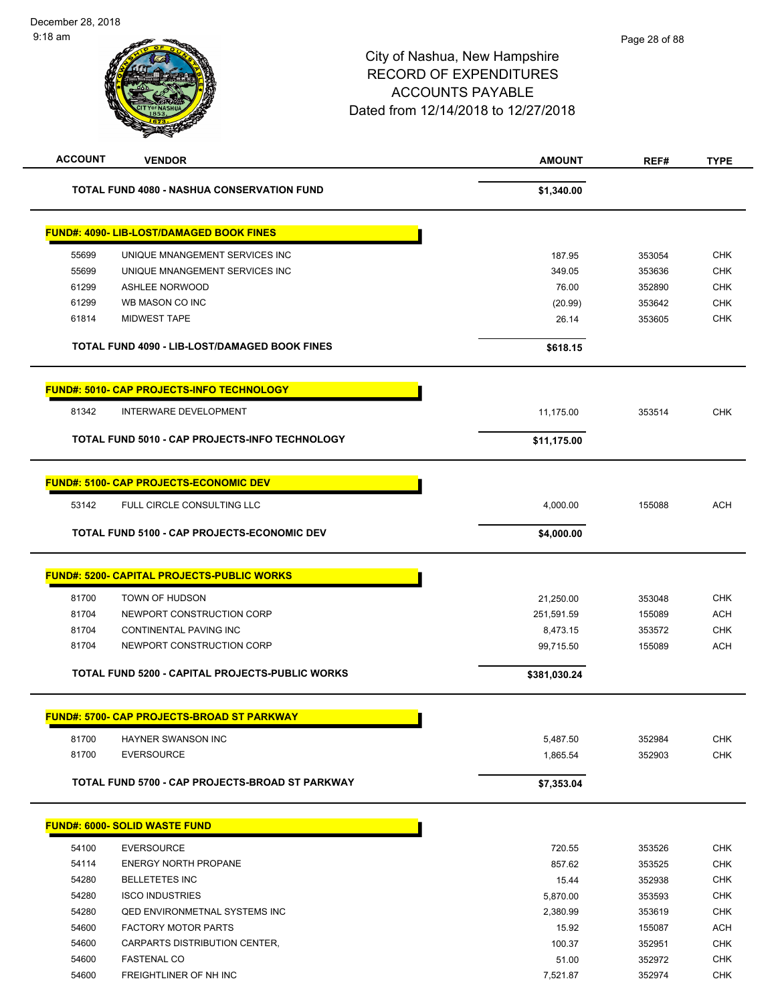| <b>ACCOUNT</b> | <b>VENDOR</b>                                     | <b>AMOUNT</b>        | REF#             | <b>TYPE</b>              |
|----------------|---------------------------------------------------|----------------------|------------------|--------------------------|
|                | <b>TOTAL FUND 4080 - NASHUA CONSERVATION FUND</b> | \$1,340.00           |                  |                          |
|                | <b>FUND#: 4090- LIB-LOST/DAMAGED BOOK FINES</b>   |                      |                  |                          |
| 55699          | UNIQUE MNANGEMENT SERVICES INC                    | 187.95               | 353054           | <b>CHK</b>               |
| 55699          | UNIQUE MNANGEMENT SERVICES INC                    | 349.05               | 353636           | <b>CHK</b>               |
| 61299          | ASHLEE NORWOOD                                    | 76.00                | 352890           | <b>CHK</b>               |
| 61299          | WB MASON CO INC                                   | (20.99)              | 353642           | <b>CHK</b>               |
| 61814          | <b>MIDWEST TAPE</b>                               | 26.14                | 353605           | <b>CHK</b>               |
|                | TOTAL FUND 4090 - LIB-LOST/DAMAGED BOOK FINES     | \$618.15             |                  |                          |
|                | <b>FUND#: 5010- CAP PROJECTS-INFO TECHNOLOGY</b>  |                      |                  |                          |
| 81342          | INTERWARE DEVELOPMENT                             | 11,175.00            | 353514           | <b>CHK</b>               |
|                | TOTAL FUND 5010 - CAP PROJECTS-INFO TECHNOLOGY    | \$11,175.00          |                  |                          |
|                |                                                   |                      |                  |                          |
|                | <b>FUND#: 5100- CAP PROJECTS-ECONOMIC DEV</b>     |                      |                  |                          |
| 53142          | FULL CIRCLE CONSULTING LLC                        | 4,000.00             | 155088           | <b>ACH</b>               |
|                | TOTAL FUND 5100 - CAP PROJECTS-ECONOMIC DEV       | \$4,000.00           |                  |                          |
|                | <b>FUND#: 5200- CAPITAL PROJECTS-PUBLIC WORKS</b> |                      |                  |                          |
| 81700          | TOWN OF HUDSON                                    | 21,250.00            | 353048           | <b>CHK</b>               |
| 81704          | NEWPORT CONSTRUCTION CORP                         | 251,591.59           | 155089           | <b>ACH</b>               |
| 81704          | CONTINENTAL PAVING INC                            | 8,473.15             | 353572           | <b>CHK</b>               |
| 81704          | NEWPORT CONSTRUCTION CORP                         | 99,715.50            | 155089           | <b>ACH</b>               |
|                | TOTAL FUND 5200 - CAPITAL PROJECTS-PUBLIC WORKS   | \$381,030.24         |                  |                          |
|                | <b>FUND#: 5700- CAP PROJECTS-BROAD ST PARKWAY</b> |                      |                  |                          |
|                |                                                   |                      |                  |                          |
| 81700<br>81700 | HAYNER SWANSON INC<br><b>EVERSOURCE</b>           | 5,487.50<br>1,865.54 | 352984<br>352903 | <b>CHK</b><br><b>CHK</b> |
|                | TOTAL FUND 5700 - CAP PROJECTS-BROAD ST PARKWAY   | \$7,353.04           |                  |                          |
|                |                                                   |                      |                  |                          |
|                | <b>FUND#: 6000- SOLID WASTE FUND</b>              |                      |                  |                          |
| 54100          | <b>EVERSOURCE</b>                                 | 720.55               | 353526           | <b>CHK</b>               |
| 54114          | <b>ENERGY NORTH PROPANE</b>                       | 857.62               | 353525           | <b>CHK</b>               |
| 54280          | <b>BELLETETES INC</b>                             | 15.44                | 352938           | <b>CHK</b>               |
| 54280          | <b>ISCO INDUSTRIES</b>                            | 5,870.00             | 353593           | <b>CHK</b>               |
| 54280          | <b>QED ENVIRONMETNAL SYSTEMS INC</b>              | 2,380.99             | 353619           | <b>CHK</b>               |
| 54600          | <b>FACTORY MOTOR PARTS</b>                        | 15.92                | 155087           | <b>ACH</b>               |
| 54600          | CARPARTS DISTRIBUTION CENTER,                     | 100.37               | 352951           | <b>CHK</b>               |
| 54600          | <b>FASTENAL CO</b>                                | 51.00                | 352972           | <b>CHK</b>               |
| 54600          | FREIGHTLINER OF NH INC                            | 7,521.87             | 352974           | <b>CHK</b>               |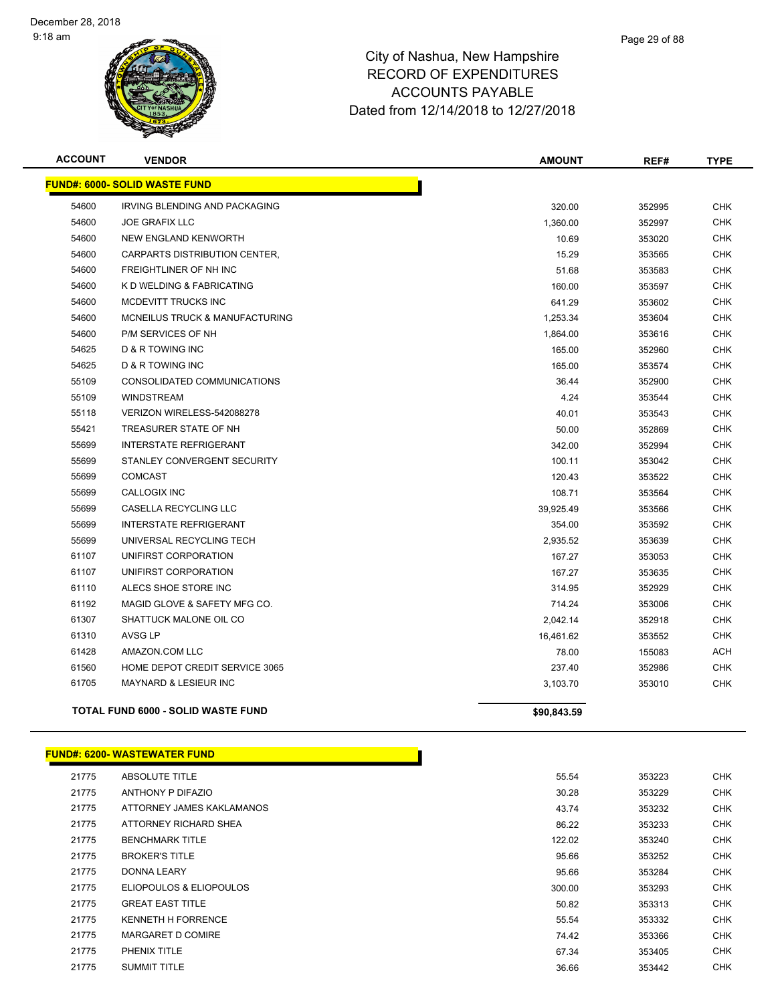

| <b>ACCOUNT</b> | <b>VENDOR</b>                             | <b>AMOUNT</b> | REF#   | <b>TYPE</b> |
|----------------|-------------------------------------------|---------------|--------|-------------|
|                | <b>FUND#: 6000- SOLID WASTE FUND</b>      |               |        |             |
| 54600          | <b>IRVING BLENDING AND PACKAGING</b>      | 320.00        | 352995 | <b>CHK</b>  |
| 54600          | <b>JOE GRAFIX LLC</b>                     | 1,360.00      | 352997 | <b>CHK</b>  |
| 54600          | NEW ENGLAND KENWORTH                      | 10.69         | 353020 | <b>CHK</b>  |
| 54600          | CARPARTS DISTRIBUTION CENTER,             | 15.29         | 353565 | <b>CHK</b>  |
| 54600          | FREIGHTLINER OF NH INC                    | 51.68         | 353583 | <b>CHK</b>  |
| 54600          | K D WELDING & FABRICATING                 | 160.00        | 353597 | <b>CHK</b>  |
| 54600          | <b>MCDEVITT TRUCKS INC</b>                | 641.29        | 353602 | <b>CHK</b>  |
| 54600          | MCNEILUS TRUCK & MANUFACTURING            | 1,253.34      | 353604 | <b>CHK</b>  |
| 54600          | P/M SERVICES OF NH                        | 1,864.00      | 353616 | <b>CHK</b>  |
| 54625          | D & R TOWING INC                          | 165.00        | 352960 | <b>CHK</b>  |
| 54625          | D & R TOWING INC                          | 165.00        | 353574 | <b>CHK</b>  |
| 55109          | CONSOLIDATED COMMUNICATIONS               | 36.44         | 352900 | <b>CHK</b>  |
| 55109          | <b>WINDSTREAM</b>                         | 4.24          | 353544 | <b>CHK</b>  |
| 55118          | VERIZON WIRELESS-542088278                | 40.01         | 353543 | <b>CHK</b>  |
| 55421          | TREASURER STATE OF NH                     | 50.00         | 352869 | <b>CHK</b>  |
| 55699          | <b>INTERSTATE REFRIGERANT</b>             | 342.00        | 352994 | CHK         |
| 55699          | STANLEY CONVERGENT SECURITY               | 100.11        | 353042 | <b>CHK</b>  |
| 55699          | <b>COMCAST</b>                            | 120.43        | 353522 | <b>CHK</b>  |
| 55699          | <b>CALLOGIX INC</b>                       | 108.71        | 353564 | <b>CHK</b>  |
| 55699          | <b>CASELLA RECYCLING LLC</b>              | 39,925.49     | 353566 | <b>CHK</b>  |
| 55699          | <b>INTERSTATE REFRIGERANT</b>             | 354.00        | 353592 | <b>CHK</b>  |
| 55699          | UNIVERSAL RECYCLING TECH                  | 2,935.52      | 353639 | <b>CHK</b>  |
| 61107          | UNIFIRST CORPORATION                      | 167.27        | 353053 | <b>CHK</b>  |
| 61107          | UNIFIRST CORPORATION                      | 167.27        | 353635 | <b>CHK</b>  |
| 61110          | ALECS SHOE STORE INC                      | 314.95        | 352929 | <b>CHK</b>  |
| 61192          | MAGID GLOVE & SAFETY MFG CO.              | 714.24        | 353006 | <b>CHK</b>  |
| 61307          | SHATTUCK MALONE OIL CO                    | 2,042.14      | 352918 | <b>CHK</b>  |
| 61310          | AVSG LP                                   | 16,461.62     | 353552 | CHK         |
| 61428          | AMAZON.COM LLC                            | 78.00         | 155083 | <b>ACH</b>  |
| 61560          | HOME DEPOT CREDIT SERVICE 3065            | 237.40        | 352986 | <b>CHK</b>  |
| 61705          | MAYNARD & LESIEUR INC                     | 3,103.70      | 353010 | <b>CHK</b>  |
|                | <b>TOTAL FUND 6000 - SOLID WASTE FUND</b> | \$90,843.59   |        |             |
|                |                                           |               |        |             |

#### **FUND#: 6200- WASTEWATER FUND**

| 21775 | <b>ABSOLUTE TITLE</b>     | 55.54  | 353223 | <b>CHK</b> |
|-------|---------------------------|--------|--------|------------|
| 21775 | ANTHONY P DIFAZIO         | 30.28  | 353229 | <b>CHK</b> |
| 21775 | ATTORNEY JAMES KAKLAMANOS | 43.74  | 353232 | <b>CHK</b> |
| 21775 | ATTORNEY RICHARD SHEA     | 86.22  | 353233 | <b>CHK</b> |
| 21775 | <b>BENCHMARK TITLE</b>    | 122.02 | 353240 | <b>CHK</b> |
| 21775 | <b>BROKER'S TITLE</b>     | 95.66  | 353252 | <b>CHK</b> |
| 21775 | <b>DONNA LEARY</b>        | 95.66  | 353284 | <b>CHK</b> |
| 21775 | ELIOPOULOS & ELIOPOULOS   | 300.00 | 353293 | <b>CHK</b> |
| 21775 | <b>GREAT EAST TITLE</b>   | 50.82  | 353313 | <b>CHK</b> |
| 21775 | <b>KENNETH H FORRENCE</b> | 55.54  | 353332 | <b>CHK</b> |
| 21775 | MARGARET D COMIRE         | 74.42  | 353366 | <b>CHK</b> |
| 21775 | PHENIX TITLE              | 67.34  | 353405 | <b>CHK</b> |
| 21775 | <b>SUMMIT TITLE</b>       | 36.66  | 353442 | <b>CHK</b> |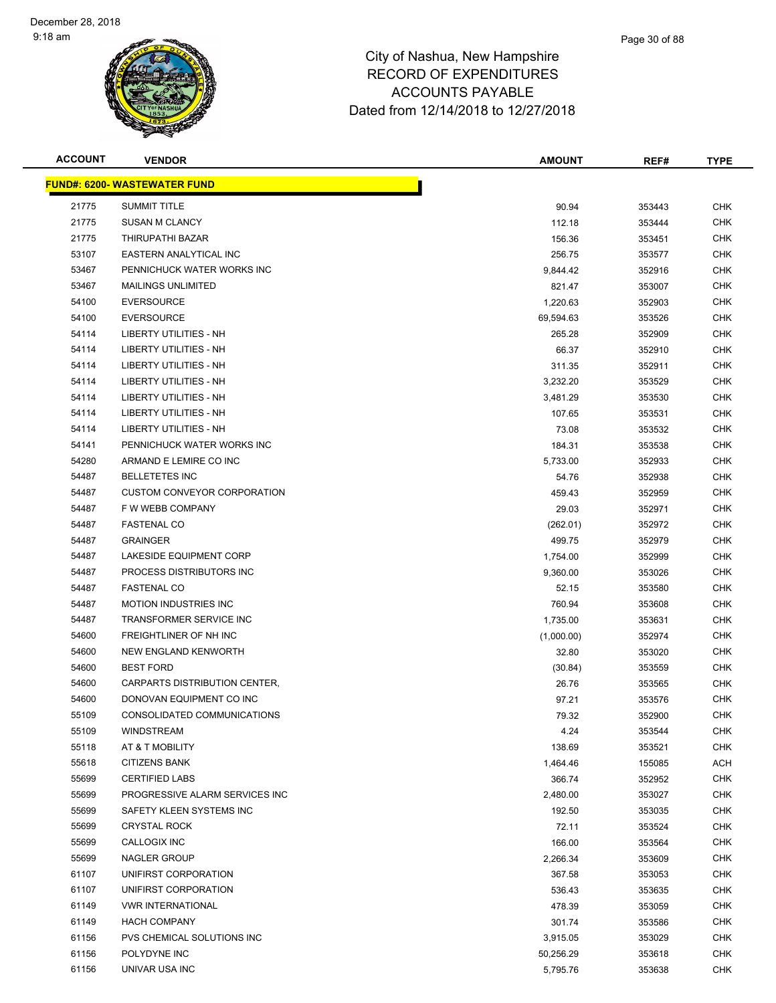

| <b>ACCOUNT</b> | <b>VENDOR</b>                       | <b>AMOUNT</b> | REF#   | <b>TYPE</b> |
|----------------|-------------------------------------|---------------|--------|-------------|
|                | <b>FUND#: 6200- WASTEWATER FUND</b> |               |        |             |
| 21775          | <b>SUMMIT TITLE</b>                 | 90.94         | 353443 | CHK         |
| 21775          | <b>SUSAN M CLANCY</b>               | 112.18        | 353444 | <b>CHK</b>  |
| 21775          | THIRUPATHI BAZAR                    | 156.36        | 353451 | <b>CHK</b>  |
| 53107          | EASTERN ANALYTICAL INC              | 256.75        | 353577 | <b>CHK</b>  |
| 53467          | PENNICHUCK WATER WORKS INC          | 9,844.42      | 352916 | <b>CHK</b>  |
| 53467          | <b>MAILINGS UNLIMITED</b>           | 821.47        | 353007 | <b>CHK</b>  |
| 54100          | <b>EVERSOURCE</b>                   | 1,220.63      | 352903 | <b>CHK</b>  |
| 54100          | <b>EVERSOURCE</b>                   | 69,594.63     | 353526 | <b>CHK</b>  |
| 54114          | LIBERTY UTILITIES - NH              | 265.28        | 352909 | <b>CHK</b>  |
| 54114          | <b>LIBERTY UTILITIES - NH</b>       | 66.37         | 352910 | <b>CHK</b>  |
| 54114          | LIBERTY UTILITIES - NH              | 311.35        | 352911 | <b>CHK</b>  |
| 54114          | LIBERTY UTILITIES - NH              | 3,232.20      | 353529 | <b>CHK</b>  |
| 54114          | LIBERTY UTILITIES - NH              | 3,481.29      | 353530 | <b>CHK</b>  |
| 54114          | LIBERTY UTILITIES - NH              | 107.65        | 353531 | <b>CHK</b>  |
| 54114          | LIBERTY UTILITIES - NH              | 73.08         | 353532 | <b>CHK</b>  |
| 54141          | PENNICHUCK WATER WORKS INC          | 184.31        | 353538 | <b>CHK</b>  |
| 54280          | ARMAND E LEMIRE CO INC              | 5,733.00      | 352933 | <b>CHK</b>  |
| 54487          | <b>BELLETETES INC</b>               | 54.76         | 352938 | <b>CHK</b>  |
| 54487          | <b>CUSTOM CONVEYOR CORPORATION</b>  | 459.43        | 352959 | <b>CHK</b>  |
| 54487          | F W WEBB COMPANY                    | 29.03         | 352971 | <b>CHK</b>  |
| 54487          | <b>FASTENAL CO</b>                  | (262.01)      | 352972 | <b>CHK</b>  |
| 54487          | <b>GRAINGER</b>                     | 499.75        | 352979 | <b>CHK</b>  |
| 54487          | LAKESIDE EQUIPMENT CORP             | 1,754.00      | 352999 | <b>CHK</b>  |
| 54487          | PROCESS DISTRIBUTORS INC            | 9,360.00      | 353026 | <b>CHK</b>  |
| 54487          | <b>FASTENAL CO</b>                  | 52.15         | 353580 | <b>CHK</b>  |
| 54487          | <b>MOTION INDUSTRIES INC</b>        | 760.94        | 353608 | <b>CHK</b>  |
| 54487          | TRANSFORMER SERVICE INC             | 1,735.00      | 353631 | <b>CHK</b>  |
| 54600          | FREIGHTLINER OF NH INC              | (1,000.00)    | 352974 | <b>CHK</b>  |
| 54600          | NEW ENGLAND KENWORTH                | 32.80         | 353020 | <b>CHK</b>  |
| 54600          | <b>BEST FORD</b>                    | (30.84)       | 353559 | <b>CHK</b>  |
| 54600          | CARPARTS DISTRIBUTION CENTER,       | 26.76         | 353565 | <b>CHK</b>  |
| 54600          | DONOVAN EQUIPMENT CO INC            | 97.21         | 353576 | <b>CHK</b>  |
| 55109          | CONSOLIDATED COMMUNICATIONS         | 79.32         | 352900 | <b>CHK</b>  |
| 55109          | <b>WINDSTREAM</b>                   | 4.24          | 353544 | <b>CHK</b>  |
| 55118          | AT & T MOBILITY                     | 138.69        | 353521 | <b>CHK</b>  |
| 55618          | <b>CITIZENS BANK</b>                | 1,464.46      | 155085 | <b>ACH</b>  |
| 55699          | <b>CERTIFIED LABS</b>               | 366.74        | 352952 | <b>CHK</b>  |
| 55699          | PROGRESSIVE ALARM SERVICES INC      | 2,480.00      | 353027 | <b>CHK</b>  |
| 55699          | SAFETY KLEEN SYSTEMS INC            | 192.50        | 353035 | <b>CHK</b>  |
| 55699          | <b>CRYSTAL ROCK</b>                 | 72.11         | 353524 | <b>CHK</b>  |
| 55699          | CALLOGIX INC                        | 166.00        | 353564 | <b>CHK</b>  |
| 55699          | NAGLER GROUP                        | 2,266.34      | 353609 | <b>CHK</b>  |
| 61107          | UNIFIRST CORPORATION                | 367.58        | 353053 | <b>CHK</b>  |
| 61107          | UNIFIRST CORPORATION                | 536.43        | 353635 | <b>CHK</b>  |
| 61149          | <b>VWR INTERNATIONAL</b>            | 478.39        | 353059 | <b>CHK</b>  |
| 61149          | <b>HACH COMPANY</b>                 | 301.74        | 353586 | <b>CHK</b>  |
| 61156          | PVS CHEMICAL SOLUTIONS INC          | 3,915.05      | 353029 | <b>CHK</b>  |
| 61156          | POLYDYNE INC                        | 50,256.29     | 353618 | <b>CHK</b>  |
| 61156          | UNIVAR USA INC                      | 5,795.76      | 353638 | <b>CHK</b>  |
|                |                                     |               |        |             |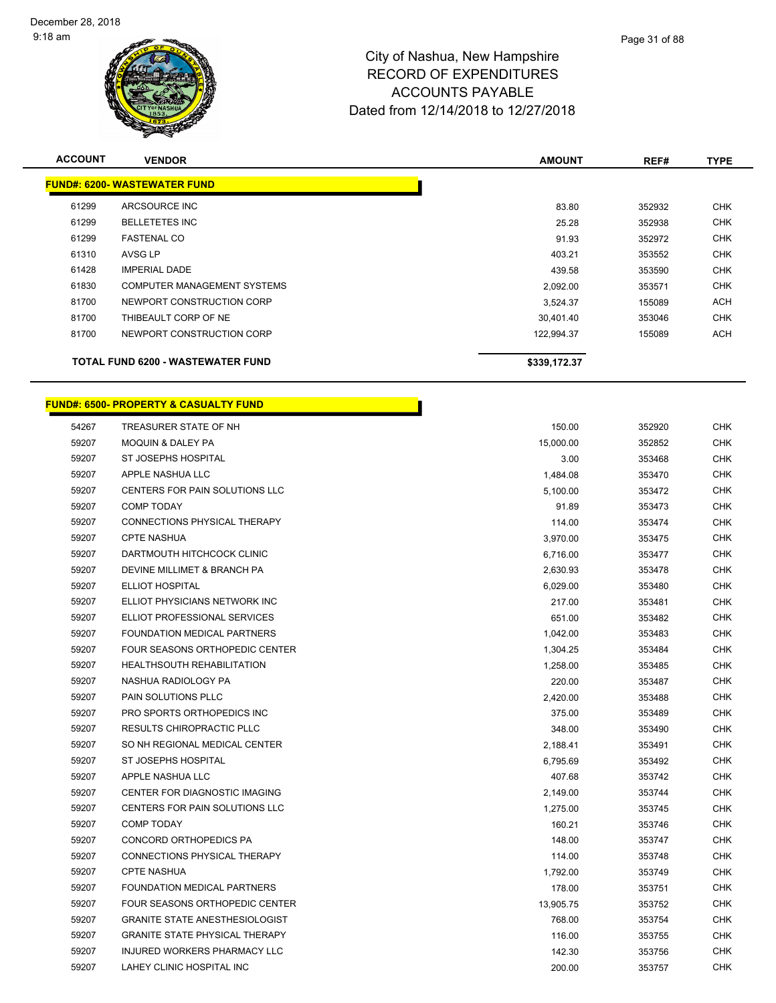

| <b>ACCOUNT</b> | <b>VENDOR</b>                            | <b>AMOUNT</b> | REF#   | <b>TYPE</b> |
|----------------|------------------------------------------|---------------|--------|-------------|
|                | <b>FUND#: 6200- WASTEWATER FUND</b>      |               |        |             |
| 61299          | ARCSOURCE INC                            | 83.80         | 352932 | <b>CHK</b>  |
| 61299          | <b>BELLETETES INC</b>                    | 25.28         | 352938 | <b>CHK</b>  |
| 61299          | <b>FASTENAL CO</b>                       | 91.93         | 352972 | <b>CHK</b>  |
| 61310          | AVSG LP                                  | 403.21        | 353552 | <b>CHK</b>  |
| 61428          | <b>IMPERIAL DADE</b>                     | 439.58        | 353590 | <b>CHK</b>  |
| 61830          | COMPUTER MANAGEMENT SYSTEMS              | 2,092.00      | 353571 | <b>CHK</b>  |
| 81700          | NEWPORT CONSTRUCTION CORP                | 3,524.37      | 155089 | <b>ACH</b>  |
| 81700          | THIBEAULT CORP OF NE                     | 30,401.40     | 353046 | <b>CHK</b>  |
| 81700          | NEWPORT CONSTRUCTION CORP                | 122,994.37    | 155089 | ACH         |
|                | <b>TOTAL FUND 6200 - WASTEWATER FUND</b> | \$339,172.37  |        |             |

h

# **FUND#: 6500- PROPERTY & CASUALTY FUND**

| 54267 | TREASURER STATE OF NH                 | 150.00    | 352920 | <b>CHK</b> |
|-------|---------------------------------------|-----------|--------|------------|
| 59207 | <b>MOQUIN &amp; DALEY PA</b>          | 15,000.00 | 352852 | <b>CHK</b> |
| 59207 | ST JOSEPHS HOSPITAL                   | 3.00      | 353468 | <b>CHK</b> |
| 59207 | APPLE NASHUA LLC                      | 1,484.08  | 353470 | <b>CHK</b> |
| 59207 | CENTERS FOR PAIN SOLUTIONS LLC        | 5,100.00  | 353472 | <b>CHK</b> |
| 59207 | <b>COMP TODAY</b>                     | 91.89     | 353473 | <b>CHK</b> |
| 59207 | CONNECTIONS PHYSICAL THERAPY          | 114.00    | 353474 | <b>CHK</b> |
| 59207 | <b>CPTE NASHUA</b>                    | 3,970.00  | 353475 | <b>CHK</b> |
| 59207 | DARTMOUTH HITCHCOCK CLINIC            | 6,716.00  | 353477 | <b>CHK</b> |
| 59207 | DEVINE MILLIMET & BRANCH PA           | 2,630.93  | 353478 | CHK        |
| 59207 | <b>ELLIOT HOSPITAL</b>                | 6,029.00  | 353480 | <b>CHK</b> |
| 59207 | ELLIOT PHYSICIANS NETWORK INC         | 217.00    | 353481 | <b>CHK</b> |
| 59207 | ELLIOT PROFESSIONAL SERVICES          | 651.00    | 353482 | <b>CHK</b> |
| 59207 | FOUNDATION MEDICAL PARTNERS           | 1,042.00  | 353483 | <b>CHK</b> |
| 59207 | FOUR SEASONS ORTHOPEDIC CENTER        | 1,304.25  | 353484 | <b>CHK</b> |
| 59207 | <b>HEALTHSOUTH REHABILITATION</b>     | 1,258.00  | 353485 | <b>CHK</b> |
| 59207 | NASHUA RADIOLOGY PA                   | 220.00    | 353487 | CHK        |
| 59207 | PAIN SOLUTIONS PLLC                   | 2,420.00  | 353488 | <b>CHK</b> |
| 59207 | PRO SPORTS ORTHOPEDICS INC            | 375.00    | 353489 | <b>CHK</b> |
| 59207 | <b>RESULTS CHIROPRACTIC PLLC</b>      | 348.00    | 353490 | <b>CHK</b> |
| 59207 | SO NH REGIONAL MEDICAL CENTER         | 2,188.41  | 353491 | <b>CHK</b> |
| 59207 | ST JOSEPHS HOSPITAL                   | 6,795.69  | 353492 | <b>CHK</b> |
| 59207 | APPLE NASHUA LLC                      | 407.68    | 353742 | <b>CHK</b> |
| 59207 | CENTER FOR DIAGNOSTIC IMAGING         | 2,149.00  | 353744 | <b>CHK</b> |
| 59207 | CENTERS FOR PAIN SOLUTIONS LLC        | 1,275.00  | 353745 | <b>CHK</b> |
| 59207 | <b>COMP TODAY</b>                     | 160.21    | 353746 | <b>CHK</b> |
| 59207 | CONCORD ORTHOPEDICS PA                | 148.00    | 353747 | <b>CHK</b> |
| 59207 | CONNECTIONS PHYSICAL THERAPY          | 114.00    | 353748 | <b>CHK</b> |
| 59207 | <b>CPTE NASHUA</b>                    | 1,792.00  | 353749 | <b>CHK</b> |
| 59207 | FOUNDATION MEDICAL PARTNERS           | 178.00    | 353751 | <b>CHK</b> |
| 59207 | <b>FOUR SEASONS ORTHOPEDIC CENTER</b> | 13,905.75 | 353752 | <b>CHK</b> |
| 59207 | <b>GRANITE STATE ANESTHESIOLOGIST</b> | 768.00    | 353754 | <b>CHK</b> |
| 59207 | <b>GRANITE STATE PHYSICAL THERAPY</b> | 116.00    | 353755 | CHK        |
| 59207 | INJURED WORKERS PHARMACY LLC          | 142.30    | 353756 | CHK        |
| 59207 | LAHEY CLINIC HOSPITAL INC             | 200.00    | 353757 | CHK        |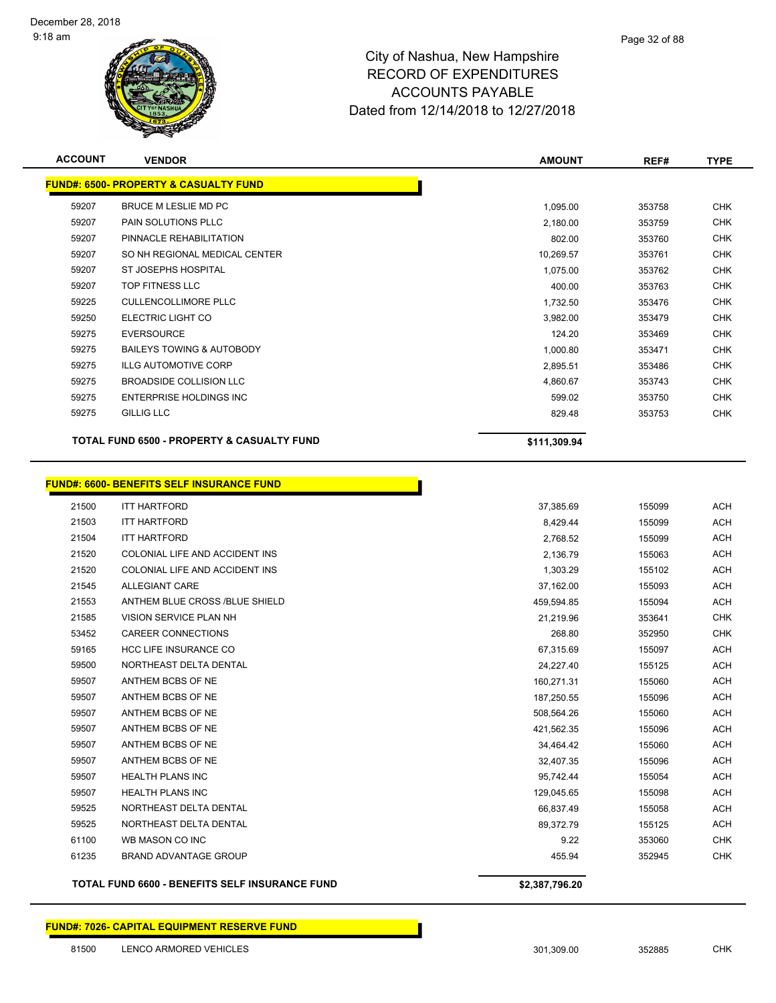

| <b>ACCOUNT</b> | <b>VENDOR</b>                                                           | <b>AMOUNT</b> | REF#   | TYPE       |
|----------------|-------------------------------------------------------------------------|---------------|--------|------------|
|                | <b>FUND#: 6500- PROPERTY &amp; CASUALTY FUND</b>                        |               |        |            |
| 59207          | BRUCE M LESLIE MD PC                                                    | 1,095.00      | 353758 | <b>CHK</b> |
| 59207          | <b>PAIN SOLUTIONS PLLC</b>                                              | 2,180.00      | 353759 | <b>CHK</b> |
| 59207          | PINNACLE REHABILITATION                                                 | 802.00        | 353760 | <b>CHK</b> |
| 59207          | SO NH REGIONAL MEDICAL CENTER                                           | 10,269.57     | 353761 | <b>CHK</b> |
| 59207          | ST JOSEPHS HOSPITAL                                                     | 1,075.00      | 353762 | <b>CHK</b> |
| 59207          | TOP FITNESS LLC                                                         | 400.00        | 353763 | <b>CHK</b> |
| 59225          | <b>CULLENCOLLIMORE PLLC</b>                                             | 1,732.50      | 353476 | <b>CHK</b> |
| 59250          | ELECTRIC LIGHT CO                                                       | 3,982.00      | 353479 | <b>CHK</b> |
| 59275          | <b>EVERSOURCE</b>                                                       | 124.20        | 353469 | <b>CHK</b> |
| 59275          | BAILEYS TOWING & AUTOBODY                                               | 1,000.80      | 353471 | <b>CHK</b> |
| 59275          | <b>ILLG AUTOMOTIVE CORP</b>                                             | 2,895.51      | 353486 | <b>CHK</b> |
| 59275          | BROADSIDE COLLISION LLC                                                 | 4,860.67      | 353743 | <b>CHK</b> |
| 59275          | ENTERPRISE HOLDINGS INC                                                 | 599.02        | 353750 | <b>CHK</b> |
| 59275          | <b>GILLIG LLC</b>                                                       | 829.48        | 353753 | <b>CHK</b> |
|                | <b>TOTAL FUND 6500 - PROPERTY &amp; CASUALTY FUND</b>                   | \$111,309.94  |        |            |
| 21500          | <b>FUND#: 6600- BENEFITS SELF INSURANCE FUND</b><br><b>ITT HARTFORD</b> | 37,385.69     | 155099 | <b>ACH</b> |
| 21503          | <b>ITT HARTFORD</b>                                                     | 8,429.44      | 155099 | <b>ACH</b> |
| 21504          | <b>ITT HARTFORD</b>                                                     | 2,768.52      | 155099 | <b>ACH</b> |
| 21520          | COLONIAL LIFE AND ACCIDENT INS                                          | 2,136.79      | 155063 | <b>ACH</b> |
| 21520          | COLONIAL LIFE AND ACCIDENT INS                                          | 1,303.29      | 155102 | <b>ACH</b> |
| 21545          | <b>ALLEGIANT CARE</b>                                                   | 37,162.00     | 155093 | <b>ACH</b> |
| 21553          | ANTHEM BLUE CROSS /BLUE SHIELD                                          | 459,594.85    | 155094 | <b>ACH</b> |
| 21585          | VISION SERVICE PLAN NH                                                  | 21,219.96     | 353641 | <b>CHK</b> |
| 53452          | <b>CAREER CONNECTIONS</b>                                               | 268.80        | 352950 | <b>CHK</b> |
| 59165          | <b>HCC LIFE INSURANCE CO</b>                                            | 67,315.69     | 155097 | <b>ACH</b> |
| 59500          | NORTHEAST DELTA DENTAL                                                  | 24,227.40     | 155125 | <b>ACH</b> |
| 59507          | ANTHEM BCBS OF NE                                                       | 160,271.31    | 155060 | <b>ACH</b> |
| 59507          | ANTHEM BCBS OF NE                                                       | 187,250.55    | 155096 | <b>ACH</b> |
| 59507          | ANTHEM BCBS OF NE                                                       | 508,564.26    | 155060 | <b>ACH</b> |
| 59507          | ANTHEM BCBS OF NE                                                       | 421,562.35    | 155096 | <b>ACH</b> |
| 59507          | ANTHEM BCBS OF NE                                                       | 34,464.42     | 155060 | <b>ACH</b> |
| 59507          | ANTHEM BCBS OF NE                                                       | 32,407.35     | 155096 | <b>ACH</b> |
| 59507          | <b>HEALTH PLANS INC</b>                                                 | 95,742.44     | 155054 | <b>ACH</b> |
| 59507          | <b>HEALTH PLANS INC</b>                                                 | 129,045.65    | 155098 | <b>ACH</b> |
| 59525          | NORTHEAST DELTA DENTAL                                                  | 66,837.49     | 155058 | ACH        |
| 59525          | NORTHEAST DELTA DENTAL                                                  | 89,372.79     | 155125 | <b>ACH</b> |
| 61100          | WB MASON CO INC                                                         | 9.22          | 353060 | <b>CHK</b> |

BRAND ADVANTAGE GROUP 455.94 352945 CHK

**TOTAL FUND 6600 - BENEFITS SELF INSURANCE FUND \$2,387,796.20**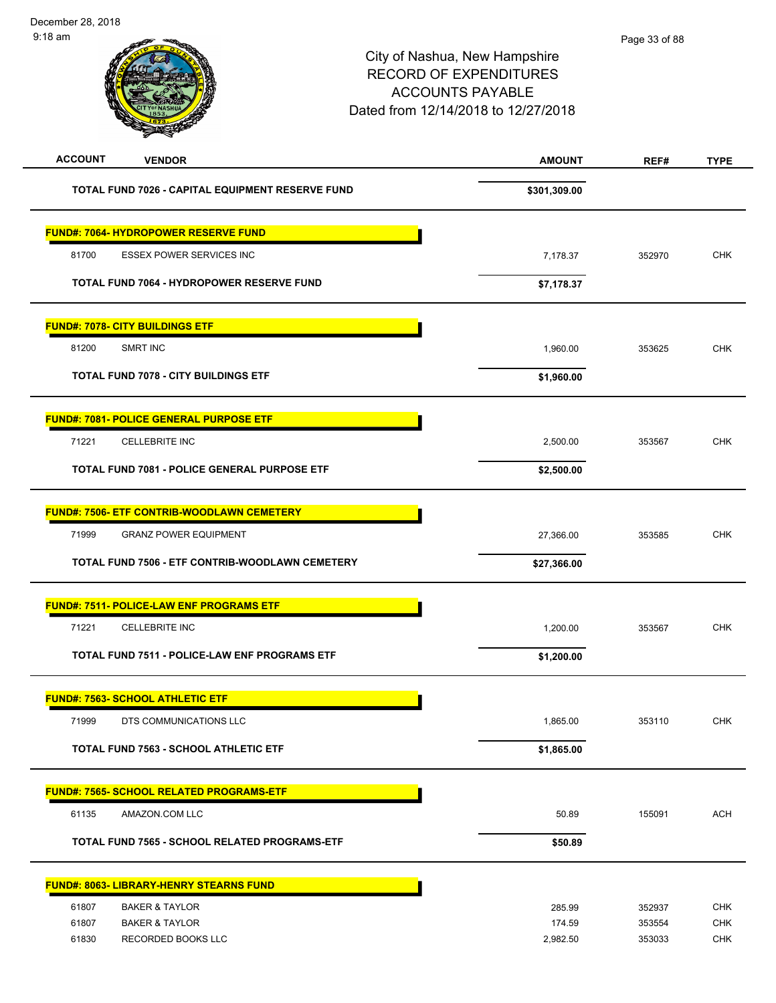| <b>ACCOUNT</b><br><b>VENDOR</b>                                   | <b>AMOUNT</b>      | REF#             | <b>TYPE</b>              |
|-------------------------------------------------------------------|--------------------|------------------|--------------------------|
| TOTAL FUND 7026 - CAPITAL EQUIPMENT RESERVE FUND                  | \$301,309.00       |                  |                          |
| FUND#: 7064- HYDROPOWER RESERVE FUND                              |                    |                  |                          |
| 81700<br><b>ESSEX POWER SERVICES INC</b>                          | 7,178.37           | 352970           | <b>CHK</b>               |
| TOTAL FUND 7064 - HYDROPOWER RESERVE FUND                         | \$7,178.37         |                  |                          |
| <b>FUND#: 7078- CITY BUILDINGS ETF</b>                            |                    |                  |                          |
| 81200<br>SMRT INC                                                 | 1,960.00           | 353625           | <b>CHK</b>               |
| <b>TOTAL FUND 7078 - CITY BUILDINGS ETF</b>                       | \$1,960.00         |                  |                          |
| <u> FUND#: 7081- POLICE GENERAL PURPOSE ETF</u>                   |                    |                  |                          |
| 71221<br><b>CELLEBRITE INC</b>                                    | 2,500.00           | 353567           | <b>CHK</b>               |
| <b>TOTAL FUND 7081 - POLICE GENERAL PURPOSE ETF</b>               | \$2,500.00         |                  |                          |
| <b>FUND#: 7506- ETF CONTRIB-WOODLAWN CEMETERY</b>                 |                    |                  |                          |
| 71999<br><b>GRANZ POWER EQUIPMENT</b>                             | 27,366.00          | 353585           | <b>CHK</b>               |
| TOTAL FUND 7506 - ETF CONTRIB-WOODLAWN CEMETERY                   | \$27,366.00        |                  |                          |
| <b>FUND#: 7511- POLICE-LAW ENF PROGRAMS ETF</b>                   |                    |                  |                          |
| 71221<br><b>CELLEBRITE INC</b>                                    | 1,200.00           | 353567           | <b>CHK</b>               |
| TOTAL FUND 7511 - POLICE-LAW ENF PROGRAMS ETF                     | \$1,200.00         |                  |                          |
| <b>FUND#: 7563- SCHOOL ATHLETIC ETF</b>                           |                    |                  |                          |
| 71999<br>DTS COMMUNICATIONS LLC                                   | 1,865.00           | 353110           | <b>CHK</b>               |
| <b>TOTAL FUND 7563 - SCHOOL ATHLETIC ETF</b>                      | \$1,865.00         |                  |                          |
| <u> FUND#: 7565- SCHOOL RELATED PROGRAMS-ETF</u>                  |                    |                  |                          |
| 61135<br>AMAZON.COM LLC                                           | 50.89              | 155091           | <b>ACH</b>               |
| TOTAL FUND 7565 - SCHOOL RELATED PROGRAMS-ETF                     | \$50.89            |                  |                          |
| <b>FUND#: 8063- LIBRARY-HENRY STEARNS FUND</b>                    |                    |                  |                          |
| 61807<br><b>BAKER &amp; TAYLOR</b>                                | 285.99             | 352937           | <b>CHK</b>               |
| 61807<br><b>BAKER &amp; TAYLOR</b><br>61830<br>RECORDED BOOKS LLC | 174.59<br>2,982.50 | 353554<br>353033 | <b>CHK</b><br><b>CHK</b> |
|                                                                   |                    |                  |                          |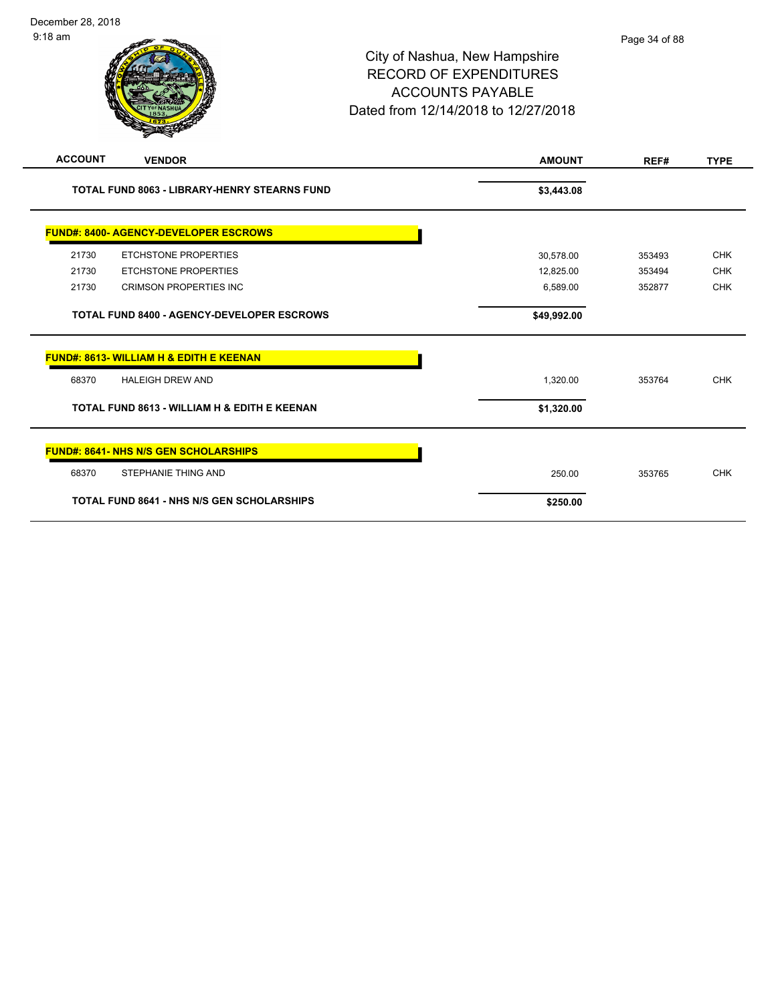| <b>ACCOUNT</b> | <b>VENDOR</b>                                       | <b>AMOUNT</b> | REF#   | <b>TYPE</b> |
|----------------|-----------------------------------------------------|---------------|--------|-------------|
|                |                                                     |               |        |             |
|                | <b>TOTAL FUND 8063 - LIBRARY-HENRY STEARNS FUND</b> | \$3,443.08    |        |             |
|                | <b>FUND#: 8400- AGENCY-DEVELOPER ESCROWS</b>        |               |        |             |
| 21730          | <b>ETCHSTONE PROPERTIES</b>                         | 30,578.00     | 353493 | <b>CHK</b>  |
| 21730          | <b>ETCHSTONE PROPERTIES</b>                         | 12,825.00     | 353494 | <b>CHK</b>  |
| 21730          | <b>CRIMSON PROPERTIES INC</b>                       | 6,589.00      | 352877 | <b>CHK</b>  |
|                | <b>TOTAL FUND 8400 - AGENCY-DEVELOPER ESCROWS</b>   | \$49,992.00   |        |             |
|                | <b>FUND#: 8613- WILLIAM H &amp; EDITH E KEENAN</b>  |               |        |             |
| 68370          | <b>HALEIGH DREW AND</b>                             | 1,320.00      | 353764 | <b>CHK</b>  |
|                | TOTAL FUND 8613 - WILLIAM H & EDITH E KEENAN        | \$1,320.00    |        |             |
|                | <b>FUND#: 8641- NHS N/S GEN SCHOLARSHIPS</b>        |               |        |             |
| 68370          | <b>STEPHANIE THING AND</b>                          | 250.00        | 353765 | <b>CHK</b>  |
|                | <b>TOTAL FUND 8641 - NHS N/S GEN SCHOLARSHIPS</b>   | \$250.00      |        |             |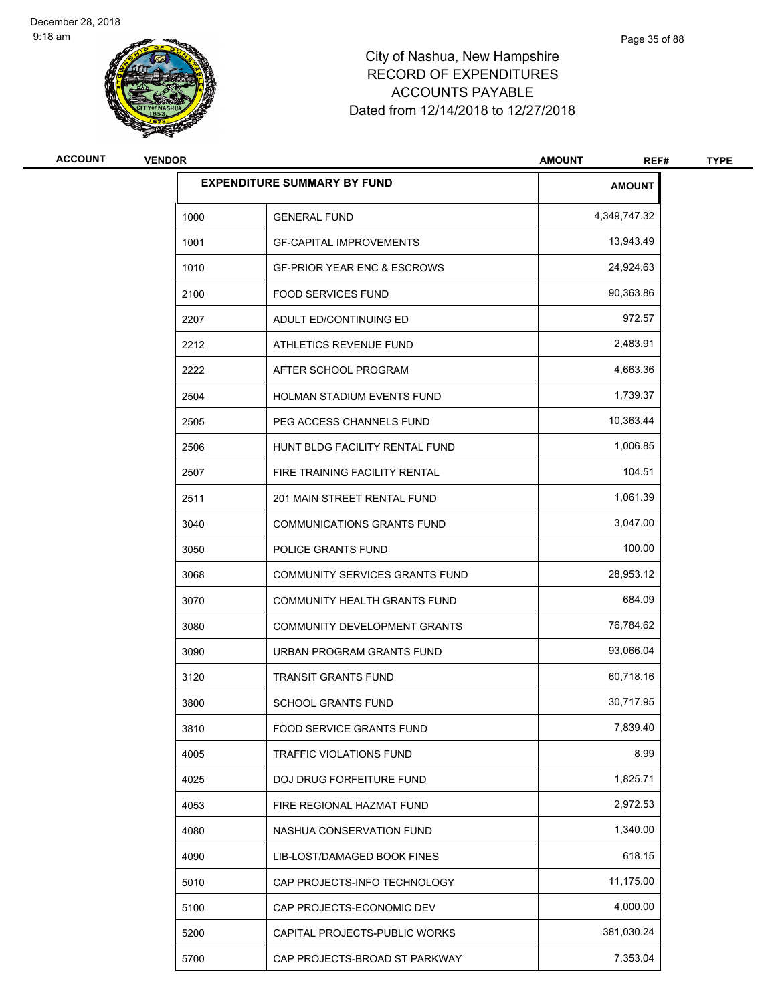

| <b>ACCOUNT</b> | <b>VENDOR</b> | <b>AMOUNT</b>                          |               | <b>TYPE</b> |
|----------------|---------------|----------------------------------------|---------------|-------------|
|                |               | <b>EXPENDITURE SUMMARY BY FUND</b>     | <b>AMOUNT</b> |             |
|                | 1000          | <b>GENERAL FUND</b>                    | 4,349,747.32  |             |
|                | 1001          | <b>GF-CAPITAL IMPROVEMENTS</b>         | 13,943.49     |             |
|                | 1010          | <b>GF-PRIOR YEAR ENC &amp; ESCROWS</b> | 24,924.63     |             |
|                | 2100          | <b>FOOD SERVICES FUND</b>              | 90,363.86     |             |
|                | 2207          | ADULT ED/CONTINUING ED                 | 972.57        |             |
|                | 2212          | ATHLETICS REVENUE FUND                 | 2,483.91      |             |
|                | 2222          | AFTER SCHOOL PROGRAM                   | 4,663.36      |             |
|                | 2504          | HOLMAN STADIUM EVENTS FUND             | 1,739.37      |             |
|                | 2505          | PEG ACCESS CHANNELS FUND               | 10,363.44     |             |
|                | 2506          | HUNT BLDG FACILITY RENTAL FUND         | 1,006.85      |             |
|                | 2507          | FIRE TRAINING FACILITY RENTAL          | 104.51        |             |
|                | 2511          | 201 MAIN STREET RENTAL FUND            | 1,061.39      |             |
|                | 3040          | COMMUNICATIONS GRANTS FUND             | 3,047.00      |             |
|                | 3050          | POLICE GRANTS FUND                     | 100.00        |             |
|                | 3068          | COMMUNITY SERVICES GRANTS FUND         | 28,953.12     |             |
|                | 3070          | COMMUNITY HEALTH GRANTS FUND           | 684.09        |             |
|                | 3080          | COMMUNITY DEVELOPMENT GRANTS           | 76,784.62     |             |
|                | 3090          | URBAN PROGRAM GRANTS FUND              | 93,066.04     |             |
|                | 3120          | <b>TRANSIT GRANTS FUND</b>             | 60,718.16     |             |
|                | 3800          | <b>SCHOOL GRANTS FUND</b>              | 30,717.95     |             |
|                | 3810          | FOOD SERVICE GRANTS FUND               | 7,839.40      |             |
|                | 4005          | <b>TRAFFIC VIOLATIONS FUND</b>         | 8.99          |             |
|                | 4025          | DOJ DRUG FORFEITURE FUND               | 1,825.71      |             |
|                | 4053          | FIRE REGIONAL HAZMAT FUND              | 2,972.53      |             |
|                | 4080          | NASHUA CONSERVATION FUND               | 1,340.00      |             |
|                | 4090          | LIB-LOST/DAMAGED BOOK FINES            | 618.15        |             |
|                | 5010          | CAP PROJECTS-INFO TECHNOLOGY           | 11,175.00     |             |
|                | 5100          | CAP PROJECTS-ECONOMIC DEV              | 4,000.00      |             |
|                | 5200          | CAPITAL PROJECTS-PUBLIC WORKS          | 381,030.24    |             |
|                | 5700          | CAP PROJECTS-BROAD ST PARKWAY          | 7,353.04      |             |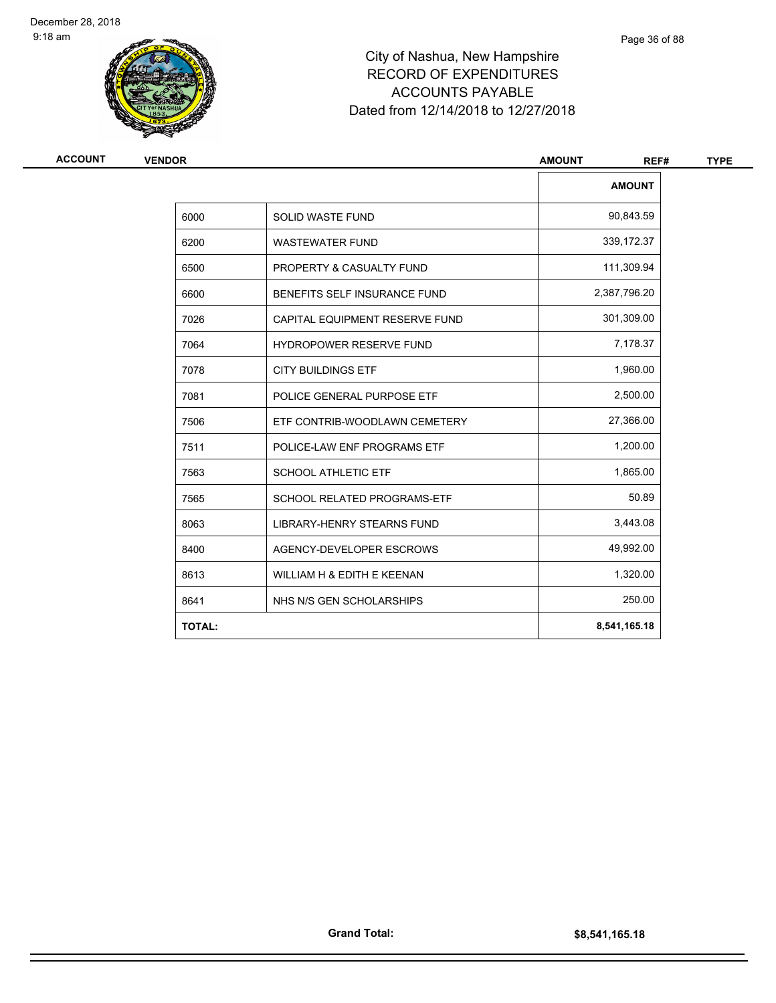

| ACCOUNT       | <b>VENDOR</b>                  |               |
|---------------|--------------------------------|---------------|
|               |                                | <b>AMOUNT</b> |
| 6000          | SOLID WASTE FUND               | 90,843.59     |
| 6200          | <b>WASTEWATER FUND</b>         | 339,172.37    |
| 6500          | PROPERTY & CASUALTY FUND       | 111,309.94    |
| 6600          | BENEFITS SELF INSURANCE FUND   | 2,387,796.20  |
| 7026          | CAPITAL EQUIPMENT RESERVE FUND | 301,309.00    |
| 7064          | <b>HYDROPOWER RESERVE FUND</b> | 7,178.37      |
| 7078          | <b>CITY BUILDINGS ETF</b>      | 1,960.00      |
| 7081          | POLICE GENERAL PURPOSE ETF     | 2,500.00      |
| 7506          | ETF CONTRIB-WOODLAWN CEMETERY  | 27,366.00     |
| 7511          | POLICE-LAW ENF PROGRAMS ETF    | 1,200.00      |
| 7563          | <b>SCHOOL ATHLETIC ETF</b>     | 1,865.00      |
| 7565          | SCHOOL RELATED PROGRAMS-ETF    | 50.89         |
| 8063          | LIBRARY-HENRY STEARNS FUND     | 3,443.08      |
| 8400          | AGENCY-DEVELOPER ESCROWS       | 49,992.00     |
| 8613          | WILLIAM H & EDITH E KEENAN     | 1,320.00      |
| 8641          | NHS N/S GEN SCHOLARSHIPS       | 250.00        |
| <b>TOTAL:</b> |                                | 8,541,165.18  |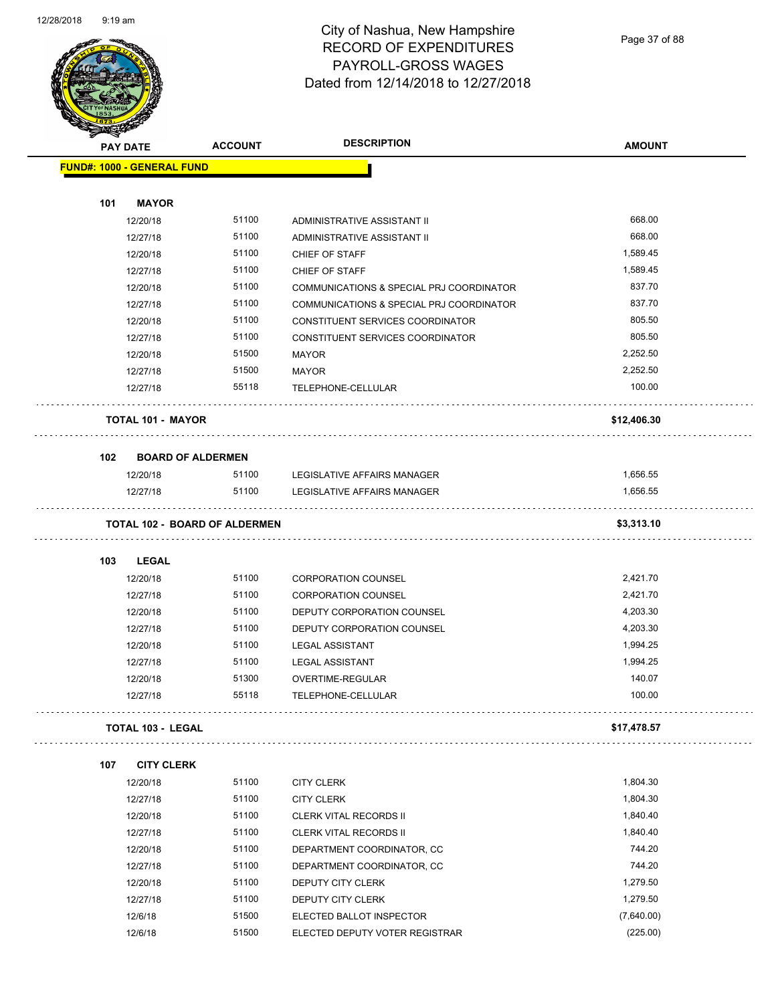

Page 37 of 88

| <b>PAY DATE</b>                   |                          | <b>ACCOUNT</b>                       | <b>DESCRIPTION</b>                       | <b>AMOUNT</b> |
|-----------------------------------|--------------------------|--------------------------------------|------------------------------------------|---------------|
| <b>FUND#: 1000 - GENERAL FUND</b> |                          |                                      |                                          |               |
|                                   |                          |                                      |                                          |               |
| 101                               | <b>MAYOR</b>             |                                      |                                          |               |
|                                   | 12/20/18                 | 51100                                | ADMINISTRATIVE ASSISTANT II              | 668.00        |
|                                   | 12/27/18                 | 51100                                | ADMINISTRATIVE ASSISTANT II              | 668.00        |
|                                   | 12/20/18                 | 51100                                | CHIEF OF STAFF                           | 1,589.45      |
|                                   | 12/27/18                 | 51100                                | CHIEF OF STAFF                           | 1,589.45      |
|                                   | 12/20/18                 | 51100                                | COMMUNICATIONS & SPECIAL PRJ COORDINATOR | 837.70        |
|                                   | 12/27/18                 | 51100                                | COMMUNICATIONS & SPECIAL PRJ COORDINATOR | 837.70        |
|                                   | 12/20/18                 | 51100                                | CONSTITUENT SERVICES COORDINATOR         | 805.50        |
|                                   | 12/27/18                 | 51100                                | CONSTITUENT SERVICES COORDINATOR         | 805.50        |
|                                   | 12/20/18                 | 51500                                | <b>MAYOR</b>                             | 2,252.50      |
|                                   | 12/27/18                 | 51500                                | <b>MAYOR</b>                             | 2,252.50      |
|                                   | 12/27/18                 | 55118                                | TELEPHONE-CELLULAR                       | 100.00        |
|                                   | <b>TOTAL 101 - MAYOR</b> |                                      |                                          | \$12,406.30   |
| 102                               | <b>BOARD OF ALDERMEN</b> |                                      |                                          |               |
|                                   | 12/20/18                 | 51100                                | LEGISLATIVE AFFAIRS MANAGER              | 1,656.55      |
|                                   | 12/27/18                 | 51100                                | LEGISLATIVE AFFAIRS MANAGER              | 1.656.55      |
|                                   |                          | <b>TOTAL 102 - BOARD OF ALDERMEN</b> |                                          | \$3,313.10    |
| 103                               | <b>LEGAL</b>             |                                      |                                          |               |
|                                   | 12/20/18                 | 51100                                | <b>CORPORATION COUNSEL</b>               | 2,421.70      |
|                                   | 12/27/18                 | 51100                                | <b>CORPORATION COUNSEL</b>               | 2,421.70      |
|                                   | 12/20/18                 | 51100                                | DEPUTY CORPORATION COUNSEL               | 4,203.30      |
|                                   | 12/27/18                 | 51100                                | DEPUTY CORPORATION COUNSEL               | 4,203.30      |
|                                   | 12/20/18                 | 51100                                | <b>LEGAL ASSISTANT</b>                   | 1,994.25      |
|                                   | 12/27/18                 | 51100                                | <b>LEGAL ASSISTANT</b>                   | 1,994.25      |
|                                   | 12/20/18                 | 51300                                | <b>OVERTIME-REGULAR</b>                  | 140.07        |
|                                   | 12/27/18                 | 55118                                | TELEPHONE-CELLULAR                       | 100.00        |
|                                   | <b>TOTAL 103 - LEGAL</b> |                                      |                                          | \$17,478.57   |
| 107                               | <b>CITY CLERK</b>        |                                      |                                          |               |
|                                   | 12/20/18                 | 51100                                | <b>CITY CLERK</b>                        | 1,804.30      |
|                                   | 12/27/18                 | 51100                                | <b>CITY CLERK</b>                        | 1,804.30      |
|                                   | 12/20/18                 | 51100                                | CLERK VITAL RECORDS II                   | 1,840.40      |
|                                   | 12/27/18                 | 51100                                | CLERK VITAL RECORDS II                   | 1,840.40      |
|                                   | 12/20/18                 | 51100                                | DEPARTMENT COORDINATOR, CC               | 744.20        |
|                                   | 12/27/18                 | 51100                                | DEPARTMENT COORDINATOR, CC               | 744.20        |
|                                   | 12/20/18                 | 51100                                | DEPUTY CITY CLERK                        | 1,279.50      |
|                                   | 12/27/18                 | 51100                                | DEPUTY CITY CLERK                        | 1,279.50      |
|                                   | 12/6/18                  | 51500                                | ELECTED BALLOT INSPECTOR                 | (7,640.00)    |
|                                   | 12/6/18                  | 51500                                | ELECTED DEPUTY VOTER REGISTRAR           | (225.00)      |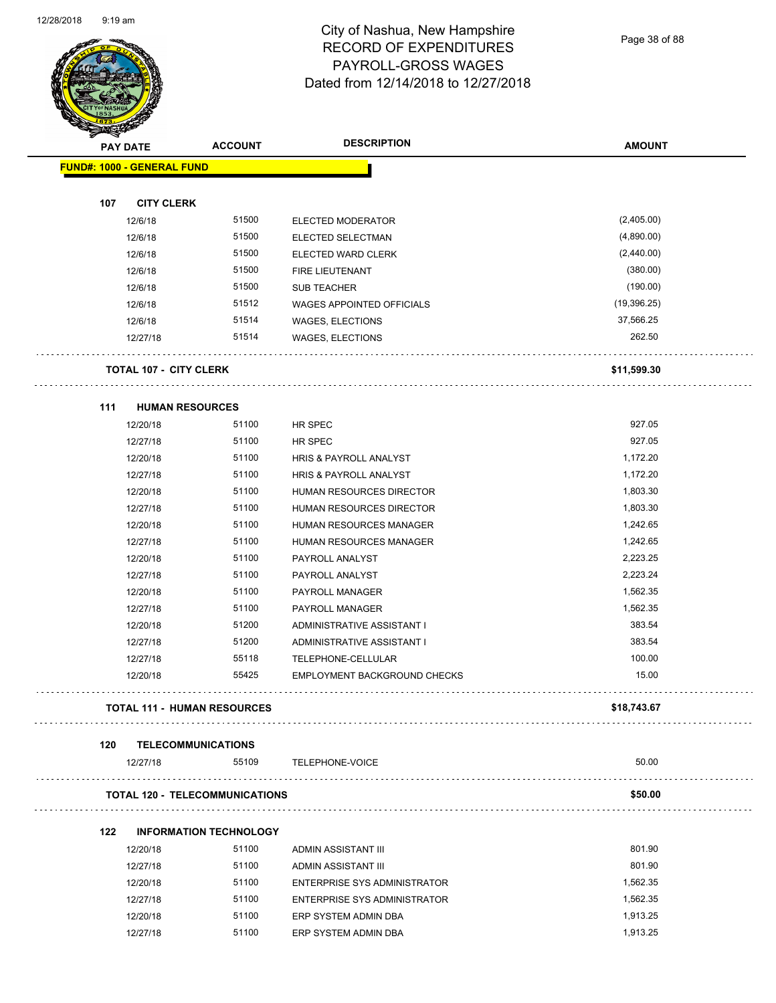

Page 38 of 88

| <b>AMOUNT</b><br>(2,405.00)<br>(4,890.00)<br>(2,440.00)<br>(380.00)<br>(190.00)<br>(19, 396.25)<br>37,566.25<br>262.50 |
|------------------------------------------------------------------------------------------------------------------------|
|                                                                                                                        |
|                                                                                                                        |
|                                                                                                                        |
|                                                                                                                        |
|                                                                                                                        |
|                                                                                                                        |
|                                                                                                                        |
|                                                                                                                        |
|                                                                                                                        |
|                                                                                                                        |
|                                                                                                                        |
|                                                                                                                        |
| \$11,599.30                                                                                                            |
|                                                                                                                        |
|                                                                                                                        |
| 927.05                                                                                                                 |
| 927.05                                                                                                                 |
| 1,172.20                                                                                                               |
| 1,172.20                                                                                                               |
| 1,803.30                                                                                                               |
| 1,803.30                                                                                                               |
| 1,242.65                                                                                                               |
| 1,242.65                                                                                                               |
| 2,223.25                                                                                                               |
| 2,223.24                                                                                                               |
| 1,562.35                                                                                                               |
| 1,562.35                                                                                                               |
| 383.54                                                                                                                 |
| 383.54                                                                                                                 |
| 100.00                                                                                                                 |
| 15.00                                                                                                                  |
| \$18,743.67                                                                                                            |
|                                                                                                                        |
| 50.00                                                                                                                  |
| \$50.00                                                                                                                |
|                                                                                                                        |
| 801.90                                                                                                                 |
| 801.90                                                                                                                 |
| 1,562.35                                                                                                               |
| 1,562.35                                                                                                               |
| 1,913.25                                                                                                               |
| 1,913.25                                                                                                               |
|                                                                                                                        |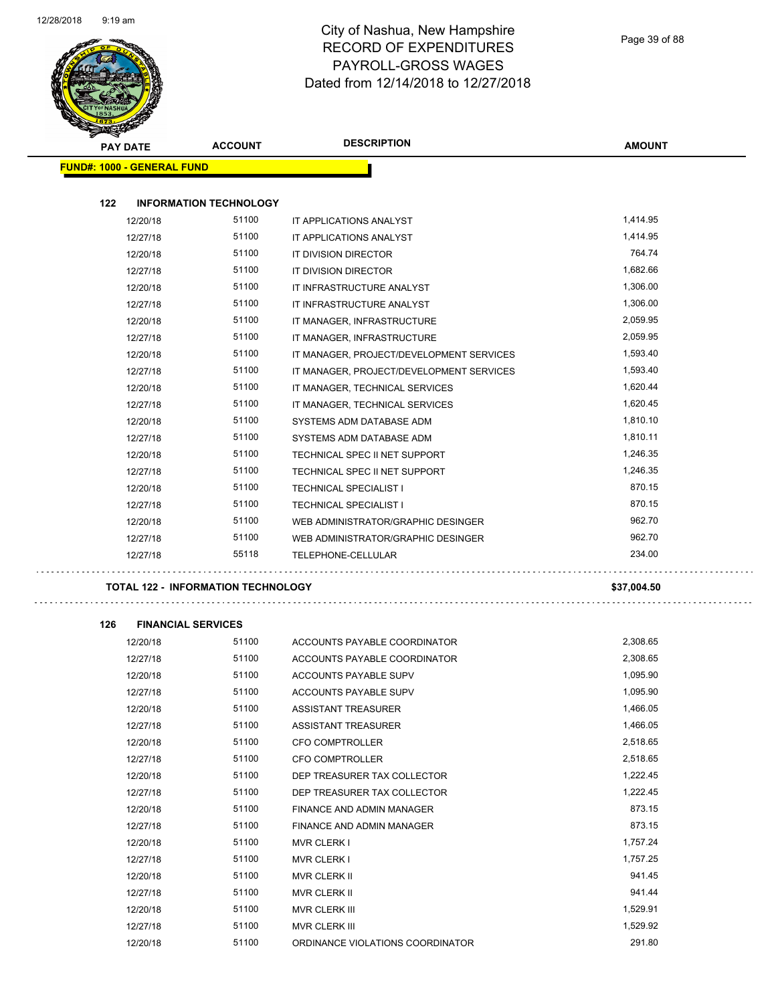$\overline{\phantom{0}}$ 



#### City of Nashua, New Hampshire RECORD OF EXPENDITURES PAYROLL-GROSS WAGES Dated from 12/14/2018 to 12/27/2018

Page 39 of 88

| <b>PAY DATE</b> |                                           | <b>ACCOUNT</b> | <b>DESCRIPTION</b>                       | <b>AMOUNT</b> |
|-----------------|-------------------------------------------|----------------|------------------------------------------|---------------|
|                 | <b>FUND#: 1000 - GENERAL FUND</b>         |                |                                          |               |
|                 |                                           |                |                                          |               |
| 122             | <b>INFORMATION TECHNOLOGY</b>             |                |                                          |               |
|                 | 12/20/18                                  | 51100          | IT APPLICATIONS ANALYST                  | 1,414.95      |
|                 | 12/27/18                                  | 51100          | IT APPLICATIONS ANALYST                  | 1,414.95      |
|                 | 12/20/18                                  | 51100          | IT DIVISION DIRECTOR                     | 764.74        |
|                 | 12/27/18                                  | 51100          | IT DIVISION DIRECTOR                     | 1,682.66      |
|                 | 12/20/18                                  | 51100          | IT INFRASTRUCTURE ANALYST                | 1,306.00      |
|                 | 12/27/18                                  | 51100          | IT INFRASTRUCTURE ANALYST                | 1,306.00      |
|                 | 12/20/18                                  | 51100          | IT MANAGER, INFRASTRUCTURE               | 2,059.95      |
|                 | 12/27/18                                  | 51100          | IT MANAGER, INFRASTRUCTURE               | 2,059.95      |
|                 | 12/20/18                                  | 51100          | IT MANAGER, PROJECT/DEVELOPMENT SERVICES | 1,593.40      |
|                 | 12/27/18                                  | 51100          | IT MANAGER, PROJECT/DEVELOPMENT SERVICES | 1,593.40      |
|                 | 12/20/18                                  | 51100          | IT MANAGER, TECHNICAL SERVICES           | 1,620.44      |
|                 | 12/27/18                                  | 51100          | IT MANAGER, TECHNICAL SERVICES           | 1,620.45      |
|                 | 12/20/18                                  | 51100          | SYSTEMS ADM DATABASE ADM                 | 1,810.10      |
|                 | 12/27/18                                  | 51100          | SYSTEMS ADM DATABASE ADM                 | 1,810.11      |
|                 | 12/20/18                                  | 51100          | TECHNICAL SPEC II NET SUPPORT            | 1,246.35      |
|                 | 12/27/18                                  | 51100          | TECHNICAL SPEC II NET SUPPORT            | 1,246.35      |
|                 | 12/20/18                                  | 51100          | <b>TECHNICAL SPECIALIST I</b>            | 870.15        |
|                 | 12/27/18                                  | 51100          | <b>TECHNICAL SPECIALIST I</b>            | 870.15        |
|                 | 12/20/18                                  | 51100          | WEB ADMINISTRATOR/GRAPHIC DESINGER       | 962.70        |
|                 | 12/27/18                                  | 51100          | WEB ADMINISTRATOR/GRAPHIC DESINGER       | 962.70        |
|                 | 12/27/18                                  | 55118          | TELEPHONE-CELLULAR                       | 234.00        |
|                 | <b>TOTAL 122 - INFORMATION TECHNOLOGY</b> |                |                                          | \$37,004.50   |
| 126             | <b>FINANCIAL SERVICES</b>                 |                |                                          |               |
|                 | 12/20/18                                  | 51100          | ACCOUNTS PAYABLE COORDINATOR             | 2,308.65      |
|                 | 12/27/18                                  | 51100          | ACCOUNTS PAYABLE COORDINATOR             | 2,308.65      |
|                 | 12/20/18                                  | 51100          | ACCOUNTS PAYABLE SUPV                    | 1,095.90      |
|                 | 12/27/18                                  | 51100          | ACCOUNTS PAYABLE SUPV                    | 1,095.90      |
|                 | 12/20/18                                  | 51100          | ASSISTANT TREASURER                      | 1,466.05      |
|                 | 12/27/18                                  | 51100          | ASSISTANT TREASURER                      | 1,466.05      |
|                 | 12/20/18                                  | 51100          | <b>CFO COMPTROLLER</b>                   | 2,518.65      |
|                 | 12/27/18                                  | 51100          | CFO COMPTROLLER                          | 2,518.65      |
|                 | 12/20/18                                  | 51100          | DEP TREASURER TAX COLLECTOR              | 1,222.45      |
|                 | 12/27/18                                  | 51100          | DEP TREASURER TAX COLLECTOR              | 1,222.45      |
|                 | 12/20/18                                  | 51100          | FINANCE AND ADMIN MANAGER                | 873.15        |
|                 | 12/27/18                                  | 51100          | FINANCE AND ADMIN MANAGER                | 873.15        |
|                 | 12/20/18                                  | 51100          | <b>MVR CLERK I</b>                       | 1,757.24      |
|                 | 12/27/18                                  | 51100          | <b>MVR CLERK I</b>                       | 1,757.25      |
|                 | 12/20/18                                  | 51100          | MVR CLERK II                             | 941.45        |
|                 | 12/27/18                                  | 51100          | MVR CLERK II                             | 941.44        |
|                 | 12/20/18                                  | 51100          | MVR CLERK III                            | 1,529.91      |
|                 | 12/27/18                                  | 51100          | MVR CLERK III                            | 1,529.92      |

12/20/18 51100 ORDINANCE VIOLATIONS COORDINATOR 291.80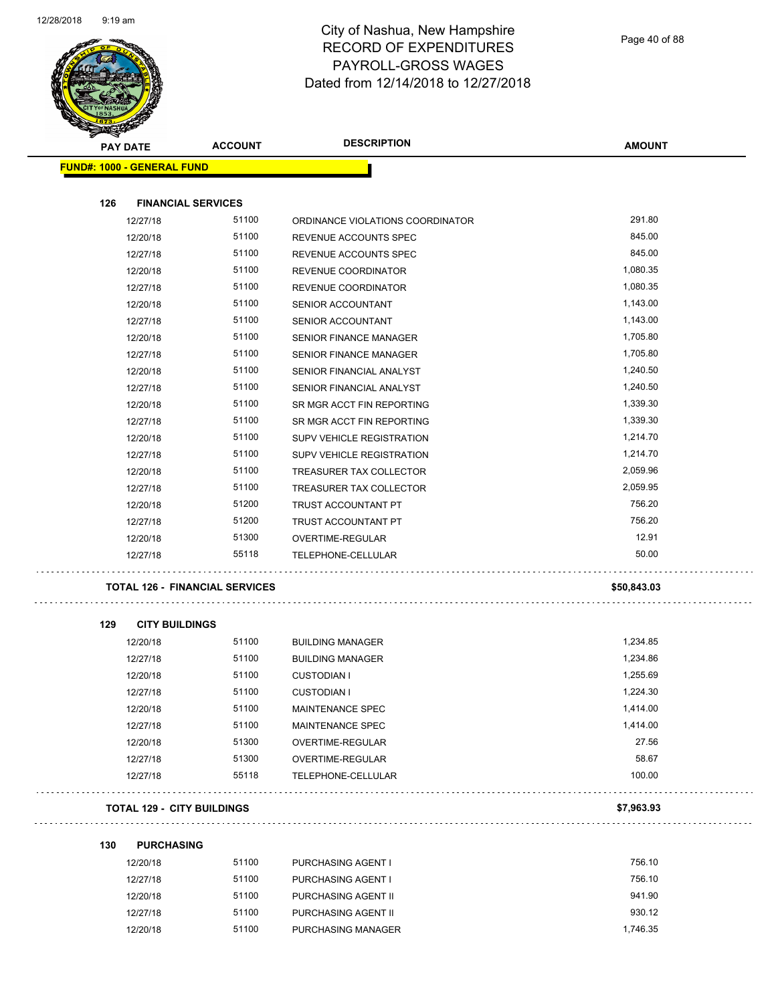

| <b>PAY DATE</b>                   | <b>ACCOUNT</b>                        | <b>DESCRIPTION</b>               | <b>AMOUNT</b> |
|-----------------------------------|---------------------------------------|----------------------------------|---------------|
| <b>FUND#: 1000 - GENERAL FUND</b> |                                       |                                  |               |
| 126                               | <b>FINANCIAL SERVICES</b>             |                                  |               |
| 12/27/18                          | 51100                                 | ORDINANCE VIOLATIONS COORDINATOR | 291.80        |
| 12/20/18                          | 51100                                 | REVENUE ACCOUNTS SPEC            | 845.00        |
| 12/27/18                          | 51100                                 | REVENUE ACCOUNTS SPEC            | 845.00        |
| 12/20/18                          | 51100                                 | REVENUE COORDINATOR              | 1,080.35      |
| 12/27/18                          | 51100                                 | REVENUE COORDINATOR              | 1,080.35      |
| 12/20/18                          | 51100                                 | <b>SENIOR ACCOUNTANT</b>         | 1,143.00      |
| 12/27/18                          | 51100                                 | <b>SENIOR ACCOUNTANT</b>         | 1,143.00      |
| 12/20/18                          | 51100                                 | SENIOR FINANCE MANAGER           | 1,705.80      |
| 12/27/18                          | 51100                                 | <b>SENIOR FINANCE MANAGER</b>    | 1,705.80      |
| 12/20/18                          | 51100                                 | SENIOR FINANCIAL ANALYST         | 1,240.50      |
| 12/27/18                          | 51100                                 | SENIOR FINANCIAL ANALYST         | 1,240.50      |
| 12/20/18                          | 51100                                 | SR MGR ACCT FIN REPORTING        | 1,339.30      |
| 12/27/18                          | 51100                                 | SR MGR ACCT FIN REPORTING        | 1,339.30      |
| 12/20/18                          | 51100                                 | SUPV VEHICLE REGISTRATION        | 1,214.70      |
| 12/27/18                          | 51100                                 | SUPV VEHICLE REGISTRATION        | 1,214.70      |
| 12/20/18                          | 51100                                 | TREASURER TAX COLLECTOR          | 2,059.96      |
| 12/27/18                          | 51100                                 | TREASURER TAX COLLECTOR          | 2,059.95      |
| 12/20/18                          | 51200                                 | TRUST ACCOUNTANT PT              | 756.20        |
| 12/27/18                          | 51200                                 | TRUST ACCOUNTANT PT              | 756.20        |
| 12/20/18                          | 51300                                 | OVERTIME-REGULAR                 | 12.91         |
| 12/27/18                          | 55118                                 | TELEPHONE-CELLULAR               | 50.00         |
|                                   | <b>TOTAL 126 - FINANCIAL SERVICES</b> |                                  | \$50,843.03   |
| 129<br><b>CITY BUILDINGS</b>      |                                       |                                  |               |
| 12/20/18                          | 51100                                 | <b>BUILDING MANAGER</b>          | 1,234.85      |
| 12/27/18                          | 51100                                 | <b>BUILDING MANAGER</b>          | 1,234.86      |
| 12/20/18                          | 51100                                 | <b>CUSTODIAN I</b>               | 1,255.69      |
| 12/27/18                          | 51100                                 | <b>CUSTODIAN I</b>               | 1,224.30      |
| 12/20/18                          | 51100                                 | MAINTENANCE SPEC                 | 1,414.00      |
| 12/27/18                          | 51100                                 | MAINTENANCE SPEC                 | 1,414.00      |
| 12/20/18                          | 51300                                 | OVERTIME-REGULAR                 | 27.56         |
| 12/27/18                          | 51300                                 | OVERTIME-REGULAR                 | 58.67         |
| 12/27/18                          | 55118                                 | TELEPHONE-CELLULAR               | 100.00        |
| <b>TOTAL 129 - CITY BUILDINGS</b> |                                       |                                  | \$7,963.93    |
| 130<br><b>PURCHASING</b>          |                                       |                                  |               |
| 12/20/18                          | 51100                                 | PURCHASING AGENT I               | 756.10        |
| 12/27/18                          | 51100                                 | PURCHASING AGENT I               | 756.10        |
| 12/20/18                          | 51100                                 | PURCHASING AGENT II              | 941.90        |
| 12/27/18                          | 51100                                 | PURCHASING AGENT II              | 930.12        |
| 12/20/18                          | 51100                                 | PURCHASING MANAGER               | 1,746.35      |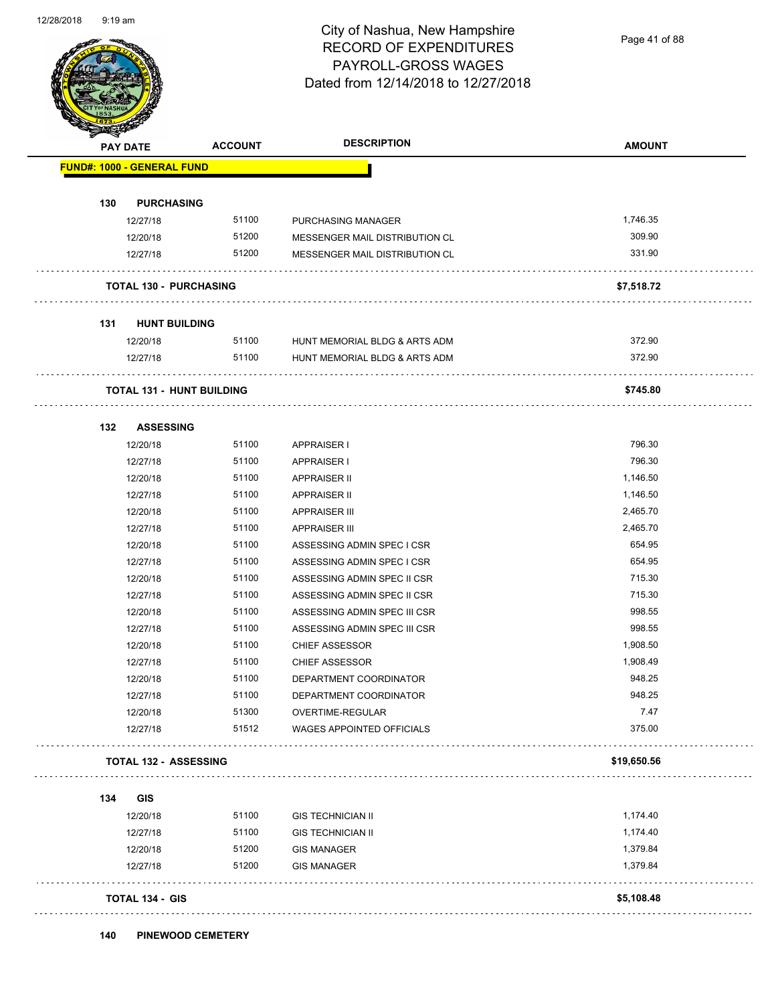Page 41 of 88

| <b>PAY DATE</b>            | <b>ACCOUNT</b>                   | <b>DESCRIPTION</b>             | <b>AMOUNT</b> |
|----------------------------|----------------------------------|--------------------------------|---------------|
| FUND#: 1000 - GENERAL FUND |                                  |                                |               |
|                            |                                  |                                |               |
| 130<br>12/27/18            | <b>PURCHASING</b><br>51100       | <b>PURCHASING MANAGER</b>      | 1,746.35      |
| 12/20/18                   | 51200                            | MESSENGER MAIL DISTRIBUTION CL | 309.90        |
| 12/27/18                   | 51200                            | MESSENGER MAIL DISTRIBUTION CL | 331.90        |
|                            |                                  |                                |               |
|                            | <b>TOTAL 130 - PURCHASING</b>    |                                | \$7,518.72    |
| 131                        | <b>HUNT BUILDING</b>             |                                |               |
| 12/20/18                   | 51100                            | HUNT MEMORIAL BLDG & ARTS ADM  | 372.90        |
| 12/27/18                   | 51100                            | HUNT MEMORIAL BLDG & ARTS ADM  | 372.90        |
|                            | <b>TOTAL 131 - HUNT BUILDING</b> |                                | \$745.80      |
| 132                        | <b>ASSESSING</b>                 |                                |               |
| 12/20/18                   | 51100                            | APPRAISER I                    | 796.30        |
| 12/27/18                   | 51100                            | APPRAISER I                    | 796.30        |
| 12/20/18                   | 51100                            | <b>APPRAISER II</b>            | 1,146.50      |
| 12/27/18                   | 51100                            | APPRAISER II                   | 1,146.50      |
| 12/20/18                   | 51100                            | <b>APPRAISER III</b>           | 2,465.70      |
| 12/27/18                   | 51100                            | <b>APPRAISER III</b>           | 2,465.70      |
| 12/20/18                   | 51100                            | ASSESSING ADMIN SPEC I CSR     | 654.95        |
| 12/27/18                   | 51100                            | ASSESSING ADMIN SPEC I CSR     | 654.95        |
| 12/20/18                   | 51100                            | ASSESSING ADMIN SPEC II CSR    | 715.30        |
| 12/27/18                   | 51100                            | ASSESSING ADMIN SPEC II CSR    | 715.30        |
| 12/20/18                   | 51100                            | ASSESSING ADMIN SPEC III CSR   | 998.55        |
| 12/27/18                   | 51100                            | ASSESSING ADMIN SPEC III CSR   | 998.55        |
| 12/20/18                   | 51100                            | <b>CHIEF ASSESSOR</b>          | 1,908.50      |
| 12/27/18                   | 51100                            | <b>CHIEF ASSESSOR</b>          | 1,908.49      |
| 12/20/18                   | 51100                            | DEPARTMENT COORDINATOR         | 948.25        |
| 12/27/18                   | 51100                            | DEPARTMENT COORDINATOR         | 948.25        |
| 12/20/18                   | 51300                            | OVERTIME-REGULAR               | 7.47          |
| 12/27/18                   | 51512                            | WAGES APPOINTED OFFICIALS      | 375.00        |
|                            | <b>TOTAL 132 - ASSESSING</b>     |                                | \$19,650.56   |
| 134<br><b>GIS</b>          |                                  |                                |               |
| 12/20/18                   | 51100                            | <b>GIS TECHNICIAN II</b>       | 1,174.40      |
| 12/27/18                   | 51100                            | <b>GIS TECHNICIAN II</b>       | 1,174.40      |
| 12/20/18                   | 51200                            | <b>GIS MANAGER</b>             | 1,379.84      |
| 12/27/18                   | 51200                            | <b>GIS MANAGER</b>             | 1,379.84      |
|                            | <b>TOTAL 134 - GIS</b>           |                                | \$5,108.48    |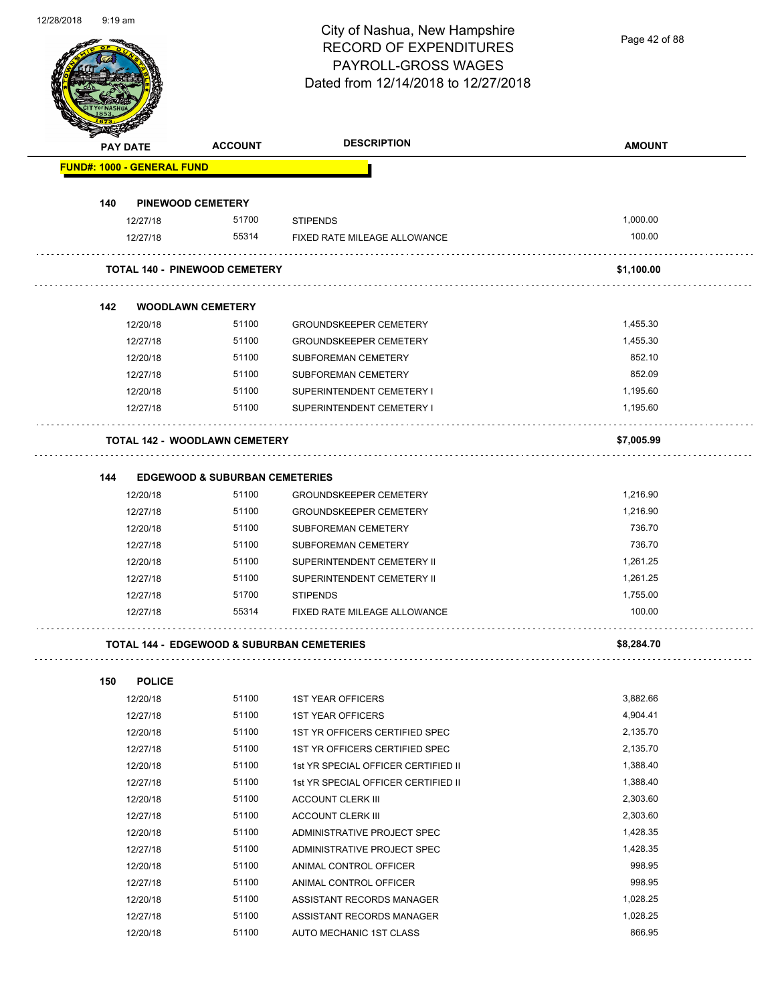Page 42 of 88

| <b>PAY DATE</b> |                                   | <b>ACCOUNT</b>                                        | <b>DESCRIPTION</b>                  | <b>AMOUNT</b> |
|-----------------|-----------------------------------|-------------------------------------------------------|-------------------------------------|---------------|
|                 | <b>FUND#: 1000 - GENERAL FUND</b> |                                                       |                                     |               |
| 140             |                                   | <b>PINEWOOD CEMETERY</b>                              |                                     |               |
|                 | 12/27/18                          | 51700                                                 | <b>STIPENDS</b>                     | 1,000.00      |
|                 | 12/27/18                          | 55314                                                 | FIXED RATE MILEAGE ALLOWANCE        | 100.00        |
|                 |                                   | <b>TOTAL 140 - PINEWOOD CEMETERY</b>                  |                                     | \$1.100.00    |
| 142             |                                   | <b>WOODLAWN CEMETERY</b>                              |                                     |               |
|                 | 12/20/18                          | 51100                                                 | <b>GROUNDSKEEPER CEMETERY</b>       | 1,455.30      |
|                 | 12/27/18                          | 51100                                                 | <b>GROUNDSKEEPER CEMETERY</b>       | 1,455.30      |
|                 | 12/20/18                          | 51100                                                 | SUBFOREMAN CEMETERY                 | 852.10        |
|                 | 12/27/18                          | 51100                                                 | SUBFOREMAN CEMETERY                 | 852.09        |
|                 | 12/20/18                          | 51100                                                 | SUPERINTENDENT CEMETERY I           | 1,195.60      |
|                 | 12/27/18                          | 51100                                                 | SUPERINTENDENT CEMETERY I           | 1,195.60      |
|                 |                                   | <b>TOTAL 142 - WOODLAWN CEMETERY</b>                  |                                     | \$7,005.99    |
| 144             |                                   | <b>EDGEWOOD &amp; SUBURBAN CEMETERIES</b>             |                                     |               |
|                 | 12/20/18                          | 51100                                                 | <b>GROUNDSKEEPER CEMETERY</b>       | 1,216.90      |
|                 | 12/27/18                          | 51100                                                 | <b>GROUNDSKEEPER CEMETERY</b>       | 1,216.90      |
|                 | 12/20/18                          | 51100                                                 | SUBFOREMAN CEMETERY                 | 736.70        |
|                 | 12/27/18                          | 51100                                                 | SUBFOREMAN CEMETERY                 | 736.70        |
|                 | 12/20/18                          | 51100                                                 | SUPERINTENDENT CEMETERY II          | 1,261.25      |
|                 | 12/27/18                          | 51100                                                 | SUPERINTENDENT CEMETERY II          | 1,261.25      |
|                 | 12/27/18                          | 51700                                                 | <b>STIPENDS</b>                     | 1,755.00      |
|                 | 12/27/18                          | 55314                                                 | FIXED RATE MILEAGE ALLOWANCE        | 100.00        |
|                 |                                   | <b>TOTAL 144 - EDGEWOOD &amp; SUBURBAN CEMETERIES</b> |                                     | \$8,284.70    |
| 150             | <b>POLICE</b>                     |                                                       |                                     |               |
|                 | 12/20/18                          | 51100                                                 | <b>1ST YEAR OFFICERS</b>            | 3,882.66      |
|                 | 12/27/18                          | 51100                                                 | <b>1ST YEAR OFFICERS</b>            | 4,904.41      |
|                 | 12/20/18                          | 51100                                                 | 1ST YR OFFICERS CERTIFIED SPEC      | 2,135.70      |
|                 | 12/27/18                          | 51100                                                 | 1ST YR OFFICERS CERTIFIED SPEC      | 2,135.70      |
|                 | 12/20/18                          | 51100                                                 | 1st YR SPECIAL OFFICER CERTIFIED II | 1,388.40      |
|                 | 12/27/18                          | 51100                                                 | 1st YR SPECIAL OFFICER CERTIFIED II | 1,388.40      |
|                 | 12/20/18                          | 51100                                                 | <b>ACCOUNT CLERK III</b>            | 2,303.60      |
|                 | 12/27/18                          | 51100                                                 | <b>ACCOUNT CLERK III</b>            | 2,303.60      |
|                 | 12/20/18                          | 51100                                                 | ADMINISTRATIVE PROJECT SPEC         | 1,428.35      |
|                 | 12/27/18                          | 51100                                                 | ADMINISTRATIVE PROJECT SPEC         | 1,428.35      |
|                 | 12/20/18                          | 51100                                                 | ANIMAL CONTROL OFFICER              | 998.95        |
|                 | 12/27/18                          | 51100                                                 | ANIMAL CONTROL OFFICER              | 998.95        |
|                 | 12/20/18                          | 51100                                                 | ASSISTANT RECORDS MANAGER           | 1,028.25      |
|                 | 12/27/18                          | 51100                                                 | ASSISTANT RECORDS MANAGER           | 1,028.25      |
|                 | 12/20/18                          | 51100                                                 | AUTO MECHANIC 1ST CLASS             | 866.95        |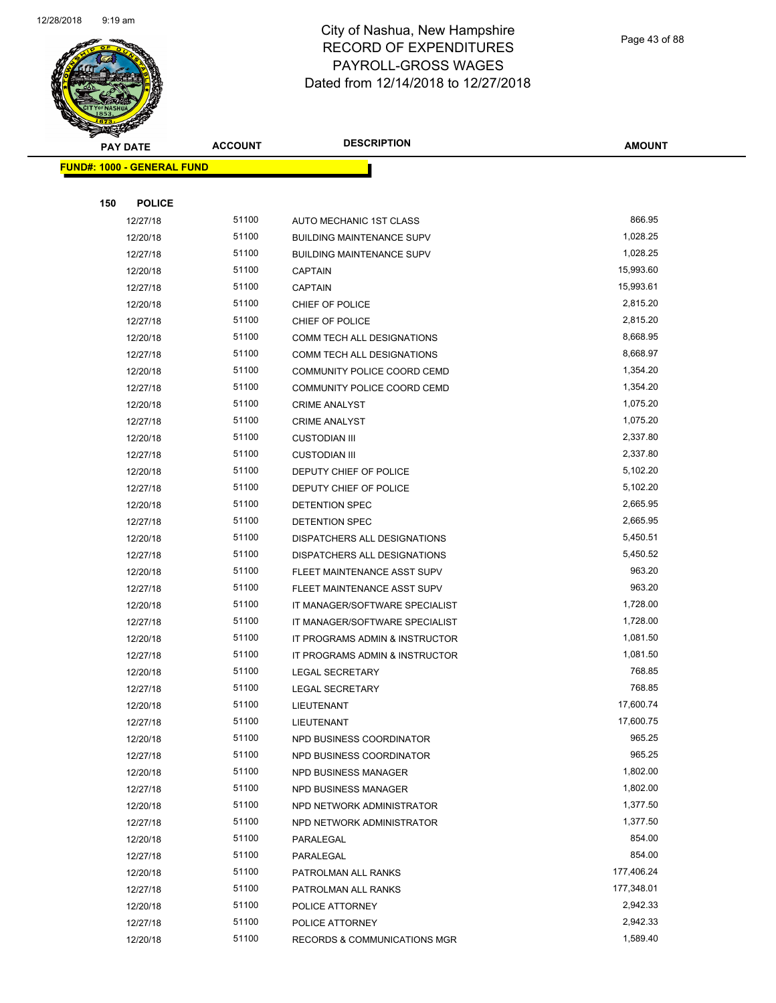

Page 43 of 88

| <b>PAY DATE</b>                   | <b>ACCOUNT</b> | <b>DESCRIPTION</b>               | <b>AMOUNT</b> |
|-----------------------------------|----------------|----------------------------------|---------------|
| <b>FUND#: 1000 - GENERAL FUND</b> |                |                                  |               |
|                                   |                |                                  |               |
| 150<br><b>POLICE</b>              |                |                                  |               |
| 12/27/18                          | 51100          | AUTO MECHANIC 1ST CLASS          | 866.95        |
| 12/20/18                          | 51100          | <b>BUILDING MAINTENANCE SUPV</b> | 1,028.25      |
| 12/27/18                          | 51100          | <b>BUILDING MAINTENANCE SUPV</b> | 1,028.25      |
| 12/20/18                          | 51100          | <b>CAPTAIN</b>                   | 15,993.60     |
| 12/27/18                          | 51100          | <b>CAPTAIN</b>                   | 15,993.61     |
| 12/20/18                          | 51100          | CHIEF OF POLICE                  | 2,815.20      |
| 12/27/18                          | 51100          | CHIEF OF POLICE                  | 2,815.20      |
| 12/20/18                          | 51100          | COMM TECH ALL DESIGNATIONS       | 8,668.95      |
| 12/27/18                          | 51100          | COMM TECH ALL DESIGNATIONS       | 8,668.97      |
| 12/20/18                          | 51100          | COMMUNITY POLICE COORD CEMD      | 1,354.20      |
| 12/27/18                          | 51100          | COMMUNITY POLICE COORD CEMD      | 1,354.20      |
| 12/20/18                          | 51100          | <b>CRIME ANALYST</b>             | 1,075.20      |
| 12/27/18                          | 51100          | <b>CRIME ANALYST</b>             | 1,075.20      |
| 12/20/18                          | 51100          | <b>CUSTODIAN III</b>             | 2,337.80      |
| 12/27/18                          | 51100          | <b>CUSTODIAN III</b>             | 2,337.80      |
| 12/20/18                          | 51100          | DEPUTY CHIEF OF POLICE           | 5,102.20      |
| 12/27/18                          | 51100          | DEPUTY CHIEF OF POLICE           | 5,102.20      |
| 12/20/18                          | 51100          | DETENTION SPEC                   | 2,665.95      |
| 12/27/18                          | 51100          | DETENTION SPEC                   | 2,665.95      |
| 12/20/18                          | 51100          | DISPATCHERS ALL DESIGNATIONS     | 5,450.51      |
| 12/27/18                          | 51100          | DISPATCHERS ALL DESIGNATIONS     | 5,450.52      |
| 12/20/18                          | 51100          | FLEET MAINTENANCE ASST SUPV      | 963.20        |
| 12/27/18                          | 51100          | FLEET MAINTENANCE ASST SUPV      | 963.20        |
| 12/20/18                          | 51100          | IT MANAGER/SOFTWARE SPECIALIST   | 1,728.00      |
| 12/27/18                          | 51100          | IT MANAGER/SOFTWARE SPECIALIST   | 1,728.00      |
| 12/20/18                          | 51100          | IT PROGRAMS ADMIN & INSTRUCTOR   | 1,081.50      |
| 12/27/18                          | 51100          | IT PROGRAMS ADMIN & INSTRUCTOR   | 1,081.50      |
| 12/20/18                          | 51100          | <b>LEGAL SECRETARY</b>           | 768.85        |
| 12/27/18                          | 51100          | <b>LEGAL SECRETARY</b>           | 768.85        |
| 12/20/18                          | 51100          | LIEUTENANT                       | 17,600.74     |
| 12/27/18                          | 51100          | LIEUTENANT                       | 17,600.75     |
| 12/20/18                          | 51100          | NPD BUSINESS COORDINATOR         | 965.25        |
| 12/27/18                          | 51100          | NPD BUSINESS COORDINATOR         | 965.25        |
| 12/20/18                          | 51100          | NPD BUSINESS MANAGER             | 1,802.00      |
| 12/27/18                          | 51100          | <b>NPD BUSINESS MANAGER</b>      | 1,802.00      |
| 12/20/18                          | 51100          | NPD NETWORK ADMINISTRATOR        | 1,377.50      |
| 12/27/18                          | 51100          | NPD NETWORK ADMINISTRATOR        | 1,377.50      |
| 12/20/18                          | 51100          | PARALEGAL                        | 854.00        |
| 12/27/18                          | 51100          | PARALEGAL                        | 854.00        |
| 12/20/18                          | 51100          | PATROLMAN ALL RANKS              | 177,406.24    |
| 12/27/18                          | 51100          | PATROLMAN ALL RANKS              | 177,348.01    |
| 12/20/18                          | 51100          | POLICE ATTORNEY                  | 2,942.33      |
| 12/27/18                          | 51100          | POLICE ATTORNEY                  | 2,942.33      |
| 12/20/18                          | 51100          | RECORDS & COMMUNICATIONS MGR     | 1,589.40      |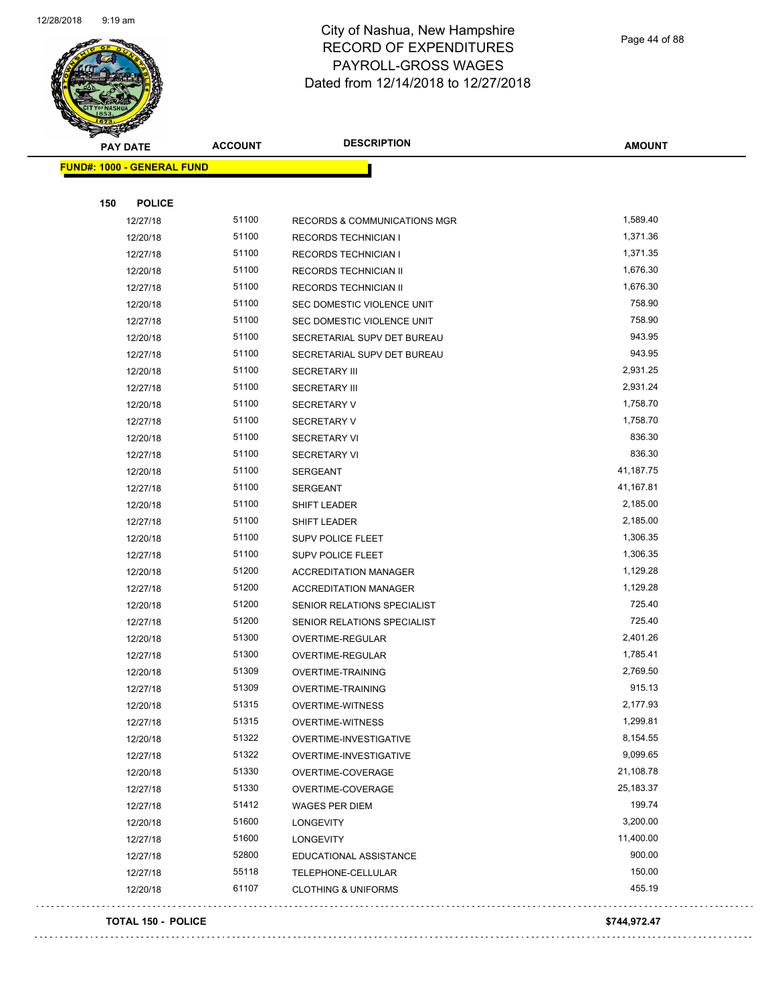

Page 44 of 88

| <b>PAY DATE</b>                   | <b>ACCOUNT</b> | <b>DESCRIPTION</b>             | <b>AMOUNT</b> |
|-----------------------------------|----------------|--------------------------------|---------------|
| <b>FUND#: 1000 - GENERAL FUND</b> |                |                                |               |
|                                   |                |                                |               |
| 150<br><b>POLICE</b>              |                |                                |               |
| 12/27/18                          | 51100          | RECORDS & COMMUNICATIONS MGR   | 1,589.40      |
| 12/20/18                          | 51100          | <b>RECORDS TECHNICIAN I</b>    | 1,371.36      |
| 12/27/18                          | 51100          | <b>RECORDS TECHNICIAN I</b>    | 1,371.35      |
| 12/20/18                          | 51100          | RECORDS TECHNICIAN II          | 1,676.30      |
| 12/27/18                          | 51100          | RECORDS TECHNICIAN II          | 1,676.30      |
| 12/20/18                          | 51100          | SEC DOMESTIC VIOLENCE UNIT     | 758.90        |
| 12/27/18                          | 51100          | SEC DOMESTIC VIOLENCE UNIT     | 758.90        |
| 12/20/18                          | 51100          | SECRETARIAL SUPV DET BUREAU    | 943.95        |
| 12/27/18                          | 51100          | SECRETARIAL SUPV DET BUREAU    | 943.95        |
| 12/20/18                          | 51100          | <b>SECRETARY III</b>           | 2,931.25      |
| 12/27/18                          | 51100          | <b>SECRETARY III</b>           | 2,931.24      |
| 12/20/18                          | 51100          | <b>SECRETARY V</b>             | 1,758.70      |
| 12/27/18                          | 51100          | <b>SECRETARY V</b>             | 1,758.70      |
| 12/20/18                          | 51100          | <b>SECRETARY VI</b>            | 836.30        |
| 12/27/18                          | 51100          | <b>SECRETARY VI</b>            | 836.30        |
| 12/20/18                          | 51100          | <b>SERGEANT</b>                | 41,187.75     |
| 12/27/18                          | 51100          | <b>SERGEANT</b>                | 41,167.81     |
| 12/20/18                          | 51100          | SHIFT LEADER                   | 2,185.00      |
| 12/27/18                          | 51100          | SHIFT LEADER                   | 2,185.00      |
| 12/20/18                          | 51100          | SUPV POLICE FLEET              | 1,306.35      |
| 12/27/18                          | 51100          | <b>SUPV POLICE FLEET</b>       | 1,306.35      |
| 12/20/18                          | 51200          | <b>ACCREDITATION MANAGER</b>   | 1,129.28      |
| 12/27/18                          | 51200          | <b>ACCREDITATION MANAGER</b>   | 1,129.28      |
| 12/20/18                          | 51200          | SENIOR RELATIONS SPECIALIST    | 725.40        |
| 12/27/18                          | 51200          | SENIOR RELATIONS SPECIALIST    | 725.40        |
| 12/20/18                          | 51300          | OVERTIME-REGULAR               | 2,401.26      |
| 12/27/18                          | 51300          | OVERTIME-REGULAR               | 1,785.41      |
| 12/20/18                          | 51309          | OVERTIME-TRAINING              | 2,769.50      |
| 12/27/18                          | 51309          | OVERTIME-TRAINING              | 915.13        |
| 12/20/18                          | 51315          | OVERTIME-WITNESS               | 2,177.93      |
| 12/27/18                          | 51315          | <b>OVERTIME-WITNESS</b>        | 1,299.81      |
| 12/20/18                          | 51322          | OVERTIME-INVESTIGATIVE         | 8,154.55      |
| 12/27/18                          | 51322          | OVERTIME-INVESTIGATIVE         | 9,099.65      |
| 12/20/18                          | 51330          | OVERTIME-COVERAGE              | 21,108.78     |
| 12/27/18                          | 51330          | OVERTIME-COVERAGE              | 25,183.37     |
| 12/27/18                          | 51412          | WAGES PER DIEM                 | 199.74        |
| 12/20/18                          | 51600          | LONGEVITY                      | 3,200.00      |
| 12/27/18                          | 51600          | LONGEVITY                      | 11,400.00     |
| 12/27/18                          | 52800          | EDUCATIONAL ASSISTANCE         | 900.00        |
| 12/27/18                          | 55118          | TELEPHONE-CELLULAR             | 150.00        |
| 12/20/18                          | 61107          | <b>CLOTHING &amp; UNIFORMS</b> | 455.19        |
|                                   |                |                                |               |

#### **TOTAL 150 - POLICE \$744,972.47**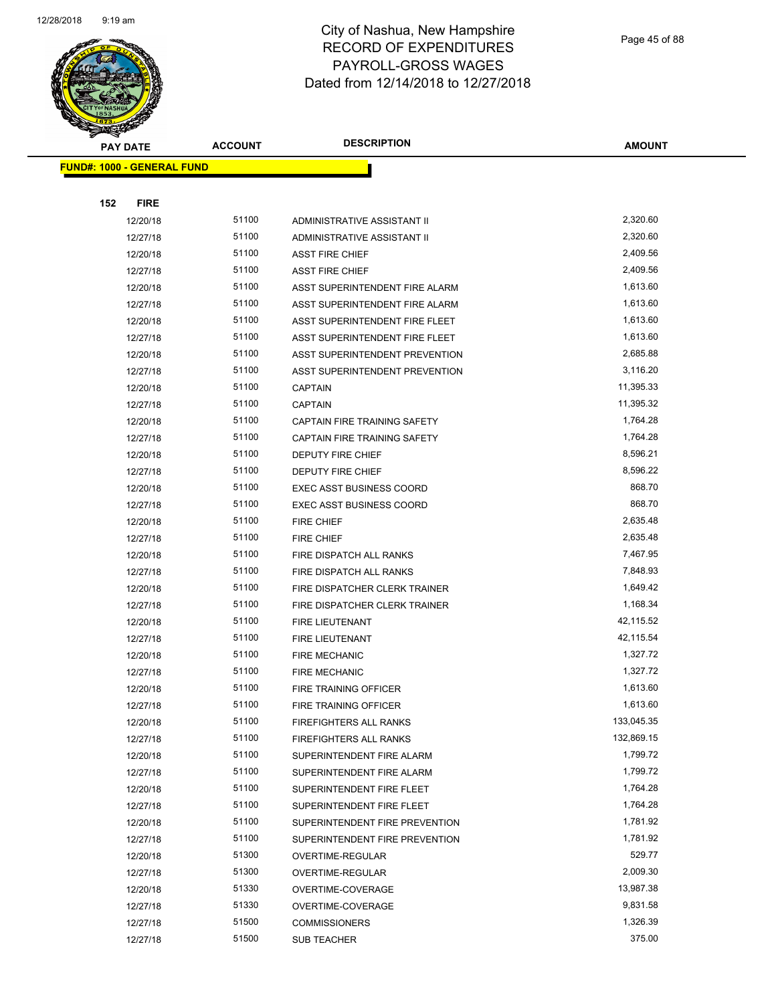

Page 45 of 88

| <b>PAY DATE</b>                   | <b>ACCOUNT</b> | <b>DESCRIPTION</b>                  | <b>AMOUNT</b> |
|-----------------------------------|----------------|-------------------------------------|---------------|
| <b>FUND#: 1000 - GENERAL FUND</b> |                |                                     |               |
|                                   |                |                                     |               |
| 152<br><b>FIRE</b>                |                |                                     |               |
| 12/20/18                          | 51100          | ADMINISTRATIVE ASSISTANT II         | 2,320.60      |
| 12/27/18                          | 51100          | ADMINISTRATIVE ASSISTANT II         | 2,320.60      |
| 12/20/18                          | 51100          | <b>ASST FIRE CHIEF</b>              | 2,409.56      |
| 12/27/18                          | 51100          | <b>ASST FIRE CHIEF</b>              | 2,409.56      |
| 12/20/18                          | 51100          | ASST SUPERINTENDENT FIRE ALARM      | 1,613.60      |
| 12/27/18                          | 51100          | ASST SUPERINTENDENT FIRE ALARM      | 1,613.60      |
| 12/20/18                          | 51100          | ASST SUPERINTENDENT FIRE FLEET      | 1,613.60      |
| 12/27/18                          | 51100          | ASST SUPERINTENDENT FIRE FLEET      | 1,613.60      |
| 12/20/18                          | 51100          | ASST SUPERINTENDENT PREVENTION      | 2,685.88      |
| 12/27/18                          | 51100          | ASST SUPERINTENDENT PREVENTION      | 3,116.20      |
| 12/20/18                          | 51100          | <b>CAPTAIN</b>                      | 11,395.33     |
| 12/27/18                          | 51100          | <b>CAPTAIN</b>                      | 11,395.32     |
| 12/20/18                          | 51100          | <b>CAPTAIN FIRE TRAINING SAFETY</b> | 1,764.28      |
| 12/27/18                          | 51100          | CAPTAIN FIRE TRAINING SAFETY        | 1,764.28      |
| 12/20/18                          | 51100          | <b>DEPUTY FIRE CHIEF</b>            | 8,596.21      |
| 12/27/18                          | 51100          | <b>DEPUTY FIRE CHIEF</b>            | 8,596.22      |
| 12/20/18                          | 51100          | <b>EXEC ASST BUSINESS COORD</b>     | 868.70        |
| 12/27/18                          | 51100          | <b>EXEC ASST BUSINESS COORD</b>     | 868.70        |
| 12/20/18                          | 51100          | <b>FIRE CHIEF</b>                   | 2,635.48      |
| 12/27/18                          | 51100          | <b>FIRE CHIEF</b>                   | 2,635.48      |
| 12/20/18                          | 51100          | FIRE DISPATCH ALL RANKS             | 7,467.95      |
| 12/27/18                          | 51100          | FIRE DISPATCH ALL RANKS             | 7,848.93      |
| 12/20/18                          | 51100          | FIRE DISPATCHER CLERK TRAINER       | 1,649.42      |
| 12/27/18                          | 51100          | FIRE DISPATCHER CLERK TRAINER       | 1,168.34      |
| 12/20/18                          | 51100          | <b>FIRE LIEUTENANT</b>              | 42,115.52     |
| 12/27/18                          | 51100          | FIRE LIEUTENANT                     | 42,115.54     |
| 12/20/18                          | 51100          | <b>FIRE MECHANIC</b>                | 1,327.72      |
| 12/27/18                          | 51100          | <b>FIRE MECHANIC</b>                | 1,327.72      |
| 12/20/18                          | 51100          | <b>FIRE TRAINING OFFICER</b>        | 1,613.60      |
| 12/27/18                          | 51100          | FIRE TRAINING OFFICER               | 1,613.60      |
| 12/20/18                          | 51100          | FIREFIGHTERS ALL RANKS              | 133,045.35    |
| 12/27/18                          | 51100          | <b>FIREFIGHTERS ALL RANKS</b>       | 132,869.15    |
| 12/20/18                          | 51100          | SUPERINTENDENT FIRE ALARM           | 1,799.72      |
| 12/27/18                          | 51100          | SUPERINTENDENT FIRE ALARM           | 1,799.72      |
| 12/20/18                          | 51100          | SUPERINTENDENT FIRE FLEET           | 1,764.28      |
| 12/27/18                          | 51100          | SUPERINTENDENT FIRE FLEET           | 1,764.28      |
| 12/20/18                          | 51100          | SUPERINTENDENT FIRE PREVENTION      | 1,781.92      |
| 12/27/18                          | 51100          | SUPERINTENDENT FIRE PREVENTION      | 1,781.92      |
| 12/20/18                          | 51300          | OVERTIME-REGULAR                    | 529.77        |
| 12/27/18                          | 51300          | OVERTIME-REGULAR                    | 2,009.30      |
| 12/20/18                          | 51330          | OVERTIME-COVERAGE                   | 13,987.38     |
| 12/27/18                          | 51330          | OVERTIME-COVERAGE                   | 9,831.58      |
| 12/27/18                          | 51500          | <b>COMMISSIONERS</b>                | 1,326.39      |
| 12/27/18                          | 51500          | SUB TEACHER                         | 375.00        |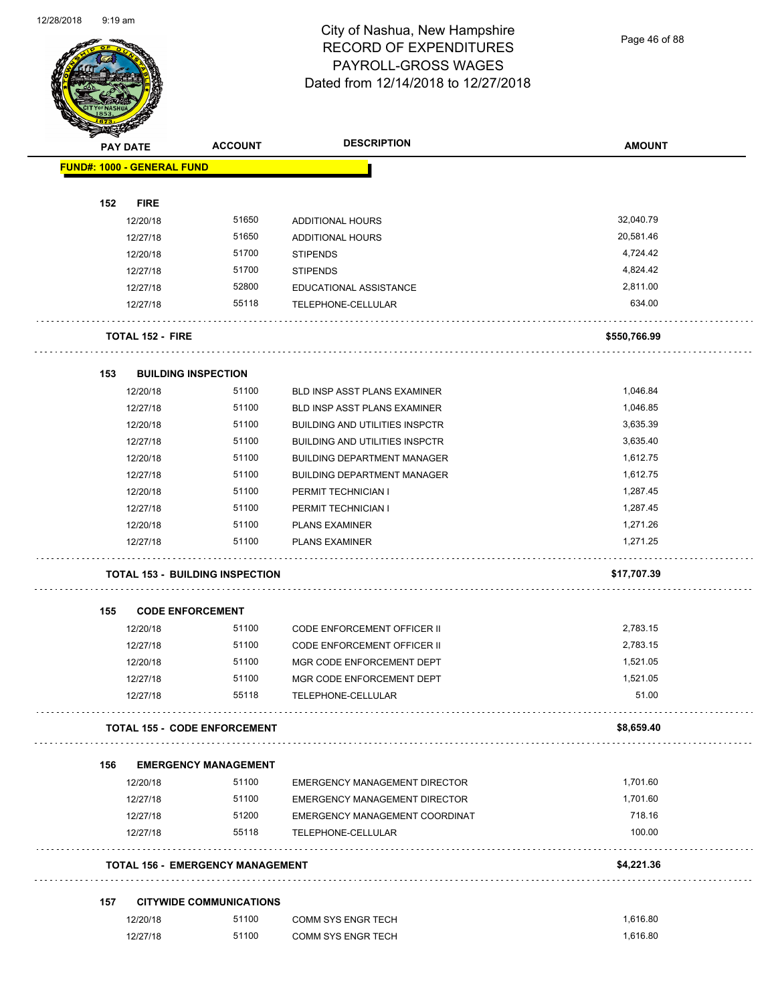Page 46 of 88

|     | <b>PAY DATE</b>                   | <b>ACCOUNT</b>                          | <b>DESCRIPTION</b>                              | <b>AMOUNT</b>     |
|-----|-----------------------------------|-----------------------------------------|-------------------------------------------------|-------------------|
|     | <b>FUND#: 1000 - GENERAL FUND</b> |                                         |                                                 |                   |
| 152 | <b>FIRE</b>                       |                                         |                                                 |                   |
|     | 12/20/18                          | 51650                                   | ADDITIONAL HOURS                                | 32,040.79         |
|     | 12/27/18                          | 51650                                   | ADDITIONAL HOURS                                | 20,581.46         |
|     | 12/20/18                          | 51700                                   | <b>STIPENDS</b>                                 | 4,724.42          |
|     | 12/27/18                          | 51700                                   | <b>STIPENDS</b>                                 | 4,824.42          |
|     | 12/27/18                          | 52800                                   | EDUCATIONAL ASSISTANCE                          | 2,811.00          |
|     | 12/27/18                          | 55118                                   | TELEPHONE-CELLULAR                              | 634.00            |
|     |                                   |                                         |                                                 |                   |
|     | <b>TOTAL 152 - FIRE</b><br>.      |                                         |                                                 | \$550,766.99      |
| 153 | <b>BUILDING INSPECTION</b>        |                                         |                                                 |                   |
|     | 12/20/18                          | 51100                                   | <b>BLD INSP ASST PLANS EXAMINER</b>             | 1,046.84          |
|     | 12/27/18                          | 51100                                   | <b>BLD INSP ASST PLANS EXAMINER</b>             | 1,046.85          |
|     | 12/20/18                          | 51100                                   | <b>BUILDING AND UTILITIES INSPCTR</b>           | 3,635.39          |
|     | 12/27/18                          | 51100                                   | <b>BUILDING AND UTILITIES INSPCTR</b>           | 3,635.40          |
|     | 12/20/18                          | 51100                                   | <b>BUILDING DEPARTMENT MANAGER</b>              | 1,612.75          |
|     | 12/27/18                          | 51100                                   | <b>BUILDING DEPARTMENT MANAGER</b>              | 1,612.75          |
|     | 12/20/18                          | 51100                                   | PERMIT TECHNICIAN I                             | 1,287.45          |
|     | 12/27/18                          | 51100                                   | PERMIT TECHNICIAN I                             | 1,287.45          |
|     | 12/20/18                          | 51100                                   | <b>PLANS EXAMINER</b>                           | 1,271.26          |
|     | 12/27/18                          | 51100                                   | <b>PLANS EXAMINER</b>                           | 1,271.25          |
|     |                                   | <b>TOTAL 153 - BUILDING INSPECTION</b>  |                                                 | \$17,707.39       |
|     |                                   |                                         |                                                 |                   |
| 155 | <b>CODE ENFORCEMENT</b>           |                                         |                                                 |                   |
|     | 12/20/18                          | 51100                                   | <b>CODE ENFORCEMENT OFFICER II</b>              | 2,783.15          |
|     | 12/27/18                          | 51100                                   | CODE ENFORCEMENT OFFICER II                     | 2,783.15          |
|     | 12/20/18                          | 51100                                   | MGR CODE ENFORCEMENT DEPT                       | 1,521.05          |
|     | 12/27/18<br>12/27/18              | 51100<br>55118                          | MGR CODE ENFORCEMENT DEPT<br>TELEPHONE-CELLULAR | 1,521.05<br>51.00 |
|     |                                   |                                         |                                                 |                   |
|     |                                   | <b>TOTAL 155 - CODE ENFORCEMENT</b>     |                                                 | \$8,659.40        |
| 156 |                                   | <b>EMERGENCY MANAGEMENT</b>             |                                                 |                   |
|     | 12/20/18                          | 51100                                   | EMERGENCY MANAGEMENT DIRECTOR                   | 1,701.60          |
|     | 12/27/18                          | 51100                                   | EMERGENCY MANAGEMENT DIRECTOR                   | 1,701.60          |
|     | 12/27/18                          | 51200                                   | EMERGENCY MANAGEMENT COORDINAT                  | 718.16            |
|     |                                   |                                         | TELEPHONE-CELLULAR                              | 100.00            |
|     | 12/27/18                          | 55118                                   |                                                 |                   |
|     |                                   | <b>TOTAL 156 - EMERGENCY MANAGEMENT</b> |                                                 | \$4,221.36        |
|     |                                   |                                         |                                                 |                   |
| 157 |                                   | <b>CITYWIDE COMMUNICATIONS</b>          |                                                 |                   |
|     | 12/20/18                          | 51100                                   | COMM SYS ENGR TECH                              | 1,616.80          |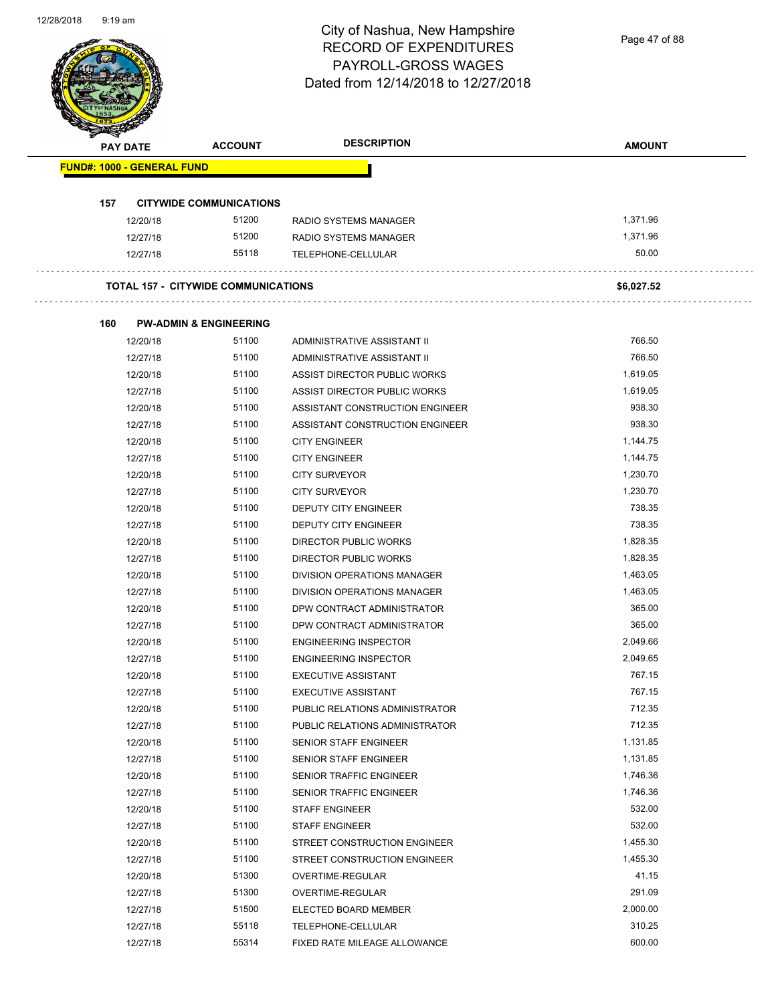Page 47 of 88

| <b>PAY DATE</b> |                                   | <b>ACCOUNT</b>                             | <b>DESCRIPTION</b>                 | <b>AMOUNT</b> |
|-----------------|-----------------------------------|--------------------------------------------|------------------------------------|---------------|
|                 | <b>FUND#: 1000 - GENERAL FUND</b> |                                            |                                    |               |
|                 |                                   |                                            |                                    |               |
| 157             | 12/20/18                          | <b>CITYWIDE COMMUNICATIONS</b><br>51200    | RADIO SYSTEMS MANAGER              | 1,371.96      |
|                 | 12/27/18                          | 51200                                      | RADIO SYSTEMS MANAGER              | 1,371.96      |
|                 | 12/27/18                          | 55118                                      | TELEPHONE-CELLULAR                 | 50.00         |
|                 |                                   | <b>TOTAL 157 - CITYWIDE COMMUNICATIONS</b> |                                    | \$6,027.52    |
|                 |                                   |                                            |                                    |               |
| 160             |                                   | <b>PW-ADMIN &amp; ENGINEERING</b>          |                                    |               |
|                 | 12/20/18                          | 51100                                      | ADMINISTRATIVE ASSISTANT II        | 766.50        |
|                 | 12/27/18                          | 51100                                      | ADMINISTRATIVE ASSISTANT II        | 766.50        |
|                 | 12/20/18                          | 51100                                      | ASSIST DIRECTOR PUBLIC WORKS       | 1,619.05      |
|                 | 12/27/18                          | 51100                                      | ASSIST DIRECTOR PUBLIC WORKS       | 1,619.05      |
|                 | 12/20/18                          | 51100                                      | ASSISTANT CONSTRUCTION ENGINEER    | 938.30        |
|                 | 12/27/18                          | 51100                                      | ASSISTANT CONSTRUCTION ENGINEER    | 938.30        |
|                 | 12/20/18                          | 51100                                      | <b>CITY ENGINEER</b>               | 1,144.75      |
|                 | 12/27/18                          | 51100                                      | <b>CITY ENGINEER</b>               | 1,144.75      |
|                 | 12/20/18                          | 51100                                      | <b>CITY SURVEYOR</b>               | 1,230.70      |
|                 | 12/27/18                          | 51100                                      | <b>CITY SURVEYOR</b>               | 1,230.70      |
|                 | 12/20/18                          | 51100                                      | DEPUTY CITY ENGINEER               | 738.35        |
|                 | 12/27/18                          | 51100                                      | DEPUTY CITY ENGINEER               | 738.35        |
|                 | 12/20/18                          | 51100                                      | DIRECTOR PUBLIC WORKS              | 1,828.35      |
|                 | 12/27/18                          | 51100                                      | DIRECTOR PUBLIC WORKS              | 1,828.35      |
|                 | 12/20/18                          | 51100                                      | DIVISION OPERATIONS MANAGER        | 1,463.05      |
|                 | 12/27/18                          | 51100                                      | <b>DIVISION OPERATIONS MANAGER</b> | 1,463.05      |
|                 | 12/20/18                          | 51100                                      | DPW CONTRACT ADMINISTRATOR         | 365.00        |
|                 | 12/27/18                          | 51100                                      | DPW CONTRACT ADMINISTRATOR         | 365.00        |
|                 | 12/20/18                          | 51100                                      | <b>ENGINEERING INSPECTOR</b>       | 2,049.66      |
|                 | 12/27/18                          | 51100                                      | <b>ENGINEERING INSPECTOR</b>       | 2,049.65      |
|                 | 12/20/18                          | 51100                                      | <b>EXECUTIVE ASSISTANT</b>         | 767.15        |
|                 | 12/27/18                          | 51100                                      | <b>EXECUTIVE ASSISTANT</b>         | 767.15        |
|                 | 12/20/18                          | 51100                                      | PUBLIC RELATIONS ADMINISTRATOR     | 712.35        |
|                 | 12/27/18                          | 51100                                      | PUBLIC RELATIONS ADMINISTRATOR     | 712.35        |
|                 | 12/20/18                          | 51100                                      | SENIOR STAFF ENGINEER              | 1,131.85      |
|                 | 12/27/18                          | 51100                                      | SENIOR STAFF ENGINEER              | 1,131.85      |
|                 | 12/20/18                          | 51100                                      | SENIOR TRAFFIC ENGINEER            | 1,746.36      |
|                 | 12/27/18                          | 51100                                      | SENIOR TRAFFIC ENGINEER            | 1,746.36      |
|                 | 12/20/18                          | 51100                                      | <b>STAFF ENGINEER</b>              | 532.00        |
|                 | 12/27/18                          | 51100                                      | <b>STAFF ENGINEER</b>              | 532.00        |
|                 | 12/20/18                          | 51100                                      | STREET CONSTRUCTION ENGINEER       | 1,455.30      |
|                 | 12/27/18                          | 51100                                      | STREET CONSTRUCTION ENGINEER       | 1,455.30      |
|                 | 12/20/18                          | 51300                                      | OVERTIME-REGULAR                   | 41.15         |
|                 | 12/27/18                          | 51300                                      | OVERTIME-REGULAR                   | 291.09        |
|                 | 12/27/18                          | 51500                                      | ELECTED BOARD MEMBER               | 2,000.00      |
|                 | 12/27/18                          | 55118                                      | TELEPHONE-CELLULAR                 | 310.25        |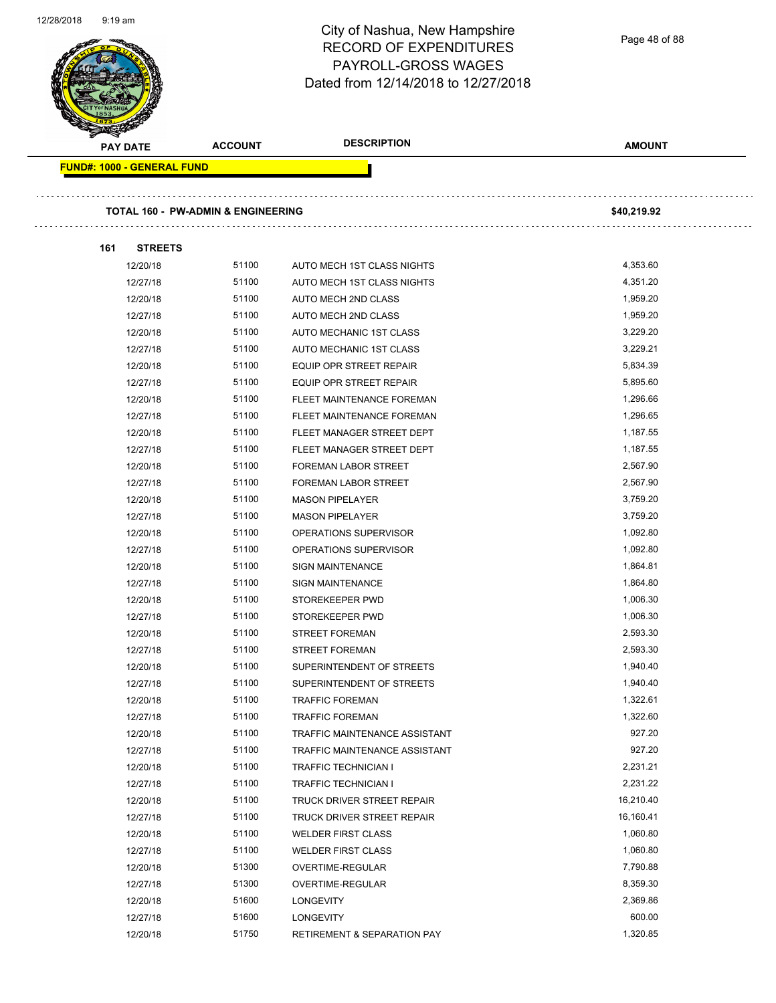Page 48 of 88

| PAY DATE                          | <b>ACCOUNT</b>                     | <b>DESCRIPTION</b>                     | <b>AMOUNT</b> |
|-----------------------------------|------------------------------------|----------------------------------------|---------------|
| <b>FUND#: 1000 - GENERAL FUND</b> |                                    |                                        |               |
|                                   | TOTAL 160 - PW-ADMIN & ENGINEERING |                                        | \$40,219.92   |
|                                   |                                    |                                        |               |
| <b>STREETS</b><br>161             |                                    |                                        |               |
| 12/20/18                          | 51100                              | AUTO MECH 1ST CLASS NIGHTS             | 4,353.60      |
| 12/27/18                          | 51100                              | AUTO MECH 1ST CLASS NIGHTS             | 4,351.20      |
| 12/20/18                          | 51100                              | AUTO MECH 2ND CLASS                    | 1,959.20      |
| 12/27/18                          | 51100                              | AUTO MECH 2ND CLASS                    | 1,959.20      |
| 12/20/18                          | 51100                              | AUTO MECHANIC 1ST CLASS                | 3,229.20      |
| 12/27/18                          | 51100                              | AUTO MECHANIC 1ST CLASS                | 3,229.21      |
| 12/20/18                          | 51100                              | EQUIP OPR STREET REPAIR                | 5,834.39      |
| 12/27/18                          | 51100                              | <b>EQUIP OPR STREET REPAIR</b>         | 5,895.60      |
| 12/20/18                          | 51100                              | <b>FLEET MAINTENANCE FOREMAN</b>       | 1,296.66      |
| 12/27/18                          | 51100                              | FLEET MAINTENANCE FOREMAN              | 1,296.65      |
| 12/20/18                          | 51100                              | FLEET MANAGER STREET DEPT              | 1,187.55      |
| 12/27/18                          | 51100                              | FLEET MANAGER STREET DEPT              | 1,187.55      |
| 12/20/18                          | 51100                              | <b>FOREMAN LABOR STREET</b>            | 2,567.90      |
| 12/27/18                          | 51100                              | <b>FOREMAN LABOR STREET</b>            | 2,567.90      |
| 12/20/18                          | 51100                              | <b>MASON PIPELAYER</b>                 | 3,759.20      |
| 12/27/18                          | 51100                              | <b>MASON PIPELAYER</b>                 | 3,759.20      |
| 12/20/18                          | 51100                              | OPERATIONS SUPERVISOR                  | 1,092.80      |
| 12/27/18                          | 51100                              | OPERATIONS SUPERVISOR                  | 1,092.80      |
| 12/20/18                          | 51100                              | <b>SIGN MAINTENANCE</b>                | 1,864.81      |
| 12/27/18                          | 51100                              | <b>SIGN MAINTENANCE</b>                | 1,864.80      |
| 12/20/18                          | 51100                              | STOREKEEPER PWD                        | 1,006.30      |
| 12/27/18                          | 51100                              | STOREKEEPER PWD                        | 1,006.30      |
| 12/20/18                          | 51100                              | <b>STREET FOREMAN</b>                  | 2,593.30      |
| 12/27/18                          | 51100                              | <b>STREET FOREMAN</b>                  | 2,593.30      |
| 12/20/18                          | 51100                              | SUPERINTENDENT OF STREETS              | 1,940.40      |
| 12/27/18                          | 51100                              | SUPERINTENDENT OF STREETS              | 1,940.40      |
| 12/20/18                          | 51100                              | <b>TRAFFIC FOREMAN</b>                 | 1,322.61      |
| 12/27/18                          | 51100                              | <b>TRAFFIC FOREMAN</b>                 | 1,322.60      |
| 12/20/18                          | 51100                              | <b>TRAFFIC MAINTENANCE ASSISTANT</b>   | 927.20        |
| 12/27/18                          | 51100                              | TRAFFIC MAINTENANCE ASSISTANT          | 927.20        |
| 12/20/18                          | 51100                              | <b>TRAFFIC TECHNICIAN I</b>            | 2,231.21      |
| 12/27/18                          | 51100                              | <b>TRAFFIC TECHNICIAN I</b>            | 2,231.22      |
| 12/20/18                          | 51100                              | TRUCK DRIVER STREET REPAIR             | 16,210.40     |
| 12/27/18                          | 51100                              | TRUCK DRIVER STREET REPAIR             | 16,160.41     |
| 12/20/18                          | 51100                              | <b>WELDER FIRST CLASS</b>              | 1,060.80      |
| 12/27/18                          | 51100                              | <b>WELDER FIRST CLASS</b>              | 1,060.80      |
| 12/20/18                          | 51300                              | OVERTIME-REGULAR                       | 7,790.88      |
| 12/27/18                          | 51300                              | OVERTIME-REGULAR                       | 8,359.30      |
| 12/20/18                          | 51600                              | <b>LONGEVITY</b>                       | 2,369.86      |
| 12/27/18                          | 51600                              | <b>LONGEVITY</b>                       | 600.00        |
| 12/20/18                          | 51750                              | <b>RETIREMENT &amp; SEPARATION PAY</b> | 1,320.85      |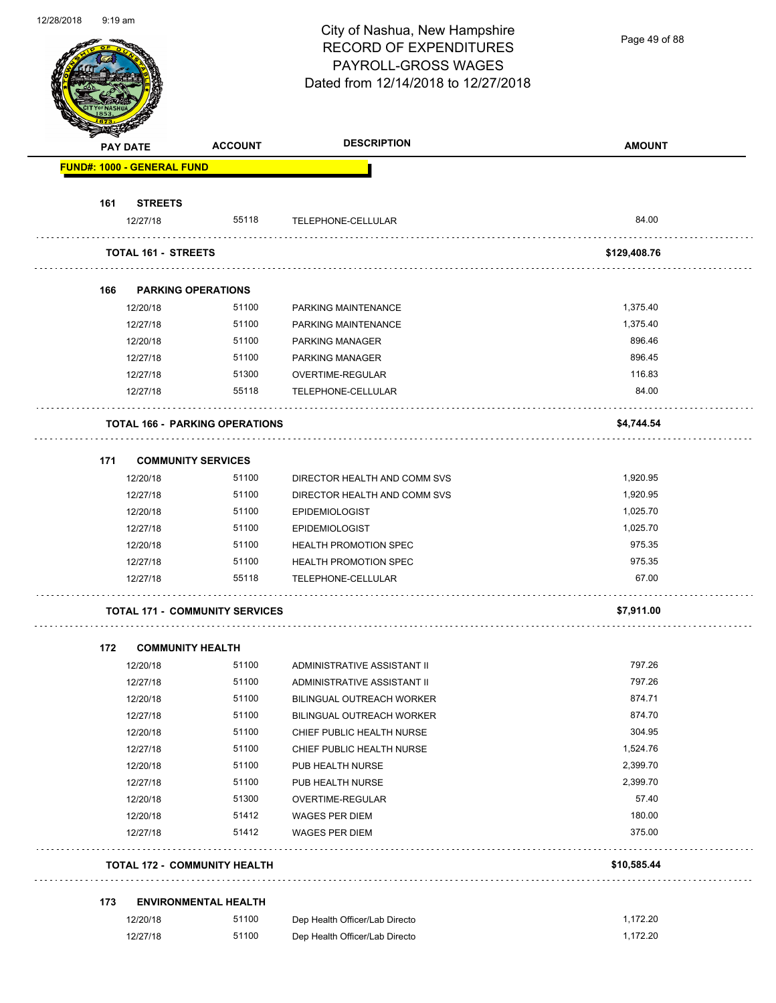Page 49 of 88

|     | PAY DATE                              | <b>ACCOUNT</b> | <b>DESCRIPTION</b>                     | <b>AMOUNT</b> |
|-----|---------------------------------------|----------------|----------------------------------------|---------------|
|     | <b>FUND#: 1000 - GENERAL FUND</b>     |                |                                        |               |
| 161 | <b>STREETS</b>                        |                |                                        |               |
|     | 12/27/18                              | 55118          | TELEPHONE-CELLULAR                     | 84.00         |
|     | TOTAL 161 - STREETS                   |                |                                        | \$129,408.76  |
|     |                                       |                |                                        |               |
| 166 | <b>PARKING OPERATIONS</b><br>12/20/18 | 51100          | PARKING MAINTENANCE                    | 1,375.40      |
|     | 12/27/18                              | 51100          | PARKING MAINTENANCE                    | 1,375.40      |
|     | 12/20/18                              | 51100          | <b>PARKING MANAGER</b>                 | 896.46        |
|     |                                       | 51100          | <b>PARKING MANAGER</b>                 | 896.45        |
|     | 12/27/18<br>12/27/18                  | 51300          |                                        | 116.83        |
|     | 12/27/18                              | 55118          | OVERTIME-REGULAR<br>TELEPHONE-CELLULAR | 84.00         |
|     | <b>TOTAL 166 - PARKING OPERATIONS</b> |                |                                        | \$4,744.54    |
|     |                                       |                |                                        |               |
| 171 | <b>COMMUNITY SERVICES</b>             |                |                                        |               |
|     | 12/20/18                              | 51100          | DIRECTOR HEALTH AND COMM SVS           | 1,920.95      |
|     | 12/27/18                              | 51100          | DIRECTOR HEALTH AND COMM SVS           | 1,920.95      |
|     | 12/20/18                              | 51100          | <b>EPIDEMIOLOGIST</b>                  | 1,025.70      |
|     | 12/27/18                              | 51100          | <b>EPIDEMIOLOGIST</b>                  | 1,025.70      |
|     | 12/20/18                              | 51100          | <b>HEALTH PROMOTION SPEC</b>           | 975.35        |
|     | 12/27/18                              | 51100          | <b>HEALTH PROMOTION SPEC</b>           | 975.35        |
|     | 12/27/18                              | 55118          | TELEPHONE-CELLULAR                     | 67.00         |
|     | <b>TOTAL 171 - COMMUNITY SERVICES</b> |                |                                        | \$7,911.00    |
| 172 | <b>COMMUNITY HEALTH</b>               |                |                                        |               |
|     | 12/20/18                              | 51100          | ADMINISTRATIVE ASSISTANT II            | 797.26        |
|     | 12/27/18                              | 51100          | ADMINISTRATIVE ASSISTANT II            | 797.26        |
|     | 12/20/18                              | 51100          | BILINGUAL OUTREACH WORKER              | 874.71        |
|     | 12/27/18                              | 51100          | BILINGUAL OUTREACH WORKER              | 874.70        |
|     | 12/20/18                              | 51100          | CHIEF PUBLIC HEALTH NURSE              | 304.95        |
|     | 12/27/18                              | 51100          | CHIEF PUBLIC HEALTH NURSE              | 1,524.76      |
|     | 12/20/18                              | 51100          | PUB HEALTH NURSE                       | 2,399.70      |
|     | 12/27/18                              | 51100          | PUB HEALTH NURSE                       | 2,399.70      |
|     | 12/20/18                              | 51300          | OVERTIME-REGULAR                       | 57.40         |
|     | 12/20/18                              | 51412          | WAGES PER DIEM                         | 180.00        |
|     | 12/27/18                              | 51412          | <b>WAGES PER DIEM</b>                  | 375.00        |
|     | TOTAL 172 - COMMUNITY HEALTH          |                |                                        | \$10,585.44   |
| 173 | <b>ENVIRONMENTAL HEALTH</b>           |                |                                        |               |
|     | 12/20/18                              | 51100          | Dep Health Officer/Lab Directo         | 1,172.20      |
|     |                                       |                |                                        |               |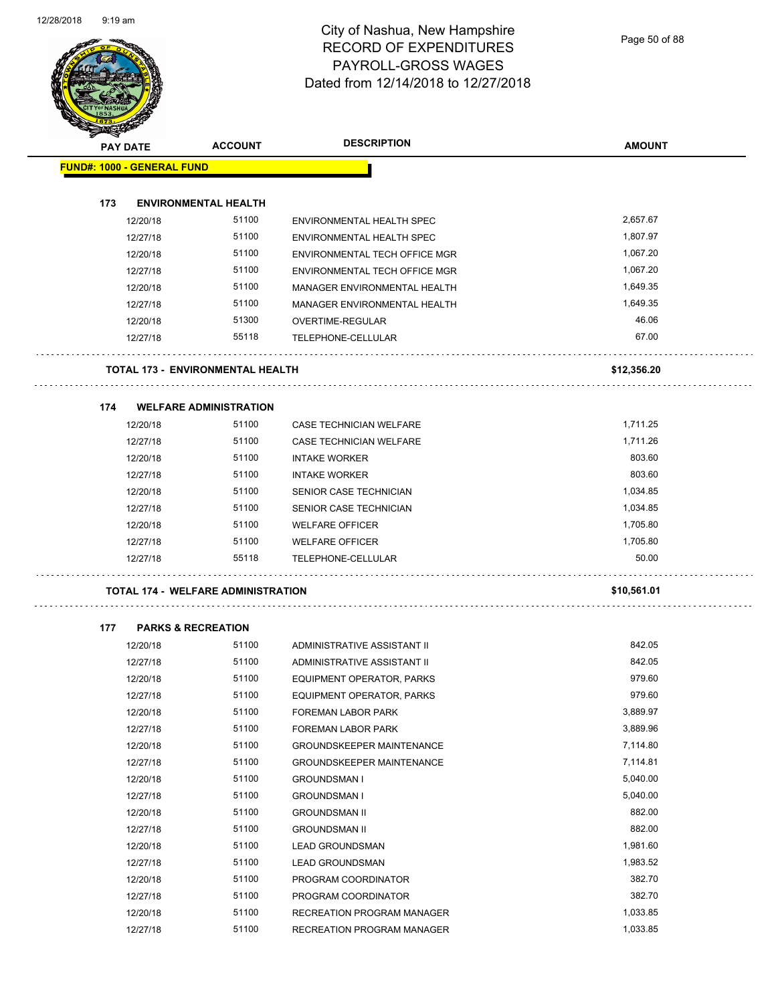Page 50 of 88

|                                   | <b>PAY DATE</b> | <b>ACCOUNT</b>                            | <b>DESCRIPTION</b>               | <b>AMOUNT</b> |
|-----------------------------------|-----------------|-------------------------------------------|----------------------------------|---------------|
| <b>FUND#: 1000 - GENERAL FUND</b> |                 |                                           |                                  |               |
| 173                               |                 | <b>ENVIRONMENTAL HEALTH</b>               |                                  |               |
|                                   | 12/20/18        | 51100                                     | ENVIRONMENTAL HEALTH SPEC        | 2,657.67      |
|                                   | 12/27/18        | 51100                                     | ENVIRONMENTAL HEALTH SPEC        | 1,807.97      |
|                                   | 12/20/18        | 51100                                     | ENVIRONMENTAL TECH OFFICE MGR    | 1,067.20      |
|                                   | 12/27/18        | 51100                                     | ENVIRONMENTAL TECH OFFICE MGR    | 1,067.20      |
|                                   | 12/20/18        | 51100                                     | MANAGER ENVIRONMENTAL HEALTH     | 1,649.35      |
|                                   | 12/27/18        | 51100                                     | MANAGER ENVIRONMENTAL HEALTH     | 1,649.35      |
|                                   | 12/20/18        | 51300                                     | OVERTIME-REGULAR                 | 46.06         |
|                                   | 12/27/18        | 55118                                     | TELEPHONE-CELLULAR               | 67.00         |
|                                   |                 | <b>TOTAL 173 - ENVIRONMENTAL HEALTH</b>   |                                  | \$12,356.20   |
|                                   |                 |                                           |                                  |               |
| 174                               |                 | <b>WELFARE ADMINISTRATION</b>             |                                  |               |
|                                   | 12/20/18        | 51100                                     | CASE TECHNICIAN WELFARE          | 1,711.25      |
|                                   | 12/27/18        | 51100                                     | CASE TECHNICIAN WELFARE          | 1,711.26      |
|                                   | 12/20/18        | 51100                                     | <b>INTAKE WORKER</b>             | 803.60        |
|                                   | 12/27/18        | 51100                                     | <b>INTAKE WORKER</b>             | 803.60        |
|                                   | 12/20/18        | 51100                                     | SENIOR CASE TECHNICIAN           | 1,034.85      |
|                                   | 12/27/18        | 51100                                     | SENIOR CASE TECHNICIAN           | 1,034.85      |
|                                   | 12/20/18        | 51100                                     | <b>WELFARE OFFICER</b>           | 1,705.80      |
|                                   | 12/27/18        | 51100                                     | <b>WELFARE OFFICER</b>           | 1,705.80      |
|                                   | 12/27/18        | 55118                                     | TELEPHONE-CELLULAR               | 50.00         |
|                                   |                 | <b>TOTAL 174 - WELFARE ADMINISTRATION</b> |                                  | \$10,561.01   |
| 177                               |                 | <b>PARKS &amp; RECREATION</b>             |                                  |               |
|                                   | 12/20/18        | 51100                                     | ADMINISTRATIVE ASSISTANT II      | 842.05        |
|                                   | 12/27/18        | 51100                                     | ADMINISTRATIVE ASSISTANT II      | 842.05        |
|                                   | 12/20/18        | 51100                                     | <b>EQUIPMENT OPERATOR, PARKS</b> | 979.60        |
|                                   | 12/27/18        | 51100                                     | EQUIPMENT OPERATOR, PARKS        | 979.60        |
|                                   | 12/20/18        | 51100                                     | FOREMAN LABOR PARK               | 3,889.97      |
|                                   | 12/27/18        | 51100                                     | FOREMAN LABOR PARK               | 3,889.96      |
|                                   | 12/20/18        | 51100                                     | <b>GROUNDSKEEPER MAINTENANCE</b> | 7,114.80      |
|                                   | 12/27/18        | 51100                                     | <b>GROUNDSKEEPER MAINTENANCE</b> | 7,114.81      |
|                                   | 12/20/18        | 51100                                     | <b>GROUNDSMAN I</b>              | 5,040.00      |
|                                   | 12/27/18        | 51100                                     | <b>GROUNDSMAN I</b>              | 5,040.00      |
|                                   | 12/20/18        | 51100                                     | <b>GROUNDSMAN II</b>             | 882.00        |
|                                   | 12/27/18        | 51100                                     | <b>GROUNDSMAN II</b>             | 882.00        |
|                                   | 12/20/18        | 51100                                     | <b>LEAD GROUNDSMAN</b>           | 1,981.60      |
|                                   | 12/27/18        | 51100                                     | <b>LEAD GROUNDSMAN</b>           | 1,983.52      |
|                                   | 12/20/18        | 51100                                     | PROGRAM COORDINATOR              | 382.70        |
|                                   | 12/27/18        | 51100                                     | PROGRAM COORDINATOR              | 382.70        |
|                                   | 12/20/18        | 51100                                     | RECREATION PROGRAM MANAGER       | 1,033.85      |
|                                   | 12/27/18        | 51100                                     | RECREATION PROGRAM MANAGER       | 1,033.85      |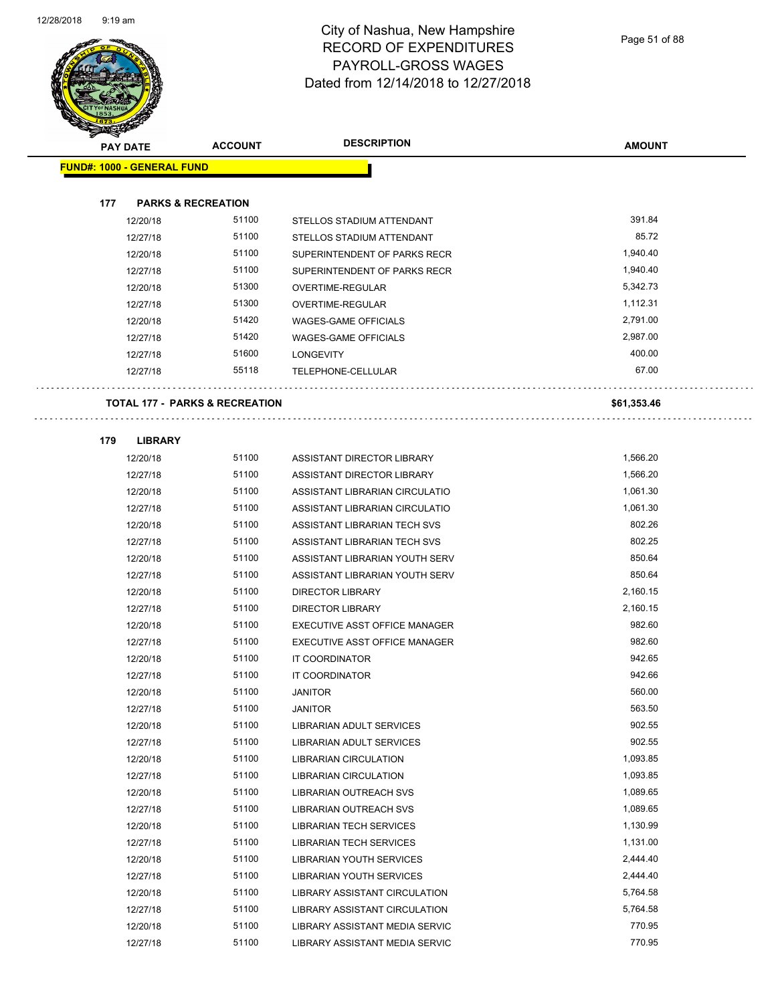

Page 51 of 88

| <b>PAY DATE</b>                   | <b>ACCOUNT</b>                            | <b>DESCRIPTION</b>                                       | <b>AMOUNT</b>        |
|-----------------------------------|-------------------------------------------|----------------------------------------------------------|----------------------|
| <b>FUND#: 1000 - GENERAL FUND</b> |                                           |                                                          |                      |
|                                   |                                           |                                                          |                      |
| 177                               | <b>PARKS &amp; RECREATION</b>             |                                                          |                      |
| 12/20/18                          | 51100                                     | STELLOS STADIUM ATTENDANT                                | 391.84               |
| 12/27/18                          | 51100                                     | STELLOS STADIUM ATTENDANT                                | 85.72                |
| 12/20/18                          | 51100                                     | SUPERINTENDENT OF PARKS RECR                             | 1,940.40             |
| 12/27/18                          | 51100                                     | SUPERINTENDENT OF PARKS RECR                             | 1,940.40             |
| 12/20/18                          | 51300                                     | OVERTIME-REGULAR                                         | 5,342.73             |
| 12/27/18                          | 51300                                     | OVERTIME-REGULAR                                         | 1,112.31             |
| 12/20/18                          | 51420                                     | <b>WAGES-GAME OFFICIALS</b>                              | 2,791.00             |
| 12/27/18                          | 51420                                     | WAGES-GAME OFFICIALS                                     | 2,987.00             |
| 12/27/18                          | 51600                                     | LONGEVITY                                                | 400.00               |
| 12/27/18                          | 55118                                     | TELEPHONE-CELLULAR                                       | 67.00                |
|                                   | <b>TOTAL 177 - PARKS &amp; RECREATION</b> |                                                          | \$61,353.46          |
|                                   |                                           |                                                          |                      |
| <b>LIBRARY</b><br>179             |                                           |                                                          |                      |
| 12/20/18                          | 51100                                     | ASSISTANT DIRECTOR LIBRARY                               | 1,566.20             |
| 12/27/18                          | 51100                                     | ASSISTANT DIRECTOR LIBRARY                               | 1,566.20             |
| 12/20/18                          | 51100                                     | ASSISTANT LIBRARIAN CIRCULATIO                           | 1,061.30             |
| 12/27/18                          | 51100                                     | ASSISTANT LIBRARIAN CIRCULATIO                           | 1,061.30<br>802.26   |
| 12/20/18                          | 51100<br>51100                            | ASSISTANT LIBRARIAN TECH SVS                             | 802.25               |
| 12/27/18                          |                                           | ASSISTANT LIBRARIAN TECH SVS                             | 850.64               |
| 12/20/18                          | 51100                                     | ASSISTANT LIBRARIAN YOUTH SERV                           |                      |
| 12/27/18                          | 51100                                     | ASSISTANT LIBRARIAN YOUTH SERV                           | 850.64               |
| 12/20/18                          | 51100<br>51100                            | <b>DIRECTOR LIBRARY</b>                                  | 2,160.15<br>2,160.15 |
| 12/27/18                          | 51100                                     | <b>DIRECTOR LIBRARY</b><br>EXECUTIVE ASST OFFICE MANAGER | 982.60               |
| 12/20/18<br>12/27/18              | 51100                                     | EXECUTIVE ASST OFFICE MANAGER                            | 982.60               |
| 12/20/18                          | 51100                                     | <b>IT COORDINATOR</b>                                    | 942.65               |
| 12/27/18                          | 51100                                     | IT COORDINATOR                                           | 942.66               |
| 12/20/18                          | 51100                                     | <b>JANITOR</b>                                           | 560.00               |
| 12/27/18                          | 51100                                     | <b>JANITOR</b>                                           | 563.50               |
| 12/20/18                          | 51100                                     | LIBRARIAN ADULT SERVICES                                 | 902.55               |
| 12/27/18                          | 51100                                     | LIBRARIAN ADULT SERVICES                                 | 902.55               |
| 12/20/18                          | 51100                                     | <b>LIBRARIAN CIRCULATION</b>                             | 1,093.85             |
| 12/27/18                          | 51100                                     | <b>LIBRARIAN CIRCULATION</b>                             | 1,093.85             |
| 12/20/18                          | 51100                                     | LIBRARIAN OUTREACH SVS                                   | 1,089.65             |
| 12/27/18                          | 51100                                     | LIBRARIAN OUTREACH SVS                                   | 1,089.65             |
| 12/20/18                          | 51100                                     | <b>LIBRARIAN TECH SERVICES</b>                           | 1,130.99             |
| 12/27/18                          | 51100                                     | <b>LIBRARIAN TECH SERVICES</b>                           | 1,131.00             |
| 12/20/18                          | 51100                                     | LIBRARIAN YOUTH SERVICES                                 | 2,444.40             |
| 12/27/18                          | 51100                                     | LIBRARIAN YOUTH SERVICES                                 | 2,444.40             |
| 12/20/18                          | 51100                                     | LIBRARY ASSISTANT CIRCULATION                            | 5,764.58             |
| 12/27/18                          | 51100                                     | LIBRARY ASSISTANT CIRCULATION                            | 5,764.58             |
| 12/20/18                          | 51100                                     | LIBRARY ASSISTANT MEDIA SERVIC                           | 770.95               |

12/27/18 51100 LIBRARY ASSISTANT MEDIA SERVIC 770.95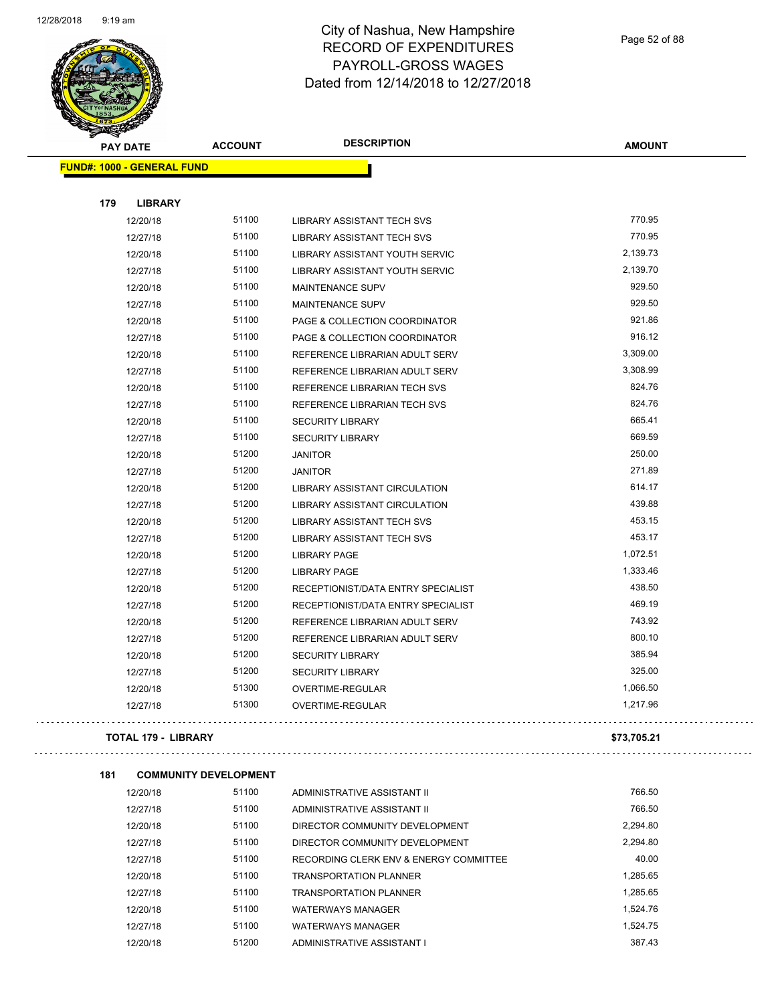

Page 52 of 88

. . .

| <b>SANGALOW</b>                   |                              |                                      |               |
|-----------------------------------|------------------------------|--------------------------------------|---------------|
| <b>PAY DATE</b>                   | <b>ACCOUNT</b>               | <b>DESCRIPTION</b>                   | <b>AMOUNT</b> |
| <b>FUND#: 1000 - GENERAL FUND</b> |                              |                                      |               |
|                                   |                              |                                      |               |
| 179<br><b>LIBRARY</b>             |                              |                                      |               |
| 12/20/18                          | 51100                        | LIBRARY ASSISTANT TECH SVS           | 770.95        |
| 12/27/18                          | 51100                        | LIBRARY ASSISTANT TECH SVS           | 770.95        |
| 12/20/18                          | 51100                        | LIBRARY ASSISTANT YOUTH SERVIC       | 2,139.73      |
| 12/27/18                          | 51100                        | LIBRARY ASSISTANT YOUTH SERVIC       | 2,139.70      |
| 12/20/18                          | 51100                        | MAINTENANCE SUPV                     | 929.50        |
| 12/27/18                          | 51100                        | <b>MAINTENANCE SUPV</b>              | 929.50        |
| 12/20/18                          | 51100                        | PAGE & COLLECTION COORDINATOR        | 921.86        |
| 12/27/18                          | 51100                        | PAGE & COLLECTION COORDINATOR        | 916.12        |
| 12/20/18                          | 51100                        | REFERENCE LIBRARIAN ADULT SERV       | 3,309.00      |
| 12/27/18                          | 51100                        | REFERENCE LIBRARIAN ADULT SERV       | 3,308.99      |
| 12/20/18                          | 51100                        | REFERENCE LIBRARIAN TECH SVS         | 824.76        |
| 12/27/18                          | 51100                        | REFERENCE LIBRARIAN TECH SVS         | 824.76        |
| 12/20/18                          | 51100                        | <b>SECURITY LIBRARY</b>              | 665.41        |
| 12/27/18                          | 51100                        | <b>SECURITY LIBRARY</b>              | 669.59        |
| 12/20/18                          | 51200                        | <b>JANITOR</b>                       | 250.00        |
| 12/27/18                          | 51200                        | <b>JANITOR</b>                       | 271.89        |
| 12/20/18                          | 51200                        | <b>LIBRARY ASSISTANT CIRCULATION</b> | 614.17        |
| 12/27/18                          | 51200                        | LIBRARY ASSISTANT CIRCULATION        | 439.88        |
| 12/20/18                          | 51200                        | LIBRARY ASSISTANT TECH SVS           | 453.15        |
| 12/27/18                          | 51200                        | LIBRARY ASSISTANT TECH SVS           | 453.17        |
| 12/20/18                          | 51200                        | <b>LIBRARY PAGE</b>                  | 1,072.51      |
| 12/27/18                          | 51200                        | <b>LIBRARY PAGE</b>                  | 1,333.46      |
| 12/20/18                          | 51200                        | RECEPTIONIST/DATA ENTRY SPECIALIST   | 438.50        |
| 12/27/18                          | 51200                        | RECEPTIONIST/DATA ENTRY SPECIALIST   | 469.19        |
| 12/20/18                          | 51200                        | REFERENCE LIBRARIAN ADULT SERV       | 743.92        |
| 12/27/18                          | 51200                        | REFERENCE LIBRARIAN ADULT SERV       | 800.10        |
| 12/20/18                          | 51200                        | <b>SECURITY LIBRARY</b>              | 385.94        |
| 12/27/18                          | 51200                        | <b>SECURITY LIBRARY</b>              | 325.00        |
| 12/20/18                          | 51300                        | OVERTIME-REGULAR                     | 1,066.50      |
| 12/27/18                          | 51300                        | OVERTIME-REGULAR                     | 1,217.96      |
| <b>TOTAL 179 - LIBRARY</b>        |                              |                                      | \$73,705.21   |
| 181                               | <b>COMMUNITY DEVELOPMENT</b> |                                      |               |
| 12/20/18                          | 51100                        | ADMINISTRATIVE ASSISTANT II          | 766.50        |
| 12/27/18                          | 51100                        | ADMINISTRATIVE ASSISTANT II          | 766.50        |
| 12/20/18                          | 51100                        | DIRECTOR COMMUNITY DEVELOPMENT       | 2,294.80      |
|                                   |                              |                                      |               |

| 12/20/18 | 51100 | DIRECTOR COMMUNITY DEVELOPMENT         | 2,294.80 |
|----------|-------|----------------------------------------|----------|
| 12/27/18 | 51100 | DIRECTOR COMMUNITY DEVELOPMENT         | 2.294.80 |
| 12/27/18 | 51100 | RECORDING CLERK ENV & ENERGY COMMITTEE | 40.00    |
| 12/20/18 | 51100 | <b>TRANSPORTATION PLANNER</b>          | 1.285.65 |
| 12/27/18 | 51100 | <b>TRANSPORTATION PLANNER</b>          | 1.285.65 |
| 12/20/18 | 51100 | <b>WATERWAYS MANAGER</b>               | 1.524.76 |
| 12/27/18 | 51100 | <b>WATERWAYS MANAGER</b>               | 1.524.75 |
| 12/20/18 | 51200 | ADMINISTRATIVE ASSISTANT I             | 387.43   |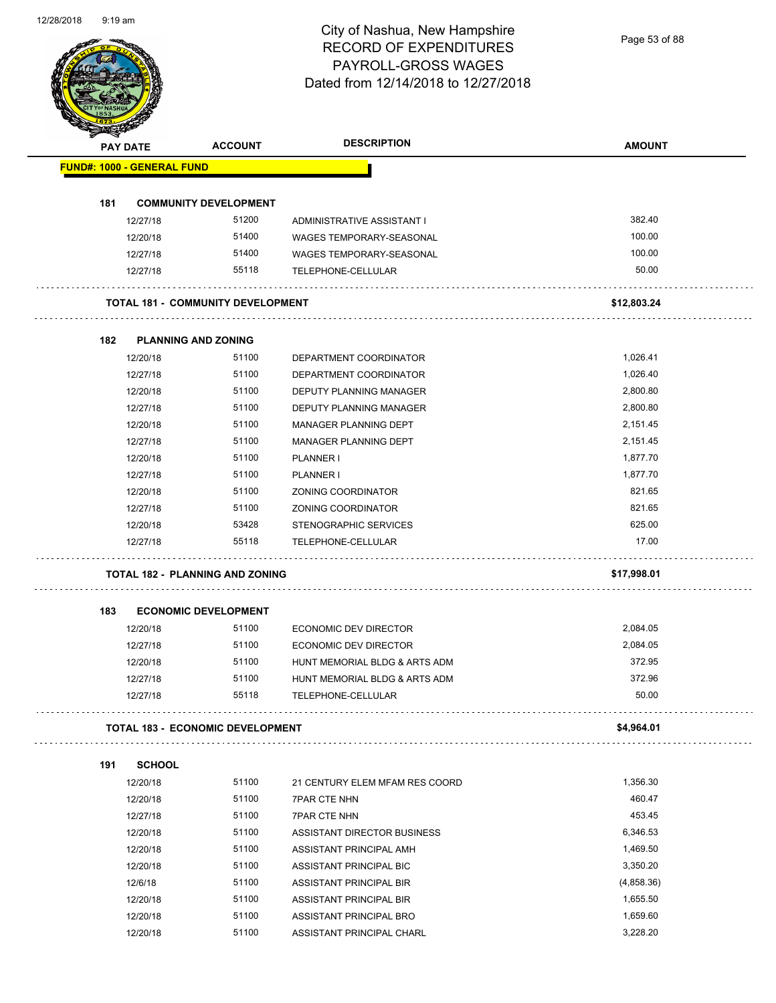Page 53 of 88

| <b>PAY DATE</b>      |                                          | <b>ACCOUNT</b> | <b>DESCRIPTION</b>                                     | <b>AMOUNT</b>   |
|----------------------|------------------------------------------|----------------|--------------------------------------------------------|-----------------|
|                      | <b>FUND#: 1000 - GENERAL FUND</b>        |                |                                                        |                 |
|                      |                                          |                |                                                        |                 |
| 181<br>12/27/18      | <b>COMMUNITY DEVELOPMENT</b>             | 51200          |                                                        | 382.40          |
| 12/20/18             |                                          | 51400          | ADMINISTRATIVE ASSISTANT I<br>WAGES TEMPORARY-SEASONAL | 100.00          |
| 12/27/18             |                                          | 51400          | <b>WAGES TEMPORARY-SEASONAL</b>                        | 100.00          |
| 12/27/18             |                                          | 55118          | TELEPHONE-CELLULAR                                     | 50.00           |
|                      |                                          |                |                                                        |                 |
|                      | <b>TOTAL 181 - COMMUNITY DEVELOPMENT</b> |                |                                                        | \$12,803.24     |
| 182                  | <b>PLANNING AND ZONING</b>               |                |                                                        |                 |
| 12/20/18             |                                          | 51100          | DEPARTMENT COORDINATOR                                 | 1,026.41        |
| 12/27/18             |                                          | 51100          | DEPARTMENT COORDINATOR                                 | 1,026.40        |
| 12/20/18             |                                          | 51100          | <b>DEPUTY PLANNING MANAGER</b>                         | 2,800.80        |
| 12/27/18             |                                          | 51100          | DEPUTY PLANNING MANAGER                                | 2,800.80        |
| 12/20/18             |                                          | 51100          | MANAGER PLANNING DEPT                                  | 2,151.45        |
| 12/27/18             |                                          | 51100          | MANAGER PLANNING DEPT                                  | 2,151.45        |
| 12/20/18             |                                          | 51100          | PLANNER I                                              | 1,877.70        |
| 12/27/18             |                                          | 51100          | PLANNER I                                              | 1,877.70        |
| 12/20/18             |                                          | 51100          | ZONING COORDINATOR                                     | 821.65          |
| 12/27/18             |                                          | 51100          | ZONING COORDINATOR                                     | 821.65          |
| 12/20/18             |                                          | 53428          | STENOGRAPHIC SERVICES                                  | 625.00          |
| 12/27/18             |                                          | 55118          | TELEPHONE-CELLULAR                                     | 17.00           |
|                      | <b>TOTAL 182 - PLANNING AND ZONING</b>   |                |                                                        | \$17,998.01     |
|                      |                                          |                |                                                        |                 |
| 183                  | <b>ECONOMIC DEVELOPMENT</b>              |                |                                                        |                 |
|                      |                                          |                |                                                        |                 |
| 12/20/18             |                                          | 51100          | ECONOMIC DEV DIRECTOR                                  | 2,084.05        |
| 12/27/18             |                                          | 51100          | ECONOMIC DEV DIRECTOR                                  | 2,084.05        |
| 12/20/18             |                                          | 51100          | HUNT MEMORIAL BLDG & ARTS ADM                          | 372.95          |
| 12/27/18<br>12/27/18 |                                          | 51100<br>55118 | HUNT MEMORIAL BLDG & ARTS ADM<br>TELEPHONE-CELLULAR    | 372.96<br>50.00 |
|                      |                                          |                |                                                        |                 |
|                      | <b>TOTAL 183 - ECONOMIC DEVELOPMENT</b>  |                |                                                        | \$4,964.01      |
|                      | <b>SCHOOL</b>                            |                |                                                        |                 |
| 12/20/18             |                                          | 51100          | 21 CENTURY ELEM MFAM RES COORD                         | 1,356.30        |
| 12/20/18             |                                          | 51100          | <b>7PAR CTE NHN</b>                                    | 460.47          |
| 12/27/18             |                                          | 51100          | <b>7PAR CTE NHN</b>                                    | 453.45          |
| 12/20/18             |                                          | 51100          | ASSISTANT DIRECTOR BUSINESS                            | 6,346.53        |
| 191<br>12/20/18      |                                          | 51100          | ASSISTANT PRINCIPAL AMH                                | 1,469.50        |
| 12/20/18             |                                          | 51100          | ASSISTANT PRINCIPAL BIC                                | 3,350.20        |
| 12/6/18              |                                          | 51100          | ASSISTANT PRINCIPAL BIR                                | (4,858.36)      |
| 12/20/18             |                                          | 51100          | ASSISTANT PRINCIPAL BIR                                | 1,655.50        |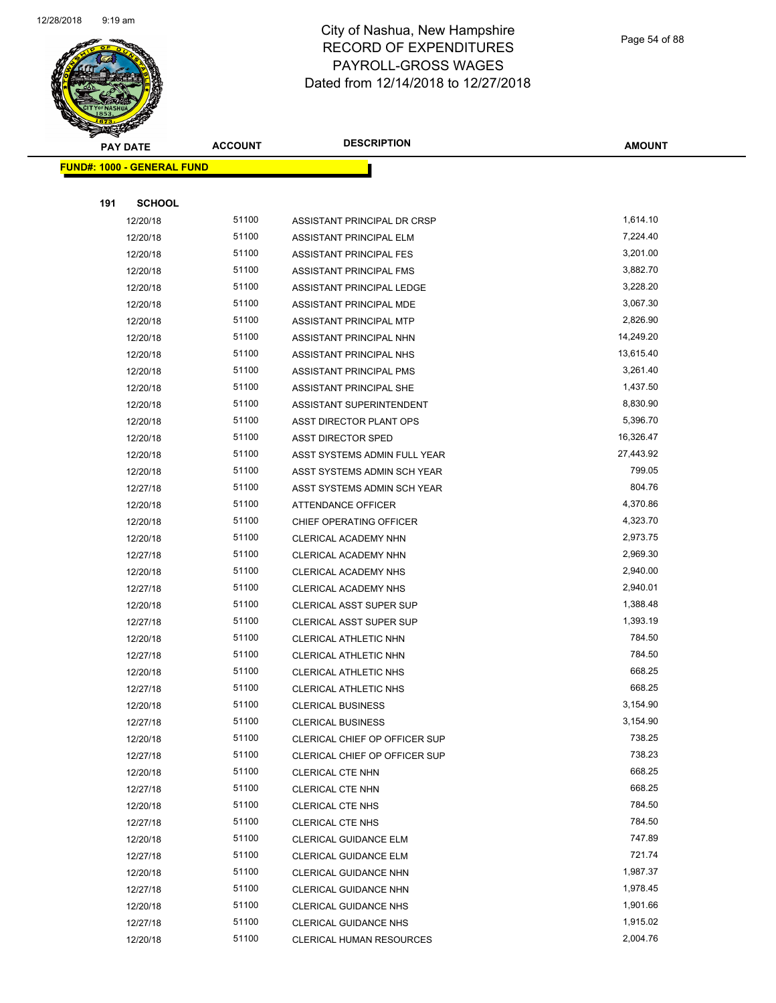

Page 54 of 88

|     | <b>PAY DATE</b>                   | <b>ACCOUNT</b> | <b>DESCRIPTION</b>                        | <b>AMOUNT</b>    |
|-----|-----------------------------------|----------------|-------------------------------------------|------------------|
|     | <b>FUND#: 1000 - GENERAL FUND</b> |                |                                           |                  |
|     |                                   |                |                                           |                  |
| 191 | <b>SCHOOL</b>                     |                |                                           |                  |
|     | 12/20/18                          | 51100          | ASSISTANT PRINCIPAL DR CRSP               | 1,614.10         |
|     | 12/20/18                          | 51100          | ASSISTANT PRINCIPAL ELM                   | 7,224.40         |
|     | 12/20/18                          | 51100          | ASSISTANT PRINCIPAL FES                   | 3,201.00         |
|     | 12/20/18                          | 51100          | ASSISTANT PRINCIPAL FMS                   | 3,882.70         |
|     | 12/20/18                          | 51100          | ASSISTANT PRINCIPAL LEDGE                 | 3,228.20         |
|     | 12/20/18                          | 51100          | ASSISTANT PRINCIPAL MDE                   | 3,067.30         |
|     | 12/20/18                          | 51100          | ASSISTANT PRINCIPAL MTP                   | 2,826.90         |
|     | 12/20/18                          | 51100          | ASSISTANT PRINCIPAL NHN                   | 14,249.20        |
|     | 12/20/18                          | 51100          | ASSISTANT PRINCIPAL NHS                   | 13,615.40        |
|     | 12/20/18                          | 51100          | ASSISTANT PRINCIPAL PMS                   | 3,261.40         |
|     | 12/20/18                          | 51100          | ASSISTANT PRINCIPAL SHE                   | 1,437.50         |
|     | 12/20/18                          | 51100          | ASSISTANT SUPERINTENDENT                  | 8,830.90         |
|     | 12/20/18                          | 51100          | ASST DIRECTOR PLANT OPS                   | 5,396.70         |
|     | 12/20/18                          | 51100          | <b>ASST DIRECTOR SPED</b>                 | 16,326.47        |
|     | 12/20/18                          | 51100          | ASST SYSTEMS ADMIN FULL YEAR              | 27,443.92        |
|     | 12/20/18                          | 51100          | ASST SYSTEMS ADMIN SCH YEAR               | 799.05           |
|     | 12/27/18                          | 51100          | ASST SYSTEMS ADMIN SCH YEAR               | 804.76           |
|     | 12/20/18                          | 51100          | <b>ATTENDANCE OFFICER</b>                 | 4,370.86         |
|     | 12/20/18                          | 51100          | CHIEF OPERATING OFFICER                   | 4,323.70         |
|     | 12/20/18                          | 51100          | CLERICAL ACADEMY NHN                      | 2,973.75         |
|     | 12/27/18                          | 51100          | CLERICAL ACADEMY NHN                      | 2,969.30         |
|     | 12/20/18                          | 51100          | CLERICAL ACADEMY NHS                      | 2,940.00         |
|     | 12/27/18                          | 51100          | CLERICAL ACADEMY NHS                      | 2,940.01         |
|     | 12/20/18                          | 51100          | <b>CLERICAL ASST SUPER SUP</b>            | 1,388.48         |
|     | 12/27/18                          | 51100          | CLERICAL ASST SUPER SUP                   | 1,393.19         |
|     | 12/20/18                          | 51100          | CLERICAL ATHLETIC NHN                     | 784.50           |
|     | 12/27/18                          | 51100          | CLERICAL ATHLETIC NHN                     | 784.50           |
|     | 12/20/18                          | 51100          | CLERICAL ATHLETIC NHS                     | 668.25           |
|     | 12/27/18                          | 51100          | CLERICAL ATHLETIC NHS                     | 668.25           |
|     | 12/20/18                          | 51100          | <b>CLERICAL BUSINESS</b>                  | 3,154.90         |
|     | 12/27/18                          | 51100          | <b>CLERICAL BUSINESS</b>                  | 3,154.90         |
|     | 12/20/18                          | 51100          | CLERICAL CHIEF OP OFFICER SUP             | 738.25           |
|     | 12/27/18                          | 51100          | CLERICAL CHIEF OP OFFICER SUP             | 738.23           |
|     | 12/20/18                          | 51100<br>51100 | CLERICAL CTE NHN                          | 668.25<br>668.25 |
|     | 12/27/18                          | 51100          | CLERICAL CTE NHN                          | 784.50           |
|     | 12/20/18                          | 51100          | CLERICAL CTE NHS                          | 784.50           |
|     | 12/27/18<br>12/20/18              | 51100          | CLERICAL CTE NHS<br>CLERICAL GUIDANCE ELM | 747.89           |
|     | 12/27/18                          | 51100          | CLERICAL GUIDANCE ELM                     | 721.74           |
|     | 12/20/18                          | 51100          | CLERICAL GUIDANCE NHN                     | 1,987.37         |
|     | 12/27/18                          | 51100          | CLERICAL GUIDANCE NHN                     | 1,978.45         |
|     | 12/20/18                          | 51100          | <b>CLERICAL GUIDANCE NHS</b>              | 1,901.66         |
|     | 12/27/18                          | 51100          | <b>CLERICAL GUIDANCE NHS</b>              | 1,915.02         |
|     | 12/20/18                          | 51100          | <b>CLERICAL HUMAN RESOURCES</b>           | 2,004.76         |
|     |                                   |                |                                           |                  |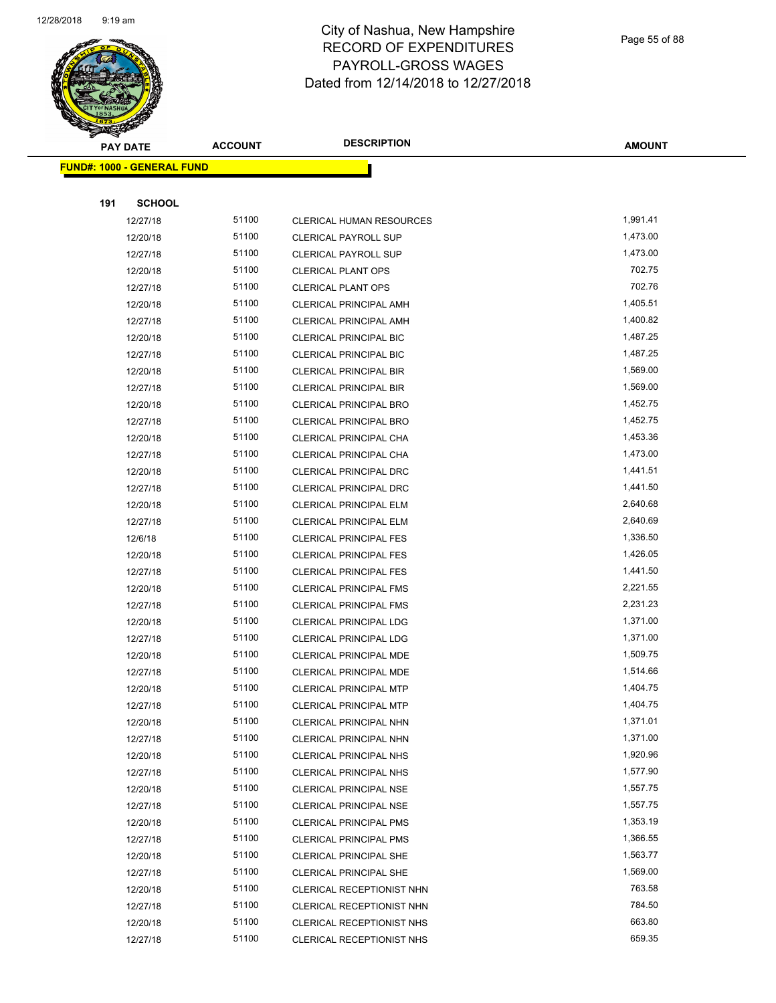

Page 55 of 88

| <b>PAY DATE</b>                   | <b>ACCOUNT</b> | <b>DESCRIPTION</b>              | <b>AMOUNT</b> |
|-----------------------------------|----------------|---------------------------------|---------------|
| <b>FUND#: 1000 - GENERAL FUND</b> |                |                                 |               |
|                                   |                |                                 |               |
| 191<br><b>SCHOOL</b>              |                |                                 |               |
| 12/27/18                          | 51100          | <b>CLERICAL HUMAN RESOURCES</b> | 1,991.41      |
| 12/20/18                          | 51100          | <b>CLERICAL PAYROLL SUP</b>     | 1,473.00      |
| 12/27/18                          | 51100          | <b>CLERICAL PAYROLL SUP</b>     | 1,473.00      |
| 12/20/18                          | 51100          | <b>CLERICAL PLANT OPS</b>       | 702.75        |
| 12/27/18                          | 51100          | <b>CLERICAL PLANT OPS</b>       | 702.76        |
| 12/20/18                          | 51100          | <b>CLERICAL PRINCIPAL AMH</b>   | 1,405.51      |
| 12/27/18                          | 51100          | <b>CLERICAL PRINCIPAL AMH</b>   | 1,400.82      |
| 12/20/18                          | 51100          | CLERICAL PRINCIPAL BIC          | 1,487.25      |
| 12/27/18                          | 51100          | <b>CLERICAL PRINCIPAL BIC</b>   | 1,487.25      |
| 12/20/18                          | 51100          | <b>CLERICAL PRINCIPAL BIR</b>   | 1,569.00      |
| 12/27/18                          | 51100          | <b>CLERICAL PRINCIPAL BIR</b>   | 1,569.00      |
| 12/20/18                          | 51100          | CLERICAL PRINCIPAL BRO          | 1,452.75      |
| 12/27/18                          | 51100          | <b>CLERICAL PRINCIPAL BRO</b>   | 1,452.75      |
| 12/20/18                          | 51100          | <b>CLERICAL PRINCIPAL CHA</b>   | 1,453.36      |
| 12/27/18                          | 51100          | <b>CLERICAL PRINCIPAL CHA</b>   | 1,473.00      |
| 12/20/18                          | 51100          | <b>CLERICAL PRINCIPAL DRC</b>   | 1,441.51      |
| 12/27/18                          | 51100          | <b>CLERICAL PRINCIPAL DRC</b>   | 1,441.50      |
| 12/20/18                          | 51100          | CLERICAL PRINCIPAL ELM          | 2,640.68      |
| 12/27/18                          | 51100          | <b>CLERICAL PRINCIPAL ELM</b>   | 2,640.69      |
| 12/6/18                           | 51100          | <b>CLERICAL PRINCIPAL FES</b>   | 1,336.50      |
| 12/20/18                          | 51100          | <b>CLERICAL PRINCIPAL FES</b>   | 1,426.05      |
| 12/27/18                          | 51100          | <b>CLERICAL PRINCIPAL FES</b>   | 1,441.50      |
| 12/20/18                          | 51100          | <b>CLERICAL PRINCIPAL FMS</b>   | 2,221.55      |
| 12/27/18                          | 51100          | <b>CLERICAL PRINCIPAL FMS</b>   | 2,231.23      |
| 12/20/18                          | 51100          | <b>CLERICAL PRINCIPAL LDG</b>   | 1,371.00      |
| 12/27/18                          | 51100          | <b>CLERICAL PRINCIPAL LDG</b>   | 1,371.00      |
| 12/20/18                          | 51100          | CLERICAL PRINCIPAL MDE          | 1,509.75      |
| 12/27/18                          | 51100          | CLERICAL PRINCIPAL MDE          | 1,514.66      |
| 12/20/18                          | 51100          | CLERICAL PRINCIPAL MTP          | 1,404.75      |
| 12/27/18                          | 51100          | CLERICAL PRINCIPAL MTP          | 1,404.75      |
| 12/20/18                          | 51100          | CLERICAL PRINCIPAL NHN          | 1,371.01      |
| 12/27/18                          | 51100          | <b>CLERICAL PRINCIPAL NHN</b>   | 1,371.00      |
| 12/20/18                          | 51100          | <b>CLERICAL PRINCIPAL NHS</b>   | 1,920.96      |
| 12/27/18                          | 51100          | <b>CLERICAL PRINCIPAL NHS</b>   | 1,577.90      |
| 12/20/18                          | 51100          | <b>CLERICAL PRINCIPAL NSE</b>   | 1,557.75      |
| 12/27/18                          | 51100          | <b>CLERICAL PRINCIPAL NSE</b>   | 1,557.75      |
| 12/20/18                          | 51100          | <b>CLERICAL PRINCIPAL PMS</b>   | 1,353.19      |
| 12/27/18                          | 51100          | <b>CLERICAL PRINCIPAL PMS</b>   | 1,366.55      |
| 12/20/18                          | 51100          | <b>CLERICAL PRINCIPAL SHE</b>   | 1,563.77      |
| 12/27/18                          | 51100          | <b>CLERICAL PRINCIPAL SHE</b>   | 1,569.00      |
| 12/20/18                          | 51100          | CLERICAL RECEPTIONIST NHN       | 763.58        |
| 12/27/18                          | 51100          | CLERICAL RECEPTIONIST NHN       | 784.50        |
| 12/20/18                          | 51100          | CLERICAL RECEPTIONIST NHS       | 663.80        |
| 12/27/18                          | 51100          | CLERICAL RECEPTIONIST NHS       | 659.35        |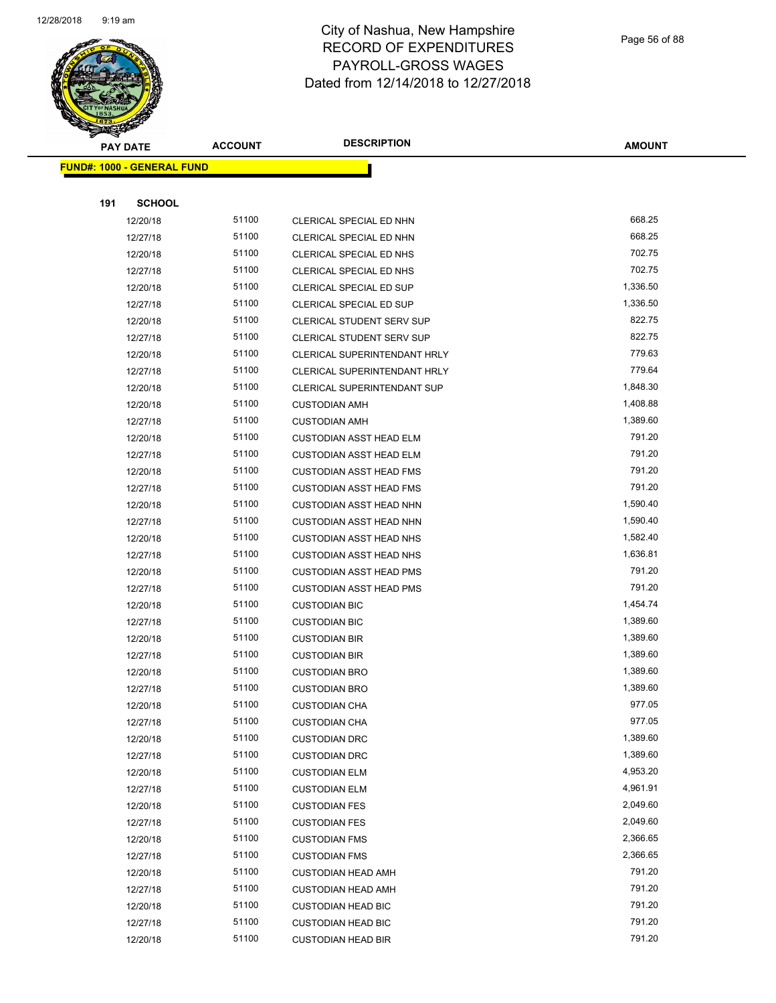

Page 56 of 88

|     | <b>PAY DATE</b>                    | <b>ACCOUNT</b> | <b>DESCRIPTION</b>                 | <b>AMOUNT</b> |
|-----|------------------------------------|----------------|------------------------------------|---------------|
|     | <u> FUND#: 1000 - GENERAL FUND</u> |                |                                    |               |
|     |                                    |                |                                    |               |
| 191 | <b>SCHOOL</b>                      |                |                                    |               |
|     | 12/20/18                           | 51100          | CLERICAL SPECIAL ED NHN            | 668.25        |
|     | 12/27/18                           | 51100          | CLERICAL SPECIAL ED NHN            | 668.25        |
|     | 12/20/18                           | 51100          | CLERICAL SPECIAL ED NHS            | 702.75        |
|     | 12/27/18                           | 51100          | CLERICAL SPECIAL ED NHS            | 702.75        |
|     | 12/20/18                           | 51100          | CLERICAL SPECIAL ED SUP            | 1,336.50      |
|     | 12/27/18                           | 51100          | CLERICAL SPECIAL ED SUP            | 1,336.50      |
|     | 12/20/18                           | 51100          | <b>CLERICAL STUDENT SERV SUP</b>   | 822.75        |
|     | 12/27/18                           | 51100          | <b>CLERICAL STUDENT SERV SUP</b>   | 822.75        |
|     | 12/20/18                           | 51100          | CLERICAL SUPERINTENDANT HRLY       | 779.63        |
|     | 12/27/18                           | 51100          | CLERICAL SUPERINTENDANT HRLY       | 779.64        |
|     | 12/20/18                           | 51100          | <b>CLERICAL SUPERINTENDANT SUP</b> | 1,848.30      |
|     | 12/20/18                           | 51100          | <b>CUSTODIAN AMH</b>               | 1,408.88      |
|     | 12/27/18                           | 51100          | <b>CUSTODIAN AMH</b>               | 1,389.60      |
|     | 12/20/18                           | 51100          | <b>CUSTODIAN ASST HEAD ELM</b>     | 791.20        |
|     | 12/27/18                           | 51100          | <b>CUSTODIAN ASST HEAD ELM</b>     | 791.20        |
|     | 12/20/18                           | 51100          | <b>CUSTODIAN ASST HEAD FMS</b>     | 791.20        |
|     | 12/27/18                           | 51100          | <b>CUSTODIAN ASST HEAD FMS</b>     | 791.20        |
|     | 12/20/18                           | 51100          | <b>CUSTODIAN ASST HEAD NHN</b>     | 1,590.40      |
|     | 12/27/18                           | 51100          | CUSTODIAN ASST HEAD NHN            | 1,590.40      |
|     | 12/20/18                           | 51100          | CUSTODIAN ASST HEAD NHS            | 1,582.40      |
|     | 12/27/18                           | 51100          | <b>CUSTODIAN ASST HEAD NHS</b>     | 1,636.81      |
|     | 12/20/18                           | 51100          | <b>CUSTODIAN ASST HEAD PMS</b>     | 791.20        |
|     | 12/27/18                           | 51100          | <b>CUSTODIAN ASST HEAD PMS</b>     | 791.20        |
|     | 12/20/18                           | 51100          | <b>CUSTODIAN BIC</b>               | 1,454.74      |
|     | 12/27/18                           | 51100          | <b>CUSTODIAN BIC</b>               | 1,389.60      |
|     | 12/20/18                           | 51100          | <b>CUSTODIAN BIR</b>               | 1,389.60      |
|     | 12/27/18                           | 51100          | <b>CUSTODIAN BIR</b>               | 1,389.60      |
|     | 12/20/18                           | 51100          | <b>CUSTODIAN BRO</b>               | 1,389.60      |
|     | 12/27/18                           | 51100          | <b>CUSTODIAN BRO</b>               | 1,389.60      |
|     | 12/20/18                           | 51100          | <b>CUSTODIAN CHA</b>               | 977.05        |
|     | 12/27/18                           | 51100          | <b>CUSTODIAN CHA</b>               | 977.05        |
|     | 12/20/18                           | 51100          | <b>CUSTODIAN DRC</b>               | 1,389.60      |
|     | 12/27/18                           | 51100          | <b>CUSTODIAN DRC</b>               | 1,389.60      |
|     | 12/20/18                           | 51100          | <b>CUSTODIAN ELM</b>               | 4,953.20      |
|     | 12/27/18                           | 51100          | <b>CUSTODIAN ELM</b>               | 4,961.91      |
|     | 12/20/18                           | 51100          | <b>CUSTODIAN FES</b>               | 2,049.60      |
|     | 12/27/18                           | 51100          | <b>CUSTODIAN FES</b>               | 2,049.60      |
|     | 12/20/18                           | 51100          | <b>CUSTODIAN FMS</b>               | 2,366.65      |
|     | 12/27/18                           | 51100          | <b>CUSTODIAN FMS</b>               | 2,366.65      |
|     | 12/20/18                           | 51100          | <b>CUSTODIAN HEAD AMH</b>          | 791.20        |
|     | 12/27/18                           | 51100          | <b>CUSTODIAN HEAD AMH</b>          | 791.20        |
|     | 12/20/18                           | 51100          | <b>CUSTODIAN HEAD BIC</b>          | 791.20        |
|     | 12/27/18                           | 51100          | <b>CUSTODIAN HEAD BIC</b>          | 791.20        |
|     | 12/20/18                           | 51100          | <b>CUSTODIAN HEAD BIR</b>          | 791.20        |
|     |                                    |                |                                    |               |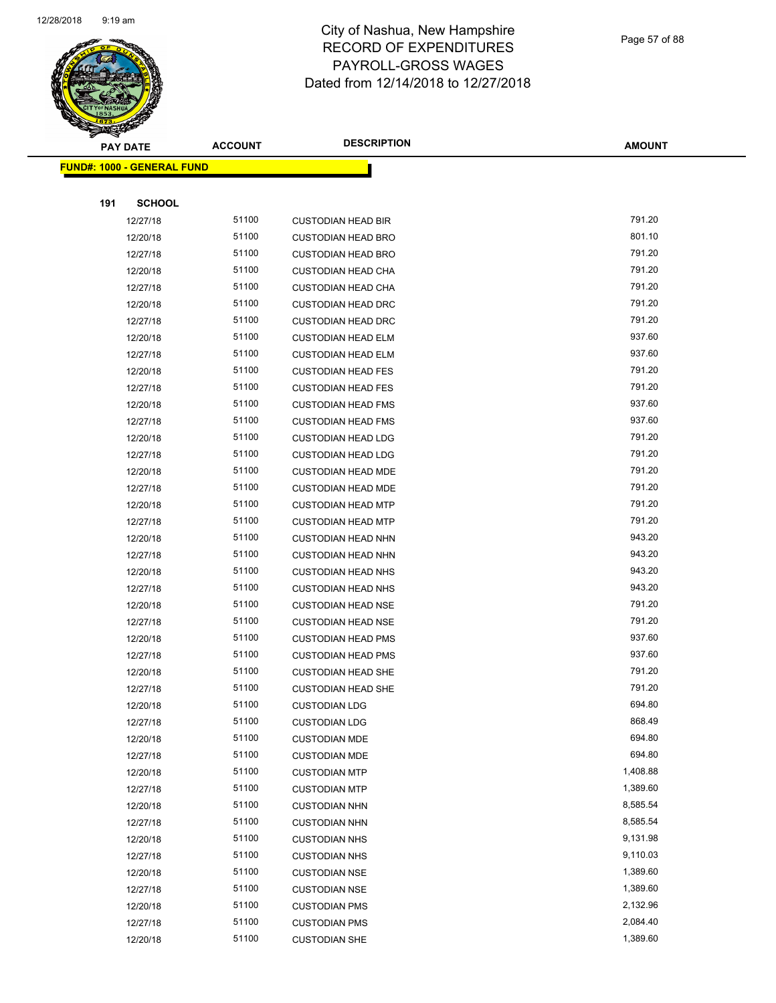

Page 57 of 88

| ॼ   | <b>PAY DATE</b>                   | <b>ACCOUNT</b> | <b>DESCRIPTION</b>        | <b>AMOUNT</b> |
|-----|-----------------------------------|----------------|---------------------------|---------------|
|     | <b>FUND#: 1000 - GENERAL FUND</b> |                |                           |               |
|     |                                   |                |                           |               |
| 191 | <b>SCHOOL</b>                     |                |                           |               |
|     | 12/27/18                          | 51100          | <b>CUSTODIAN HEAD BIR</b> | 791.20        |
|     | 12/20/18                          | 51100          | <b>CUSTODIAN HEAD BRO</b> | 801.10        |
|     | 12/27/18                          | 51100          | <b>CUSTODIAN HEAD BRO</b> | 791.20        |
|     | 12/20/18                          | 51100          | <b>CUSTODIAN HEAD CHA</b> | 791.20        |
|     | 12/27/18                          | 51100          | <b>CUSTODIAN HEAD CHA</b> | 791.20        |
|     | 12/20/18                          | 51100          | <b>CUSTODIAN HEAD DRC</b> | 791.20        |
|     | 12/27/18                          | 51100          | <b>CUSTODIAN HEAD DRC</b> | 791.20        |
|     | 12/20/18                          | 51100          | <b>CUSTODIAN HEAD ELM</b> | 937.60        |
|     | 12/27/18                          | 51100          | <b>CUSTODIAN HEAD ELM</b> | 937.60        |
|     | 12/20/18                          | 51100          | <b>CUSTODIAN HEAD FES</b> | 791.20        |
|     | 12/27/18                          | 51100          | <b>CUSTODIAN HEAD FES</b> | 791.20        |
|     | 12/20/18                          | 51100          | <b>CUSTODIAN HEAD FMS</b> | 937.60        |
|     | 12/27/18                          | 51100          | <b>CUSTODIAN HEAD FMS</b> | 937.60        |
|     | 12/20/18                          | 51100          | <b>CUSTODIAN HEAD LDG</b> | 791.20        |
|     | 12/27/18                          | 51100          | <b>CUSTODIAN HEAD LDG</b> | 791.20        |
|     | 12/20/18                          | 51100          | <b>CUSTODIAN HEAD MDE</b> | 791.20        |
|     | 12/27/18                          | 51100          | <b>CUSTODIAN HEAD MDE</b> | 791.20        |
|     | 12/20/18                          | 51100          | <b>CUSTODIAN HEAD MTP</b> | 791.20        |
|     | 12/27/18                          | 51100          | <b>CUSTODIAN HEAD MTP</b> | 791.20        |
|     | 12/20/18                          | 51100          | <b>CUSTODIAN HEAD NHN</b> | 943.20        |
|     | 12/27/18                          | 51100          | <b>CUSTODIAN HEAD NHN</b> | 943.20        |
|     | 12/20/18                          | 51100          | <b>CUSTODIAN HEAD NHS</b> | 943.20        |
|     | 12/27/18                          | 51100          | <b>CUSTODIAN HEAD NHS</b> | 943.20        |
|     | 12/20/18                          | 51100          | <b>CUSTODIAN HEAD NSE</b> | 791.20        |
|     | 12/27/18                          | 51100          | <b>CUSTODIAN HEAD NSE</b> | 791.20        |
|     | 12/20/18                          | 51100          | <b>CUSTODIAN HEAD PMS</b> | 937.60        |
|     | 12/27/18                          | 51100          | <b>CUSTODIAN HEAD PMS</b> | 937.60        |
|     | 12/20/18                          | 51100          | <b>CUSTODIAN HEAD SHE</b> | 791.20        |
|     | 12/27/18                          | 51100          | <b>CUSTODIAN HEAD SHE</b> | 791.20        |
|     | 12/20/18                          | 51100          | <b>CUSTODIAN LDG</b>      | 694.80        |
|     | 12/27/18                          | 51100          | <b>CUSTODIAN LDG</b>      | 868.49        |
|     | 12/20/18                          | 51100          | <b>CUSTODIAN MDE</b>      | 694.80        |
|     | 12/27/18                          | 51100          | <b>CUSTODIAN MDE</b>      | 694.80        |
|     | 12/20/18                          | 51100          | <b>CUSTODIAN MTP</b>      | 1,408.88      |
|     | 12/27/18                          | 51100          | <b>CUSTODIAN MTP</b>      | 1,389.60      |
|     | 12/20/18                          | 51100          | <b>CUSTODIAN NHN</b>      | 8,585.54      |
|     | 12/27/18                          | 51100          | <b>CUSTODIAN NHN</b>      | 8,585.54      |
|     | 12/20/18                          | 51100          | <b>CUSTODIAN NHS</b>      | 9,131.98      |
|     | 12/27/18                          | 51100          | <b>CUSTODIAN NHS</b>      | 9,110.03      |
|     | 12/20/18                          | 51100          | <b>CUSTODIAN NSE</b>      | 1,389.60      |
|     | 12/27/18                          | 51100          | <b>CUSTODIAN NSE</b>      | 1,389.60      |
|     | 12/20/18                          | 51100          | <b>CUSTODIAN PMS</b>      | 2,132.96      |
|     | 12/27/18                          | 51100          | <b>CUSTODIAN PMS</b>      | 2,084.40      |
|     | 12/20/18                          | 51100          | <b>CUSTODIAN SHE</b>      | 1,389.60      |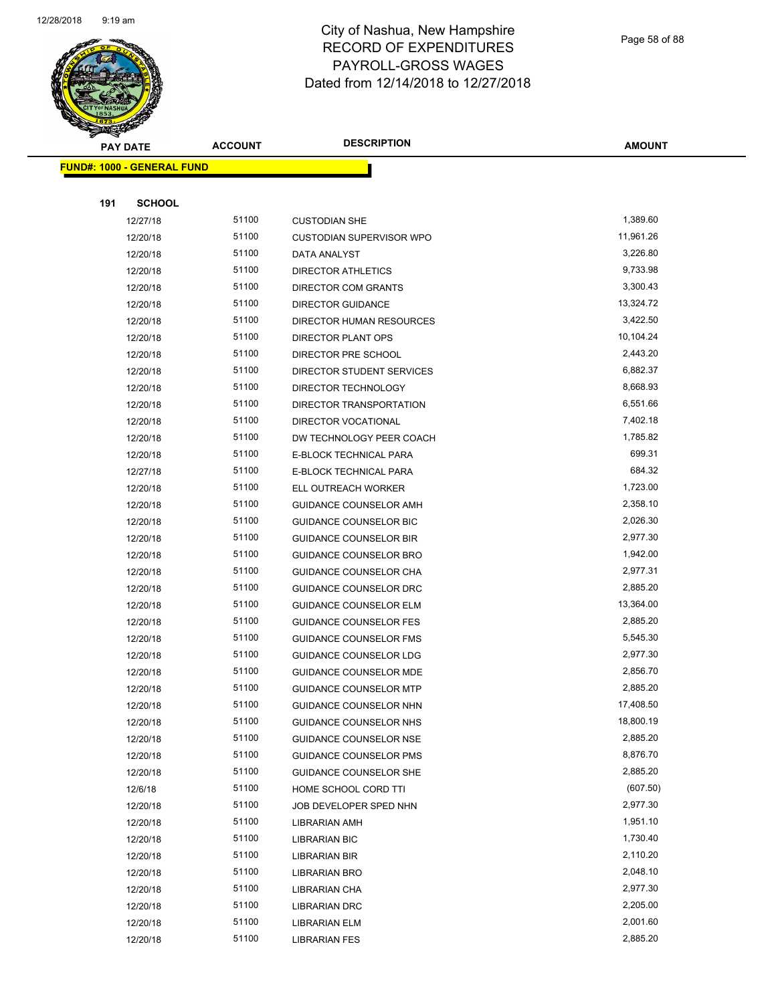

Page 58 of 88

| $\tilde{\phantom{a}}$<br><b>PAY DATE</b> | <b>ACCOUNT</b> | <b>DESCRIPTION</b>              | <b>AMOUNT</b> |
|------------------------------------------|----------------|---------------------------------|---------------|
| <b>FUND#: 1000 - GENERAL FUND</b>        |                |                                 |               |
|                                          |                |                                 |               |
| 191<br><b>SCHOOL</b>                     |                |                                 |               |
| 12/27/18                                 | 51100          | <b>CUSTODIAN SHE</b>            | 1,389.60      |
| 12/20/18                                 | 51100          | <b>CUSTODIAN SUPERVISOR WPO</b> | 11,961.26     |
| 12/20/18                                 | 51100          | DATA ANALYST                    | 3,226.80      |
| 12/20/18                                 | 51100          | <b>DIRECTOR ATHLETICS</b>       | 9,733.98      |
| 12/20/18                                 | 51100          | DIRECTOR COM GRANTS             | 3,300.43      |
| 12/20/18                                 | 51100          | <b>DIRECTOR GUIDANCE</b>        | 13,324.72     |
| 12/20/18                                 | 51100          | DIRECTOR HUMAN RESOURCES        | 3,422.50      |
| 12/20/18                                 | 51100          | DIRECTOR PLANT OPS              | 10,104.24     |
| 12/20/18                                 | 51100          | DIRECTOR PRE SCHOOL             | 2,443.20      |
| 12/20/18                                 | 51100          | DIRECTOR STUDENT SERVICES       | 6,882.37      |
| 12/20/18                                 | 51100          | DIRECTOR TECHNOLOGY             | 8,668.93      |
| 12/20/18                                 | 51100          | DIRECTOR TRANSPORTATION         | 6,551.66      |
| 12/20/18                                 | 51100          | DIRECTOR VOCATIONAL             | 7,402.18      |
| 12/20/18                                 | 51100          | DW TECHNOLOGY PEER COACH        | 1,785.82      |
| 12/20/18                                 | 51100          | E-BLOCK TECHNICAL PARA          | 699.31        |
| 12/27/18                                 | 51100          | E-BLOCK TECHNICAL PARA          | 684.32        |
| 12/20/18                                 | 51100          | ELL OUTREACH WORKER             | 1,723.00      |
| 12/20/18                                 | 51100          | GUIDANCE COUNSELOR AMH          | 2,358.10      |
| 12/20/18                                 | 51100          | <b>GUIDANCE COUNSELOR BIC</b>   | 2,026.30      |
| 12/20/18                                 | 51100          | <b>GUIDANCE COUNSELOR BIR</b>   | 2,977.30      |
| 12/20/18                                 | 51100          | <b>GUIDANCE COUNSELOR BRO</b>   | 1,942.00      |
| 12/20/18                                 | 51100          | <b>GUIDANCE COUNSELOR CHA</b>   | 2,977.31      |
| 12/20/18                                 | 51100          | <b>GUIDANCE COUNSELOR DRC</b>   | 2,885.20      |
| 12/20/18                                 | 51100          | <b>GUIDANCE COUNSELOR ELM</b>   | 13,364.00     |
| 12/20/18                                 | 51100          | <b>GUIDANCE COUNSELOR FES</b>   | 2,885.20      |
| 12/20/18                                 | 51100          | <b>GUIDANCE COUNSELOR FMS</b>   | 5,545.30      |
| 12/20/18                                 | 51100          | <b>GUIDANCE COUNSELOR LDG</b>   | 2,977.30      |
| 12/20/18                                 | 51100          | <b>GUIDANCE COUNSELOR MDE</b>   | 2,856.70      |
| 12/20/18                                 | 51100          | <b>GUIDANCE COUNSELOR MTP</b>   | 2,885.20      |
| 12/20/18                                 | 51100          | GUIDANCE COUNSELOR NHN          | 17,408.50     |
| 12/20/18                                 | 51100          | GUIDANCE COUNSELOR NHS          | 18,800.19     |
| 12/20/18                                 | 51100          | GUIDANCE COUNSELOR NSE          | 2,885.20      |
| 12/20/18                                 | 51100          | <b>GUIDANCE COUNSELOR PMS</b>   | 8,876.70      |
| 12/20/18                                 | 51100          | GUIDANCE COUNSELOR SHE          | 2,885.20      |
| 12/6/18                                  | 51100          | HOME SCHOOL CORD TTI            | (607.50)      |
| 12/20/18                                 | 51100          | JOB DEVELOPER SPED NHN          | 2,977.30      |
| 12/20/18                                 | 51100          | <b>LIBRARIAN AMH</b>            | 1,951.10      |
| 12/20/18                                 | 51100          | LIBRARIAN BIC                   | 1,730.40      |
| 12/20/18                                 | 51100          | LIBRARIAN BIR                   | 2,110.20      |
| 12/20/18                                 | 51100          | LIBRARIAN BRO                   | 2,048.10      |
| 12/20/18                                 | 51100          | LIBRARIAN CHA                   | 2,977.30      |
| 12/20/18                                 | 51100          | LIBRARIAN DRC                   | 2,205.00      |
| 12/20/18                                 | 51100          | LIBRARIAN ELM                   | 2,001.60      |
| 12/20/18                                 | 51100          | <b>LIBRARIAN FES</b>            | 2,885.20      |
|                                          |                |                                 |               |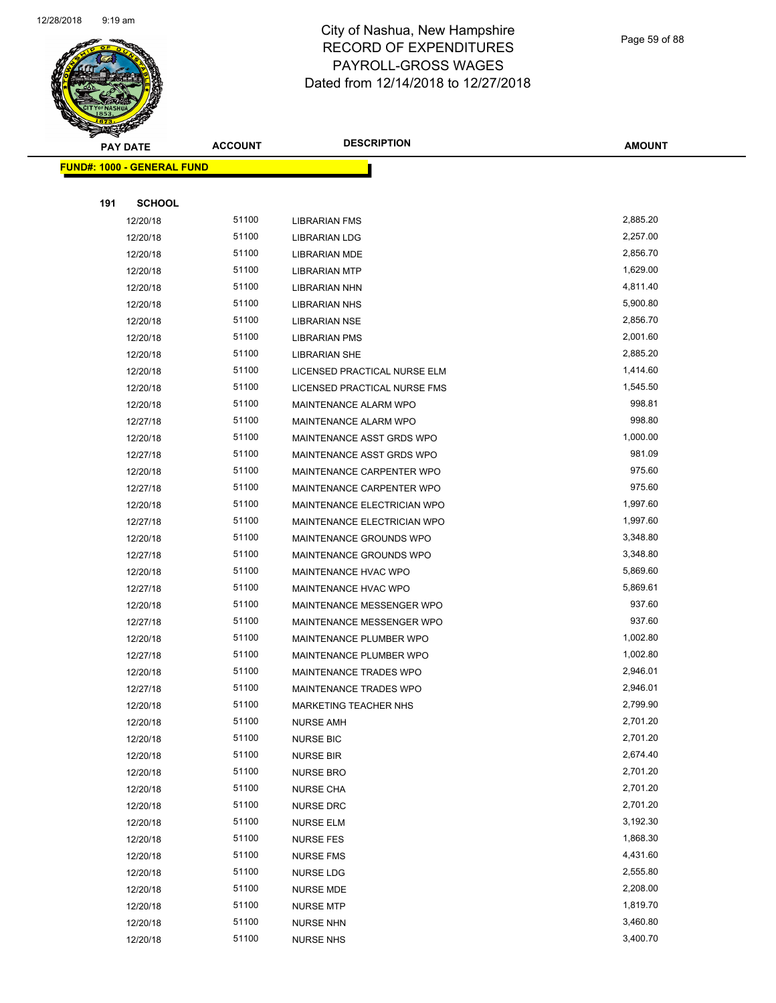

Page 59 of 88

| <b>PAY DATE</b>                   | <b>ACCOUNT</b> | <b>DESCRIPTION</b>                                     | <b>AMOUNT</b> |
|-----------------------------------|----------------|--------------------------------------------------------|---------------|
| <b>FUND#: 1000 - GENERAL FUND</b> |                |                                                        |               |
|                                   |                |                                                        |               |
| 191<br><b>SCHOOL</b>              |                |                                                        |               |
| 12/20/18                          | 51100          | <b>LIBRARIAN FMS</b>                                   | 2,885.20      |
| 12/20/18                          | 51100          | LIBRARIAN LDG                                          | 2,257.00      |
| 12/20/18                          | 51100          | LIBRARIAN MDE                                          | 2,856.70      |
| 12/20/18                          | 51100          | <b>LIBRARIAN MTP</b>                                   | 1,629.00      |
| 12/20/18                          | 51100          | <b>LIBRARIAN NHN</b>                                   | 4,811.40      |
| 12/20/18                          | 51100          | <b>LIBRARIAN NHS</b>                                   | 5,900.80      |
| 12/20/18                          | 51100          | <b>LIBRARIAN NSE</b>                                   | 2,856.70      |
| 12/20/18                          | 51100          | <b>LIBRARIAN PMS</b>                                   | 2,001.60      |
| 12/20/18                          | 51100          | LIBRARIAN SHE                                          | 2,885.20      |
| 12/20/18                          | 51100          | LICENSED PRACTICAL NURSE ELM                           | 1,414.60      |
|                                   | 51100          |                                                        | 1,545.50      |
| 12/20/18                          | 51100          | LICENSED PRACTICAL NURSE FMS<br>MAINTENANCE ALARM WPO  | 998.81        |
| 12/20/18                          | 51100          | MAINTENANCE ALARM WPO                                  | 998.80        |
| 12/27/18                          | 51100          |                                                        | 1,000.00      |
| 12/20/18                          | 51100          | MAINTENANCE ASST GRDS WPO                              | 981.09        |
| 12/27/18                          | 51100          | MAINTENANCE ASST GRDS WPO<br>MAINTENANCE CARPENTER WPO | 975.60        |
| 12/20/18                          | 51100          | MAINTENANCE CARPENTER WPO                              | 975.60        |
| 12/27/18                          |                | MAINTENANCE ELECTRICIAN WPO                            | 1,997.60      |
| 12/20/18                          | 51100          |                                                        |               |
| 12/27/18                          | 51100          | MAINTENANCE ELECTRICIAN WPO                            | 1,997.60      |
| 12/20/18                          | 51100          | MAINTENANCE GROUNDS WPO                                | 3,348.80      |
| 12/27/18                          | 51100          | MAINTENANCE GROUNDS WPO                                | 3,348.80      |
| 12/20/18                          | 51100          | MAINTENANCE HVAC WPO                                   | 5,869.60      |
| 12/27/18                          | 51100          | MAINTENANCE HVAC WPO                                   | 5,869.61      |
| 12/20/18                          | 51100          | MAINTENANCE MESSENGER WPO                              | 937.60        |
| 12/27/18                          | 51100          | MAINTENANCE MESSENGER WPO                              | 937.60        |
| 12/20/18                          | 51100          | MAINTENANCE PLUMBER WPO                                | 1,002.80      |
| 12/27/18                          | 51100          | MAINTENANCE PLUMBER WPO                                | 1,002.80      |
| 12/20/18                          | 51100          | <b>MAINTENANCE TRADES WPO</b>                          | 2,946.01      |
| 12/27/18                          | 51100          | MAINTENANCE TRADES WPO                                 | 2,946.01      |
| 12/20/18                          | 51100          | MARKETING TEACHER NHS                                  | 2,799.90      |
| 12/20/18                          | 51100          | <b>NURSE AMH</b>                                       | 2,701.20      |
| 12/20/18                          | 51100          | <b>NURSE BIC</b>                                       | 2,701.20      |
| 12/20/18                          | 51100          | <b>NURSE BIR</b>                                       | 2,674.40      |
| 12/20/18                          | 51100          | <b>NURSE BRO</b>                                       | 2,701.20      |
| 12/20/18                          | 51100          | <b>NURSE CHA</b>                                       | 2,701.20      |
| 12/20/18                          | 51100          | <b>NURSE DRC</b>                                       | 2,701.20      |
| 12/20/18                          | 51100          | <b>NURSE ELM</b>                                       | 3,192.30      |
| 12/20/18                          | 51100          | <b>NURSE FES</b>                                       | 1,868.30      |
| 12/20/18                          | 51100          | <b>NURSE FMS</b>                                       | 4,431.60      |
| 12/20/18                          | 51100          | <b>NURSE LDG</b>                                       | 2,555.80      |
| 12/20/18                          | 51100          | <b>NURSE MDE</b>                                       | 2,208.00      |
| 12/20/18                          | 51100          | <b>NURSE MTP</b>                                       | 1,819.70      |
| 12/20/18                          | 51100          | <b>NURSE NHN</b>                                       | 3,460.80      |
| 12/20/18                          | 51100          | <b>NURSE NHS</b>                                       | 3,400.70      |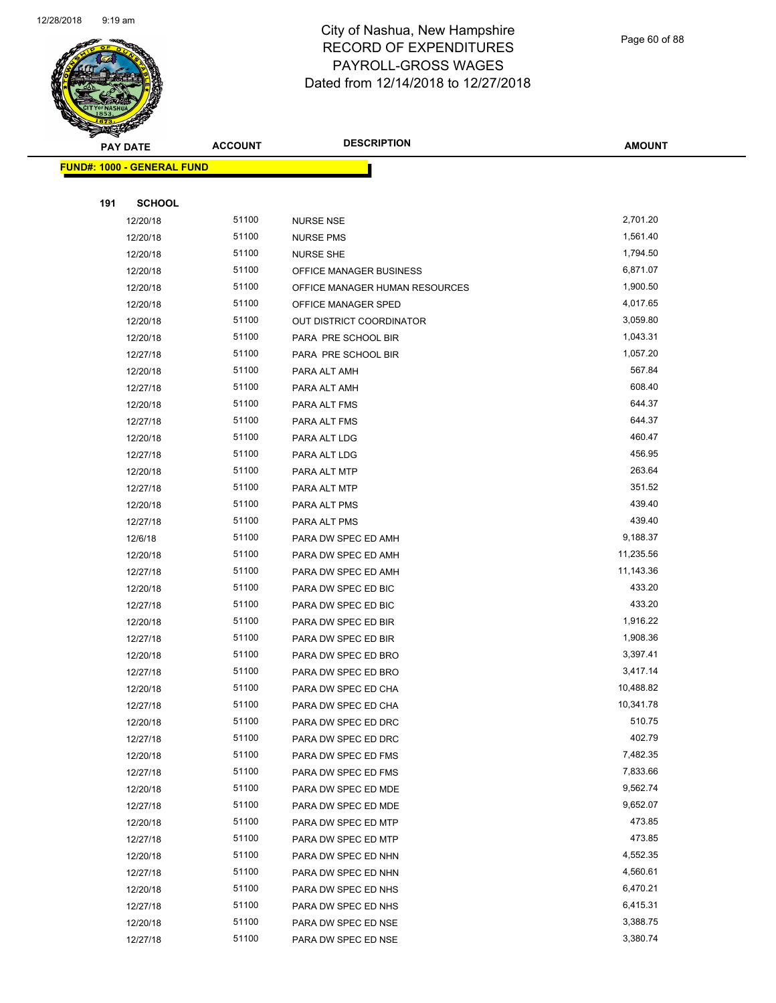

Page 60 of 88

| <b>PAY DATE</b>                   | <b>ACCOUNT</b> | <b>DESCRIPTION</b>             | <b>AMOUNT</b> |
|-----------------------------------|----------------|--------------------------------|---------------|
| <b>FUND#: 1000 - GENERAL FUND</b> |                |                                |               |
|                                   |                |                                |               |
| 191<br><b>SCHOOL</b>              |                |                                |               |
| 12/20/18                          | 51100          | <b>NURSE NSE</b>               | 2,701.20      |
| 12/20/18                          | 51100          | <b>NURSE PMS</b>               | 1,561.40      |
| 12/20/18                          | 51100          | <b>NURSE SHE</b>               | 1,794.50      |
| 12/20/18                          | 51100          | OFFICE MANAGER BUSINESS        | 6,871.07      |
| 12/20/18                          | 51100          | OFFICE MANAGER HUMAN RESOURCES | 1,900.50      |
| 12/20/18                          | 51100          | OFFICE MANAGER SPED            | 4,017.65      |
| 12/20/18                          | 51100          | OUT DISTRICT COORDINATOR       | 3,059.80      |
| 12/20/18                          | 51100          | PARA PRE SCHOOL BIR            | 1,043.31      |
| 12/27/18                          | 51100          | PARA PRE SCHOOL BIR            | 1,057.20      |
| 12/20/18                          | 51100          | PARA ALT AMH                   | 567.84        |
| 12/27/18                          | 51100          | PARA ALT AMH                   | 608.40        |
| 12/20/18                          | 51100          | PARA ALT FMS                   | 644.37        |
| 12/27/18                          | 51100          | PARA ALT FMS                   | 644.37        |
| 12/20/18                          | 51100          | PARA ALT LDG                   | 460.47        |
| 12/27/18                          | 51100          | PARA ALT LDG                   | 456.95        |
| 12/20/18                          | 51100          | PARA ALT MTP                   | 263.64        |
| 12/27/18                          | 51100          | PARA ALT MTP                   | 351.52        |
| 12/20/18                          | 51100          | PARA ALT PMS                   | 439.40        |
| 12/27/18                          | 51100          | PARA ALT PMS                   | 439.40        |
| 12/6/18                           | 51100          | PARA DW SPEC ED AMH            | 9,188.37      |
| 12/20/18                          | 51100          | PARA DW SPEC ED AMH            | 11,235.56     |
| 12/27/18                          | 51100          | PARA DW SPEC ED AMH            | 11,143.36     |
| 12/20/18                          | 51100          | PARA DW SPEC ED BIC            | 433.20        |
| 12/27/18                          | 51100          | PARA DW SPEC ED BIC            | 433.20        |
| 12/20/18                          | 51100          | PARA DW SPEC ED BIR            | 1,916.22      |
| 12/27/18                          | 51100          | PARA DW SPEC ED BIR            | 1,908.36      |
| 12/20/18                          | 51100          | PARA DW SPEC ED BRO            | 3,397.41      |
| 12/27/18                          | 51100          | PARA DW SPEC ED BRO            | 3,417.14      |
| 12/20/18                          | 51100          | PARA DW SPEC ED CHA            | 10,488.82     |
| 12/27/18                          | 51100          | PARA DW SPEC ED CHA            | 10,341.78     |
| 12/20/18                          | 51100          | PARA DW SPEC ED DRC            | 510.75        |
| 12/27/18                          | 51100          | PARA DW SPEC ED DRC            | 402.79        |
| 12/20/18                          | 51100          | PARA DW SPEC ED FMS            | 7,482.35      |
| 12/27/18                          | 51100          | PARA DW SPEC ED FMS            | 7,833.66      |
| 12/20/18                          | 51100          | PARA DW SPEC ED MDE            | 9,562.74      |
| 12/27/18                          | 51100          | PARA DW SPEC ED MDE            | 9,652.07      |
| 12/20/18                          | 51100          | PARA DW SPEC ED MTP            | 473.85        |
| 12/27/18                          | 51100          | PARA DW SPEC ED MTP            | 473.85        |
| 12/20/18                          | 51100          | PARA DW SPEC ED NHN            | 4,552.35      |
| 12/27/18                          | 51100          | PARA DW SPEC ED NHN            | 4,560.61      |
| 12/20/18                          | 51100          | PARA DW SPEC ED NHS            | 6,470.21      |
| 12/27/18                          | 51100          | PARA DW SPEC ED NHS            | 6,415.31      |
| 12/20/18                          | 51100          | PARA DW SPEC ED NSE            | 3,388.75      |
| 12/27/18                          | 51100          | PARA DW SPEC ED NSE            | 3,380.74      |
|                                   |                |                                |               |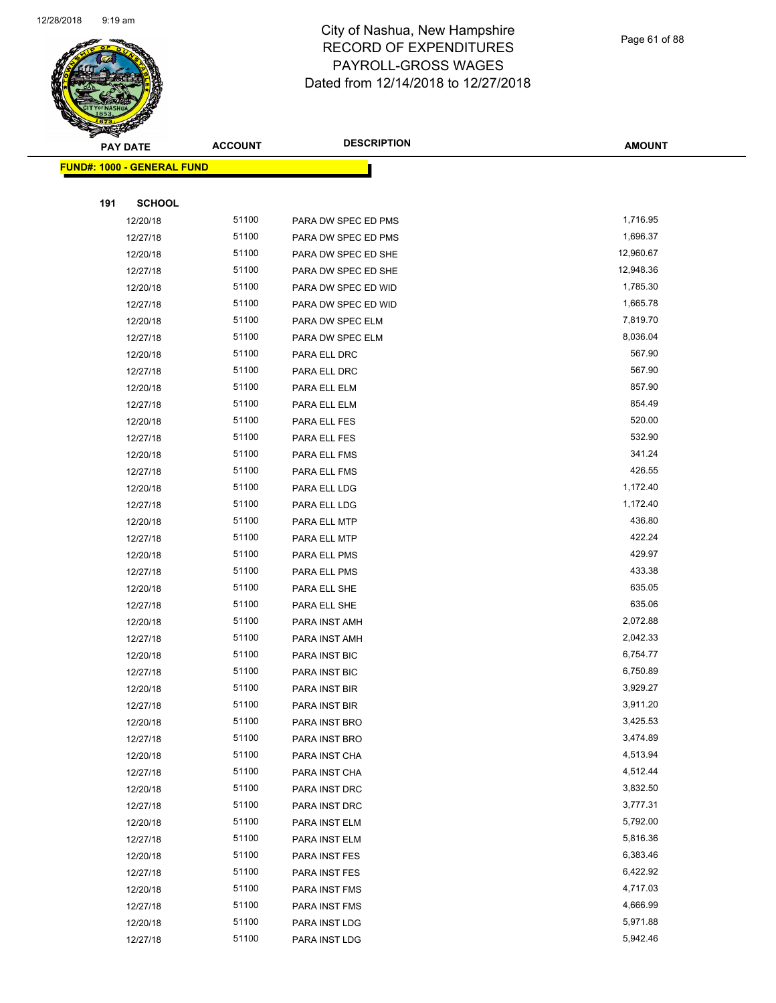

| $\tilde{\phantom{a}}$<br><b>PAY DATE</b> | <b>ACCOUNT</b> | <b>DESCRIPTION</b>             | <b>AMOUNT</b>        |
|------------------------------------------|----------------|--------------------------------|----------------------|
| FUND#: 1000 - GENERAL FUND               |                |                                |                      |
|                                          |                |                                |                      |
| 191<br><b>SCHOOL</b>                     |                |                                |                      |
| 12/20/18                                 | 51100          | PARA DW SPEC ED PMS            | 1,716.95             |
| 12/27/18                                 | 51100          | PARA DW SPEC ED PMS            | 1,696.37             |
| 12/20/18                                 | 51100          | PARA DW SPEC ED SHE            | 12,960.67            |
| 12/27/18                                 | 51100          | PARA DW SPEC ED SHE            | 12,948.36            |
| 12/20/18                                 | 51100          | PARA DW SPEC ED WID            | 1,785.30             |
| 12/27/18                                 | 51100          | PARA DW SPEC ED WID            | 1,665.78             |
| 12/20/18                                 | 51100          | PARA DW SPEC ELM               | 7,819.70             |
| 12/27/18                                 | 51100          | PARA DW SPEC ELM               | 8,036.04             |
| 12/20/18                                 | 51100          | PARA ELL DRC                   | 567.90               |
| 12/27/18                                 | 51100          | PARA ELL DRC                   | 567.90               |
| 12/20/18                                 | 51100          | PARA ELL ELM                   | 857.90               |
| 12/27/18                                 | 51100          | PARA ELL ELM                   | 854.49               |
| 12/20/18                                 | 51100          | PARA ELL FES                   | 520.00               |
| 12/27/18                                 | 51100          | PARA ELL FES                   | 532.90               |
| 12/20/18                                 | 51100          | PARA ELL FMS                   | 341.24               |
| 12/27/18                                 | 51100          | PARA ELL FMS                   | 426.55               |
| 12/20/18                                 | 51100          | PARA ELL LDG                   | 1,172.40             |
| 12/27/18                                 | 51100          | PARA ELL LDG                   | 1,172.40             |
| 12/20/18                                 | 51100          | PARA ELL MTP                   | 436.80               |
| 12/27/18                                 | 51100          | PARA ELL MTP                   | 422.24               |
| 12/20/18                                 | 51100          | PARA ELL PMS                   | 429.97               |
| 12/27/18                                 | 51100          | PARA ELL PMS                   | 433.38               |
| 12/20/18                                 | 51100          | PARA ELL SHE                   | 635.05               |
| 12/27/18                                 | 51100          | PARA ELL SHE                   | 635.06               |
| 12/20/18                                 | 51100          | PARA INST AMH                  | 2,072.88             |
| 12/27/18                                 | 51100          | PARA INST AMH                  | 2,042.33             |
| 12/20/18                                 | 51100          | PARA INST BIC                  | 6,754.77             |
| 12/27/18                                 | 51100          | PARA INST BIC                  | 6,750.89             |
| 12/20/18                                 | 51100          | PARA INST BIR                  | 3,929.27             |
| 12/27/18                                 | 51100          | PARA INST BIR                  | 3,911.20             |
| 12/20/18                                 | 51100          | PARA INST BRO                  | 3,425.53             |
| 12/27/18                                 | 51100          | PARA INST BRO                  | 3,474.89             |
| 12/20/18                                 | 51100          | PARA INST CHA                  | 4,513.94             |
| 12/27/18                                 | 51100          | PARA INST CHA                  | 4,512.44             |
| 12/20/18                                 | 51100          | PARA INST DRC                  | 3,832.50             |
| 12/27/18                                 | 51100          | PARA INST DRC                  | 3,777.31             |
| 12/20/18                                 | 51100          | PARA INST ELM                  | 5,792.00             |
| 12/27/18                                 | 51100          | PARA INST ELM                  | 5,816.36<br>6,383.46 |
| 12/20/18                                 | 51100          | PARA INST FES                  | 6,422.92             |
| 12/27/18                                 | 51100<br>51100 | PARA INST FES                  | 4,717.03             |
| 12/20/18<br>12/27/18                     | 51100          | PARA INST FMS<br>PARA INST FMS | 4,666.99             |
| 12/20/18                                 | 51100          | PARA INST LDG                  | 5,971.88             |
| 12/27/18                                 | 51100          | PARA INST LDG                  | 5,942.46             |
|                                          |                |                                |                      |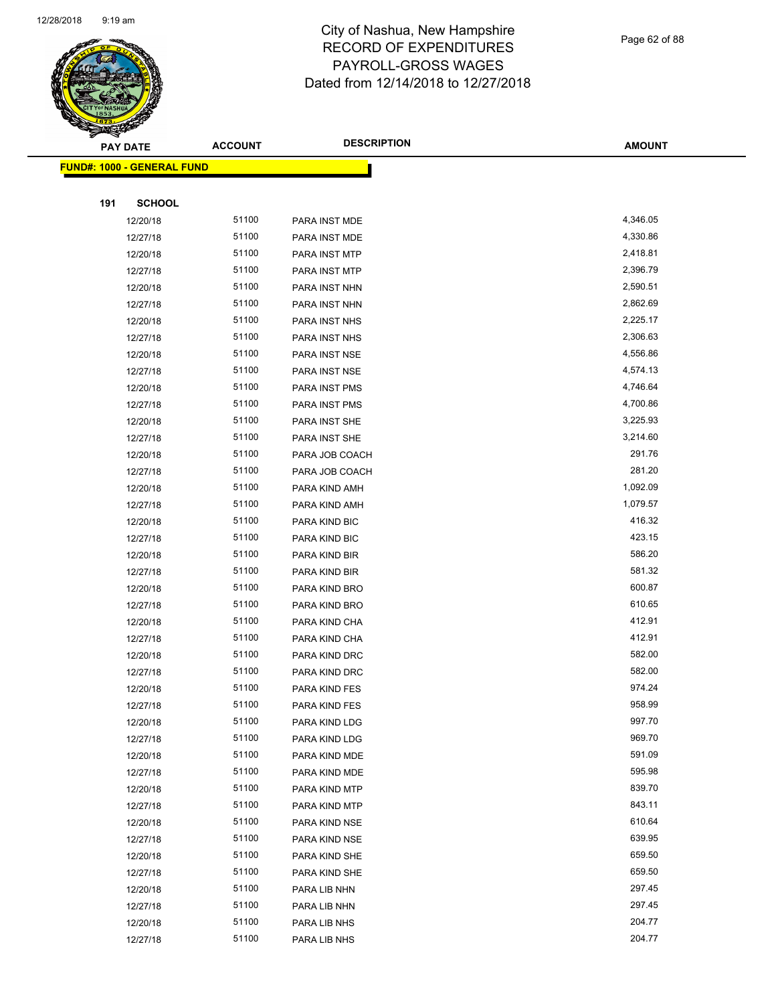

Page 62 of 88

| <b>PAY DATE</b>                   | <b>ACCOUNT</b> | <b>DESCRIPTION</b> | <b>AMOUNT</b> |
|-----------------------------------|----------------|--------------------|---------------|
| <b>FUND#: 1000 - GENERAL FUND</b> |                |                    |               |
|                                   |                |                    |               |
| 191<br><b>SCHOOL</b>              |                |                    |               |
| 12/20/18                          | 51100          | PARA INST MDE      | 4,346.05      |
| 12/27/18                          | 51100          | PARA INST MDE      | 4,330.86      |
| 12/20/18                          | 51100          | PARA INST MTP      | 2,418.81      |
| 12/27/18                          | 51100          | PARA INST MTP      | 2,396.79      |
| 12/20/18                          | 51100          | PARA INST NHN      | 2,590.51      |
| 12/27/18                          | 51100          | PARA INST NHN      | 2,862.69      |
| 12/20/18                          | 51100          | PARA INST NHS      | 2,225.17      |
| 12/27/18                          | 51100          | PARA INST NHS      | 2,306.63      |
| 12/20/18                          | 51100          | PARA INST NSE      | 4,556.86      |
| 12/27/18                          | 51100          | PARA INST NSE      | 4,574.13      |
| 12/20/18                          | 51100          | PARA INST PMS      | 4,746.64      |
| 12/27/18                          | 51100          | PARA INST PMS      | 4,700.86      |
| 12/20/18                          | 51100          | PARA INST SHE      | 3,225.93      |
| 12/27/18                          | 51100          | PARA INST SHE      | 3,214.60      |
| 12/20/18                          | 51100          | PARA JOB COACH     | 291.76        |
| 12/27/18                          | 51100          | PARA JOB COACH     | 281.20        |
| 12/20/18                          | 51100          | PARA KIND AMH      | 1,092.09      |
| 12/27/18                          | 51100          | PARA KIND AMH      | 1,079.57      |
| 12/20/18                          | 51100          | PARA KIND BIC      | 416.32        |
| 12/27/18                          | 51100          | PARA KIND BIC      | 423.15        |
| 12/20/18                          | 51100          | PARA KIND BIR      | 586.20        |
| 12/27/18                          | 51100          | PARA KIND BIR      | 581.32        |
| 12/20/18                          | 51100          | PARA KIND BRO      | 600.87        |
| 12/27/18                          | 51100          | PARA KIND BRO      | 610.65        |
| 12/20/18                          | 51100          | PARA KIND CHA      | 412.91        |
| 12/27/18                          | 51100          | PARA KIND CHA      | 412.91        |
| 12/20/18                          | 51100          | PARA KIND DRC      | 582.00        |
| 12/27/18                          | 51100          | PARA KIND DRC      | 582.00        |
| 12/20/18                          | 51100          | PARA KIND FES      | 974.24        |
| 12/27/18                          | 51100          | PARA KIND FES      | 958.99        |
| 12/20/18                          | 51100          | PARA KIND LDG      | 997.70        |
| 12/27/18                          | 51100          | PARA KIND LDG      | 969.70        |
| 12/20/18                          | 51100          | PARA KIND MDE      | 591.09        |
| 12/27/18                          | 51100          | PARA KIND MDE      | 595.98        |
| 12/20/18                          | 51100          | PARA KIND MTP      | 839.70        |
| 12/27/18                          | 51100          | PARA KIND MTP      | 843.11        |
| 12/20/18                          | 51100          | PARA KIND NSE      | 610.64        |
| 12/27/18                          | 51100          | PARA KIND NSE      | 639.95        |
| 12/20/18                          | 51100          | PARA KIND SHE      | 659.50        |
| 12/27/18                          | 51100          | PARA KIND SHE      | 659.50        |
| 12/20/18                          | 51100          | PARA LIB NHN       | 297.45        |
| 12/27/18                          | 51100          | PARA LIB NHN       | 297.45        |
| 12/20/18                          | 51100          | PARA LIB NHS       | 204.77        |
| 12/27/18                          | 51100          | PARA LIB NHS       | 204.77        |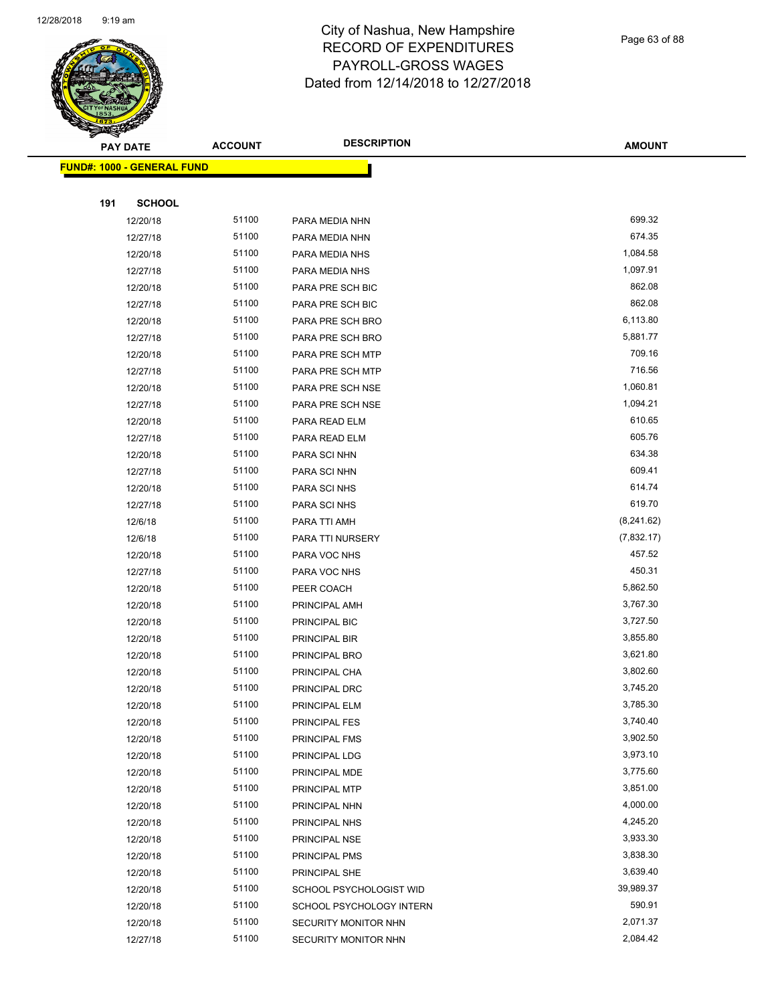

Page 63 of 88

|     | <b>PAY DATE</b>                   | <b>ACCOUNT</b> | <b>DESCRIPTION</b>                       | <b>AMOUNT</b>        |
|-----|-----------------------------------|----------------|------------------------------------------|----------------------|
|     | <b>FUND#: 1000 - GENERAL FUND</b> |                |                                          |                      |
|     |                                   |                |                                          |                      |
| 191 | <b>SCHOOL</b>                     |                |                                          |                      |
|     | 12/20/18                          | 51100          | PARA MEDIA NHN                           | 699.32               |
|     | 12/27/18                          | 51100          | PARA MEDIA NHN                           | 674.35               |
|     | 12/20/18                          | 51100          | PARA MEDIA NHS                           | 1,084.58             |
|     | 12/27/18                          | 51100          | PARA MEDIA NHS                           | 1,097.91             |
|     | 12/20/18                          | 51100          | PARA PRE SCH BIC                         | 862.08               |
|     | 12/27/18                          | 51100          | PARA PRE SCH BIC                         | 862.08               |
|     | 12/20/18                          | 51100          | PARA PRE SCH BRO                         | 6,113.80             |
|     | 12/27/18                          | 51100          | PARA PRE SCH BRO                         | 5,881.77             |
|     | 12/20/18                          | 51100          | PARA PRE SCH MTP                         | 709.16               |
|     | 12/27/18                          | 51100          | PARA PRE SCH MTP                         | 716.56               |
|     | 12/20/18                          | 51100          | PARA PRE SCH NSE                         | 1,060.81             |
|     | 12/27/18                          | 51100          | PARA PRE SCH NSE                         | 1,094.21             |
|     | 12/20/18                          | 51100          | PARA READ ELM                            | 610.65               |
|     | 12/27/18                          | 51100          | PARA READ ELM                            | 605.76               |
|     | 12/20/18                          | 51100          | PARA SCI NHN                             | 634.38               |
|     | 12/27/18                          | 51100          | PARA SCI NHN                             | 609.41               |
|     | 12/20/18                          | 51100          | PARA SCI NHS                             | 614.74               |
|     | 12/27/18                          | 51100          | PARA SCI NHS                             | 619.70               |
|     | 12/6/18                           | 51100          | PARA TTI AMH                             | (8,241.62)           |
|     | 12/6/18                           | 51100          | PARA TTI NURSERY                         | (7,832.17)           |
|     | 12/20/18                          | 51100          | PARA VOC NHS                             | 457.52               |
|     | 12/27/18                          | 51100          | PARA VOC NHS                             | 450.31               |
|     | 12/20/18                          | 51100          | PEER COACH                               | 5,862.50             |
|     | 12/20/18                          | 51100          | PRINCIPAL AMH                            | 3,767.30             |
|     | 12/20/18                          | 51100          | PRINCIPAL BIC                            | 3,727.50             |
|     | 12/20/18                          | 51100          | PRINCIPAL BIR                            | 3,855.80             |
|     | 12/20/18                          | 51100          | PRINCIPAL BRO                            | 3,621.80             |
|     | 12/20/18                          | 51100          | PRINCIPAL CHA                            | 3,802.60             |
|     | 12/20/18                          | 51100          | PRINCIPAL DRC                            | 3,745.20             |
|     | 12/20/18                          | 51100          | PRINCIPAL ELM                            | 3,785.30             |
|     | 12/20/18                          | 51100          | PRINCIPAL FES                            | 3,740.40             |
|     | 12/20/18                          | 51100          | PRINCIPAL FMS                            | 3,902.50             |
|     | 12/20/18                          | 51100          | PRINCIPAL LDG                            | 3,973.10             |
|     | 12/20/18                          | 51100          | PRINCIPAL MDE                            | 3,775.60             |
|     | 12/20/18                          | 51100          | PRINCIPAL MTP                            | 3,851.00             |
|     | 12/20/18                          | 51100          | PRINCIPAL NHN                            | 4,000.00             |
|     | 12/20/18                          | 51100          | PRINCIPAL NHS                            | 4,245.20             |
|     | 12/20/18                          | 51100<br>51100 | PRINCIPAL NSE                            | 3,933.30             |
|     | 12/20/18                          | 51100          | PRINCIPAL PMS                            | 3,838.30<br>3,639.40 |
|     | 12/20/18<br>12/20/18              | 51100          | PRINCIPAL SHE<br>SCHOOL PSYCHOLOGIST WID | 39,989.37            |
|     | 12/20/18                          | 51100          | SCHOOL PSYCHOLOGY INTERN                 | 590.91               |
|     | 12/20/18                          | 51100          | SECURITY MONITOR NHN                     | 2,071.37             |
|     | 12/27/18                          | 51100          | SECURITY MONITOR NHN                     | 2,084.42             |
|     |                                   |                |                                          |                      |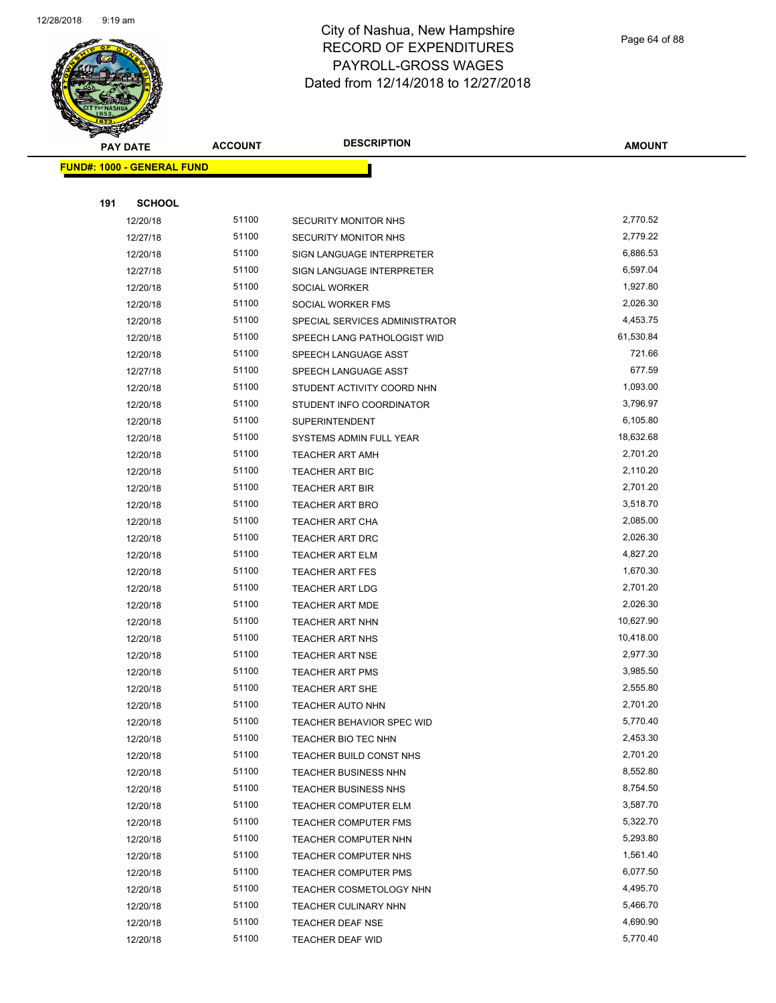

Page 64 of 88

| <b>PAY DATE</b>                   | <b>ACCOUNT</b> | <b>DESCRIPTION</b>               | <b>AMOUNT</b> |
|-----------------------------------|----------------|----------------------------------|---------------|
| <b>FUND#: 1000 - GENERAL FUND</b> |                |                                  |               |
|                                   |                |                                  |               |
| 191<br><b>SCHOOL</b>              |                |                                  |               |
| 12/20/18                          | 51100          | SECURITY MONITOR NHS             | 2,770.52      |
| 12/27/18                          | 51100          | SECURITY MONITOR NHS             | 2,779.22      |
| 12/20/18                          | 51100          | SIGN LANGUAGE INTERPRETER        | 6,886.53      |
| 12/27/18                          | 51100          | SIGN LANGUAGE INTERPRETER        | 6,597.04      |
| 12/20/18                          | 51100          | SOCIAL WORKER                    | 1,927.80      |
| 12/20/18                          | 51100          | SOCIAL WORKER FMS                | 2,026.30      |
| 12/20/18                          | 51100          | SPECIAL SERVICES ADMINISTRATOR   | 4,453.75      |
| 12/20/18                          | 51100          | SPEECH LANG PATHOLOGIST WID      | 61,530.84     |
| 12/20/18                          | 51100          | SPEECH LANGUAGE ASST             | 721.66        |
| 12/27/18                          | 51100          | SPEECH LANGUAGE ASST             | 677.59        |
| 12/20/18                          | 51100          | STUDENT ACTIVITY COORD NHN       | 1,093.00      |
| 12/20/18                          | 51100          | STUDENT INFO COORDINATOR         | 3,796.97      |
| 12/20/18                          | 51100          | <b>SUPERINTENDENT</b>            | 6,105.80      |
| 12/20/18                          | 51100          | SYSTEMS ADMIN FULL YEAR          | 18,632.68     |
| 12/20/18                          | 51100          | <b>TEACHER ART AMH</b>           | 2,701.20      |
| 12/20/18                          | 51100          | <b>TEACHER ART BIC</b>           | 2,110.20      |
| 12/20/18                          | 51100          | <b>TEACHER ART BIR</b>           | 2,701.20      |
| 12/20/18                          | 51100          | <b>TEACHER ART BRO</b>           | 3,518.70      |
| 12/20/18                          | 51100          | TEACHER ART CHA                  | 2,085.00      |
| 12/20/18                          | 51100          | TEACHER ART DRC                  | 2,026.30      |
| 12/20/18                          | 51100          | <b>TEACHER ART ELM</b>           | 4,827.20      |
| 12/20/18                          | 51100          | <b>TEACHER ART FES</b>           | 1,670.30      |
| 12/20/18                          | 51100          | <b>TEACHER ART LDG</b>           | 2,701.20      |
| 12/20/18                          | 51100          | TEACHER ART MDE                  | 2,026.30      |
| 12/20/18                          | 51100          | <b>TEACHER ART NHN</b>           | 10,627.90     |
| 12/20/18                          | 51100          | <b>TEACHER ART NHS</b>           | 10,418.00     |
| 12/20/18                          | 51100          | <b>TEACHER ART NSE</b>           | 2,977.30      |
| 12/20/18                          | 51100          | <b>TEACHER ART PMS</b>           | 3,985.50      |
| 12/20/18                          | 51100          | <b>TEACHER ART SHE</b>           | 2,555.80      |
| 12/20/18                          | 51100          | <b>TEACHER AUTO NHN</b>          | 2,701.20      |
| 12/20/18                          | 51100          | <b>TEACHER BEHAVIOR SPEC WID</b> | 5,770.40      |
| 12/20/18                          | 51100          | TEACHER BIO TEC NHN              | 2,453.30      |
| 12/20/18                          | 51100          | TEACHER BUILD CONST NHS          | 2,701.20      |
| 12/20/18                          | 51100          | <b>TEACHER BUSINESS NHN</b>      | 8,552.80      |
| 12/20/18                          | 51100          | <b>TEACHER BUSINESS NHS</b>      | 8,754.50      |
| 12/20/18                          | 51100          | <b>TEACHER COMPUTER ELM</b>      | 3,587.70      |
| 12/20/18                          | 51100          | <b>TEACHER COMPUTER FMS</b>      | 5,322.70      |
| 12/20/18                          | 51100          | <b>TEACHER COMPUTER NHN</b>      | 5,293.80      |
| 12/20/18                          | 51100          | TEACHER COMPUTER NHS             | 1,561.40      |
| 12/20/18                          | 51100          | <b>TEACHER COMPUTER PMS</b>      | 6,077.50      |
| 12/20/18                          | 51100          | TEACHER COSMETOLOGY NHN          | 4,495.70      |
| 12/20/18                          | 51100          | TEACHER CULINARY NHN             | 5,466.70      |
| 12/20/18                          | 51100          | TEACHER DEAF NSE                 | 4,690.90      |
| 12/20/18                          | 51100          | TEACHER DEAF WID                 | 5,770.40      |
|                                   |                |                                  |               |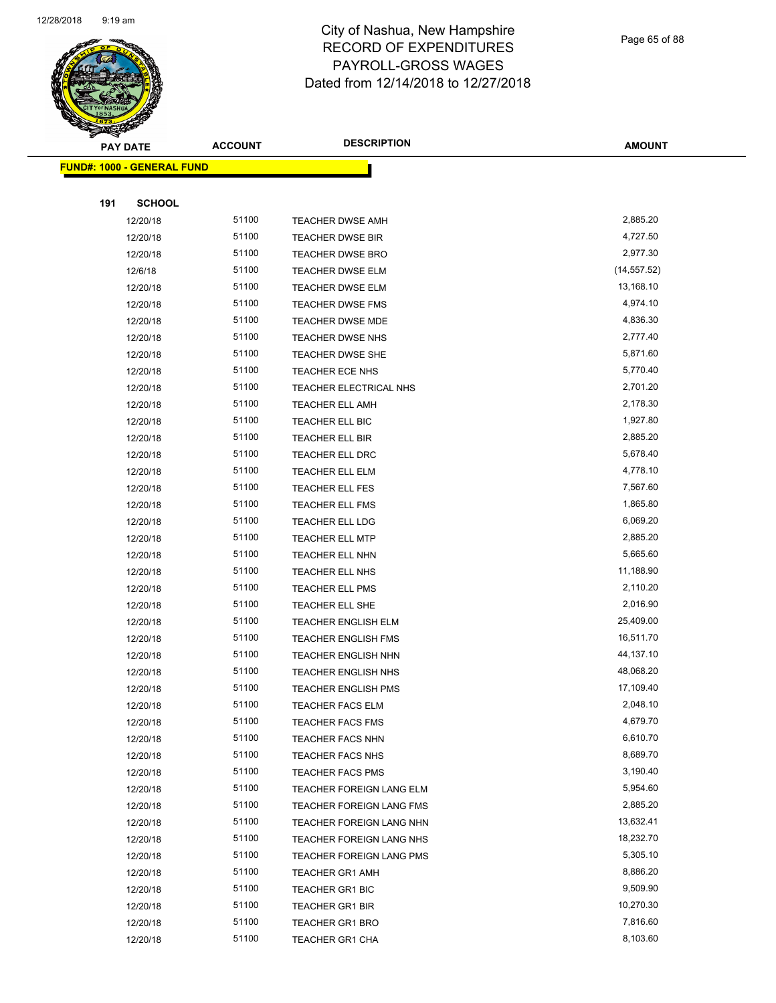

Page 65 of 88

| <b>PAY DATE</b>            | <b>ACCOUNT</b> | <b>DESCRIPTION</b>         | <b>AMOUNT</b> |
|----------------------------|----------------|----------------------------|---------------|
| FUND#: 1000 - GENERAL FUND |                |                            |               |
|                            |                |                            |               |
| 191<br><b>SCHOOL</b>       |                |                            |               |
| 12/20/18                   | 51100          | <b>TEACHER DWSE AMH</b>    | 2,885.20      |
| 12/20/18                   | 51100          | <b>TEACHER DWSE BIR</b>    | 4,727.50      |
| 12/20/18                   | 51100          | <b>TEACHER DWSE BRO</b>    | 2,977.30      |
| 12/6/18                    | 51100          | <b>TEACHER DWSE ELM</b>    | (14, 557.52)  |
| 12/20/18                   | 51100          | TEACHER DWSE ELM           | 13,168.10     |
| 12/20/18                   | 51100          | TEACHER DWSE FMS           | 4,974.10      |
| 12/20/18                   | 51100          | TEACHER DWSE MDE           | 4,836.30      |
| 12/20/18                   | 51100          | <b>TEACHER DWSE NHS</b>    | 2,777.40      |
| 12/20/18                   | 51100          | <b>TEACHER DWSE SHE</b>    | 5,871.60      |
| 12/20/18                   | 51100          | TEACHER ECE NHS            | 5,770.40      |
| 12/20/18                   | 51100          | TEACHER ELECTRICAL NHS     | 2,701.20      |
| 12/20/18                   | 51100          | <b>TEACHER ELL AMH</b>     | 2,178.30      |
| 12/20/18                   | 51100          | TEACHER ELL BIC            | 1,927.80      |
| 12/20/18                   | 51100          | TEACHER ELL BIR            | 2,885.20      |
| 12/20/18                   | 51100          | TEACHER ELL DRC            | 5,678.40      |
| 12/20/18                   | 51100          | <b>TEACHER ELL ELM</b>     | 4,778.10      |
| 12/20/18                   | 51100          | TEACHER ELL FES            | 7,567.60      |
| 12/20/18                   | 51100          | TEACHER ELL FMS            | 1,865.80      |
| 12/20/18                   | 51100          | <b>TEACHER ELL LDG</b>     | 6,069.20      |
| 12/20/18                   | 51100          | <b>TEACHER ELL MTP</b>     | 2,885.20      |
| 12/20/18                   | 51100          | TEACHER ELL NHN            | 5,665.60      |
| 12/20/18                   | 51100          | TEACHER ELL NHS            | 11,188.90     |
| 12/20/18                   | 51100          | TEACHER ELL PMS            | 2,110.20      |
| 12/20/18                   | 51100          | TEACHER ELL SHE            | 2,016.90      |
| 12/20/18                   | 51100          | TEACHER ENGLISH ELM        | 25,409.00     |
| 12/20/18                   | 51100          | TEACHER ENGLISH FMS        | 16,511.70     |
| 12/20/18                   | 51100          | <b>TEACHER ENGLISH NHN</b> | 44,137.10     |
| 12/20/18                   | 51100          | TEACHER ENGLISH NHS        | 48,068.20     |
| 12/20/18                   | 51100          | <b>TEACHER ENGLISH PMS</b> | 17,109.40     |
| 12/20/18                   | 51100          | TEACHER FACS ELM           | 2,048.10      |
| 12/20/18                   | 51100          | <b>TEACHER FACS FMS</b>    | 4,679.70      |
| 12/20/18                   | 51100          | <b>TEACHER FACS NHN</b>    | 6,610.70      |
| 12/20/18                   | 51100          | <b>TEACHER FACS NHS</b>    | 8,689.70      |
| 12/20/18                   | 51100          | <b>TEACHER FACS PMS</b>    | 3,190.40      |
| 12/20/18                   | 51100          | TEACHER FOREIGN LANG ELM   | 5,954.60      |
| 12/20/18                   | 51100          | TEACHER FOREIGN LANG FMS   | 2,885.20      |
| 12/20/18                   | 51100          | TEACHER FOREIGN LANG NHN   | 13,632.41     |
| 12/20/18                   | 51100          | TEACHER FOREIGN LANG NHS   | 18,232.70     |
| 12/20/18                   | 51100          | TEACHER FOREIGN LANG PMS   | 5,305.10      |
| 12/20/18                   | 51100          | <b>TEACHER GR1 AMH</b>     | 8,886.20      |
| 12/20/18                   | 51100          | TEACHER GR1 BIC            | 9,509.90      |
| 12/20/18                   | 51100          | <b>TEACHER GR1 BIR</b>     | 10,270.30     |
| 12/20/18                   | 51100          | <b>TEACHER GR1 BRO</b>     | 7,816.60      |
| 12/20/18                   | 51100          | <b>TEACHER GR1 CHA</b>     | 8,103.60      |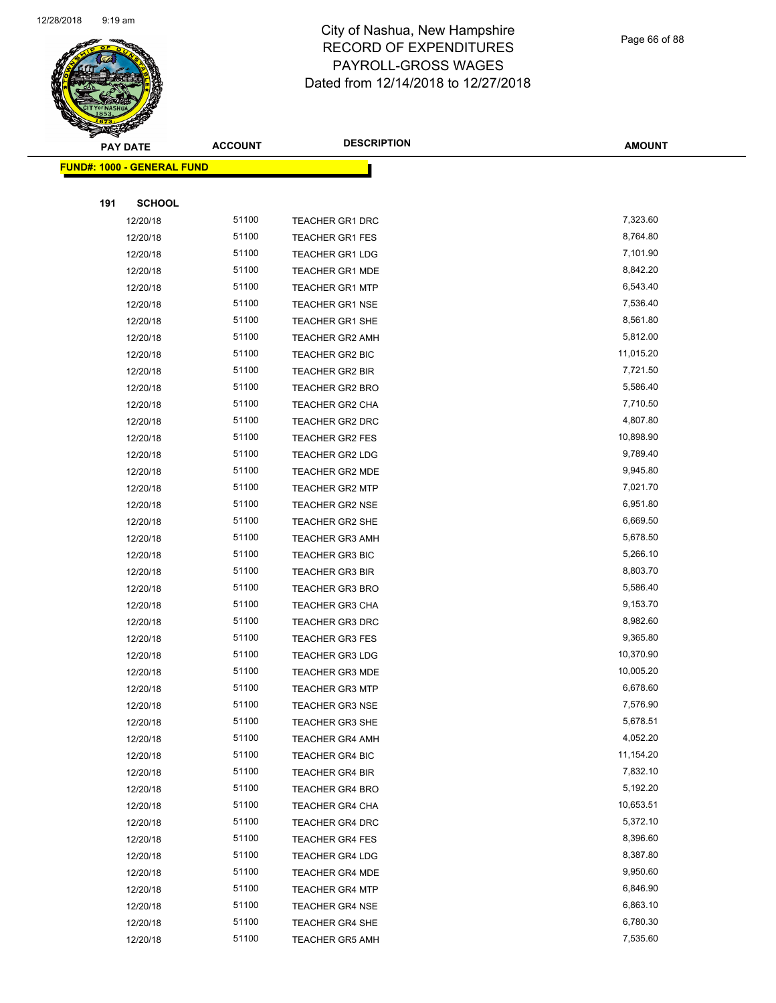

Page 66 of 88

|     | <b>PAY DATE</b>                   | <b>ACCOUNT</b> | <b>DESCRIPTION</b>     | <b>AMOUNT</b> |
|-----|-----------------------------------|----------------|------------------------|---------------|
|     | <b>FUND#: 1000 - GENERAL FUND</b> |                |                        |               |
|     |                                   |                |                        |               |
| 191 | <b>SCHOOL</b>                     |                |                        |               |
|     | 12/20/18                          | 51100          | <b>TEACHER GR1 DRC</b> | 7,323.60      |
|     | 12/20/18                          | 51100          | <b>TEACHER GR1 FES</b> | 8,764.80      |
|     | 12/20/18                          | 51100          | <b>TEACHER GR1 LDG</b> | 7,101.90      |
|     | 12/20/18                          | 51100          | <b>TEACHER GR1 MDE</b> | 8,842.20      |
|     | 12/20/18                          | 51100          | <b>TEACHER GR1 MTP</b> | 6,543.40      |
|     | 12/20/18                          | 51100          | <b>TEACHER GR1 NSE</b> | 7,536.40      |
|     | 12/20/18                          | 51100          | <b>TEACHER GR1 SHE</b> | 8,561.80      |
|     | 12/20/18                          | 51100          | <b>TEACHER GR2 AMH</b> | 5,812.00      |
|     | 12/20/18                          | 51100          | TEACHER GR2 BIC        | 11,015.20     |
|     | 12/20/18                          | 51100          | TEACHER GR2 BIR        | 7,721.50      |
|     | 12/20/18                          | 51100          | TEACHER GR2 BRO        | 5,586.40      |
|     | 12/20/18                          | 51100          | <b>TEACHER GR2 CHA</b> | 7,710.50      |
|     | 12/20/18                          | 51100          | TEACHER GR2 DRC        | 4,807.80      |
|     | 12/20/18                          | 51100          | <b>TEACHER GR2 FES</b> | 10,898.90     |
|     | 12/20/18                          | 51100          | <b>TEACHER GR2 LDG</b> | 9,789.40      |
|     | 12/20/18                          | 51100          | TEACHER GR2 MDE        | 9,945.80      |
|     | 12/20/18                          | 51100          | <b>TEACHER GR2 MTP</b> | 7,021.70      |
|     | 12/20/18                          | 51100          | <b>TEACHER GR2 NSE</b> | 6,951.80      |
|     | 12/20/18                          | 51100          | TEACHER GR2 SHE        | 6,669.50      |
|     | 12/20/18                          | 51100          | <b>TEACHER GR3 AMH</b> | 5,678.50      |
|     | 12/20/18                          | 51100          | TEACHER GR3 BIC        | 5,266.10      |
|     | 12/20/18                          | 51100          | <b>TEACHER GR3 BIR</b> | 8,803.70      |
|     | 12/20/18                          | 51100          | <b>TEACHER GR3 BRO</b> | 5,586.40      |
|     | 12/20/18                          | 51100          | <b>TEACHER GR3 CHA</b> | 9,153.70      |
|     | 12/20/18                          | 51100          | <b>TEACHER GR3 DRC</b> | 8,982.60      |
|     | 12/20/18                          | 51100          | <b>TEACHER GR3 FES</b> | 9,365.80      |
|     | 12/20/18                          | 51100          | <b>TEACHER GR3 LDG</b> | 10,370.90     |
|     | 12/20/18                          | 51100          | <b>TEACHER GR3 MDE</b> | 10,005.20     |
|     | 12/20/18                          | 51100          | <b>TEACHER GR3 MTP</b> | 6,678.60      |
|     | 12/20/18                          | 51100          | <b>TEACHER GR3 NSE</b> | 7,576.90      |
|     | 12/20/18                          | 51100          | <b>TEACHER GR3 SHE</b> | 5,678.51      |
|     | 12/20/18                          | 51100          | <b>TEACHER GR4 AMH</b> | 4,052.20      |
|     | 12/20/18                          | 51100          | TEACHER GR4 BIC        | 11,154.20     |
|     | 12/20/18                          | 51100          | TEACHER GR4 BIR        | 7,832.10      |
|     | 12/20/18                          | 51100          | <b>TEACHER GR4 BRO</b> | 5,192.20      |
|     | 12/20/18                          | 51100          | TEACHER GR4 CHA        | 10,653.51     |
|     | 12/20/18                          | 51100          | TEACHER GR4 DRC        | 5,372.10      |
|     | 12/20/18                          | 51100          | <b>TEACHER GR4 FES</b> | 8,396.60      |
|     | 12/20/18                          | 51100          | <b>TEACHER GR4 LDG</b> | 8,387.80      |
|     | 12/20/18                          | 51100          | TEACHER GR4 MDE        | 9,950.60      |
|     | 12/20/18                          | 51100          | <b>TEACHER GR4 MTP</b> | 6,846.90      |
|     | 12/20/18                          | 51100          | <b>TEACHER GR4 NSE</b> | 6,863.10      |
|     | 12/20/18                          | 51100          | TEACHER GR4 SHE        | 6,780.30      |
|     | 12/20/18                          | 51100          | <b>TEACHER GR5 AMH</b> | 7,535.60      |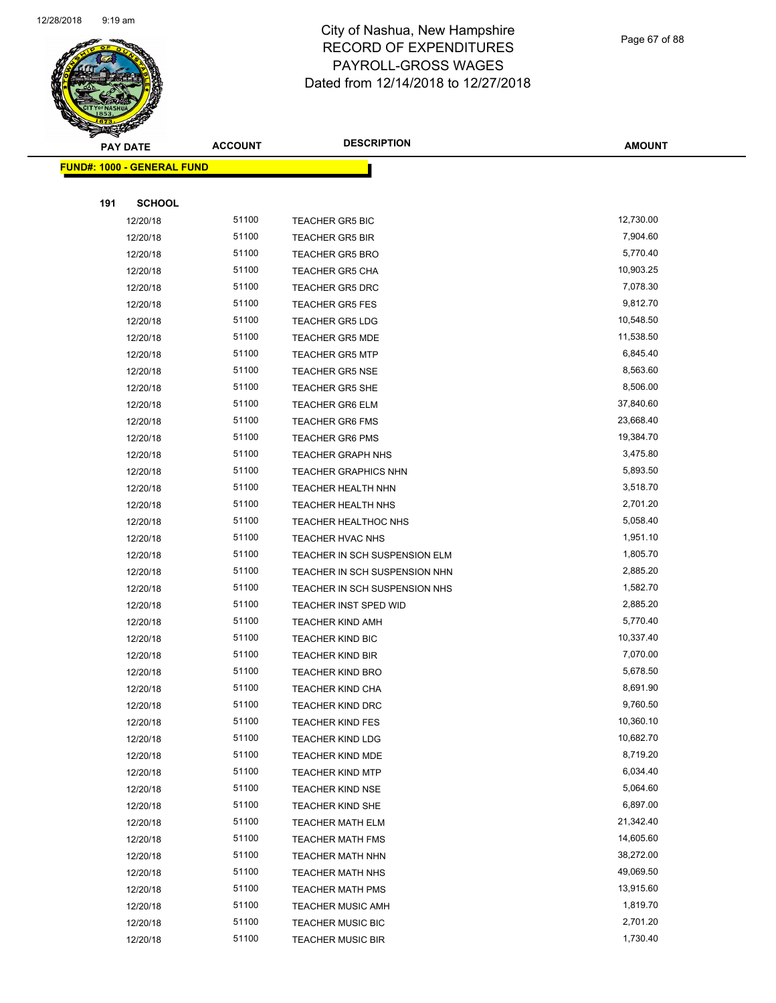

Page 67 of 88

| <b>PAY DATE</b>                   | <b>ACCOUNT</b> | <b>DESCRIPTION</b>            | <b>AMOUNT</b>         |
|-----------------------------------|----------------|-------------------------------|-----------------------|
| <b>FUND#: 1000 - GENERAL FUND</b> |                |                               |                       |
|                                   |                |                               |                       |
| 191<br><b>SCHOOL</b>              |                |                               |                       |
| 12/20/18                          | 51100          | <b>TEACHER GR5 BIC</b>        | 12,730.00             |
| 12/20/18                          | 51100          | <b>TEACHER GR5 BIR</b>        | 7,904.60              |
| 12/20/18                          | 51100          | <b>TEACHER GR5 BRO</b>        | 5,770.40              |
| 12/20/18                          | 51100          | <b>TEACHER GR5 CHA</b>        | 10,903.25             |
| 12/20/18                          | 51100          | <b>TEACHER GR5 DRC</b>        | 7,078.30              |
| 12/20/18                          | 51100          | <b>TEACHER GR5 FES</b>        | 9,812.70              |
| 12/20/18                          | 51100          | <b>TEACHER GR5 LDG</b>        | 10,548.50             |
| 12/20/18                          | 51100          | <b>TEACHER GR5 MDE</b>        | 11,538.50             |
| 12/20/18                          | 51100          | <b>TEACHER GR5 MTP</b>        | 6,845.40              |
| 12/20/18                          | 51100          | <b>TEACHER GR5 NSE</b>        | 8,563.60              |
| 12/20/18                          | 51100          | <b>TEACHER GR5 SHE</b>        | 8,506.00              |
| 12/20/18                          | 51100          | <b>TEACHER GR6 ELM</b>        | 37,840.60             |
| 12/20/18                          | 51100          | <b>TEACHER GR6 FMS</b>        | 23,668.40             |
| 12/20/18                          | 51100          | <b>TEACHER GR6 PMS</b>        | 19,384.70             |
| 12/20/18                          | 51100          | <b>TEACHER GRAPH NHS</b>      | 3,475.80              |
| 12/20/18                          | 51100          | <b>TEACHER GRAPHICS NHN</b>   | 5,893.50              |
| 12/20/18                          | 51100          | <b>TEACHER HEALTH NHN</b>     | 3,518.70              |
| 12/20/18                          | 51100          | TEACHER HEALTH NHS            | 2,701.20              |
| 12/20/18                          | 51100          | TEACHER HEALTHOC NHS          | 5,058.40              |
| 12/20/18                          | 51100          | TEACHER HVAC NHS              | 1,951.10              |
| 12/20/18                          | 51100          | TEACHER IN SCH SUSPENSION ELM | 1,805.70              |
| 12/20/18                          | 51100          | TEACHER IN SCH SUSPENSION NHN | 2,885.20              |
| 12/20/18                          | 51100          | TEACHER IN SCH SUSPENSION NHS | 1,582.70              |
| 12/20/18                          | 51100          | TEACHER INST SPED WID         | 2,885.20              |
| 12/20/18                          | 51100          | <b>TEACHER KIND AMH</b>       | 5,770.40              |
| 12/20/18                          | 51100          | <b>TEACHER KIND BIC</b>       | 10,337.40             |
| 12/20/18                          | 51100          | TEACHER KIND BIR              | 7,070.00              |
| 12/20/18                          | 51100          | <b>TEACHER KIND BRO</b>       | 5,678.50              |
| 12/20/18                          | 51100          | <b>TEACHER KIND CHA</b>       | 8,691.90              |
| 12/20/18                          | 51100          | <b>TEACHER KIND DRC</b>       | 9,760.50              |
| 12/20/18                          | 51100          | <b>TEACHER KIND FES</b>       | 10,360.10             |
| 12/20/18                          | 51100          | <b>TEACHER KIND LDG</b>       | 10,682.70             |
| 12/20/18                          | 51100          | <b>TEACHER KIND MDE</b>       | 8,719.20              |
| 12/20/18                          | 51100          | <b>TEACHER KIND MTP</b>       | 6,034.40              |
| 12/20/18                          | 51100          | <b>TEACHER KIND NSE</b>       | 5,064.60              |
| 12/20/18                          | 51100          | TEACHER KIND SHE              | 6,897.00              |
| 12/20/18                          | 51100          | <b>TEACHER MATH ELM</b>       | 21,342.40             |
| 12/20/18                          | 51100          | <b>TEACHER MATH FMS</b>       | 14,605.60             |
| 12/20/18                          | 51100          | TEACHER MATH NHN              | 38,272.00             |
| 12/20/18                          | 51100          | <b>TEACHER MATH NHS</b>       | 49,069.50             |
| 12/20/18                          | 51100<br>51100 | <b>TEACHER MATH PMS</b>       | 13,915.60<br>1,819.70 |
| 12/20/18<br>12/20/18              | 51100          | <b>TEACHER MUSIC AMH</b>      | 2,701.20              |
|                                   |                | <b>TEACHER MUSIC BIC</b>      |                       |
| 12/20/18                          | 51100          | <b>TEACHER MUSIC BIR</b>      | 1,730.40              |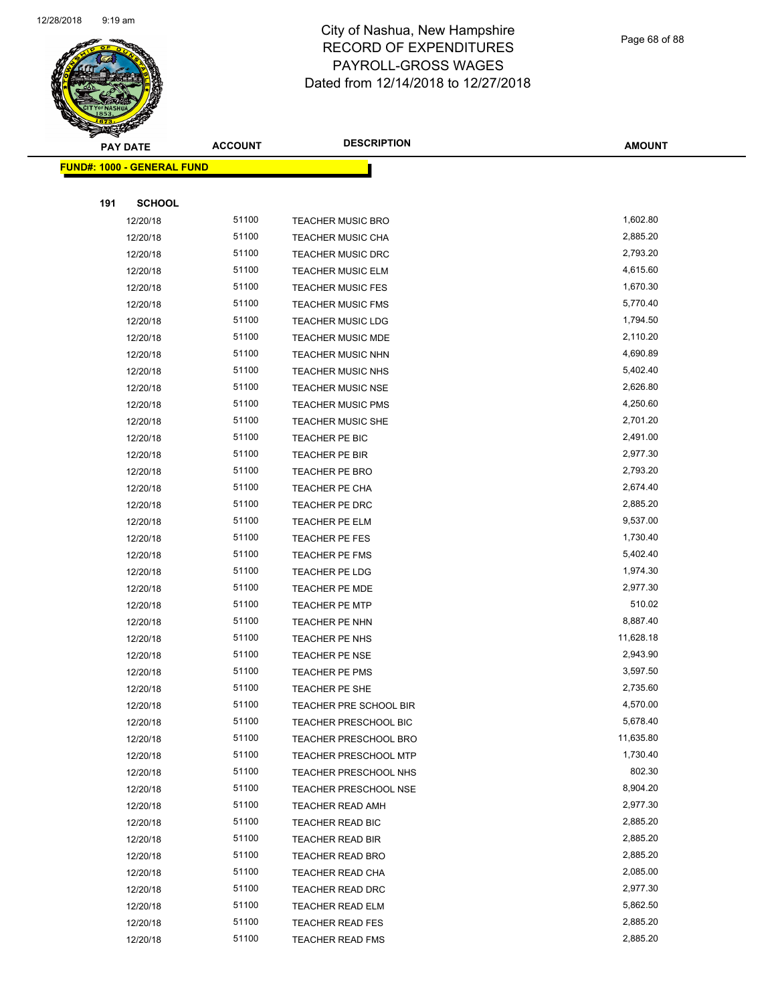

Page 68 of 88

|     | <b>PAY DATE</b>                   | <b>ACCOUNT</b> | <b>DESCRIPTION</b>           | <b>AMOUNT</b> |
|-----|-----------------------------------|----------------|------------------------------|---------------|
|     | <b>FUND#: 1000 - GENERAL FUND</b> |                |                              |               |
|     |                                   |                |                              |               |
| 191 | <b>SCHOOL</b>                     |                |                              |               |
|     | 12/20/18                          | 51100          | <b>TEACHER MUSIC BRO</b>     | 1,602.80      |
|     | 12/20/18                          | 51100          | <b>TEACHER MUSIC CHA</b>     | 2,885.20      |
|     | 12/20/18                          | 51100          | <b>TEACHER MUSIC DRC</b>     | 2,793.20      |
|     | 12/20/18                          | 51100          | <b>TEACHER MUSIC ELM</b>     | 4,615.60      |
|     | 12/20/18                          | 51100          | <b>TEACHER MUSIC FES</b>     | 1,670.30      |
|     | 12/20/18                          | 51100          | <b>TEACHER MUSIC FMS</b>     | 5,770.40      |
|     | 12/20/18                          | 51100          | <b>TEACHER MUSIC LDG</b>     | 1,794.50      |
|     | 12/20/18                          | 51100          | <b>TEACHER MUSIC MDE</b>     | 2,110.20      |
|     | 12/20/18                          | 51100          | TEACHER MUSIC NHN            | 4,690.89      |
|     | 12/20/18                          | 51100          | <b>TEACHER MUSIC NHS</b>     | 5,402.40      |
|     | 12/20/18                          | 51100          | <b>TEACHER MUSIC NSE</b>     | 2,626.80      |
|     | 12/20/18                          | 51100          | <b>TEACHER MUSIC PMS</b>     | 4,250.60      |
|     | 12/20/18                          | 51100          | <b>TEACHER MUSIC SHE</b>     | 2,701.20      |
|     | 12/20/18                          | 51100          | <b>TEACHER PE BIC</b>        | 2,491.00      |
|     | 12/20/18                          | 51100          | TEACHER PE BIR               | 2,977.30      |
|     | 12/20/18                          | 51100          | TEACHER PE BRO               | 2,793.20      |
|     | 12/20/18                          | 51100          | TEACHER PE CHA               | 2,674.40      |
|     | 12/20/18                          | 51100          | TEACHER PE DRC               | 2,885.20      |
|     | 12/20/18                          | 51100          | TEACHER PE ELM               | 9,537.00      |
|     | 12/20/18                          | 51100          | TEACHER PE FES               | 1,730.40      |
|     | 12/20/18                          | 51100          | <b>TEACHER PE FMS</b>        | 5,402.40      |
|     | 12/20/18                          | 51100          | TEACHER PE LDG               | 1,974.30      |
|     | 12/20/18                          | 51100          | TEACHER PE MDE               | 2,977.30      |
|     | 12/20/18                          | 51100          | <b>TEACHER PE MTP</b>        | 510.02        |
|     | 12/20/18                          | 51100          | TEACHER PE NHN               | 8,887.40      |
|     | 12/20/18                          | 51100          | TEACHER PE NHS               | 11,628.18     |
|     | 12/20/18                          | 51100          | TEACHER PE NSE               | 2,943.90      |
|     | 12/20/18                          | 51100          | TEACHER PE PMS               | 3,597.50      |
|     | 12/20/18                          | 51100          | TEACHER PE SHE               | 2,735.60      |
|     | 12/20/18                          | 51100          | TEACHER PRE SCHOOL BIR       | 4,570.00      |
|     | 12/20/18                          | 51100          | TEACHER PRESCHOOL BIC        | 5,678.40      |
|     | 12/20/18                          | 51100          | <b>TEACHER PRESCHOOL BRO</b> | 11,635.80     |
|     | 12/20/18                          | 51100          | TEACHER PRESCHOOL MTP        | 1,730.40      |
|     | 12/20/18                          | 51100          | TEACHER PRESCHOOL NHS        | 802.30        |
|     | 12/20/18                          | 51100          | <b>TEACHER PRESCHOOL NSE</b> | 8,904.20      |
|     | 12/20/18                          | 51100          | <b>TEACHER READ AMH</b>      | 2,977.30      |
|     | 12/20/18                          | 51100          | TEACHER READ BIC             | 2,885.20      |
|     | 12/20/18                          | 51100          | TEACHER READ BIR             | 2,885.20      |
|     | 12/20/18                          | 51100          | <b>TEACHER READ BRO</b>      | 2,885.20      |
|     | 12/20/18                          | 51100          | <b>TEACHER READ CHA</b>      | 2,085.00      |
|     | 12/20/18                          | 51100          | TEACHER READ DRC             | 2,977.30      |
|     | 12/20/18                          | 51100          | <b>TEACHER READ ELM</b>      | 5,862.50      |
|     | 12/20/18                          | 51100          | <b>TEACHER READ FES</b>      | 2,885.20      |
|     | 12/20/18                          | 51100          | <b>TEACHER READ FMS</b>      | 2,885.20      |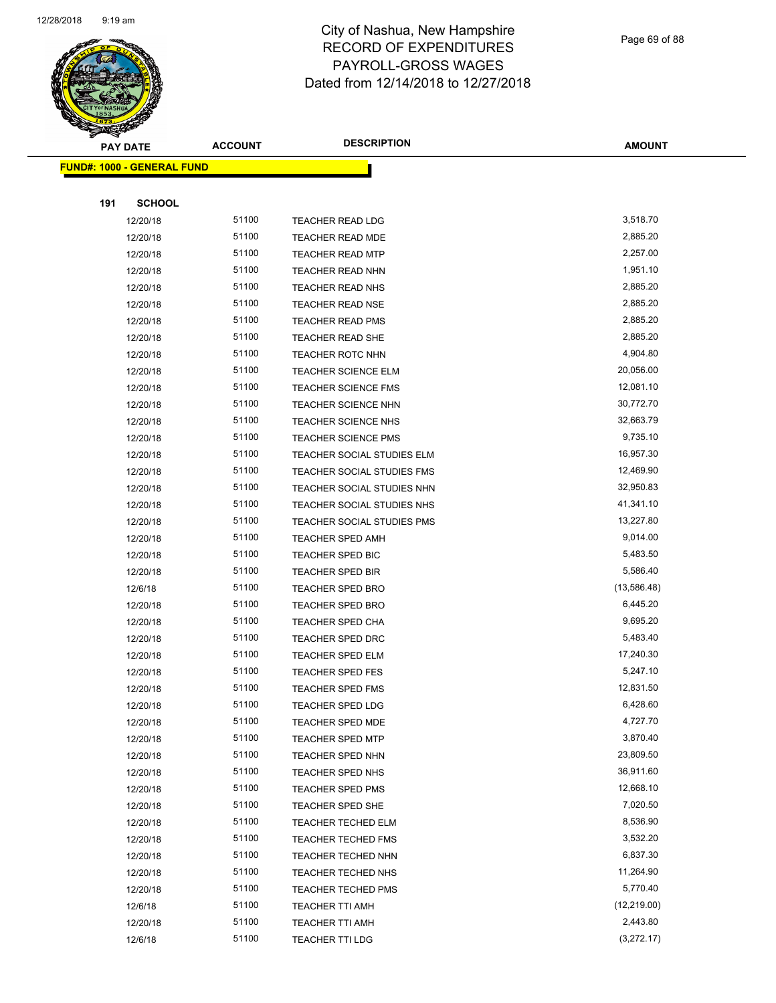

Page 69 of 88

|     | <b>PAY DATE</b>                   | <b>ACCOUNT</b> | <b>DESCRIPTION</b>                          | <b>AMOUNT</b>         |
|-----|-----------------------------------|----------------|---------------------------------------------|-----------------------|
|     | <b>FUND#: 1000 - GENERAL FUND</b> |                |                                             |                       |
|     |                                   |                |                                             |                       |
| 191 | <b>SCHOOL</b>                     |                |                                             |                       |
|     | 12/20/18                          | 51100          | <b>TEACHER READ LDG</b>                     | 3,518.70              |
|     | 12/20/18                          | 51100          | <b>TEACHER READ MDE</b>                     | 2,885.20              |
|     | 12/20/18                          | 51100          | <b>TEACHER READ MTP</b>                     | 2,257.00              |
|     | 12/20/18                          | 51100          | <b>TEACHER READ NHN</b>                     | 1,951.10              |
|     | 12/20/18                          | 51100          | <b>TEACHER READ NHS</b>                     | 2,885.20              |
|     | 12/20/18                          | 51100          | <b>TEACHER READ NSE</b>                     | 2,885.20              |
|     | 12/20/18                          | 51100          | <b>TEACHER READ PMS</b>                     | 2,885.20              |
|     | 12/20/18                          | 51100          | <b>TEACHER READ SHE</b>                     | 2,885.20              |
|     | 12/20/18                          | 51100          | <b>TEACHER ROTC NHN</b>                     | 4,904.80              |
|     | 12/20/18                          | 51100          | <b>TEACHER SCIENCE ELM</b>                  | 20,056.00             |
|     | 12/20/18                          | 51100          | <b>TEACHER SCIENCE FMS</b>                  | 12,081.10             |
|     | 12/20/18                          | 51100          | TEACHER SCIENCE NHN                         | 30,772.70             |
|     | 12/20/18                          | 51100          | TEACHER SCIENCE NHS                         | 32,663.79             |
|     | 12/20/18                          | 51100          | <b>TEACHER SCIENCE PMS</b>                  | 9,735.10              |
|     | 12/20/18                          | 51100          | TEACHER SOCIAL STUDIES ELM                  | 16,957.30             |
|     | 12/20/18                          | 51100          | TEACHER SOCIAL STUDIES FMS                  | 12,469.90             |
|     | 12/20/18                          | 51100          | TEACHER SOCIAL STUDIES NHN                  | 32,950.83             |
|     | 12/20/18                          | 51100          | TEACHER SOCIAL STUDIES NHS                  | 41,341.10             |
|     | 12/20/18                          | 51100          | TEACHER SOCIAL STUDIES PMS                  | 13,227.80             |
|     | 12/20/18                          | 51100          | TEACHER SPED AMH                            | 9,014.00              |
|     | 12/20/18                          | 51100          | <b>TEACHER SPED BIC</b>                     | 5,483.50              |
|     | 12/20/18                          | 51100          | <b>TEACHER SPED BIR</b>                     | 5,586.40              |
|     | 12/6/18                           | 51100          | TEACHER SPED BRO                            | (13,586.48)           |
|     | 12/20/18                          | 51100          | <b>TEACHER SPED BRO</b>                     | 6,445.20              |
|     | 12/20/18                          | 51100          | <b>TEACHER SPED CHA</b>                     | 9,695.20              |
|     | 12/20/18                          | 51100          | TEACHER SPED DRC                            | 5,483.40              |
|     | 12/20/18                          | 51100          | <b>TEACHER SPED ELM</b>                     | 17,240.30             |
|     | 12/20/18                          | 51100          | <b>TEACHER SPED FES</b>                     | 5,247.10              |
|     | 12/20/18                          | 51100<br>51100 | <b>TEACHER SPED FMS</b>                     | 12,831.50<br>6,428.60 |
|     | 12/20/18                          | 51100          | TEACHER SPED LDG                            | 4,727.70              |
|     | 12/20/18<br>12/20/18              | 51100          | TEACHER SPED MDE<br><b>TEACHER SPED MTP</b> | 3,870.40              |
|     | 12/20/18                          | 51100          | TEACHER SPED NHN                            | 23,809.50             |
|     | 12/20/18                          | 51100          | <b>TEACHER SPED NHS</b>                     | 36,911.60             |
|     | 12/20/18                          | 51100          | TEACHER SPED PMS                            | 12,668.10             |
|     | 12/20/18                          | 51100          | TEACHER SPED SHE                            | 7,020.50              |
|     | 12/20/18                          | 51100          | <b>TEACHER TECHED ELM</b>                   | 8,536.90              |
|     | 12/20/18                          | 51100          | <b>TEACHER TECHED FMS</b>                   | 3,532.20              |
|     | 12/20/18                          | 51100          | TEACHER TECHED NHN                          | 6,837.30              |
|     | 12/20/18                          | 51100          | <b>TEACHER TECHED NHS</b>                   | 11,264.90             |
|     | 12/20/18                          | 51100          | <b>TEACHER TECHED PMS</b>                   | 5,770.40              |
|     | 12/6/18                           | 51100          | TEACHER TTI AMH                             | (12, 219.00)          |
|     | 12/20/18                          | 51100          | TEACHER TTI AMH                             | 2,443.80              |
|     | 12/6/18                           | 51100          | <b>TEACHER TTI LDG</b>                      | (3,272.17)            |
|     |                                   |                |                                             |                       |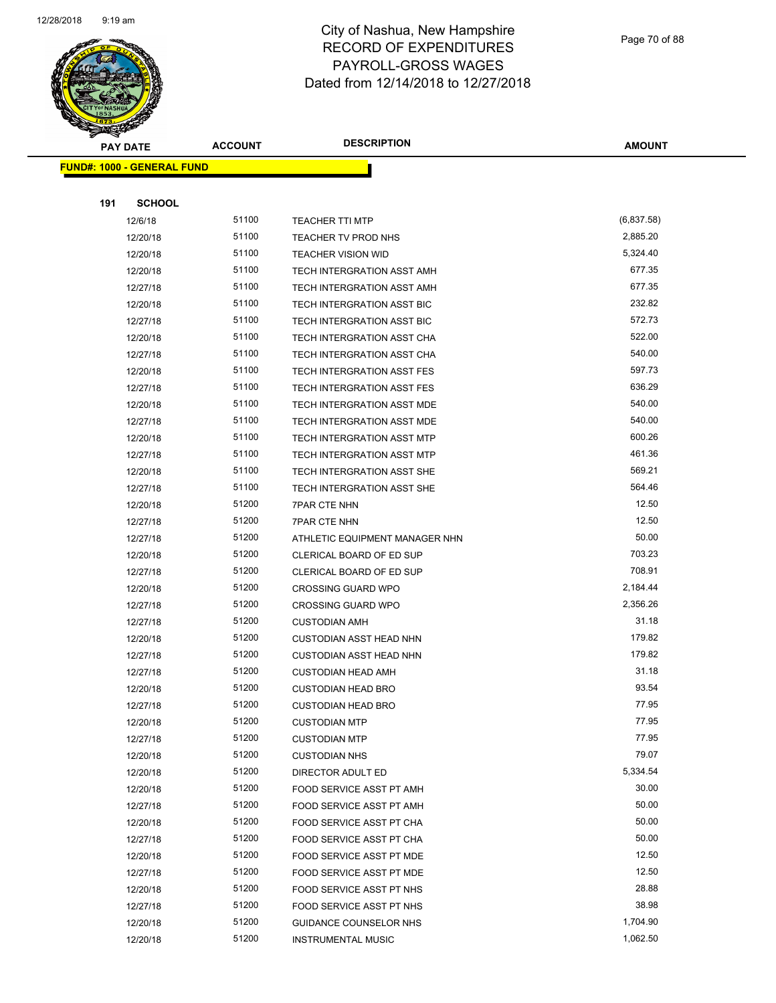

Page 70 of 88

| <b>PAY DATE</b>                   | <b>ACCOUNT</b> | <b>DESCRIPTION</b>                | <b>AMOUNT</b> |
|-----------------------------------|----------------|-----------------------------------|---------------|
| <b>FUND#: 1000 - GENERAL FUND</b> |                |                                   |               |
|                                   |                |                                   |               |
| 191<br><b>SCHOOL</b>              |                |                                   |               |
| 12/6/18                           | 51100          | <b>TEACHER TTI MTP</b>            | (6,837.58)    |
| 12/20/18                          | 51100          | TEACHER TV PROD NHS               | 2,885.20      |
| 12/20/18                          | 51100          | <b>TEACHER VISION WID</b>         | 5,324.40      |
| 12/20/18                          | 51100          | TECH INTERGRATION ASST AMH        | 677.35        |
| 12/27/18                          | 51100          | TECH INTERGRATION ASST AMH        | 677.35        |
| 12/20/18                          | 51100          | TECH INTERGRATION ASST BIC        | 232.82        |
| 12/27/18                          | 51100          | TECH INTERGRATION ASST BIC        | 572.73        |
| 12/20/18                          | 51100          | TECH INTERGRATION ASST CHA        | 522.00        |
| 12/27/18                          | 51100          | TECH INTERGRATION ASST CHA        | 540.00        |
| 12/20/18                          | 51100          | TECH INTERGRATION ASST FES        | 597.73        |
| 12/27/18                          | 51100          | <b>TECH INTERGRATION ASST FES</b> | 636.29        |
| 12/20/18                          | 51100          | TECH INTERGRATION ASST MDE        | 540.00        |
| 12/27/18                          | 51100          | TECH INTERGRATION ASST MDE        | 540.00        |
| 12/20/18                          | 51100          | TECH INTERGRATION ASST MTP        | 600.26        |
| 12/27/18                          | 51100          | <b>TECH INTERGRATION ASST MTP</b> | 461.36        |
| 12/20/18                          | 51100          | TECH INTERGRATION ASST SHE        | 569.21        |
| 12/27/18                          | 51100          | TECH INTERGRATION ASST SHE        | 564.46        |
| 12/20/18                          | 51200          | <b>7PAR CTE NHN</b>               | 12.50         |
| 12/27/18                          | 51200          | 7PAR CTE NHN                      | 12.50         |
| 12/27/18                          | 51200          | ATHLETIC EQUIPMENT MANAGER NHN    | 50.00         |
| 12/20/18                          | 51200          | CLERICAL BOARD OF ED SUP          | 703.23        |
| 12/27/18                          | 51200          | CLERICAL BOARD OF ED SUP          | 708.91        |
| 12/20/18                          | 51200          | <b>CROSSING GUARD WPO</b>         | 2,184.44      |
| 12/27/18                          | 51200          | <b>CROSSING GUARD WPO</b>         | 2,356.26      |
| 12/27/18                          | 51200          | <b>CUSTODIAN AMH</b>              | 31.18         |
| 12/20/18                          | 51200          | <b>CUSTODIAN ASST HEAD NHN</b>    | 179.82        |
| 12/27/18                          | 51200          | <b>CUSTODIAN ASST HEAD NHN</b>    | 179.82        |
| 12/27/18                          | 51200          | <b>CUSTODIAN HEAD AMH</b>         | 31.18         |
| 12/20/18                          | 51200          | <b>CUSTODIAN HEAD BRO</b>         | 93.54         |
| 12/27/18                          | 51200          | <b>CUSTODIAN HEAD BRO</b>         | 77.95         |
| 12/20/18                          | 51200          | <b>CUSTODIAN MTP</b>              | 77.95         |
| 12/27/18                          | 51200          | <b>CUSTODIAN MTP</b>              | 77.95         |
| 12/20/18                          | 51200          | <b>CUSTODIAN NHS</b>              | 79.07         |
| 12/20/18                          | 51200          | DIRECTOR ADULT ED                 | 5,334.54      |
| 12/20/18                          | 51200          | FOOD SERVICE ASST PT AMH          | 30.00         |
| 12/27/18                          | 51200          | FOOD SERVICE ASST PT AMH          | 50.00         |
| 12/20/18                          | 51200          | FOOD SERVICE ASST PT CHA          | 50.00         |
| 12/27/18                          | 51200          | FOOD SERVICE ASST PT CHA          | 50.00         |
| 12/20/18                          | 51200          | FOOD SERVICE ASST PT MDE          | 12.50         |
| 12/27/18                          | 51200          | FOOD SERVICE ASST PT MDE          | 12.50         |
| 12/20/18                          | 51200          | FOOD SERVICE ASST PT NHS          | 28.88         |
| 12/27/18                          | 51200          | FOOD SERVICE ASST PT NHS          | 38.98         |
| 12/20/18                          | 51200          | GUIDANCE COUNSELOR NHS            | 1,704.90      |
| 12/20/18                          | 51200          | <b>INSTRUMENTAL MUSIC</b>         | 1,062.50      |
|                                   |                |                                   |               |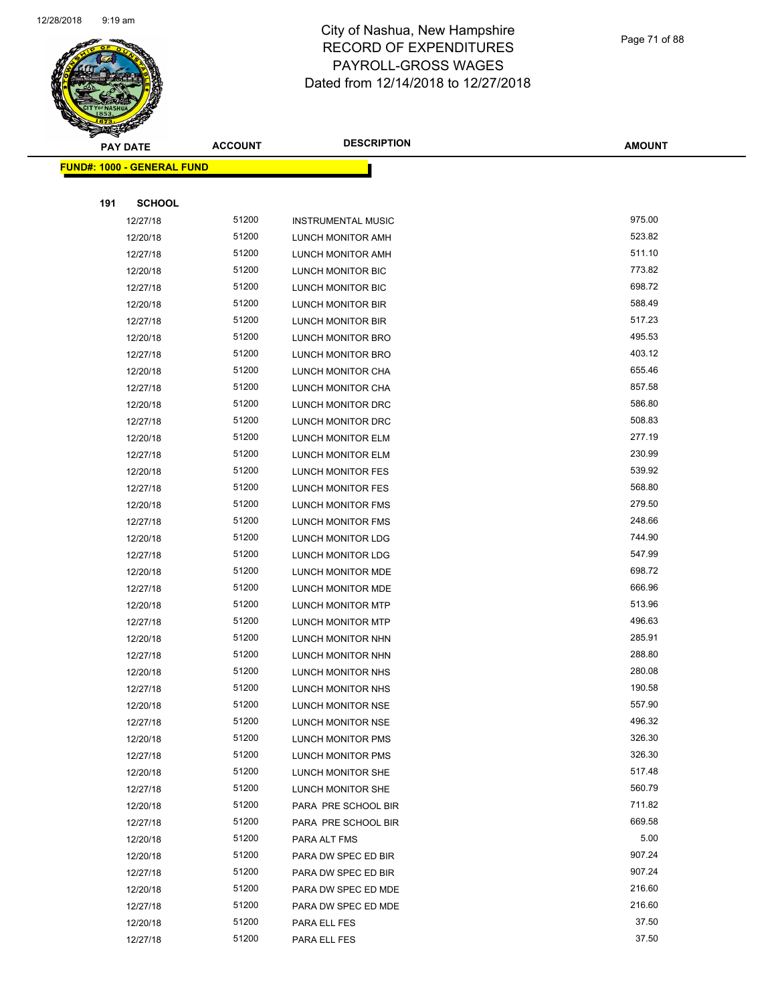

| Page 71 of 88 |
|---------------|
|---------------|

| <b>PAY DATE</b>                   | <b>ACCOUNT</b> | <b>DESCRIPTION</b>        | <b>AMOUNT</b> |
|-----------------------------------|----------------|---------------------------|---------------|
| <b>FUND#: 1000 - GENERAL FUND</b> |                |                           |               |
|                                   |                |                           |               |
| 191<br><b>SCHOOL</b>              |                |                           |               |
| 12/27/18                          | 51200          | <b>INSTRUMENTAL MUSIC</b> | 975.00        |
| 12/20/18                          | 51200          | LUNCH MONITOR AMH         | 523.82        |
| 12/27/18                          | 51200          | LUNCH MONITOR AMH         | 511.10        |
| 12/20/18                          | 51200          | LUNCH MONITOR BIC         | 773.82        |
| 12/27/18                          | 51200          | LUNCH MONITOR BIC         | 698.72        |
| 12/20/18                          | 51200          | LUNCH MONITOR BIR         | 588.49        |
| 12/27/18                          | 51200          | <b>LUNCH MONITOR BIR</b>  | 517.23        |
| 12/20/18                          | 51200          | LUNCH MONITOR BRO         | 495.53        |
| 12/27/18                          | 51200          | LUNCH MONITOR BRO         | 403.12        |
| 12/20/18                          | 51200          | LUNCH MONITOR CHA         | 655.46        |
| 12/27/18                          | 51200          | LUNCH MONITOR CHA         | 857.58        |
| 12/20/18                          | 51200          | LUNCH MONITOR DRC         | 586.80        |
| 12/27/18                          | 51200          | LUNCH MONITOR DRC         | 508.83        |
| 12/20/18                          | 51200          | LUNCH MONITOR ELM         | 277.19        |
| 12/27/18                          | 51200          | LUNCH MONITOR ELM         | 230.99        |
| 12/20/18                          | 51200          | LUNCH MONITOR FES         | 539.92        |
| 12/27/18                          | 51200          | LUNCH MONITOR FES         | 568.80        |
| 12/20/18                          | 51200          | LUNCH MONITOR FMS         | 279.50        |
| 12/27/18                          | 51200          | LUNCH MONITOR FMS         | 248.66        |
| 12/20/18                          | 51200          | LUNCH MONITOR LDG         | 744.90        |
| 12/27/18                          | 51200          | LUNCH MONITOR LDG         | 547.99        |
| 12/20/18                          | 51200          | LUNCH MONITOR MDE         | 698.72        |
| 12/27/18                          | 51200          | LUNCH MONITOR MDE         | 666.96        |
| 12/20/18                          | 51200          | LUNCH MONITOR MTP         | 513.96        |
| 12/27/18                          | 51200          | LUNCH MONITOR MTP         | 496.63        |
| 12/20/18                          | 51200          | LUNCH MONITOR NHN         | 285.91        |
| 12/27/18                          | 51200          | LUNCH MONITOR NHN         | 288.80        |
| 12/20/18                          | 51200          | LUNCH MONITOR NHS         | 280.08        |
| 12/27/18                          | 51200          | LUNCH MONITOR NHS         | 190.58        |
| 12/20/18                          | 51200          | LUNCH MONITOR NSE         | 557.90        |
| 12/27/18                          | 51200          | LUNCH MONITOR NSE         | 496.32        |
| 12/20/18                          | 51200          | LUNCH MONITOR PMS         | 326.30        |
| 12/27/18                          | 51200          | LUNCH MONITOR PMS         | 326.30        |
| 12/20/18                          | 51200          | LUNCH MONITOR SHE         | 517.48        |
| 12/27/18                          | 51200          | LUNCH MONITOR SHE         | 560.79        |
| 12/20/18                          | 51200          | PARA PRE SCHOOL BIR       | 711.82        |
| 12/27/18                          | 51200          | PARA PRE SCHOOL BIR       | 669.58        |
| 12/20/18                          | 51200          | PARA ALT FMS              | 5.00          |
| 12/20/18                          | 51200          | PARA DW SPEC ED BIR       | 907.24        |
| 12/27/18                          | 51200          | PARA DW SPEC ED BIR       | 907.24        |
| 12/20/18                          | 51200          | PARA DW SPEC ED MDE       | 216.60        |
| 12/27/18                          | 51200          | PARA DW SPEC ED MDE       | 216.60        |
| 12/20/18                          | 51200          | PARA ELL FES              | 37.50         |
| 12/27/18                          | 51200          | PARA ELL FES              | 37.50         |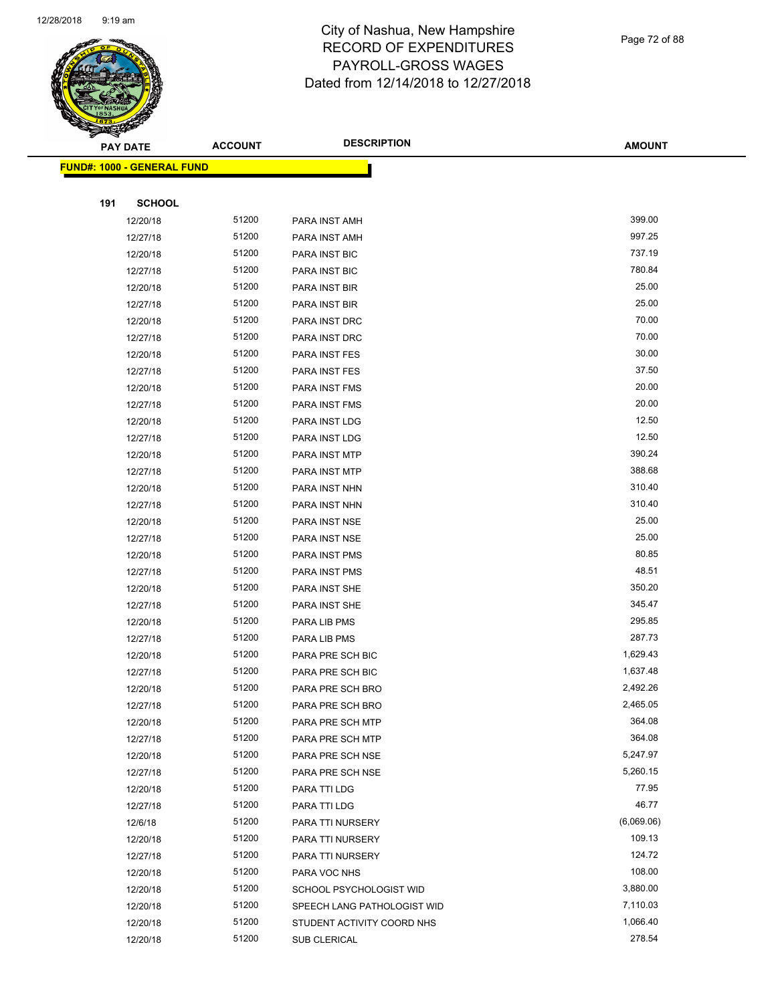

Page 72 of 88

| <b>PAY DATE</b>            | <b>ACCOUNT</b> | <b>DESCRIPTION</b>          | <b>AMOUNT</b> |
|----------------------------|----------------|-----------------------------|---------------|
| FUND#: 1000 - GENERAL FUND |                |                             |               |
|                            |                |                             |               |
| 191<br><b>SCHOOL</b>       |                |                             |               |
| 12/20/18                   | 51200          | PARA INST AMH               | 399.00        |
| 12/27/18                   | 51200          | PARA INST AMH               | 997.25        |
| 12/20/18                   | 51200          | PARA INST BIC               | 737.19        |
| 12/27/18                   | 51200          | PARA INST BIC               | 780.84        |
| 12/20/18                   | 51200          | PARA INST BIR               | 25.00         |
| 12/27/18                   | 51200          | PARA INST BIR               | 25.00         |
| 12/20/18                   | 51200          | PARA INST DRC               | 70.00         |
| 12/27/18                   | 51200          | PARA INST DRC               | 70.00         |
| 12/20/18                   | 51200          | PARA INST FES               | 30.00         |
| 12/27/18                   | 51200          | PARA INST FES               | 37.50         |
| 12/20/18                   | 51200          | PARA INST FMS               | 20.00         |
| 12/27/18                   | 51200          | PARA INST FMS               | 20.00         |
| 12/20/18                   | 51200          | PARA INST LDG               | 12.50         |
| 12/27/18                   | 51200          | PARA INST LDG               | 12.50         |
| 12/20/18                   | 51200          | PARA INST MTP               | 390.24        |
| 12/27/18                   | 51200          | PARA INST MTP               | 388.68        |
| 12/20/18                   | 51200          | PARA INST NHN               | 310.40        |
| 12/27/18                   | 51200          | PARA INST NHN               | 310.40        |
| 12/20/18                   | 51200          | PARA INST NSE               | 25.00         |
| 12/27/18                   | 51200          | PARA INST NSE               | 25.00         |
| 12/20/18                   | 51200          | PARA INST PMS               | 80.85         |
| 12/27/18                   | 51200          | PARA INST PMS               | 48.51         |
| 12/20/18                   | 51200          | PARA INST SHE               | 350.20        |
| 12/27/18                   | 51200          | PARA INST SHE               | 345.47        |
| 12/20/18                   | 51200          | PARA LIB PMS                | 295.85        |
| 12/27/18                   | 51200          | PARA LIB PMS                | 287.73        |
| 12/20/18                   | 51200          | PARA PRE SCH BIC            | 1,629.43      |
| 12/27/18                   | 51200          | PARA PRE SCH BIC            | 1,637.48      |
| 12/20/18                   | 51200          | PARA PRE SCH BRO            | 2,492.26      |
| 12/27/18                   | 51200          | PARA PRE SCH BRO            | 2,465.05      |
| 12/20/18                   | 51200          | PARA PRE SCH MTP            | 364.08        |
| 12/27/18                   | 51200          | PARA PRE SCH MTP            | 364.08        |
| 12/20/18                   | 51200          | PARA PRE SCH NSE            | 5,247.97      |
| 12/27/18                   | 51200          | PARA PRE SCH NSE            | 5,260.15      |
| 12/20/18                   | 51200          | PARA TTI LDG                | 77.95         |
| 12/27/18                   | 51200          | PARA TTI LDG                | 46.77         |
| 12/6/18                    | 51200          | PARA TTI NURSERY            | (6,069.06)    |
| 12/20/18                   | 51200          | PARA TTI NURSERY            | 109.13        |
| 12/27/18                   | 51200          | PARA TTI NURSERY            | 124.72        |
| 12/20/18                   | 51200          | PARA VOC NHS                | 108.00        |
| 12/20/18                   | 51200          | SCHOOL PSYCHOLOGIST WID     | 3,880.00      |
| 12/20/18                   | 51200          | SPEECH LANG PATHOLOGIST WID | 7,110.03      |
| 12/20/18                   | 51200          | STUDENT ACTIVITY COORD NHS  | 1,066.40      |
| 12/20/18                   | 51200          | SUB CLERICAL                | 278.54        |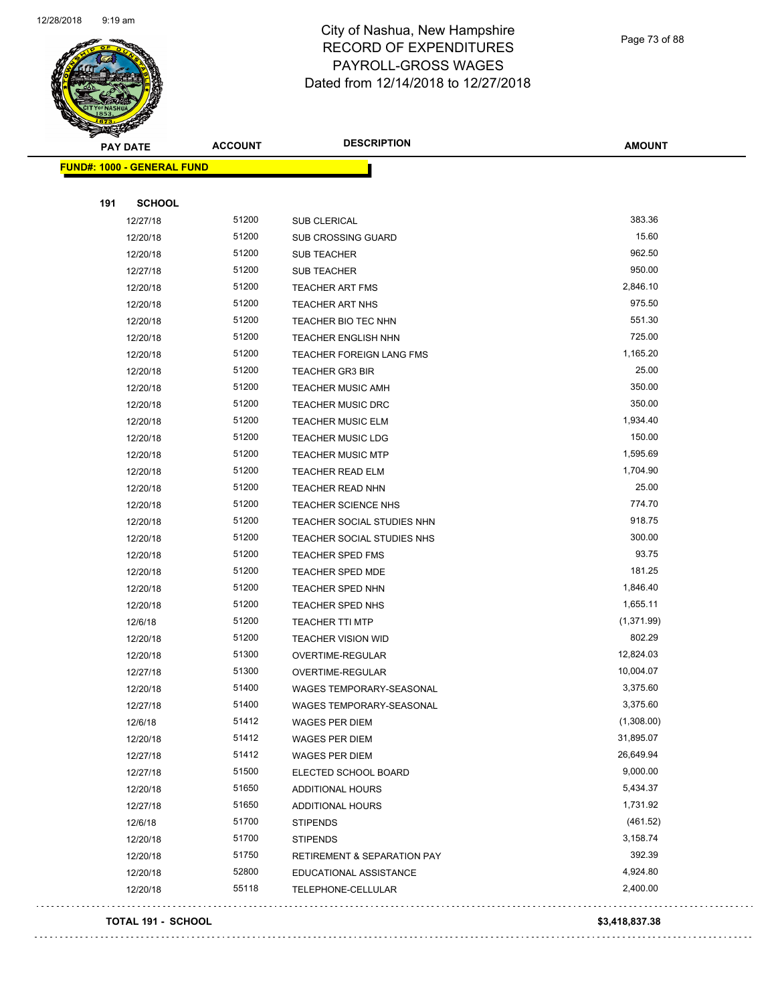

Page 73 of 88

| <b>PAY DATE</b>                   | <b>ACCOUNT</b> | <b>DESCRIPTION</b>              | <b>AMOUNT</b> |
|-----------------------------------|----------------|---------------------------------|---------------|
| <b>FUND#: 1000 - GENERAL FUND</b> |                |                                 |               |
|                                   |                |                                 |               |
| <b>SCHOOL</b><br>191              |                |                                 |               |
| 12/27/18                          | 51200          | <b>SUB CLERICAL</b>             | 383.36        |
| 12/20/18                          | 51200          | <b>SUB CROSSING GUARD</b>       | 15.60         |
| 12/20/18                          | 51200          | <b>SUB TEACHER</b>              | 962.50        |
| 12/27/18                          | 51200          | <b>SUB TEACHER</b>              | 950.00        |
| 12/20/18                          | 51200          | <b>TEACHER ART FMS</b>          | 2,846.10      |
| 12/20/18                          | 51200          | <b>TEACHER ART NHS</b>          | 975.50        |
| 12/20/18                          | 51200          | TEACHER BIO TEC NHN             | 551.30        |
| 12/20/18                          | 51200          | <b>TEACHER ENGLISH NHN</b>      | 725.00        |
| 12/20/18                          | 51200          | TEACHER FOREIGN LANG FMS        | 1,165.20      |
| 12/20/18                          | 51200          | <b>TEACHER GR3 BIR</b>          | 25.00         |
| 12/20/18                          | 51200          | <b>TEACHER MUSIC AMH</b>        | 350.00        |
| 12/20/18                          | 51200          | <b>TEACHER MUSIC DRC</b>        | 350.00        |
| 12/20/18                          | 51200          | <b>TEACHER MUSIC ELM</b>        | 1,934.40      |
| 12/20/18                          | 51200          | <b>TEACHER MUSIC LDG</b>        | 150.00        |
| 12/20/18                          | 51200          | <b>TEACHER MUSIC MTP</b>        | 1,595.69      |
| 12/20/18                          | 51200          | <b>TEACHER READ ELM</b>         | 1,704.90      |
| 12/20/18                          | 51200          | TEACHER READ NHN                | 25.00         |
| 12/20/18                          | 51200          | <b>TEACHER SCIENCE NHS</b>      | 774.70        |
| 12/20/18                          | 51200          | TEACHER SOCIAL STUDIES NHN      | 918.75        |
| 12/20/18                          | 51200          | TEACHER SOCIAL STUDIES NHS      | 300.00        |
| 12/20/18                          | 51200          | <b>TEACHER SPED FMS</b>         | 93.75         |
| 12/20/18                          | 51200          | <b>TEACHER SPED MDE</b>         | 181.25        |
| 12/20/18                          | 51200          | TEACHER SPED NHN                | 1,846.40      |
| 12/20/18                          | 51200          | TEACHER SPED NHS                | 1,655.11      |
| 12/6/18                           | 51200          | <b>TEACHER TTI MTP</b>          | (1,371.99)    |
| 12/20/18                          | 51200          | <b>TEACHER VISION WID</b>       | 802.29        |
| 12/20/18                          | 51300          | OVERTIME-REGULAR                | 12,824.03     |
| 12/27/18                          | 51300          | OVERTIME-REGULAR                | 10,004.07     |
| 12/20/18                          | 51400          | WAGES TEMPORARY-SEASONAL        | 3,375.60      |
| 12/27/18                          | 51400          | <b>WAGES TEMPORARY-SEASONAL</b> | 3,375.60      |
| 12/6/18                           | 51412          | WAGES PER DIEM                  | (1,308.00)    |
| 12/20/18                          | 51412          | <b>WAGES PER DIEM</b>           | 31,895.07     |
| 12/27/18                          | 51412          | <b>WAGES PER DIEM</b>           | 26,649.94     |
| 12/27/18                          | 51500          | ELECTED SCHOOL BOARD            | 9,000.00      |
| 12/20/18                          | 51650          | ADDITIONAL HOURS                | 5,434.37      |
| 12/27/18                          | 51650          | ADDITIONAL HOURS                | 1,731.92      |
| 12/6/18                           | 51700          | <b>STIPENDS</b>                 | (461.52)      |
| 12/20/18                          | 51700          | <b>STIPENDS</b>                 | 3,158.74      |
| 12/20/18                          | 51750          | RETIREMENT & SEPARATION PAY     | 392.39        |
| 12/20/18                          | 52800          | EDUCATIONAL ASSISTANCE          | 4,924.80      |
| 12/20/18                          | 55118          | TELEPHONE-CELLULAR              | 2,400.00      |

#### **TOTAL 191 - SCHOOL \$3,418,837.38**

. . . .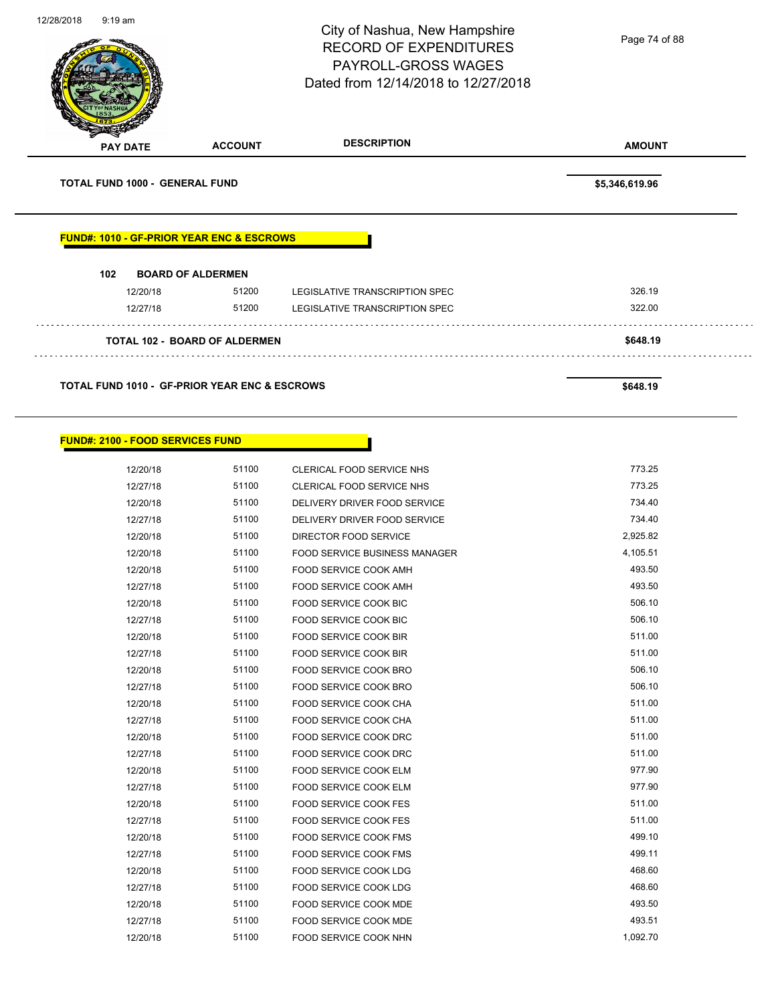| 12/28/2018 | $9:19$ am                             |                                                                                                                                            | City of Nashua, New Hampshire<br><b>RECORD OF EXPENDITURES</b><br>PAYROLL-GROSS WAGES<br>Dated from 12/14/2018 to 12/27/2018 | Page 74 of 88    |
|------------|---------------------------------------|--------------------------------------------------------------------------------------------------------------------------------------------|------------------------------------------------------------------------------------------------------------------------------|------------------|
|            | <b>PAY DATE</b>                       | <b>ACCOUNT</b>                                                                                                                             | <b>DESCRIPTION</b>                                                                                                           | <b>AMOUNT</b>    |
|            | <b>TOTAL FUND 1000 - GENERAL FUND</b> |                                                                                                                                            |                                                                                                                              | \$5,346,619.96   |
|            | 102<br>12/20/18<br>12/27/18           | <b>FUND#: 1010 - GF-PRIOR YEAR ENC &amp; ESCROWS</b><br><b>BOARD OF ALDERMEN</b><br>51200<br>51200<br><b>TOTAL 102 - BOARD OF ALDERMEN</b> | LEGISLATIVE TRANSCRIPTION SPEC<br>LEGISLATIVE TRANSCRIPTION SPEC                                                             | 326.19<br>322.00 |
|            |                                       |                                                                                                                                            |                                                                                                                              | \$648.19         |
|            |                                       | <b>TOTAL FUND 1010 - GF-PRIOR YEAR ENC &amp; ESCROWS</b>                                                                                   |                                                                                                                              | \$648.19         |

Г

### **FUND#: 2100 - FOOD SERVICES FUND**

| 12/20/18 | 51100 | <b>CLERICAL FOOD SERVICE NHS</b>     | 773.25   |
|----------|-------|--------------------------------------|----------|
| 12/27/18 | 51100 | <b>CLERICAL FOOD SERVICE NHS</b>     | 773.25   |
| 12/20/18 | 51100 | DELIVERY DRIVER FOOD SERVICE         | 734.40   |
| 12/27/18 | 51100 | DELIVERY DRIVER FOOD SERVICE         | 734.40   |
| 12/20/18 | 51100 | DIRECTOR FOOD SERVICE                | 2,925.82 |
| 12/20/18 | 51100 | <b>FOOD SERVICE BUSINESS MANAGER</b> | 4,105.51 |
| 12/20/18 | 51100 | <b>FOOD SERVICE COOK AMH</b>         | 493.50   |
| 12/27/18 | 51100 | FOOD SERVICE COOK AMH                | 493.50   |
| 12/20/18 | 51100 | <b>FOOD SERVICE COOK BIC</b>         | 506.10   |
| 12/27/18 | 51100 | <b>FOOD SERVICE COOK BIC</b>         | 506.10   |
| 12/20/18 | 51100 | <b>FOOD SERVICE COOK BIR</b>         | 511.00   |
| 12/27/18 | 51100 | FOOD SERVICE COOK BIR                | 511.00   |
| 12/20/18 | 51100 | <b>FOOD SERVICE COOK BRO</b>         | 506.10   |
| 12/27/18 | 51100 | FOOD SERVICE COOK BRO                | 506.10   |
| 12/20/18 | 51100 | FOOD SERVICE COOK CHA                | 511.00   |
| 12/27/18 | 51100 | FOOD SERVICE COOK CHA                | 511.00   |
| 12/20/18 | 51100 | FOOD SERVICE COOK DRC                | 511.00   |
| 12/27/18 | 51100 | FOOD SERVICE COOK DRC                | 511.00   |
| 12/20/18 | 51100 | FOOD SERVICE COOK ELM                | 977.90   |
| 12/27/18 | 51100 | <b>FOOD SERVICE COOK ELM</b>         | 977.90   |
| 12/20/18 | 51100 | <b>FOOD SERVICE COOK FES</b>         | 511.00   |
| 12/27/18 | 51100 | <b>FOOD SERVICE COOK FES</b>         | 511.00   |
| 12/20/18 | 51100 | <b>FOOD SERVICE COOK FMS</b>         | 499.10   |
| 12/27/18 | 51100 | <b>FOOD SERVICE COOK FMS</b>         | 499.11   |
| 12/20/18 | 51100 | FOOD SERVICE COOK LDG                | 468.60   |
| 12/27/18 | 51100 | FOOD SERVICE COOK LDG                | 468.60   |
| 12/20/18 | 51100 | <b>FOOD SERVICE COOK MDE</b>         | 493.50   |
| 12/27/18 | 51100 | FOOD SERVICE COOK MDE                | 493.51   |
| 12/20/18 | 51100 | FOOD SERVICE COOK NHN                | 1,092.70 |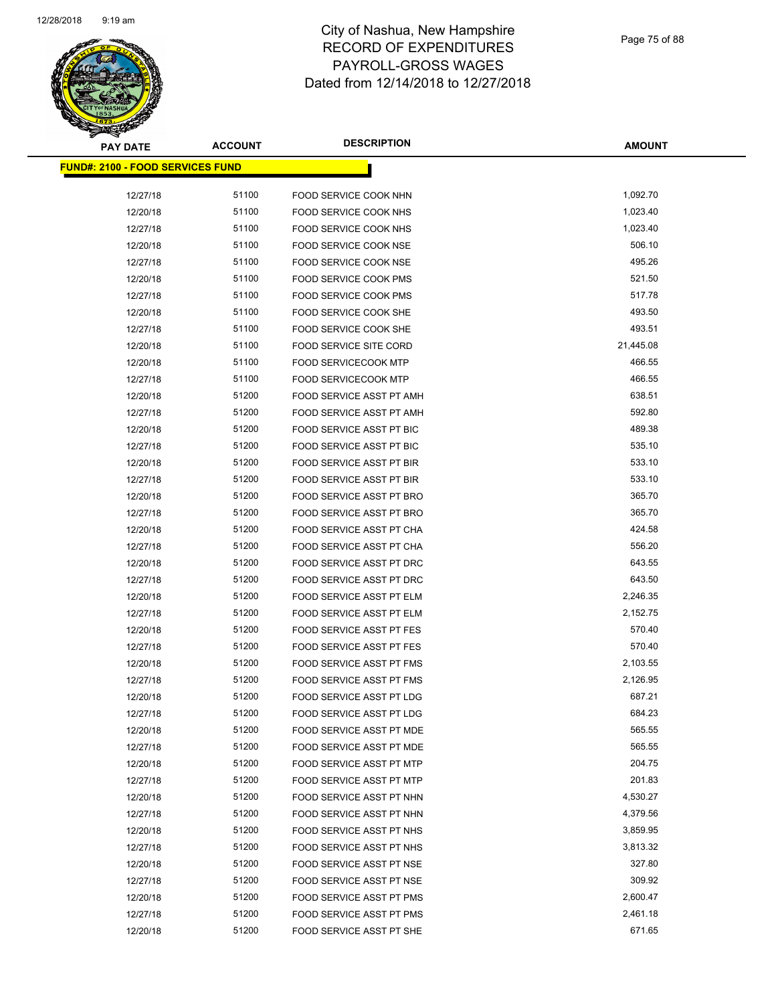

| <b>PAY DATE</b>                         | <b>ACCOUNT</b> | <b>DESCRIPTION</b>              | <b>AMOUNT</b>    |
|-----------------------------------------|----------------|---------------------------------|------------------|
| <b>FUND#: 2100 - FOOD SERVICES FUND</b> |                |                                 |                  |
| 12/27/18                                | 51100          | FOOD SERVICE COOK NHN           | 1,092.70         |
| 12/20/18                                | 51100          | FOOD SERVICE COOK NHS           | 1,023.40         |
| 12/27/18                                | 51100          | FOOD SERVICE COOK NHS           | 1,023.40         |
| 12/20/18                                | 51100          | FOOD SERVICE COOK NSE           | 506.10           |
| 12/27/18                                | 51100          | FOOD SERVICE COOK NSE           | 495.26           |
| 12/20/18                                | 51100          | FOOD SERVICE COOK PMS           | 521.50           |
| 12/27/18                                | 51100          | FOOD SERVICE COOK PMS           | 517.78           |
| 12/20/18                                | 51100          | FOOD SERVICE COOK SHE           | 493.50           |
| 12/27/18                                | 51100          | FOOD SERVICE COOK SHE           | 493.51           |
| 12/20/18                                | 51100          | FOOD SERVICE SITE CORD          | 21,445.08        |
| 12/20/18                                | 51100          | <b>FOOD SERVICECOOK MTP</b>     | 466.55           |
|                                         | 51100          | <b>FOOD SERVICECOOK MTP</b>     | 466.55           |
| 12/27/18                                | 51200          | FOOD SERVICE ASST PT AMH        | 638.51           |
| 12/20/18<br>12/27/18                    | 51200          | FOOD SERVICE ASST PT AMH        | 592.80           |
|                                         | 51200          |                                 | 489.38           |
| 12/20/18                                | 51200          | FOOD SERVICE ASST PT BIC        | 535.10           |
| 12/27/18                                | 51200          | FOOD SERVICE ASST PT BIC        | 533.10           |
| 12/20/18                                |                | FOOD SERVICE ASST PT BIR        |                  |
| 12/27/18                                | 51200          | FOOD SERVICE ASST PT BIR        | 533.10<br>365.70 |
| 12/20/18                                | 51200          | FOOD SERVICE ASST PT BRO        |                  |
| 12/27/18                                | 51200          | FOOD SERVICE ASST PT BRO        | 365.70           |
| 12/20/18                                | 51200          | FOOD SERVICE ASST PT CHA        | 424.58           |
| 12/27/18                                | 51200          | FOOD SERVICE ASST PT CHA        | 556.20           |
| 12/20/18                                | 51200          | FOOD SERVICE ASST PT DRC        | 643.55           |
| 12/27/18                                | 51200          | FOOD SERVICE ASST PT DRC        | 643.50           |
| 12/20/18                                | 51200          | FOOD SERVICE ASST PT ELM        | 2,246.35         |
| 12/27/18                                | 51200          | FOOD SERVICE ASST PT ELM        | 2,152.75         |
| 12/20/18                                | 51200          | FOOD SERVICE ASST PT FES        | 570.40           |
| 12/27/18                                | 51200          | <b>FOOD SERVICE ASST PT FES</b> | 570.40           |
| 12/20/18                                | 51200          | FOOD SERVICE ASST PT FMS        | 2,103.55         |
| 12/27/18                                | 51200          | FOOD SERVICE ASST PT FMS        | 2,126.95         |
| 12/20/18                                | 51200          | FOOD SERVICE ASST PT LDG        | 687.21           |
| 12/27/18                                | 51200          | FOOD SERVICE ASST PT LDG        | 684.23           |
| 12/20/18                                | 51200          | FOOD SERVICE ASST PT MDE        | 565.55           |
| 12/27/18                                | 51200          | FOOD SERVICE ASST PT MDE        | 565.55           |
| 12/20/18                                | 51200          | <b>FOOD SERVICE ASST PT MTP</b> | 204.75           |
| 12/27/18                                | 51200          | FOOD SERVICE ASST PT MTP        | 201.83           |
| 12/20/18                                | 51200          | FOOD SERVICE ASST PT NHN        | 4,530.27         |
| 12/27/18                                | 51200          | FOOD SERVICE ASST PT NHN        | 4,379.56         |
| 12/20/18                                | 51200          | FOOD SERVICE ASST PT NHS        | 3,859.95         |
| 12/27/18                                | 51200          | FOOD SERVICE ASST PT NHS        | 3,813.32         |
| 12/20/18                                | 51200          | FOOD SERVICE ASST PT NSE        | 327.80           |
| 12/27/18                                | 51200          | FOOD SERVICE ASST PT NSE        | 309.92           |
| 12/20/18                                | 51200          | FOOD SERVICE ASST PT PMS        | 2,600.47         |
| 12/27/18                                | 51200          | FOOD SERVICE ASST PT PMS        | 2,461.18         |
| 12/20/18                                | 51200          | FOOD SERVICE ASST PT SHE        | 671.65           |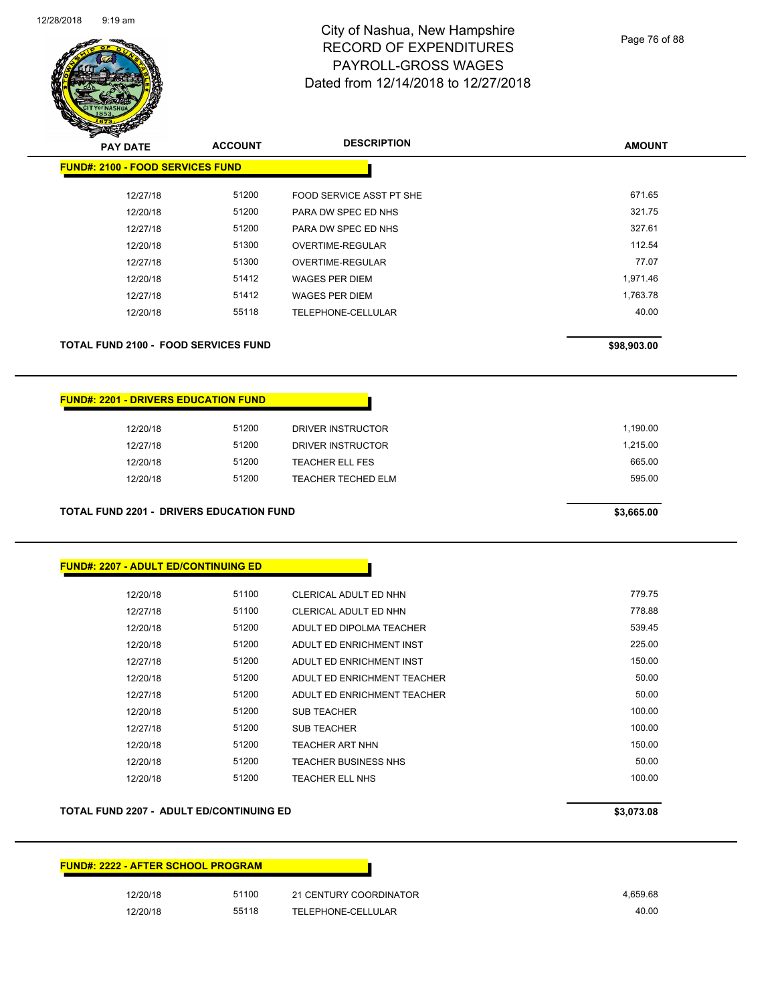

Page 76 of 88

| <b>PAY DATE</b>                                 | <b>ACCOUNT</b> | <b>DESCRIPTION</b>           | <b>AMOUNT</b> |
|-------------------------------------------------|----------------|------------------------------|---------------|
| <b>FUND#: 2100 - FOOD SERVICES FUND</b>         |                |                              |               |
| 12/27/18                                        | 51200          | FOOD SERVICE ASST PT SHE     | 671.65        |
| 12/20/18                                        | 51200          | PARA DW SPEC ED NHS          | 321.75        |
| 12/27/18                                        | 51200          | PARA DW SPEC ED NHS          | 327.61        |
| 12/20/18                                        | 51300          | OVERTIME-REGULAR             | 112.54        |
| 12/27/18                                        | 51300          | OVERTIME-REGULAR             | 77.07         |
| 12/20/18                                        | 51412          | <b>WAGES PER DIEM</b>        | 1,971.46      |
| 12/27/18                                        | 51412          | <b>WAGES PER DIEM</b>        | 1,763.78      |
| 12/20/18                                        | 55118          | TELEPHONE-CELLULAR           | 40.00         |
| <b>TOTAL FUND 2100 - FOOD SERVICES FUND</b>     |                |                              | \$98,903.00   |
|                                                 |                |                              |               |
| <b>FUND#: 2201 - DRIVERS EDUCATION FUND</b>     |                |                              |               |
| 12/20/18                                        | 51200          | <b>DRIVER INSTRUCTOR</b>     | 1,190.00      |
| 12/27/18                                        | 51200          | DRIVER INSTRUCTOR            | 1,215.00      |
| 12/20/18                                        | 51200          | <b>TEACHER ELL FES</b>       | 665.00        |
| 12/20/18                                        | 51200          | <b>TEACHER TECHED ELM</b>    | 595.00        |
| <b>TOTAL FUND 2201 - DRIVERS EDUCATION FUND</b> |                |                              | \$3,665.00    |
| <b>FUND#: 2207 - ADULT ED/CONTINUING ED</b>     |                |                              |               |
| 12/20/18                                        | 51100          | CLERICAL ADULT ED NHN        | 779.75        |
| 12/27/18                                        | 51100          | <b>CLERICAL ADULT ED NHN</b> | 778.88        |
| 12/20/18                                        | 51200          | ADULT ED DIPOLMA TEACHER     | 539.45        |
| 12/20/18                                        | 51200          | ADULT ED ENRICHMENT INST     | 225.00        |
| 12/27/18                                        | 51200          | ADULT ED ENRICHMENT INST     | 150.00        |
| 12/20/18                                        | 51200          | ADULT ED ENRICHMENT TEACHER  | 50.00         |

#### **TOTAL FUND 2207 - ADULT ED/CONTINUING ED \$3,073.08**

| <b>FUND#: 2222 - AFTER SCHOOL PROGRAM</b> |                        |
|-------------------------------------------|------------------------|
| 51100<br>12/20/18                         | 21 CENTURY COORDINATOR |
| 55118<br>12/20/18                         | TELEPHONE-CELLULAR     |

12/27/18 51200 ADULT ED ENRICHMENT TEACHER 50.00 12/20/18 51200 SUB TEACHER 51200 SUB TEACHER 12/27/18 51200 SUB TEACHER 100.00 50 100.00 12/20/18 51200 TEACHER ART NHN 150.00 12/20/18 51200 TEACHER BUSINESS NHS 50.00 12/20/18 51200 TEACHER ELL NHS 100.00 51200 51200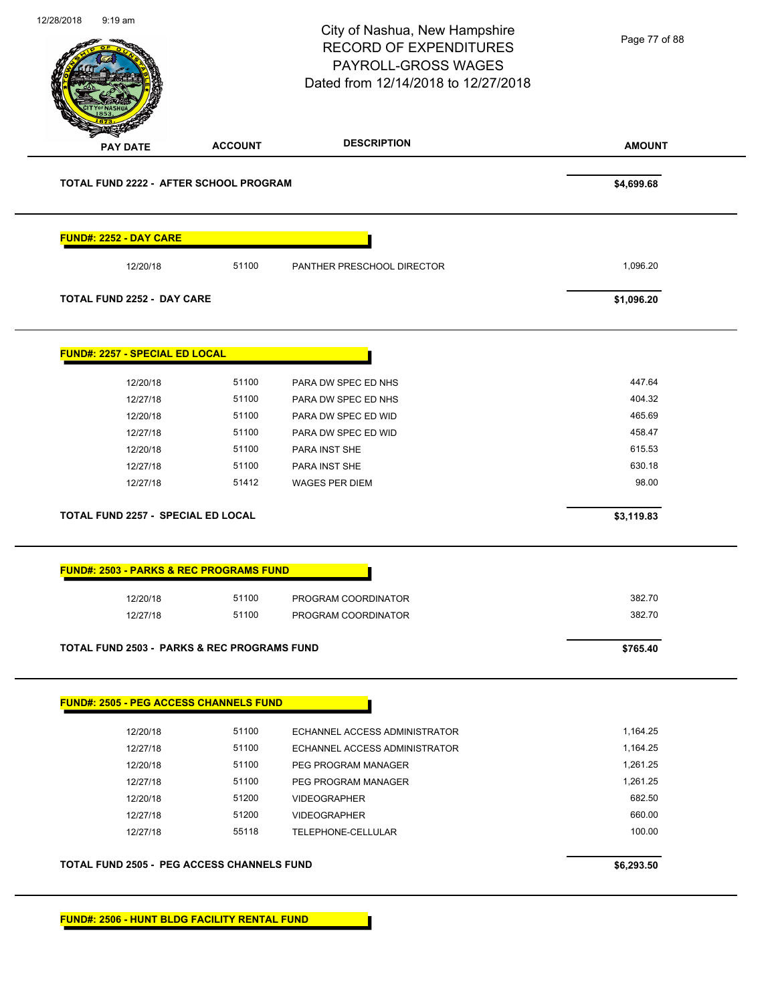|                                                        |                | City of Nashua, New Hampshire<br><b>RECORD OF EXPENDITURES</b><br>PAYROLL-GROSS WAGES<br>Dated from 12/14/2018 to 12/27/2018 | Page 77 of 88 |
|--------------------------------------------------------|----------------|------------------------------------------------------------------------------------------------------------------------------|---------------|
| <b>PAY DATE</b>                                        | <b>ACCOUNT</b> | <b>DESCRIPTION</b>                                                                                                           | <b>AMOUNT</b> |
| TOTAL FUND 2222 - AFTER SCHOOL PROGRAM                 |                |                                                                                                                              | \$4,699.68    |
| <b>FUND#: 2252 - DAY CARE</b>                          |                |                                                                                                                              |               |
| 12/20/18                                               | 51100          | PANTHER PRESCHOOL DIRECTOR                                                                                                   | 1,096.20      |
| <b>TOTAL FUND 2252 - DAY CARE</b>                      |                |                                                                                                                              | \$1,096.20    |
| FUND#: 2257 - SPECIAL ED LOCAL                         |                |                                                                                                                              |               |
| 12/20/18                                               | 51100          | PARA DW SPEC ED NHS                                                                                                          | 447.64        |
| 12/27/18                                               | 51100          | PARA DW SPEC ED NHS                                                                                                          | 404.32        |
| 12/20/18                                               | 51100          | PARA DW SPEC ED WID                                                                                                          | 465.69        |
| 12/27/18                                               | 51100          | PARA DW SPEC ED WID                                                                                                          | 458.47        |
| 12/20/18                                               | 51100          | PARA INST SHE                                                                                                                | 615.53        |
| 12/27/18                                               | 51100          | PARA INST SHE                                                                                                                | 630.18        |
| 12/27/18                                               | 51412          | <b>WAGES PER DIEM</b>                                                                                                        | 98.00         |
| <b>TOTAL FUND 2257 - SPECIAL ED LOCAL</b>              |                |                                                                                                                              | \$3,119.83    |
| <b>FUND#: 2503 - PARKS &amp; REC PROGRAMS FUND</b>     |                |                                                                                                                              |               |
| 12/20/18                                               | 51100          | PROGRAM COORDINATOR                                                                                                          | 382.70        |
| 12/27/18                                               | 51100          | PROGRAM COORDINATOR                                                                                                          | 382.70        |
|                                                        |                |                                                                                                                              | \$765.40      |
| <b>TOTAL FUND 2503 - PARKS &amp; REC PROGRAMS FUND</b> |                |                                                                                                                              |               |
| <b>FUND#: 2505 - PEG ACCESS CHANNELS FUND</b>          |                |                                                                                                                              |               |
| 12/20/18                                               | 51100          | ECHANNEL ACCESS ADMINISTRATOR                                                                                                | 1,164.25      |
| 12/27/18                                               | 51100          | ECHANNEL ACCESS ADMINISTRATOR                                                                                                | 1,164.25      |
| 12/20/18                                               | 51100          | PEG PROGRAM MANAGER                                                                                                          | 1,261.25      |
| 12/27/18                                               | 51100          | PEG PROGRAM MANAGER                                                                                                          | 1,261.25      |
| 12/20/18                                               | 51200          | <b>VIDEOGRAPHER</b>                                                                                                          | 682.50        |
| 12/27/18                                               | 51200          | <b>VIDEOGRAPHER</b>                                                                                                          | 660.00        |
| 12/27/18                                               | 55118          | TELEPHONE-CELLULAR                                                                                                           | 100.00        |

**FUND#: 2506 - HUNT BLDG FACILITY RENTAL FUND**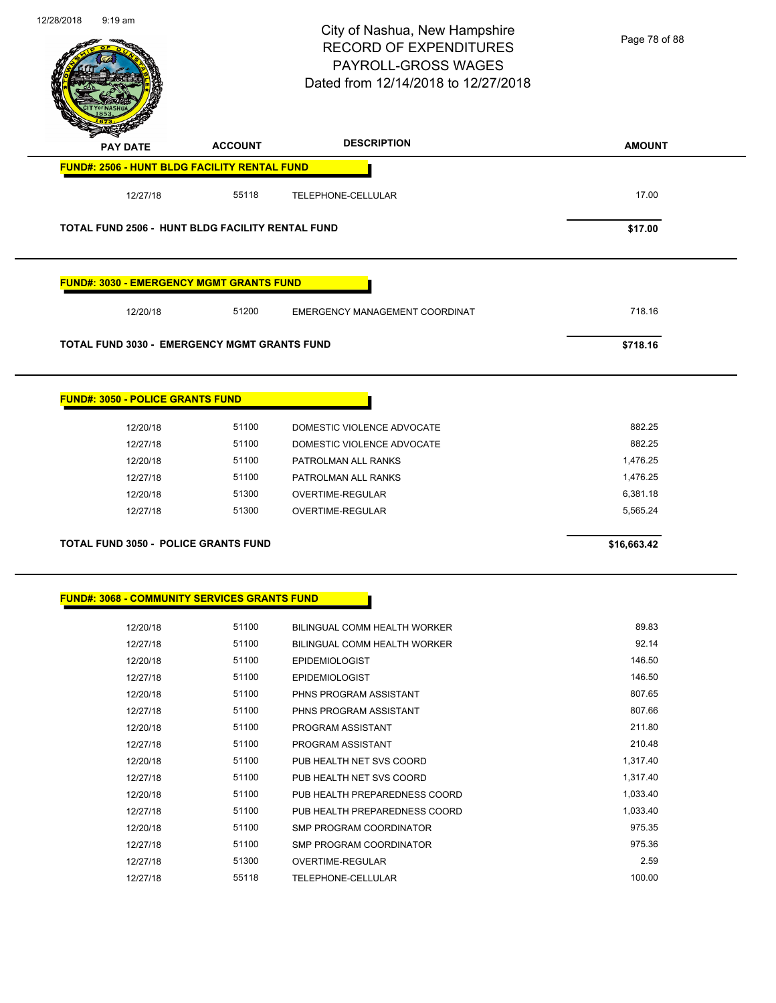$\overline{\phantom{0}}$ 



### City of Nashua, New Hampshire RECORD OF EXPENDITURES PAYROLL-GROSS WAGES Dated from 12/14/2018 to 12/27/2018

Page 78 of 88

| <b>PAY DATE</b>                                      | <b>ACCOUNT</b> | <b>DESCRIPTION</b>             | <b>AMOUNT</b> |
|------------------------------------------------------|----------------|--------------------------------|---------------|
| <b>FUND#: 2506 - HUNT BLDG FACILITY RENTAL FUND</b>  |                |                                |               |
| 12/27/18                                             | 55118          | TELEPHONE-CELLULAR             | 17.00         |
|                                                      |                |                                |               |
| TOTAL FUND 2506 - HUNT BLDG FACILITY RENTAL FUND     |                |                                | \$17.00       |
| <b>FUND#: 3030 - EMERGENCY MGMT GRANTS FUND</b>      |                |                                |               |
| 12/20/18                                             | 51200          | EMERGENCY MANAGEMENT COORDINAT | 718.16        |
| <b>TOTAL FUND 3030 - EMERGENCY MGMT GRANTS FUND</b>  |                |                                | \$718.16      |
| <b>FUND#: 3050 - POLICE GRANTS FUND</b>              |                |                                |               |
| 12/20/18                                             | 51100          | DOMESTIC VIOLENCE ADVOCATE     | 882.25        |
| 12/27/18                                             | 51100          | DOMESTIC VIOLENCE ADVOCATE     | 882.25        |
| 12/20/18                                             | 51100          | PATROLMAN ALL RANKS            | 1,476.25      |
| 12/27/18                                             | 51100          | PATROLMAN ALL RANKS            | 1,476.25      |
| 12/20/18                                             | 51300          | OVERTIME-REGULAR               | 6,381.18      |
| 12/27/18                                             | 51300          | OVERTIME-REGULAR               | 5,565.24      |
| <b>TOTAL FUND 3050 - POLICE GRANTS FUND</b>          |                |                                | \$16,663.42   |
|                                                      |                |                                |               |
|                                                      |                |                                |               |
| <u> FUND#: 3068 - COMMUNITY SERVICES GRANTS FUND</u> |                |                                |               |
| 12/20/18                                             | 51100          | BILINGUAL COMM HEALTH WORKER   | 89.83         |
| 12/27/18                                             | 51100          | BILINGUAL COMM HEALTH WORKER   | 92.14         |
| 12/20/18                                             | 51100          | <b>EPIDEMIOLOGIST</b>          | 146.50        |
| 12/27/18                                             | 51100          | <b>EPIDEMIOLOGIST</b>          | 146.50        |
| 12/20/18                                             | 51100          | PHNS PROGRAM ASSISTANT         | 807.65        |
| 12/27/18                                             | 51100          | PHNS PROGRAM ASSISTANT         | 807.66        |
| 12/20/18                                             | 51100          | PROGRAM ASSISTANT              | 211.80        |
| 12/27/18                                             | 51100          | PROGRAM ASSISTANT              | 210.48        |
| 12/20/18                                             | 51100          | PUB HEALTH NET SVS COORD       | 1,317.40      |
| 12/27/18                                             | 51100          | PUB HEALTH NET SVS COORD       | 1,317.40      |
| 12/20/18                                             | 51100          | PUB HEALTH PREPAREDNESS COORD  | 1,033.40      |

12/27/18 51100 PUB HEALTH PREPAREDNESS COORD 1,033.40 12/20/18 51100 SMP PROGRAM COORDINATOR 12/27/18 51100 SMP PROGRAM COORDINATOR 12/27/18 51300 OVERTIME-REGULAR 2.59 12/27/18 55118 TELEPHONE-CELLULAR 100.00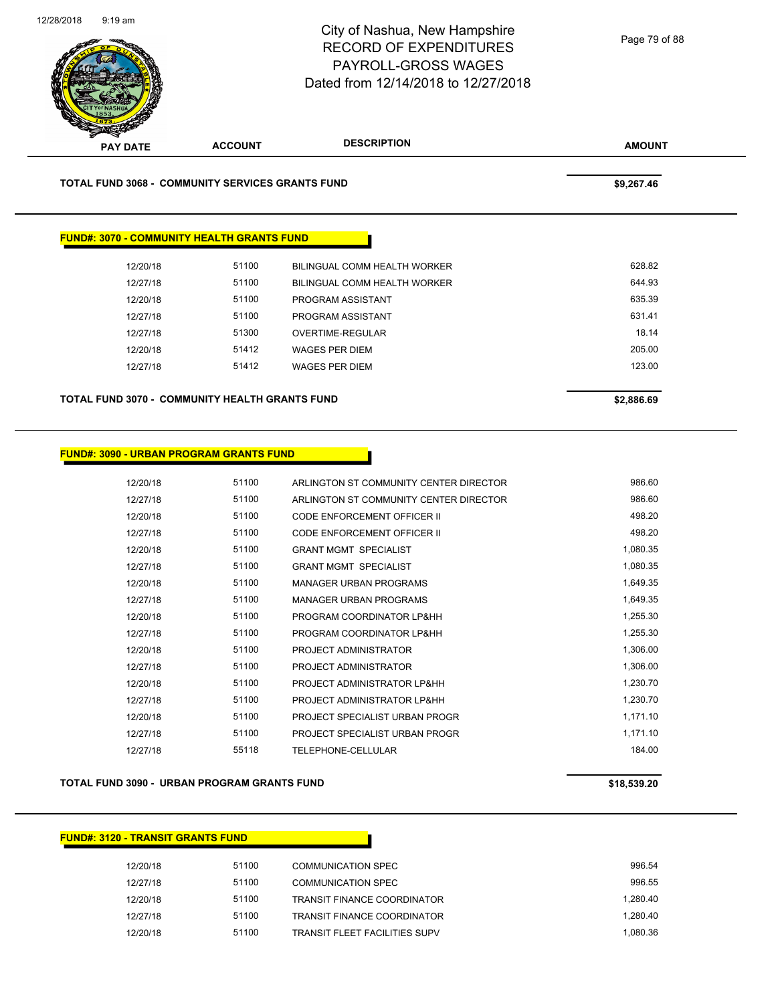

| TOTAL FUND 3068 - COMMUNITY SERVICES GRANTS FUND |                                                   |                              | \$9,267.46 |
|--------------------------------------------------|---------------------------------------------------|------------------------------|------------|
|                                                  |                                                   |                              |            |
|                                                  | <b>FUND#: 3070 - COMMUNITY HEALTH GRANTS FUND</b> |                              |            |
|                                                  |                                                   |                              |            |
| 12/20/18                                         | 51100                                             | BILINGUAL COMM HEALTH WORKER | 628.82     |
| 12/27/18                                         | 51100                                             | BILINGUAL COMM HEALTH WORKER | 644.93     |
| 12/20/18                                         | 51100                                             | PROGRAM ASSISTANT            | 635.39     |
| 12/27/18                                         | 51100                                             | PROGRAM ASSISTANT            | 631.41     |
| 12/27/18                                         | 51300                                             | OVERTIME-REGULAR             | 18.14      |
|                                                  |                                                   |                              | 205.00     |
| 12/20/18                                         | 51412                                             | <b>WAGES PER DIEM</b>        |            |

### **FUND#: 3090 - URBAN PROGRAM GRANTS FUND**

| 51100<br>12/20/18 | ARLINGTON ST COMMUNITY CENTER DIRECTOR | 986.60   |
|-------------------|----------------------------------------|----------|
| 51100<br>12/27/18 | ARLINGTON ST COMMUNITY CENTER DIRECTOR | 986.60   |
| 51100<br>12/20/18 | CODE ENFORCEMENT OFFICER II            | 498.20   |
| 51100<br>12/27/18 | CODE ENFORCEMENT OFFICER II            | 498.20   |
| 51100<br>12/20/18 | <b>GRANT MGMT SPECIALIST</b>           | 1,080.35 |
| 51100<br>12/27/18 | <b>GRANT MGMT SPECIALIST</b>           | 1,080.35 |
| 51100<br>12/20/18 | <b>MANAGER URBAN PROGRAMS</b>          | 1,649.35 |
| 51100<br>12/27/18 | <b>MANAGER URBAN PROGRAMS</b>          | 1,649.35 |
| 51100<br>12/20/18 | PROGRAM COORDINATOR LP&HH              | 1,255.30 |
| 51100<br>12/27/18 | PROGRAM COORDINATOR LP&HH              | 1,255.30 |
| 51100<br>12/20/18 | PROJECT ADMINISTRATOR                  | 1,306.00 |
| 51100<br>12/27/18 | PROJECT ADMINISTRATOR                  | 1,306.00 |
| 51100<br>12/20/18 | PROJECT ADMINISTRATOR LP&HH            | 1,230.70 |
| 51100<br>12/27/18 | PROJECT ADMINISTRATOR LP&HH            | 1,230.70 |
| 51100<br>12/20/18 | PROJECT SPECIALIST URBAN PROGR         | 1,171.10 |
| 51100<br>12/27/18 | PROJECT SPECIALIST URBAN PROGR         | 1,171.10 |
| 55118<br>12/27/18 | TELEPHONE-CELLULAR                     | 184.00   |

### **TOTAL FUND 3090 - URBAN PROGRAM GRANTS FUND \$18,539.20**

### **FUND#: 3120 - TRANSIT GRANTS FUND**

| 12/20/18 | 51100 | COMMUNICATION SPEC                   | 996.54   |
|----------|-------|--------------------------------------|----------|
| 12/27/18 | 51100 | COMMUNICATION SPEC                   | 996.55   |
| 12/20/18 | 51100 | <b>TRANSIT FINANCE COORDINATOR</b>   | 1.280.40 |
| 12/27/18 | 51100 | <b>TRANSIT FINANCE COORDINATOR</b>   | 1.280.40 |
| 12/20/18 | 51100 | <b>TRANSIT FLEET FACILITIES SUPV</b> | 1.080.36 |

Page 79 of 88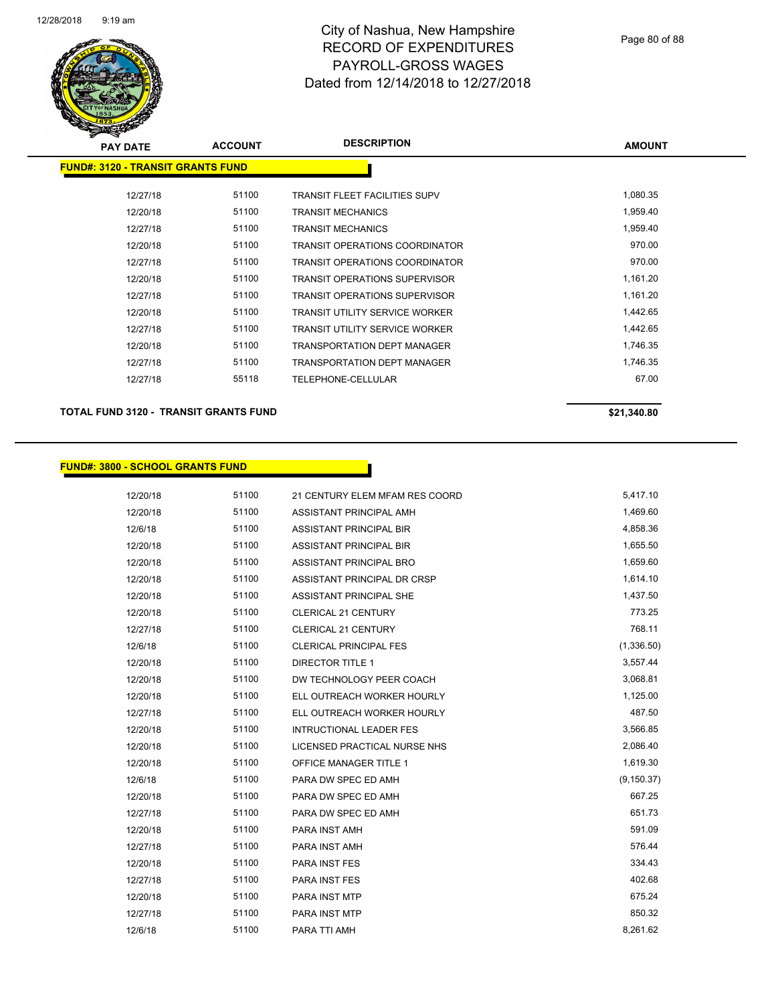

| s<br>$\tilde{\phantom{a}}$ |                                          |                                       |               |  |
|----------------------------|------------------------------------------|---------------------------------------|---------------|--|
| <b>PAY DATE</b>            | <b>ACCOUNT</b>                           | <b>DESCRIPTION</b>                    | <b>AMOUNT</b> |  |
|                            | <b>FUND#: 3120 - TRANSIT GRANTS FUND</b> |                                       |               |  |
|                            |                                          |                                       |               |  |
| 12/27/18                   | 51100                                    | <b>TRANSIT FLEET FACILITIES SUPV</b>  | 1,080.35      |  |
| 12/20/18                   | 51100                                    | TRANSIT MECHANICS                     | 1,959.40      |  |
| 12/27/18                   | 51100                                    | TRANSIT MECHANICS                     | 1,959.40      |  |
| 12/20/18                   | 51100                                    | TRANSIT OPERATIONS COORDINATOR        | 970.00        |  |
| 12/27/18                   | 51100                                    | <b>TRANSIT OPERATIONS COORDINATOR</b> | 970.00        |  |
| 12/20/18                   | 51100                                    | TRANSIT OPERATIONS SUPERVISOR         | 1,161.20      |  |
| 12/27/18                   | 51100                                    | <b>TRANSIT OPERATIONS SUPERVISOR</b>  | 1,161.20      |  |
| 12/20/18                   | 51100                                    | <b>TRANSIT UTILITY SERVICE WORKER</b> | 1,442.65      |  |
| 12/27/18                   | 51100                                    | TRANSIT UTILITY SERVICE WORKER        | 1,442.65      |  |
| 12/20/18                   | 51100                                    | <b>TRANSPORTATION DEPT MANAGER</b>    | 1,746.35      |  |
| 12/27/18                   | 51100                                    | TRANSPORTATION DEPT MANAGER           | 1,746.35      |  |
| 12/27/18                   | 55118                                    | TELEPHONE-CELLULAR                    | 67.00         |  |
|                            |                                          |                                       |               |  |

**TOTAL FUND 3120 - TRANSIT GRANTS FUND \$21,340.80** 

### **FUND#: 3800 - SCHOOL GRANTS FUND**

| 12/20/18 | 51100 | 21 CENTURY ELEM MFAM RES COORD | 5,417.10    |
|----------|-------|--------------------------------|-------------|
| 12/20/18 | 51100 | ASSISTANT PRINCIPAL AMH        | 1,469.60    |
| 12/6/18  | 51100 | ASSISTANT PRINCIPAL BIR        | 4,858.36    |
| 12/20/18 | 51100 | ASSISTANT PRINCIPAL BIR        | 1,655.50    |
| 12/20/18 | 51100 | ASSISTANT PRINCIPAL BRO        | 1,659.60    |
| 12/20/18 | 51100 | ASSISTANT PRINCIPAL DR CRSP    | 1,614.10    |
| 12/20/18 | 51100 | <b>ASSISTANT PRINCIPAL SHE</b> | 1,437.50    |
| 12/20/18 | 51100 | <b>CLERICAL 21 CENTURY</b>     | 773.25      |
| 12/27/18 | 51100 | <b>CLERICAL 21 CENTURY</b>     | 768.11      |
| 12/6/18  | 51100 | <b>CLERICAL PRINCIPAL FES</b>  | (1,336.50)  |
| 12/20/18 | 51100 | <b>DIRECTOR TITLE 1</b>        | 3,557.44    |
| 12/20/18 | 51100 | DW TECHNOLOGY PEER COACH       | 3,068.81    |
| 12/20/18 | 51100 | ELL OUTREACH WORKER HOURLY     | 1,125.00    |
| 12/27/18 | 51100 | ELL OUTREACH WORKER HOURLY     | 487.50      |
| 12/20/18 | 51100 | <b>INTRUCTIONAL LEADER FES</b> | 3,566.85    |
| 12/20/18 | 51100 | LICENSED PRACTICAL NURSE NHS   | 2,086.40    |
| 12/20/18 | 51100 | OFFICE MANAGER TITLE 1         | 1,619.30    |
| 12/6/18  | 51100 | PARA DW SPEC ED AMH            | (9, 150.37) |
| 12/20/18 | 51100 | PARA DW SPEC ED AMH            | 667.25      |
| 12/27/18 | 51100 | PARA DW SPEC ED AMH            | 651.73      |
| 12/20/18 | 51100 | PARA INST AMH                  | 591.09      |
| 12/27/18 | 51100 | PARA INST AMH                  | 576.44      |
| 12/20/18 | 51100 | PARA INST FES                  | 334.43      |
| 12/27/18 | 51100 | <b>PARA INST FES</b>           | 402.68      |
| 12/20/18 | 51100 | PARA INST MTP                  | 675.24      |
| 12/27/18 | 51100 | <b>PARA INST MTP</b>           | 850.32      |
| 12/6/18  | 51100 | PARA TTI AMH                   | 8,261.62    |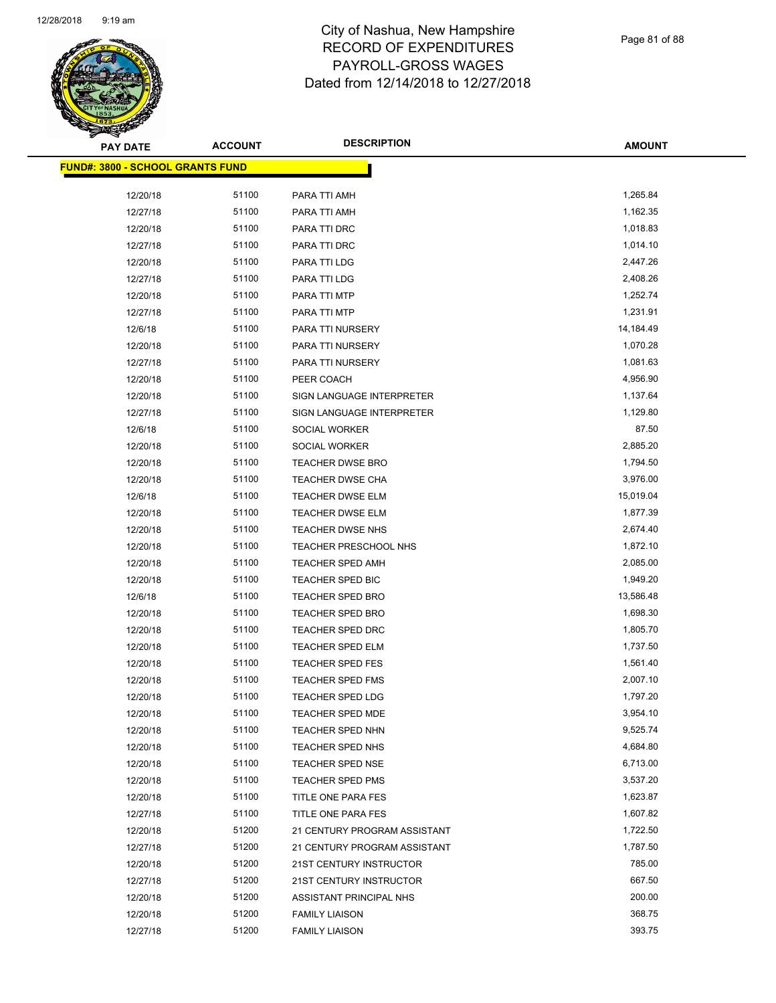

Page 81 of 88

| PAY DATE                                | <b>ACCOUNT</b> | <b>DESCRIPTION</b>           | <b>AMOUNT</b> |
|-----------------------------------------|----------------|------------------------------|---------------|
| <b>FUND#: 3800 - SCHOOL GRANTS FUND</b> |                |                              |               |
|                                         |                |                              |               |
| 12/20/18                                | 51100<br>51100 | PARA TTI AMH                 | 1,265.84      |
| 12/27/18                                |                | PARA TTI AMH                 | 1,162.35      |
| 12/20/18                                | 51100          | PARA TTI DRC                 | 1,018.83      |
| 12/27/18                                | 51100          | PARA TTI DRC                 | 1,014.10      |
| 12/20/18                                | 51100<br>51100 | PARA TTI LDG                 | 2,447.26      |
| 12/27/18                                |                | PARA TTI LDG                 | 2,408.26      |
| 12/20/18                                | 51100          | PARA TTI MTP                 | 1,252.74      |
| 12/27/18                                | 51100          | PARA TTI MTP                 | 1,231.91      |
| 12/6/18                                 | 51100          | PARA TTI NURSERY             | 14,184.49     |
| 12/20/18                                | 51100          | PARA TTI NURSERY             | 1,070.28      |
| 12/27/18                                | 51100          | PARA TTI NURSERY             | 1,081.63      |
| 12/20/18                                | 51100          | PEER COACH                   | 4,956.90      |
| 12/20/18                                | 51100          | SIGN LANGUAGE INTERPRETER    | 1,137.64      |
| 12/27/18                                | 51100          | SIGN LANGUAGE INTERPRETER    | 1,129.80      |
| 12/6/18                                 | 51100          | SOCIAL WORKER                | 87.50         |
| 12/20/18                                | 51100          | SOCIAL WORKER                | 2,885.20      |
| 12/20/18                                | 51100          | <b>TEACHER DWSE BRO</b>      | 1,794.50      |
| 12/20/18                                | 51100          | <b>TEACHER DWSE CHA</b>      | 3,976.00      |
| 12/6/18                                 | 51100          | <b>TEACHER DWSE ELM</b>      | 15,019.04     |
| 12/20/18                                | 51100          | TEACHER DWSE ELM             | 1,877.39      |
| 12/20/18                                | 51100          | TEACHER DWSE NHS             | 2,674.40      |
| 12/20/18                                | 51100          | TEACHER PRESCHOOL NHS        | 1,872.10      |
| 12/20/18                                | 51100          | <b>TEACHER SPED AMH</b>      | 2,085.00      |
| 12/20/18                                | 51100          | TEACHER SPED BIC             | 1,949.20      |
| 12/6/18                                 | 51100          | TEACHER SPED BRO             | 13,586.48     |
| 12/20/18                                | 51100          | <b>TEACHER SPED BRO</b>      | 1,698.30      |
| 12/20/18                                | 51100          | <b>TEACHER SPED DRC</b>      | 1,805.70      |
| 12/20/18                                | 51100          | <b>TEACHER SPED ELM</b>      | 1,737.50      |
| 12/20/18                                | 51100          | <b>TEACHER SPED FES</b>      | 1,561.40      |
| 12/20/18                                | 51100          | <b>TEACHER SPED FMS</b>      | 2,007.10      |
| 12/20/18                                | 51100          | <b>TEACHER SPED LDG</b>      | 1,797.20      |
| 12/20/18                                | 51100          | TEACHER SPED MDE             | 3,954.10      |
| 12/20/18                                | 51100          | <b>TEACHER SPED NHN</b>      | 9,525.74      |
| 12/20/18                                | 51100          | TEACHER SPED NHS             | 4,684.80      |
| 12/20/18                                | 51100          | <b>TEACHER SPED NSE</b>      | 6,713.00      |
| 12/20/18                                | 51100          | <b>TEACHER SPED PMS</b>      | 3,537.20      |
| 12/20/18                                | 51100          | TITLE ONE PARA FES           | 1,623.87      |
| 12/27/18                                | 51100          | TITLE ONE PARA FES           | 1,607.82      |
| 12/20/18                                | 51200          | 21 CENTURY PROGRAM ASSISTANT | 1,722.50      |
| 12/27/18                                | 51200          | 21 CENTURY PROGRAM ASSISTANT | 1,787.50      |
| 12/20/18                                | 51200          | 21ST CENTURY INSTRUCTOR      | 785.00        |
| 12/27/18                                | 51200          | 21ST CENTURY INSTRUCTOR      | 667.50        |
| 12/20/18                                | 51200          | ASSISTANT PRINCIPAL NHS      | 200.00        |
| 12/20/18                                | 51200          | <b>FAMILY LIAISON</b>        | 368.75        |
| 12/27/18                                | 51200          | <b>FAMILY LIAISON</b>        | 393.75        |
|                                         |                |                              |               |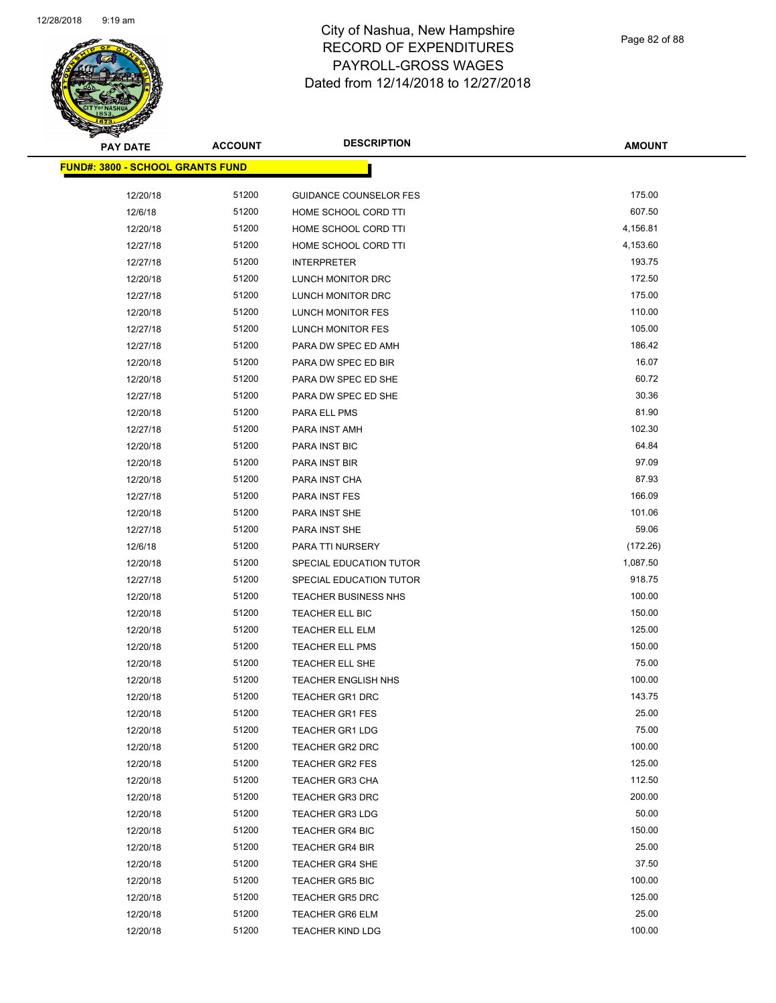

| <b>PAY DATE</b>                          | <b>ACCOUNT</b> | <b>DESCRIPTION</b>            | <b>AMOUNT</b> |
|------------------------------------------|----------------|-------------------------------|---------------|
| <u> FUND#: 3800 - SCHOOL GRANTS FUND</u> |                |                               |               |
| 12/20/18                                 | 51200          | <b>GUIDANCE COUNSELOR FES</b> | 175.00        |
| 12/6/18                                  | 51200          | HOME SCHOOL CORD TTI          | 607.50        |
| 12/20/18                                 | 51200          | HOME SCHOOL CORD TTI          | 4,156.81      |
| 12/27/18                                 | 51200          | HOME SCHOOL CORD TTI          | 4,153.60      |
| 12/27/18                                 | 51200          | <b>INTERPRETER</b>            | 193.75        |
| 12/20/18                                 | 51200          | LUNCH MONITOR DRC             | 172.50        |
| 12/27/18                                 | 51200          | LUNCH MONITOR DRC             | 175.00        |
| 12/20/18                                 | 51200          | LUNCH MONITOR FES             | 110.00        |
| 12/27/18                                 | 51200          | LUNCH MONITOR FES             | 105.00        |
| 12/27/18                                 | 51200          | PARA DW SPEC ED AMH           | 186.42        |
| 12/20/18                                 | 51200          | PARA DW SPEC ED BIR           | 16.07         |
| 12/20/18                                 | 51200          | PARA DW SPEC ED SHE           | 60.72         |
| 12/27/18                                 | 51200          | PARA DW SPEC ED SHE           | 30.36         |
| 12/20/18                                 | 51200          | PARA ELL PMS                  | 81.90         |
| 12/27/18                                 | 51200          | PARA INST AMH                 | 102.30        |
| 12/20/18                                 | 51200          | PARA INST BIC                 | 64.84         |
| 12/20/18                                 | 51200          | PARA INST BIR                 | 97.09         |
| 12/20/18                                 | 51200          | PARA INST CHA                 | 87.93         |
| 12/27/18                                 | 51200          | PARA INST FES                 | 166.09        |
| 12/20/18                                 | 51200          | PARA INST SHE                 | 101.06        |
| 12/27/18                                 | 51200          | PARA INST SHE                 | 59.06         |
| 12/6/18                                  | 51200          | PARA TTI NURSERY              | (172.26)      |
| 12/20/18                                 | 51200          | SPECIAL EDUCATION TUTOR       | 1,087.50      |
| 12/27/18                                 | 51200          | SPECIAL EDUCATION TUTOR       | 918.75        |
| 12/20/18                                 | 51200          | <b>TEACHER BUSINESS NHS</b>   | 100.00        |
| 12/20/18                                 | 51200          | TEACHER ELL BIC               | 150.00        |
| 12/20/18                                 | 51200          | <b>TEACHER ELL ELM</b>        | 125.00        |
| 12/20/18                                 | 51200          | <b>TEACHER ELL PMS</b>        | 150.00        |
| 12/20/18                                 | 51200          | TEACHER ELL SHE               | 75.00         |
| 12/20/18                                 | 51200          | <b>TEACHER ENGLISH NHS</b>    | 100.00        |
| 12/20/18                                 | 51200          | <b>TEACHER GR1 DRC</b>        | 143.75        |
| 12/20/18                                 | 51200          | <b>TEACHER GR1 FES</b>        | 25.00         |
| 12/20/18                                 | 51200          | <b>TEACHER GR1 LDG</b>        | 75.00         |
| 12/20/18                                 | 51200          | TEACHER GR2 DRC               | 100.00        |
| 12/20/18                                 | 51200          | <b>TEACHER GR2 FES</b>        | 125.00        |
| 12/20/18                                 | 51200          | <b>TEACHER GR3 CHA</b>        | 112.50        |
| 12/20/18                                 | 51200          | <b>TEACHER GR3 DRC</b>        | 200.00        |
| 12/20/18                                 | 51200          | <b>TEACHER GR3 LDG</b>        | 50.00         |
| 12/20/18                                 | 51200          | <b>TEACHER GR4 BIC</b>        | 150.00        |
| 12/20/18                                 | 51200          | <b>TEACHER GR4 BIR</b>        | 25.00         |
| 12/20/18                                 | 51200          | <b>TEACHER GR4 SHE</b>        | 37.50         |
| 12/20/18                                 | 51200          | <b>TEACHER GR5 BIC</b>        | 100.00        |
| 12/20/18                                 | 51200          | <b>TEACHER GR5 DRC</b>        | 125.00        |
| 12/20/18                                 | 51200          | <b>TEACHER GR6 ELM</b>        | 25.00         |
| 12/20/18                                 | 51200          | <b>TEACHER KIND LDG</b>       | 100.00        |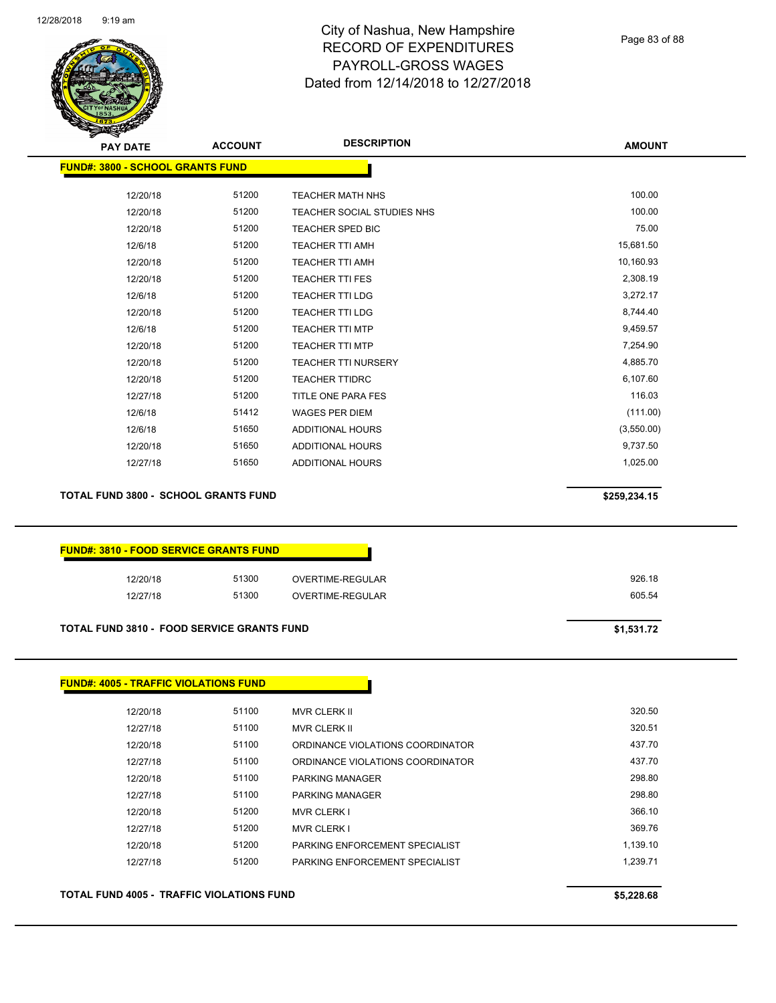

|                                                                                                   | <b>ACCOUNT</b> | <b>DESCRIPTION</b>               | <b>AMOUNT</b> |
|---------------------------------------------------------------------------------------------------|----------------|----------------------------------|---------------|
| <b>FUND#: 3800 - SCHOOL GRANTS FUND</b>                                                           |                |                                  |               |
| 12/20/18                                                                                          | 51200          | <b>TEACHER MATH NHS</b>          | 100.00        |
| 12/20/18                                                                                          | 51200          | TEACHER SOCIAL STUDIES NHS       | 100.00        |
| 12/20/18                                                                                          | 51200          | TEACHER SPED BIC                 | 75.00         |
| 12/6/18                                                                                           | 51200          | TEACHER TTI AMH                  | 15,681.50     |
| 12/20/18                                                                                          | 51200          | <b>TEACHER TTI AMH</b>           | 10,160.93     |
| 12/20/18                                                                                          | 51200          | <b>TEACHER TTI FES</b>           | 2,308.19      |
| 12/6/18                                                                                           | 51200          | TEACHER TTI LDG                  | 3,272.17      |
| 12/20/18                                                                                          | 51200          | TEACHER TTI LDG                  | 8,744.40      |
| 12/6/18                                                                                           | 51200          | <b>TEACHER TTI MTP</b>           | 9,459.57      |
| 12/20/18                                                                                          | 51200          | <b>TEACHER TTI MTP</b>           | 7,254.90      |
| 12/20/18                                                                                          | 51200          | <b>TEACHER TTI NURSERY</b>       | 4,885.70      |
| 12/20/18                                                                                          | 51200          | <b>TEACHER TTIDRC</b>            | 6,107.60      |
| 12/27/18                                                                                          | 51200          | TITLE ONE PARA FES               | 116.03        |
| 12/6/18                                                                                           | 51412          | <b>WAGES PER DIEM</b>            | (111.00)      |
| 12/6/18                                                                                           | 51650          | <b>ADDITIONAL HOURS</b>          | (3,550.00)    |
| 12/20/18                                                                                          | 51650          | <b>ADDITIONAL HOURS</b>          | 9,737.50      |
| 12/27/18                                                                                          | 51650          | <b>ADDITIONAL HOURS</b>          | 1,025.00      |
| <b>TOTAL FUND 3800 - SCHOOL GRANTS FUND</b><br><b>FUND#: 3810 - FOOD SERVICE GRANTS FUND</b>      |                |                                  | \$259,234.15  |
| 12/20/18                                                                                          | 51300          | OVERTIME-REGULAR                 | 926.18        |
| 12/27/18                                                                                          | 51300          | OVERTIME-REGULAR                 | 605.54        |
|                                                                                                   |                |                                  | \$1,531.72    |
| <b>TOTAL FUND 3810 - FOOD SERVICE GRANTS FUND</b><br><b>FUND#: 4005 - TRAFFIC VIOLATIONS FUND</b> |                |                                  |               |
| 12/20/18                                                                                          | 51100          | MVR CLERK II                     | 320.50        |
| 12/27/18                                                                                          | 51100          | MVR CLERK II                     | 320.51        |
| 12/20/18                                                                                          | 51100          | ORDINANCE VIOLATIONS COORDINATOR | 437.70        |
| 12/27/18                                                                                          | 51100          | ORDINANCE VIOLATIONS COORDINATOR | 437.70        |
| 12/20/18                                                                                          | 51100          | PARKING MANAGER                  | 298.80        |
| 12/27/18                                                                                          | 51100          | <b>PARKING MANAGER</b>           | 298.80        |
| 12/20/18                                                                                          | 51200          | <b>MVR CLERK I</b>               | 366.10        |
| 12/27/18                                                                                          | 51200          | <b>MVR CLERK I</b>               | 369.76        |
| 12/20/18                                                                                          | 51200          | PARKING ENFORCEMENT SPECIALIST   | 1,139.10      |
| 12/27/18                                                                                          | 51200          | PARKING ENFORCEMENT SPECIALIST   | 1,239.71      |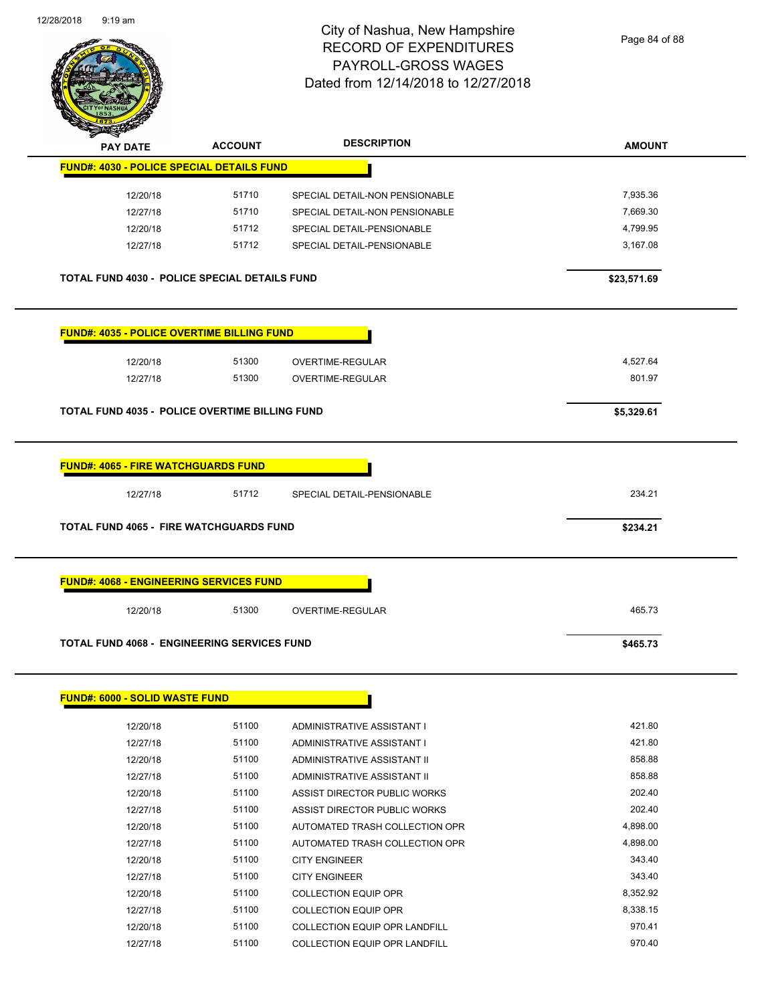

Page 84 of 88

| <b>PAY DATE</b>                                      | <b>ACCOUNT</b> | <b>DESCRIPTION</b>             | <b>AMOUNT</b> |
|------------------------------------------------------|----------------|--------------------------------|---------------|
| <b>FUND#: 4030 - POLICE SPECIAL DETAILS FUND</b>     |                |                                |               |
| 12/20/18                                             | 51710          | SPECIAL DETAIL-NON PENSIONABLE | 7,935.36      |
| 12/27/18                                             | 51710          | SPECIAL DETAIL-NON PENSIONABLE | 7,669.30      |
| 12/20/18                                             | 51712          | SPECIAL DETAIL-PENSIONABLE     | 4,799.95      |
| 12/27/18                                             | 51712          | SPECIAL DETAIL-PENSIONABLE     | 3,167.08      |
| <b>TOTAL FUND 4030 - POLICE SPECIAL DETAILS FUND</b> |                |                                | \$23,571.69   |
| <b>FUND#: 4035 - POLICE OVERTIME BILLING FUND</b>    |                |                                |               |
| 12/20/18                                             | 51300          | OVERTIME-REGULAR               | 4,527.64      |
| 12/27/18                                             | 51300          | OVERTIME-REGULAR               | 801.97        |
|                                                      |                |                                |               |
| TOTAL FUND 4035 - POLICE OVERTIME BILLING FUND       |                |                                | \$5,329.61    |
|                                                      |                |                                |               |
| <b>FUND#: 4065 - FIRE WATCHGUARDS FUND</b>           |                |                                |               |
| 12/27/18                                             | 51712          | SPECIAL DETAIL-PENSIONABLE     | 234.21        |
| <b>TOTAL FUND 4065 - FIRE WATCHGUARDS FUND</b>       |                |                                | \$234.21      |
|                                                      |                |                                |               |
|                                                      |                |                                |               |
| <b>FUND#: 4068 - ENGINEERING SERVICES FUND</b>       |                |                                |               |
| 12/20/18                                             | 51300          | OVERTIME-REGULAR               | 465.73        |
| <b>TOTAL FUND 4068 - ENGINEERING SERVICES FUND</b>   |                |                                | \$465.73      |
|                                                      |                |                                |               |
|                                                      |                |                                |               |
| <b>FUND#: 6000 - SOLID WASTE FUND</b>                |                |                                |               |
| 12/20/18                                             | 51100          | ADMINISTRATIVE ASSISTANT I     | 421.80        |
| 12/27/18                                             | 51100          | ADMINISTRATIVE ASSISTANT I     | 421.80        |
| 12/20/18                                             | 51100          | ADMINISTRATIVE ASSISTANT II    | 858.88        |
| 12/27/18                                             | 51100          | ADMINISTRATIVE ASSISTANT II    | 858.88        |
| 12/20/18                                             | 51100          | ASSIST DIRECTOR PUBLIC WORKS   | 202.40        |
| 12/27/18                                             | 51100          | ASSIST DIRECTOR PUBLIC WORKS   | 202.40        |
| 12/20/18                                             | 51100          | AUTOMATED TRASH COLLECTION OPR | 4,898.00      |
| 12/27/18                                             | 51100          | AUTOMATED TRASH COLLECTION OPR | 4,898.00      |
| 12/20/18                                             | 51100          | <b>CITY ENGINEER</b>           | 343.40        |
| 12/27/18                                             | 51100          | <b>CITY ENGINEER</b>           | 343.40        |
| 12/20/18                                             | 51100          | <b>COLLECTION EQUIP OPR</b>    | 8,352.92      |
| 12/27/18                                             | 51100          | <b>COLLECTION EQUIP OPR</b>    | 8,338.15      |
| 12/20/18                                             | 51100          | COLLECTION EQUIP OPR LANDFILL  | 970.41        |

12/27/18 51100 COLLECTION EQUIP OPR LANDFILL 970.40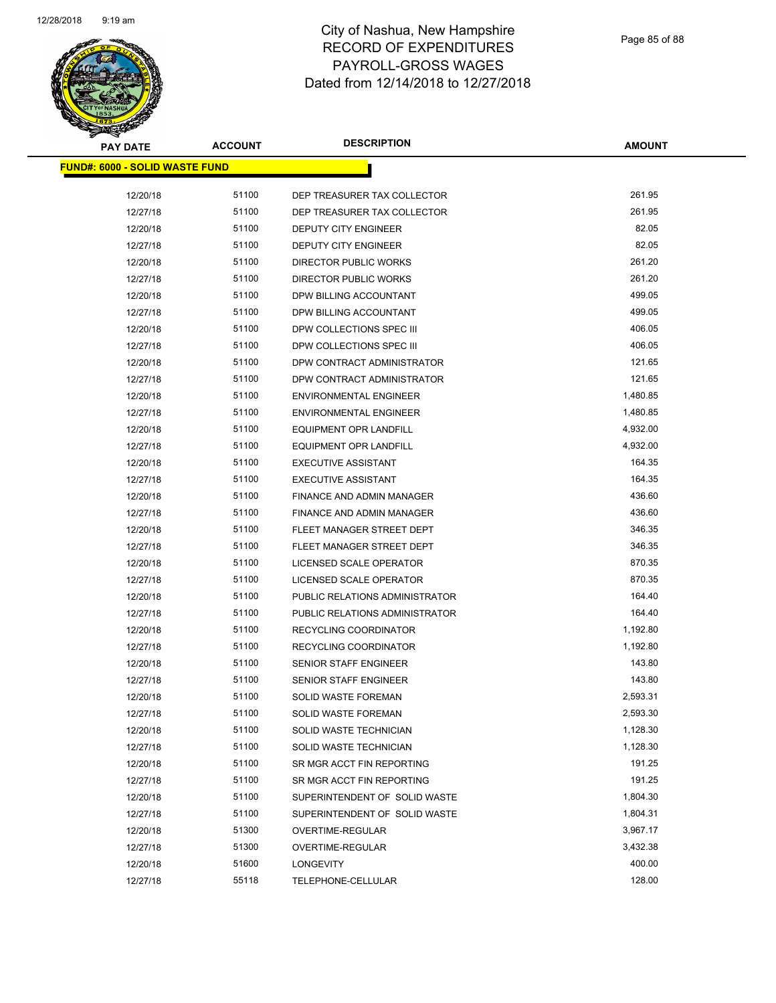

| <u> FUND#: 6000 - SOLID WASTE FUND</u><br>12/20/18<br>51100<br>261.95<br>DEP TREASURER TAX COLLECTOR<br>51100<br>261.95<br>12/27/18<br>DEP TREASURER TAX COLLECTOR<br>82.05<br>51100<br>12/20/18<br>DEPUTY CITY ENGINEER<br>82.05<br>51100<br>12/27/18<br>DEPUTY CITY ENGINEER<br>261.20<br>51100<br><b>DIRECTOR PUBLIC WORKS</b><br>12/20/18<br>51100<br>261.20<br>12/27/18<br>DIRECTOR PUBLIC WORKS<br>499.05<br>51100<br>12/20/18<br>DPW BILLING ACCOUNTANT |
|----------------------------------------------------------------------------------------------------------------------------------------------------------------------------------------------------------------------------------------------------------------------------------------------------------------------------------------------------------------------------------------------------------------------------------------------------------------|
|                                                                                                                                                                                                                                                                                                                                                                                                                                                                |
|                                                                                                                                                                                                                                                                                                                                                                                                                                                                |
|                                                                                                                                                                                                                                                                                                                                                                                                                                                                |
|                                                                                                                                                                                                                                                                                                                                                                                                                                                                |
|                                                                                                                                                                                                                                                                                                                                                                                                                                                                |
|                                                                                                                                                                                                                                                                                                                                                                                                                                                                |
|                                                                                                                                                                                                                                                                                                                                                                                                                                                                |
|                                                                                                                                                                                                                                                                                                                                                                                                                                                                |
|                                                                                                                                                                                                                                                                                                                                                                                                                                                                |
| 499.05<br>51100<br>12/27/18<br>DPW BILLING ACCOUNTANT                                                                                                                                                                                                                                                                                                                                                                                                          |
| 51100<br>406.05<br>12/20/18<br>DPW COLLECTIONS SPEC III                                                                                                                                                                                                                                                                                                                                                                                                        |
| 406.05<br>51100<br>12/27/18<br>DPW COLLECTIONS SPEC III                                                                                                                                                                                                                                                                                                                                                                                                        |
| 51100<br>DPW CONTRACT ADMINISTRATOR<br>121.65<br>12/20/18                                                                                                                                                                                                                                                                                                                                                                                                      |
| 121.65<br>51100<br>DPW CONTRACT ADMINISTRATOR<br>12/27/18                                                                                                                                                                                                                                                                                                                                                                                                      |
| 1,480.85<br>51100<br>12/20/18<br><b>ENVIRONMENTAL ENGINEER</b>                                                                                                                                                                                                                                                                                                                                                                                                 |
| 51100<br>1,480.85<br>12/27/18<br><b>ENVIRONMENTAL ENGINEER</b>                                                                                                                                                                                                                                                                                                                                                                                                 |
| 51100<br>4,932.00<br>12/20/18<br><b>EQUIPMENT OPR LANDFILL</b>                                                                                                                                                                                                                                                                                                                                                                                                 |
| 51100<br>4,932.00<br>12/27/18<br><b>EQUIPMENT OPR LANDFILL</b>                                                                                                                                                                                                                                                                                                                                                                                                 |
| 164.35<br>51100<br>12/20/18<br><b>EXECUTIVE ASSISTANT</b>                                                                                                                                                                                                                                                                                                                                                                                                      |
| 164.35<br>51100<br>12/27/18<br><b>EXECUTIVE ASSISTANT</b>                                                                                                                                                                                                                                                                                                                                                                                                      |
| 51100<br>436.60<br>12/20/18<br><b>FINANCE AND ADMIN MANAGER</b>                                                                                                                                                                                                                                                                                                                                                                                                |
| 436.60<br>51100<br>12/27/18<br>FINANCE AND ADMIN MANAGER                                                                                                                                                                                                                                                                                                                                                                                                       |
| 51100<br>346.35<br>12/20/18<br>FLEET MANAGER STREET DEPT                                                                                                                                                                                                                                                                                                                                                                                                       |
| 346.35<br>51100<br>12/27/18<br>FLEET MANAGER STREET DEPT                                                                                                                                                                                                                                                                                                                                                                                                       |
| 870.35<br>51100<br>12/20/18<br>LICENSED SCALE OPERATOR                                                                                                                                                                                                                                                                                                                                                                                                         |
| 51100<br>870.35<br>12/27/18<br>LICENSED SCALE OPERATOR                                                                                                                                                                                                                                                                                                                                                                                                         |
| 51100<br>PUBLIC RELATIONS ADMINISTRATOR<br>164.40<br>12/20/18                                                                                                                                                                                                                                                                                                                                                                                                  |
| 51100<br>164.40<br>12/27/18<br>PUBLIC RELATIONS ADMINISTRATOR                                                                                                                                                                                                                                                                                                                                                                                                  |
| 51100<br>1,192.80<br>12/20/18<br><b>RECYCLING COORDINATOR</b>                                                                                                                                                                                                                                                                                                                                                                                                  |
| 51100<br>1,192.80<br>12/27/18<br><b>RECYCLING COORDINATOR</b>                                                                                                                                                                                                                                                                                                                                                                                                  |
| 51100<br>143.80<br>12/20/18<br><b>SENIOR STAFF ENGINEER</b>                                                                                                                                                                                                                                                                                                                                                                                                    |
| 143.80<br>12/27/18<br>51100<br><b>SENIOR STAFF ENGINEER</b>                                                                                                                                                                                                                                                                                                                                                                                                    |
| 51100<br>SOLID WASTE FOREMAN<br>2,593.31<br>12/20/18                                                                                                                                                                                                                                                                                                                                                                                                           |
| 51100<br>2,593.30<br>12/27/18<br>SOLID WASTE FOREMAN                                                                                                                                                                                                                                                                                                                                                                                                           |
| 51100<br>1,128.30<br>12/20/18<br>SOLID WASTE TECHNICIAN                                                                                                                                                                                                                                                                                                                                                                                                        |
| 51100<br>1,128.30<br>12/27/18<br>SOLID WASTE TECHNICIAN                                                                                                                                                                                                                                                                                                                                                                                                        |
| 191.25<br>12/20/18<br>51100<br>SR MGR ACCT FIN REPORTING                                                                                                                                                                                                                                                                                                                                                                                                       |
| 191.25<br>12/27/18<br>51100<br>SR MGR ACCT FIN REPORTING                                                                                                                                                                                                                                                                                                                                                                                                       |
| 51100<br>1,804.30<br>12/20/18<br>SUPERINTENDENT OF SOLID WASTE                                                                                                                                                                                                                                                                                                                                                                                                 |
| 51100<br>1,804.31<br>12/27/18<br>SUPERINTENDENT OF SOLID WASTE                                                                                                                                                                                                                                                                                                                                                                                                 |
| 51300<br>3,967.17<br>12/20/18<br>OVERTIME-REGULAR                                                                                                                                                                                                                                                                                                                                                                                                              |
| 12/27/18<br>51300<br>3,432.38<br>OVERTIME-REGULAR                                                                                                                                                                                                                                                                                                                                                                                                              |
| 12/20/18<br>51600<br>400.00<br><b>LONGEVITY</b>                                                                                                                                                                                                                                                                                                                                                                                                                |
| 128.00<br>55118<br>12/27/18<br>TELEPHONE-CELLULAR                                                                                                                                                                                                                                                                                                                                                                                                              |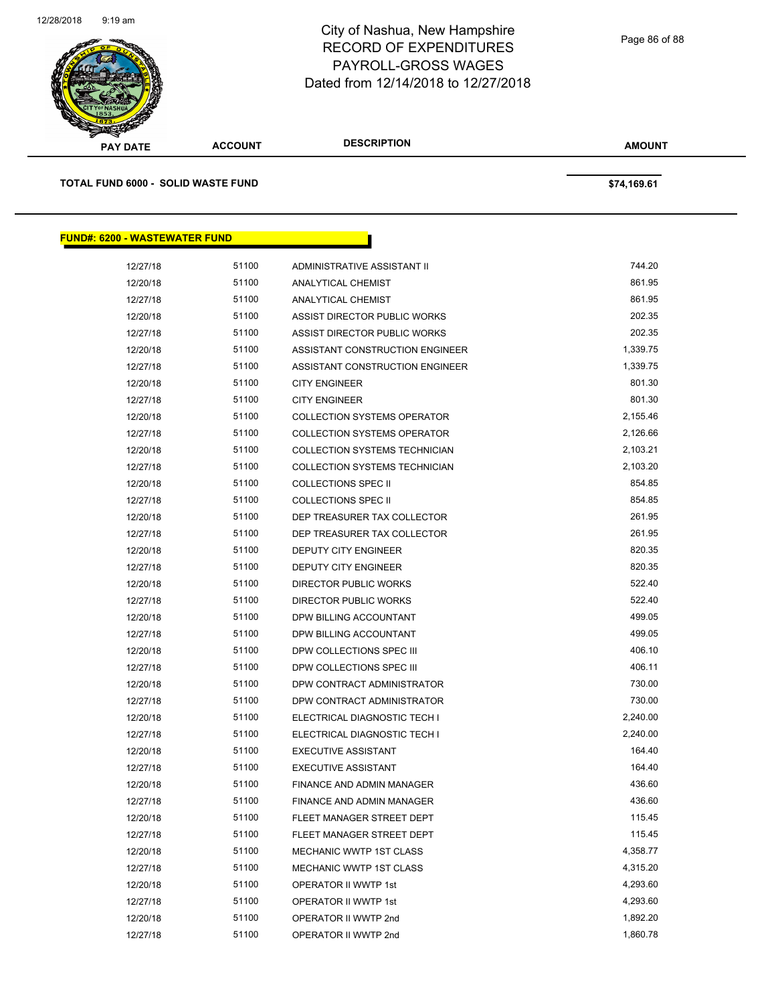

| <b>PAY DATE</b>                      | <b>ACCOUNT</b> | <b>DESCRIPTION</b>                                      | <b>AMOUNT</b>    |  |
|--------------------------------------|----------------|---------------------------------------------------------|------------------|--|
| TOTAL FUND 6000 - SOLID WASTE FUND   |                |                                                         | \$74,169.61      |  |
| <b>FUND#: 6200 - WASTEWATER FUND</b> |                |                                                         |                  |  |
|                                      |                |                                                         |                  |  |
| 12/27/18                             | 51100          | ADMINISTRATIVE ASSISTANT II                             | 744.20           |  |
| 12/20/18                             | 51100          | ANALYTICAL CHEMIST                                      | 861.95<br>861.95 |  |
| 12/27/18                             | 51100<br>51100 | ANALYTICAL CHEMIST                                      | 202.35           |  |
| 12/20/18                             | 51100          | ASSIST DIRECTOR PUBLIC WORKS                            | 202.35           |  |
| 12/27/18                             | 51100          | ASSIST DIRECTOR PUBLIC WORKS                            | 1,339.75         |  |
| 12/20/18                             | 51100          | ASSISTANT CONSTRUCTION ENGINEER                         | 1,339.75         |  |
| 12/27/18<br>12/20/18                 | 51100          | ASSISTANT CONSTRUCTION ENGINEER<br><b>CITY ENGINEER</b> | 801.30           |  |
| 12/27/18                             | 51100          | <b>CITY ENGINEER</b>                                    | 801.30           |  |
| 12/20/18                             | 51100          | <b>COLLECTION SYSTEMS OPERATOR</b>                      | 2,155.46         |  |
| 12/27/18                             | 51100          | <b>COLLECTION SYSTEMS OPERATOR</b>                      | 2,126.66         |  |
| 12/20/18                             | 51100          | COLLECTION SYSTEMS TECHNICIAN                           | 2,103.21         |  |
| 12/27/18                             | 51100          | COLLECTION SYSTEMS TECHNICIAN                           | 2,103.20         |  |
| 12/20/18                             | 51100          | <b>COLLECTIONS SPEC II</b>                              | 854.85           |  |
| 12/27/18                             | 51100          | <b>COLLECTIONS SPEC II</b>                              | 854.85           |  |
| 12/20/18                             | 51100          | DEP TREASURER TAX COLLECTOR                             | 261.95           |  |
| 12/27/18                             | 51100          | DEP TREASURER TAX COLLECTOR                             | 261.95           |  |
| 12/20/18                             | 51100          | DEPUTY CITY ENGINEER                                    | 820.35           |  |
| 12/27/18                             | 51100          | DEPUTY CITY ENGINEER                                    | 820.35           |  |
| 12/20/18                             | 51100          | DIRECTOR PUBLIC WORKS                                   | 522.40           |  |
| 12/27/18                             | 51100          | DIRECTOR PUBLIC WORKS                                   | 522.40           |  |
| 12/20/18                             | 51100          | DPW BILLING ACCOUNTANT                                  | 499.05           |  |
| 12/27/18                             | 51100          | DPW BILLING ACCOUNTANT                                  | 499.05           |  |
| 12/20/18                             | 51100          | DPW COLLECTIONS SPEC III                                | 406.10           |  |
| 12/27/18                             | 51100          | DPW COLLECTIONS SPEC III                                | 406.11           |  |
| 12/20/18                             | 51100          | DPW CONTRACT ADMINISTRATOR                              | 730.00           |  |
| 12/27/18                             | 51100          | DPW CONTRACT ADMINISTRATOR                              | 730.00           |  |
| 12/20/18                             | 51100          | ELECTRICAL DIAGNOSTIC TECH I                            | 2,240.00         |  |
| 12/27/18                             | 51100          | ELECTRICAL DIAGNOSTIC TECH I                            | 2,240.00         |  |
| 12/20/18                             | 51100          | <b>EXECUTIVE ASSISTANT</b>                              | 164.40           |  |
| 12/27/18                             | 51100          | <b>EXECUTIVE ASSISTANT</b>                              | 164.40           |  |
| 12/20/18                             | 51100          | <b>FINANCE AND ADMIN MANAGER</b>                        | 436.60           |  |
| 12/27/18                             | 51100          | <b>FINANCE AND ADMIN MANAGER</b>                        | 436.60           |  |
| 12/20/18                             | 51100          | FLEET MANAGER STREET DEPT                               | 115.45           |  |
| 12/27/18                             | 51100          | FLEET MANAGER STREET DEPT                               | 115.45           |  |
| 12/20/18                             | 51100          | MECHANIC WWTP 1ST CLASS                                 | 4,358.77         |  |
| 12/27/18                             | 51100          | MECHANIC WWTP 1ST CLASS                                 | 4,315.20         |  |
| 12/20/18                             | 51100          | OPERATOR II WWTP 1st                                    | 4,293.60         |  |
| 12/27/18                             | 51100          | OPERATOR II WWTP 1st                                    | 4,293.60         |  |

12/20/18 51100 OPERATOR II WWTP 2nd 1,892.20 12/27/18 51100 OPERATOR II WWTP 2nd 1,860.78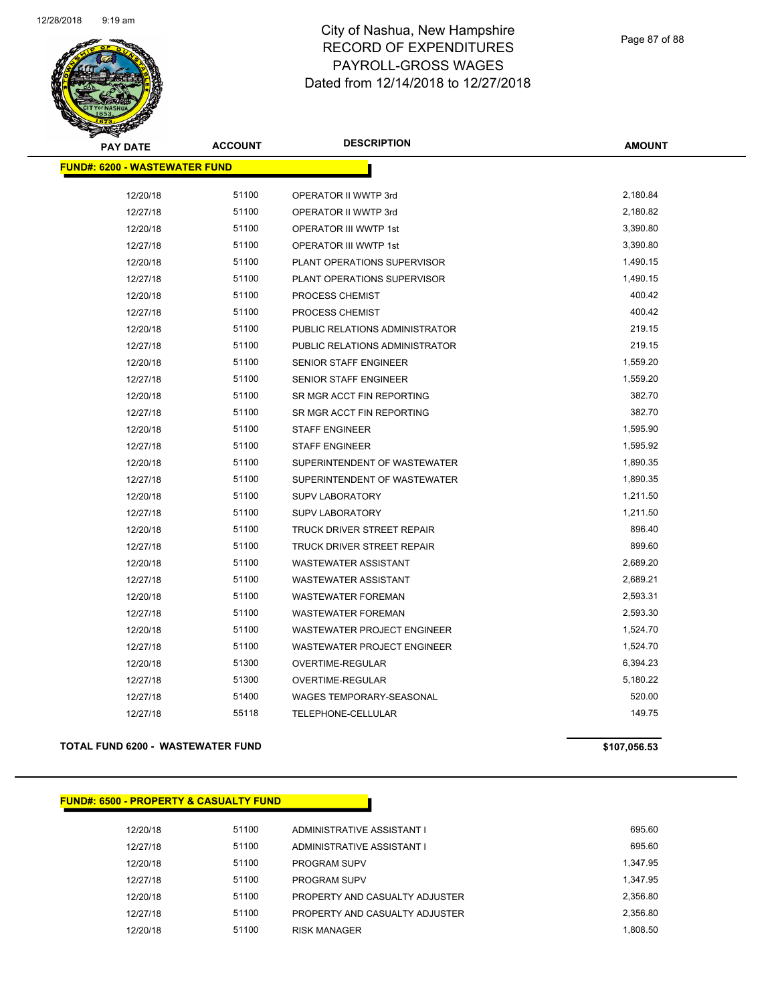

| <b>PAY DATE</b>                      | <b>ACCOUNT</b> | <b>DESCRIPTION</b>             | <b>AMOUNT</b> |
|--------------------------------------|----------------|--------------------------------|---------------|
| <b>FUND#: 6200 - WASTEWATER FUND</b> |                |                                |               |
|                                      |                |                                |               |
| 12/20/18                             | 51100          | OPERATOR II WWTP 3rd           | 2,180.84      |
| 12/27/18                             | 51100          | OPERATOR II WWTP 3rd           | 2,180.82      |
| 12/20/18                             | 51100          | <b>OPERATOR III WWTP 1st</b>   | 3,390.80      |
| 12/27/18                             | 51100          | <b>OPERATOR III WWTP 1st</b>   | 3,390.80      |
| 12/20/18                             | 51100          | PLANT OPERATIONS SUPERVISOR    | 1,490.15      |
| 12/27/18                             | 51100          | PLANT OPERATIONS SUPERVISOR    | 1,490.15      |
| 12/20/18                             | 51100          | PROCESS CHEMIST                | 400.42        |
| 12/27/18                             | 51100          | PROCESS CHEMIST                | 400.42        |
| 12/20/18                             | 51100          | PUBLIC RELATIONS ADMINISTRATOR | 219.15        |
| 12/27/18                             | 51100          | PUBLIC RELATIONS ADMINISTRATOR | 219.15        |
| 12/20/18                             | 51100          | SENIOR STAFF ENGINEER          | 1,559.20      |
| 12/27/18                             | 51100          | SENIOR STAFF ENGINEER          | 1,559.20      |
| 12/20/18                             | 51100          | SR MGR ACCT FIN REPORTING      | 382.70        |
| 12/27/18                             | 51100          | SR MGR ACCT FIN REPORTING      | 382.70        |
| 12/20/18                             | 51100          | <b>STAFF ENGINEER</b>          | 1,595.90      |
| 12/27/18                             | 51100          | <b>STAFF ENGINEER</b>          | 1,595.92      |
| 12/20/18                             | 51100          | SUPERINTENDENT OF WASTEWATER   | 1,890.35      |
| 12/27/18                             | 51100          | SUPERINTENDENT OF WASTEWATER   | 1,890.35      |
| 12/20/18                             | 51100          | <b>SUPV LABORATORY</b>         | 1,211.50      |
| 12/27/18                             | 51100          | <b>SUPV LABORATORY</b>         | 1,211.50      |
| 12/20/18                             | 51100          | TRUCK DRIVER STREET REPAIR     | 896.40        |
| 12/27/18                             | 51100          | TRUCK DRIVER STREET REPAIR     | 899.60        |
| 12/20/18                             | 51100          | WASTEWATER ASSISTANT           | 2,689.20      |
| 12/27/18                             | 51100          | WASTEWATER ASSISTANT           | 2,689.21      |
| 12/20/18                             | 51100          | WASTEWATER FOREMAN             | 2,593.31      |
| 12/27/18                             | 51100          | <b>WASTEWATER FOREMAN</b>      | 2,593.30      |
| 12/20/18                             | 51100          | WASTEWATER PROJECT ENGINEER    | 1,524.70      |
| 12/27/18                             | 51100          | WASTEWATER PROJECT ENGINEER    | 1,524.70      |
| 12/20/18                             | 51300          | OVERTIME-REGULAR               | 6,394.23      |
| 12/27/18                             | 51300          | OVERTIME-REGULAR               | 5,180.22      |
| 12/27/18                             | 51400          | WAGES TEMPORARY-SEASONAL       | 520.00        |
| 12/27/18                             | 55118          | <b>TELEPHONE-CELLULAR</b>      | 149.75        |
|                                      |                |                                |               |

### **TOTAL FUND 6200 - WASTEWATER FUND \$107,056.53**

### **FUND#: 6500 - PROPERTY & CASUALTY FUND**

| 12/20/18 | 51100 | ADMINISTRATIVE ASSISTANT I     | 695.60   |
|----------|-------|--------------------------------|----------|
| 12/27/18 | 51100 | ADMINISTRATIVE ASSISTANT I     | 695.60   |
| 12/20/18 | 51100 | <b>PROGRAM SUPV</b>            | 1.347.95 |
| 12/27/18 | 51100 | <b>PROGRAM SUPV</b>            | 1.347.95 |
| 12/20/18 | 51100 | PROPERTY AND CASUALTY ADJUSTER | 2.356.80 |
| 12/27/18 | 51100 | PROPERTY AND CASUALTY ADJUSTER | 2.356.80 |
| 12/20/18 | 51100 | <b>RISK MANAGER</b>            | 1.808.50 |
|          |       |                                |          |